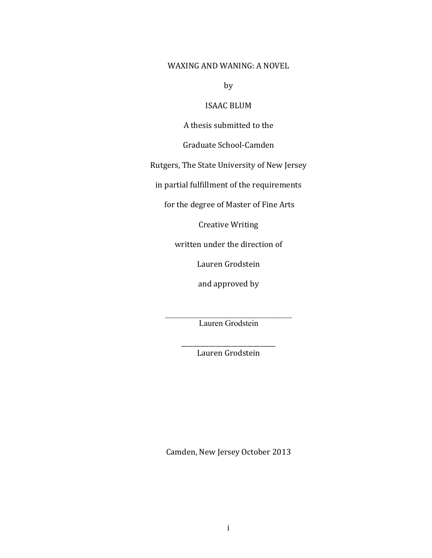## WAXING AND WANING: A NOVEL

by

## ISAAC BLUM

A thesis submitted to the

Graduate School-Camden

Rutgers, The State University of New Jersey

in partial fulfillment of the requirements

for the degree of Master of Fine Arts

Creative Writing

written under the direction of

Lauren Grodstein

and approved by

 $\mathcal{L}_\text{max}$  , where  $\mathcal{L}_\text{max}$  and  $\mathcal{L}_\text{max}$  and  $\mathcal{L}_\text{max}$ Lauren Grodstein

> \_\_\_\_\_\_\_\_\_\_\_\_\_\_\_\_\_\_\_\_\_\_\_\_\_\_\_\_\_\_ Lauren Grodstein

Camden, New Jersey October 2013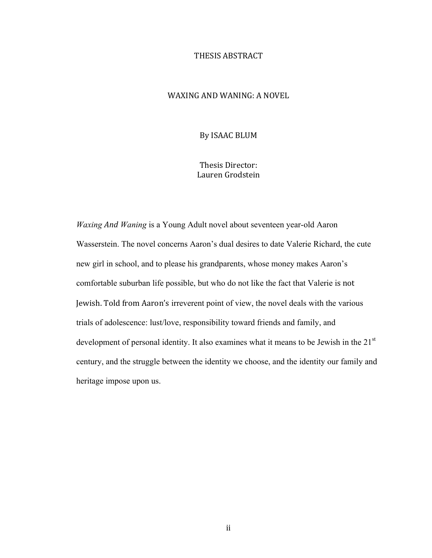## THESIS ABSTRACT

## WAXING AND WANING: A NOVEL

By ISAAC BLUM

Thesis Director: Lauren Grodstein

*Waxing And Waning* is a Young Adult novel about seventeen year-old Aaron Wasserstein. The novel concerns Aaron's dual desires to date Valerie Richard, the cute new girl in school, and to please his grandparents, whose money makes Aaron's comfortable suburban life possible, but who do not like the fact that Valerie is not Jewish. Told from Aaron's irreverent point of view, the novel deals with the various trials of adolescence: lust/love, responsibility toward friends and family, and development of personal identity. It also examines what it means to be Jewish in the 21<sup>st</sup> century, and the struggle between the identity we choose, and the identity our family and heritage impose upon us.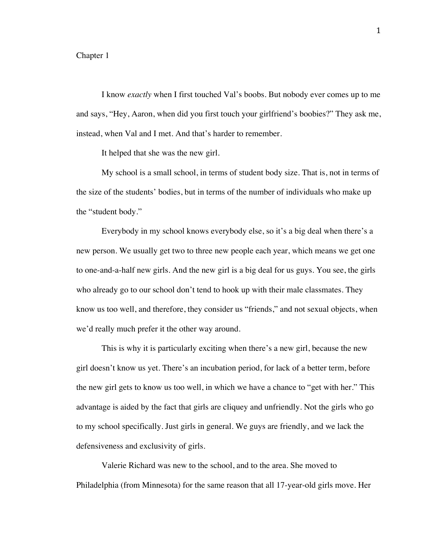I know *exactly* when I first touched Val's boobs. But nobody ever comes up to me and says, "Hey, Aaron, when did you first touch your girlfriend's boobies?" They ask me, instead, when Val and I met. And that's harder to remember.

It helped that she was the new girl.

My school is a small school, in terms of student body size. That is, not in terms of the size of the students' bodies, but in terms of the number of individuals who make up the "student body."

Everybody in my school knows everybody else, so it's a big deal when there's a new person. We usually get two to three new people each year, which means we get one to one-and-a-half new girls. And the new girl is a big deal for us guys. You see, the girls who already go to our school don't tend to hook up with their male classmates. They know us too well, and therefore, they consider us "friends," and not sexual objects, when we'd really much prefer it the other way around.

This is why it is particularly exciting when there's a new girl, because the new girl doesn't know us yet. There's an incubation period, for lack of a better term, before the new girl gets to know us too well, in which we have a chance to "get with her." This advantage is aided by the fact that girls are cliquey and unfriendly. Not the girls who go to my school specifically. Just girls in general. We guys are friendly, and we lack the defensiveness and exclusivity of girls.

Valerie Richard was new to the school, and to the area. She moved to Philadelphia (from Minnesota) for the same reason that all 17-year-old girls move. Her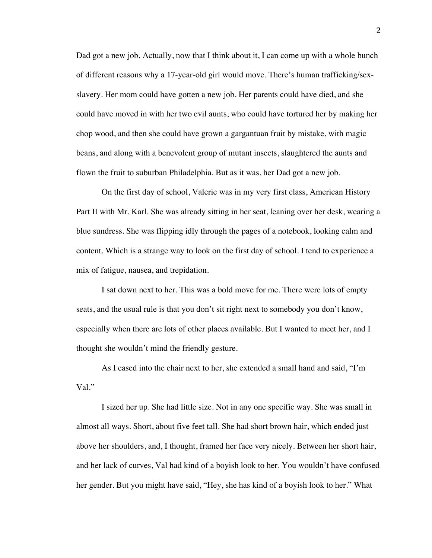Dad got a new job. Actually, now that I think about it, I can come up with a whole bunch of different reasons why a 17-year-old girl would move. There's human trafficking/sexslavery. Her mom could have gotten a new job. Her parents could have died, and she could have moved in with her two evil aunts, who could have tortured her by making her chop wood, and then she could have grown a gargantuan fruit by mistake, with magic beans, and along with a benevolent group of mutant insects, slaughtered the aunts and flown the fruit to suburban Philadelphia. But as it was, her Dad got a new job.

On the first day of school, Valerie was in my very first class, American History Part II with Mr. Karl. She was already sitting in her seat, leaning over her desk, wearing a blue sundress. She was flipping idly through the pages of a notebook, looking calm and content. Which is a strange way to look on the first day of school. I tend to experience a mix of fatigue, nausea, and trepidation.

I sat down next to her. This was a bold move for me. There were lots of empty seats, and the usual rule is that you don't sit right next to somebody you don't know, especially when there are lots of other places available. But I wanted to meet her, and I thought she wouldn't mind the friendly gesture.

As I eased into the chair next to her, she extended a small hand and said, "I'm Val."

I sized her up. She had little size. Not in any one specific way. She was small in almost all ways. Short, about five feet tall. She had short brown hair, which ended just above her shoulders, and, I thought, framed her face very nicely. Between her short hair, and her lack of curves, Val had kind of a boyish look to her. You wouldn't have confused her gender. But you might have said, "Hey, she has kind of a boyish look to her." What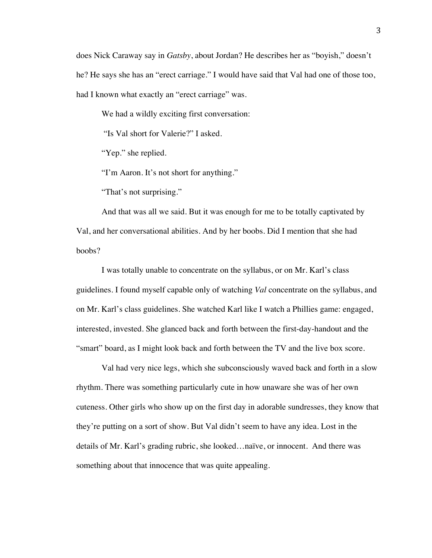does Nick Caraway say in *Gatsby*, about Jordan? He describes her as "boyish," doesn't he? He says she has an "erect carriage." I would have said that Val had one of those too, had I known what exactly an "erect carriage" was.

We had a wildly exciting first conversation:

"Is Val short for Valerie?" I asked.

"Yep." she replied.

"I'm Aaron. It's not short for anything."

"That's not surprising."

And that was all we said. But it was enough for me to be totally captivated by Val, and her conversational abilities. And by her boobs. Did I mention that she had boobs?

I was totally unable to concentrate on the syllabus, or on Mr. Karl's class guidelines. I found myself capable only of watching *Val* concentrate on the syllabus, and on Mr. Karl's class guidelines. She watched Karl like I watch a Phillies game: engaged, interested, invested. She glanced back and forth between the first-day-handout and the "smart" board, as I might look back and forth between the TV and the live box score.

Val had very nice legs, which she subconsciously waved back and forth in a slow rhythm. There was something particularly cute in how unaware she was of her own cuteness. Other girls who show up on the first day in adorable sundresses, they know that they're putting on a sort of show. But Val didn't seem to have any idea. Lost in the details of Mr. Karl's grading rubric, she looked…naïve, or innocent. And there was something about that innocence that was quite appealing.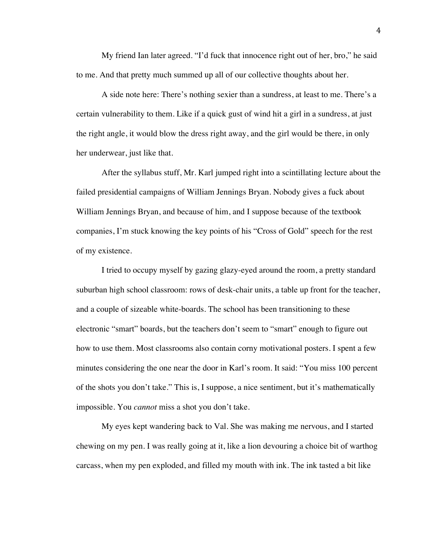My friend Ian later agreed. "I'd fuck that innocence right out of her, bro," he said to me. And that pretty much summed up all of our collective thoughts about her.

A side note here: There's nothing sexier than a sundress, at least to me. There's a certain vulnerability to them. Like if a quick gust of wind hit a girl in a sundress, at just the right angle, it would blow the dress right away, and the girl would be there, in only her underwear, just like that.

After the syllabus stuff, Mr. Karl jumped right into a scintillating lecture about the failed presidential campaigns of William Jennings Bryan. Nobody gives a fuck about William Jennings Bryan, and because of him, and I suppose because of the textbook companies, I'm stuck knowing the key points of his "Cross of Gold" speech for the rest of my existence.

I tried to occupy myself by gazing glazy-eyed around the room, a pretty standard suburban high school classroom: rows of desk-chair units, a table up front for the teacher, and a couple of sizeable white-boards. The school has been transitioning to these electronic "smart" boards, but the teachers don't seem to "smart" enough to figure out how to use them. Most classrooms also contain corny motivational posters. I spent a few minutes considering the one near the door in Karl's room. It said: "You miss 100 percent of the shots you don't take." This is, I suppose, a nice sentiment, but it's mathematically impossible. You *cannot* miss a shot you don't take.

My eyes kept wandering back to Val. She was making me nervous, and I started chewing on my pen. I was really going at it, like a lion devouring a choice bit of warthog carcass, when my pen exploded, and filled my mouth with ink. The ink tasted a bit like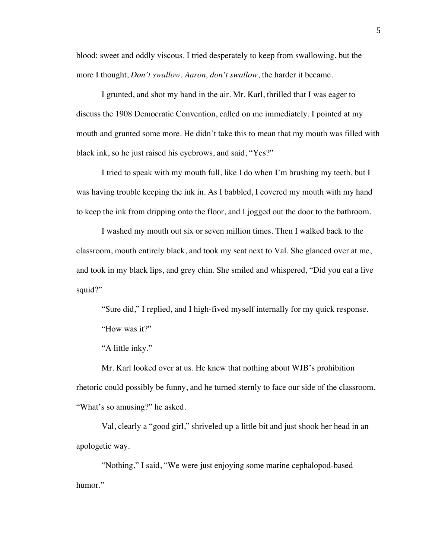blood: sweet and oddly viscous. I tried desperately to keep from swallowing, but the more I thought, *Don't swallow. Aaron, don't swallow*, the harder it became.

I grunted, and shot my hand in the air. Mr. Karl, thrilled that I was eager to discuss the 1908 Democratic Convention, called on me immediately. I pointed at my mouth and grunted some more. He didn't take this to mean that my mouth was filled with black ink, so he just raised his eyebrows, and said, "Yes?"

I tried to speak with my mouth full, like I do when I'm brushing my teeth, but I was having trouble keeping the ink in. As I babbled, I covered my mouth with my hand to keep the ink from dripping onto the floor, and I jogged out the door to the bathroom.

I washed my mouth out six or seven million times. Then I walked back to the classroom, mouth entirely black, and took my seat next to Val. She glanced over at me, and took in my black lips, and grey chin. She smiled and whispered, "Did you eat a live squid?"

"Sure did," I replied, and I high-fived myself internally for my quick response. "How was it?"

"A little inky."

Mr. Karl looked over at us. He knew that nothing about WJB's prohibition rhetoric could possibly be funny, and he turned sternly to face our side of the classroom. "What's so amusing?" he asked.

Val, clearly a "good girl," shriveled up a little bit and just shook her head in an apologetic way.

"Nothing," I said, "We were just enjoying some marine cephalopod-based humor."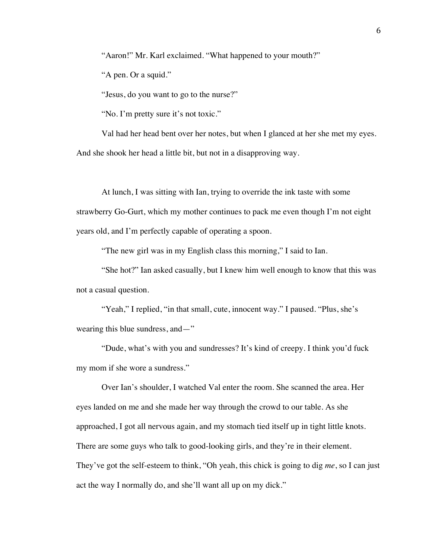"Aaron!" Mr. Karl exclaimed. "What happened to your mouth?"

"A pen. Or a squid."

"Jesus, do you want to go to the nurse?"

"No. I'm pretty sure it's not toxic."

Val had her head bent over her notes, but when I glanced at her she met my eyes. And she shook her head a little bit, but not in a disapproving way.

At lunch, I was sitting with Ian, trying to override the ink taste with some strawberry Go-Gurt, which my mother continues to pack me even though I'm not eight years old, and I'm perfectly capable of operating a spoon.

"The new girl was in my English class this morning," I said to Ian.

"She hot?" Ian asked casually, but I knew him well enough to know that this was not a casual question.

"Yeah," I replied, "in that small, cute, innocent way." I paused. "Plus, she's wearing this blue sundress, and—"

"Dude, what's with you and sundresses? It's kind of creepy. I think you'd fuck my mom if she wore a sundress."

Over Ian's shoulder, I watched Val enter the room. She scanned the area. Her eyes landed on me and she made her way through the crowd to our table. As she approached, I got all nervous again, and my stomach tied itself up in tight little knots. There are some guys who talk to good-looking girls, and they're in their element. They've got the self-esteem to think, "Oh yeah, this chick is going to dig *me*, so I can just act the way I normally do, and she'll want all up on my dick."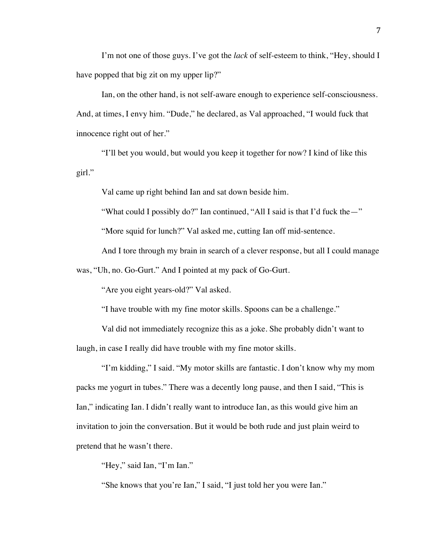I'm not one of those guys. I've got the *lack* of self-esteem to think, "Hey, should I have popped that big zit on my upper lip?"

Ian, on the other hand, is not self-aware enough to experience self-consciousness. And, at times, I envy him. "Dude," he declared, as Val approached, "I would fuck that innocence right out of her."

"I'll bet you would, but would you keep it together for now? I kind of like this girl."

Val came up right behind Ian and sat down beside him.

"What could I possibly do?" Ian continued, "All I said is that I'd fuck the—"

"More squid for lunch?" Val asked me, cutting Ian off mid-sentence.

And I tore through my brain in search of a clever response, but all I could manage was, "Uh, no. Go-Gurt." And I pointed at my pack of Go-Gurt.

"Are you eight years-old?" Val asked.

"I have trouble with my fine motor skills. Spoons can be a challenge."

Val did not immediately recognize this as a joke. She probably didn't want to laugh, in case I really did have trouble with my fine motor skills.

"I'm kidding," I said. "My motor skills are fantastic. I don't know why my mom packs me yogurt in tubes." There was a decently long pause, and then I said, "This is Ian," indicating Ian. I didn't really want to introduce Ian, as this would give him an invitation to join the conversation. But it would be both rude and just plain weird to pretend that he wasn't there.

"Hey," said Ian, "I'm Ian."

"She knows that you're Ian," I said, "I just told her you were Ian."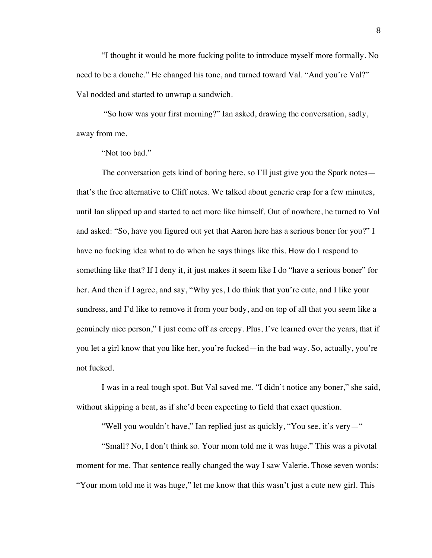"I thought it would be more fucking polite to introduce myself more formally. No need to be a douche." He changed his tone, and turned toward Val. "And you're Val?" Val nodded and started to unwrap a sandwich.

 "So how was your first morning?" Ian asked, drawing the conversation, sadly, away from me.

"Not too bad."

The conversation gets kind of boring here, so I'll just give you the Spark notes that's the free alternative to Cliff notes. We talked about generic crap for a few minutes, until Ian slipped up and started to act more like himself. Out of nowhere, he turned to Val and asked: "So, have you figured out yet that Aaron here has a serious boner for you?" I have no fucking idea what to do when he says things like this. How do I respond to something like that? If I deny it, it just makes it seem like I do "have a serious boner" for her. And then if I agree, and say, "Why yes, I do think that you're cute, and I like your sundress, and I'd like to remove it from your body, and on top of all that you seem like a genuinely nice person," I just come off as creepy. Plus, I've learned over the years, that if you let a girl know that you like her, you're fucked—in the bad way. So, actually, you're not fucked.

I was in a real tough spot. But Val saved me. "I didn't notice any boner," she said, without skipping a beat, as if she'd been expecting to field that exact question.

"Well you wouldn't have," Ian replied just as quickly, "You see, it's very—"

"Small? No, I don't think so. Your mom told me it was huge." This was a pivotal moment for me. That sentence really changed the way I saw Valerie. Those seven words: "Your mom told me it was huge," let me know that this wasn't just a cute new girl. This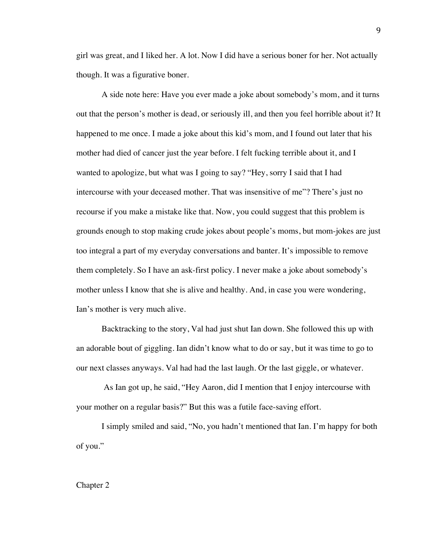girl was great, and I liked her. A lot. Now I did have a serious boner for her. Not actually though. It was a figurative boner.

A side note here: Have you ever made a joke about somebody's mom, and it turns out that the person's mother is dead, or seriously ill, and then you feel horrible about it? It happened to me once. I made a joke about this kid's mom, and I found out later that his mother had died of cancer just the year before. I felt fucking terrible about it, and I wanted to apologize, but what was I going to say? "Hey, sorry I said that I had intercourse with your deceased mother. That was insensitive of me"? There's just no recourse if you make a mistake like that. Now, you could suggest that this problem is grounds enough to stop making crude jokes about people's moms, but mom-jokes are just too integral a part of my everyday conversations and banter. It's impossible to remove them completely. So I have an ask-first policy. I never make a joke about somebody's mother unless I know that she is alive and healthy. And, in case you were wondering, Ian's mother is very much alive.

Backtracking to the story, Val had just shut Ian down. She followed this up with an adorable bout of giggling. Ian didn't know what to do or say, but it was time to go to our next classes anyways. Val had had the last laugh. Or the last giggle, or whatever.

 As Ian got up, he said, "Hey Aaron, did I mention that I enjoy intercourse with your mother on a regular basis?" But this was a futile face-saving effort.

I simply smiled and said, "No, you hadn't mentioned that Ian. I'm happy for both of you."

Chapter 2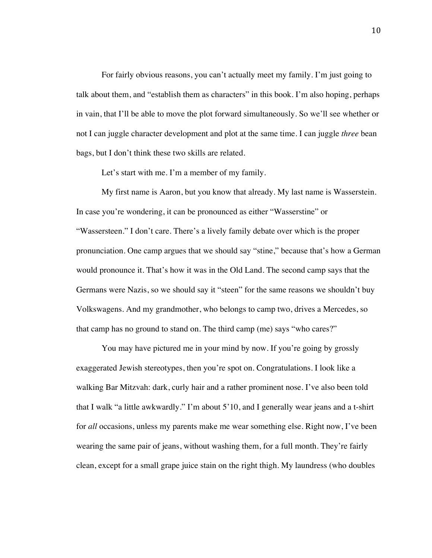For fairly obvious reasons, you can't actually meet my family. I'm just going to talk about them, and "establish them as characters" in this book. I'm also hoping, perhaps in vain, that I'll be able to move the plot forward simultaneously. So we'll see whether or not I can juggle character development and plot at the same time. I can juggle *three* bean bags, but I don't think these two skills are related.

Let's start with me. I'm a member of my family.

My first name is Aaron, but you know that already. My last name is Wasserstein. In case you're wondering, it can be pronounced as either "Wasserstine" or "Wassersteen." I don't care. There's a lively family debate over which is the proper pronunciation. One camp argues that we should say "stine," because that's how a German would pronounce it. That's how it was in the Old Land. The second camp says that the Germans were Nazis, so we should say it "steen" for the same reasons we shouldn't buy Volkswagens. And my grandmother, who belongs to camp two, drives a Mercedes, so that camp has no ground to stand on. The third camp (me) says "who cares?"

You may have pictured me in your mind by now. If you're going by grossly exaggerated Jewish stereotypes, then you're spot on. Congratulations. I look like a walking Bar Mitzvah: dark, curly hair and a rather prominent nose. I've also been told that I walk "a little awkwardly." I'm about 5'10, and I generally wear jeans and a t-shirt for *all* occasions, unless my parents make me wear something else. Right now, I've been wearing the same pair of jeans, without washing them, for a full month. They're fairly clean, except for a small grape juice stain on the right thigh. My laundress (who doubles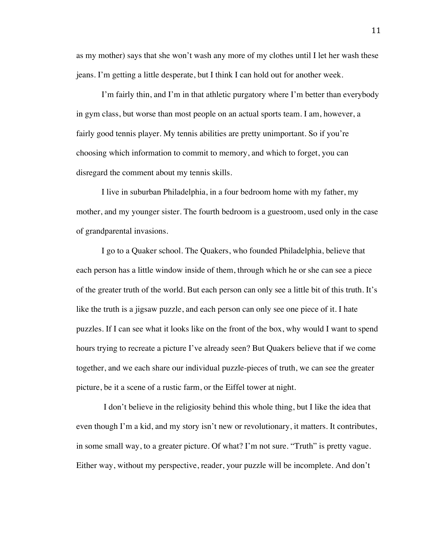as my mother) says that she won't wash any more of my clothes until I let her wash these jeans. I'm getting a little desperate, but I think I can hold out for another week.

I'm fairly thin, and I'm in that athletic purgatory where I'm better than everybody in gym class, but worse than most people on an actual sports team. I am, however, a fairly good tennis player. My tennis abilities are pretty unimportant. So if you're choosing which information to commit to memory, and which to forget, you can disregard the comment about my tennis skills.

I live in suburban Philadelphia, in a four bedroom home with my father, my mother, and my younger sister. The fourth bedroom is a guestroom, used only in the case of grandparental invasions.

I go to a Quaker school. The Quakers, who founded Philadelphia, believe that each person has a little window inside of them, through which he or she can see a piece of the greater truth of the world. But each person can only see a little bit of this truth. It's like the truth is a jigsaw puzzle, and each person can only see one piece of it. I hate puzzles. If I can see what it looks like on the front of the box, why would I want to spend hours trying to recreate a picture I've already seen? But Quakers believe that if we come together, and we each share our individual puzzle-pieces of truth, we can see the greater picture, be it a scene of a rustic farm, or the Eiffel tower at night.

 I don't believe in the religiosity behind this whole thing, but I like the idea that even though I'm a kid, and my story isn't new or revolutionary, it matters. It contributes, in some small way, to a greater picture. Of what? I'm not sure. "Truth" is pretty vague. Either way, without my perspective, reader, your puzzle will be incomplete. And don't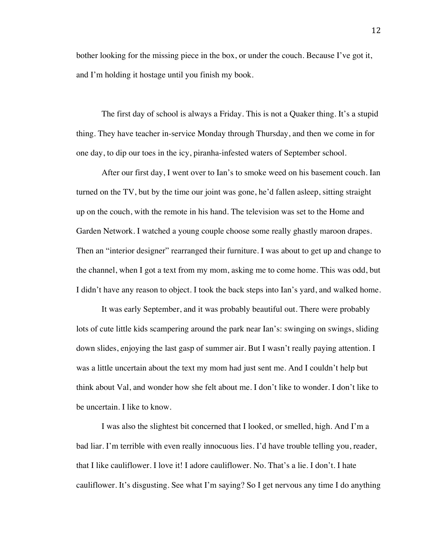bother looking for the missing piece in the box, or under the couch. Because I've got it, and I'm holding it hostage until you finish my book.

The first day of school is always a Friday. This is not a Quaker thing. It's a stupid thing. They have teacher in-service Monday through Thursday, and then we come in for one day, to dip our toes in the icy, piranha-infested waters of September school.

After our first day, I went over to Ian's to smoke weed on his basement couch. Ian turned on the TV, but by the time our joint was gone, he'd fallen asleep, sitting straight up on the couch, with the remote in his hand. The television was set to the Home and Garden Network. I watched a young couple choose some really ghastly maroon drapes. Then an "interior designer" rearranged their furniture. I was about to get up and change to the channel, when I got a text from my mom, asking me to come home. This was odd, but I didn't have any reason to object. I took the back steps into Ian's yard, and walked home.

It was early September, and it was probably beautiful out. There were probably lots of cute little kids scampering around the park near Ian's: swinging on swings, sliding down slides, enjoying the last gasp of summer air. But I wasn't really paying attention. I was a little uncertain about the text my mom had just sent me. And I couldn't help but think about Val, and wonder how she felt about me. I don't like to wonder. I don't like to be uncertain. I like to know.

I was also the slightest bit concerned that I looked, or smelled, high. And I'm a bad liar. I'm terrible with even really innocuous lies. I'd have trouble telling you, reader, that I like cauliflower. I love it! I adore cauliflower. No. That's a lie. I don't. I hate cauliflower. It's disgusting. See what I'm saying? So I get nervous any time I do anything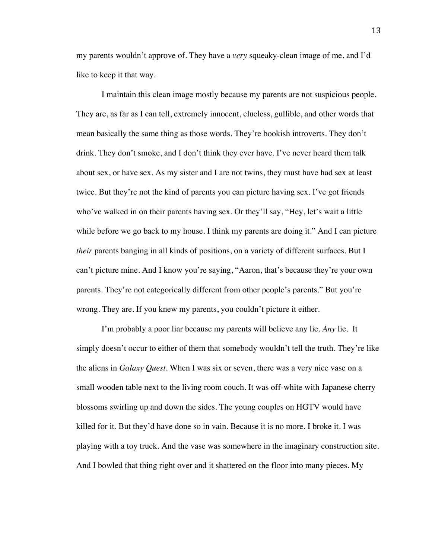my parents wouldn't approve of. They have a *very* squeaky-clean image of me, and I'd like to keep it that way.

I maintain this clean image mostly because my parents are not suspicious people. They are, as far as I can tell, extremely innocent, clueless, gullible, and other words that mean basically the same thing as those words. They're bookish introverts. They don't drink. They don't smoke, and I don't think they ever have. I've never heard them talk about sex, or have sex. As my sister and I are not twins, they must have had sex at least twice. But they're not the kind of parents you can picture having sex. I've got friends who've walked in on their parents having sex. Or they'll say, "Hey, let's wait a little while before we go back to my house. I think my parents are doing it." And I can picture *their* parents banging in all kinds of positions, on a variety of different surfaces. But I can't picture mine. And I know you're saying, "Aaron, that's because they're your own parents. They're not categorically different from other people's parents." But you're wrong. They are. If you knew my parents, you couldn't picture it either.

I'm probably a poor liar because my parents will believe any lie. *Any* lie. It simply doesn't occur to either of them that somebody wouldn't tell the truth. They're like the aliens in *Galaxy Quest*. When I was six or seven, there was a very nice vase on a small wooden table next to the living room couch. It was off-white with Japanese cherry blossoms swirling up and down the sides. The young couples on HGTV would have killed for it. But they'd have done so in vain. Because it is no more. I broke it. I was playing with a toy truck. And the vase was somewhere in the imaginary construction site. And I bowled that thing right over and it shattered on the floor into many pieces. My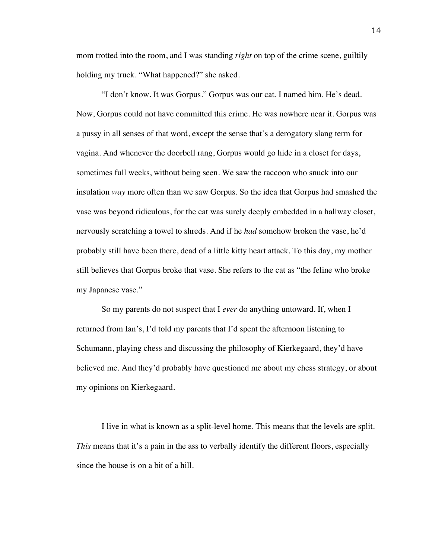mom trotted into the room, and I was standing *right* on top of the crime scene, guiltily holding my truck. "What happened?" she asked.

"I don't know. It was Gorpus." Gorpus was our cat. I named him. He's dead. Now, Gorpus could not have committed this crime. He was nowhere near it. Gorpus was a pussy in all senses of that word, except the sense that's a derogatory slang term for vagina. And whenever the doorbell rang, Gorpus would go hide in a closet for days, sometimes full weeks, without being seen. We saw the raccoon who snuck into our insulation *way* more often than we saw Gorpus. So the idea that Gorpus had smashed the vase was beyond ridiculous, for the cat was surely deeply embedded in a hallway closet, nervously scratching a towel to shreds. And if he *had* somehow broken the vase, he'd probably still have been there, dead of a little kitty heart attack. To this day, my mother still believes that Gorpus broke that vase. She refers to the cat as "the feline who broke my Japanese vase."

So my parents do not suspect that I *ever* do anything untoward. If, when I returned from Ian's, I'd told my parents that I'd spent the afternoon listening to Schumann, playing chess and discussing the philosophy of Kierkegaard, they'd have believed me. And they'd probably have questioned me about my chess strategy, or about my opinions on Kierkegaard.

I live in what is known as a split-level home. This means that the levels are split. *This* means that it's a pain in the ass to verbally identify the different floors, especially since the house is on a bit of a hill.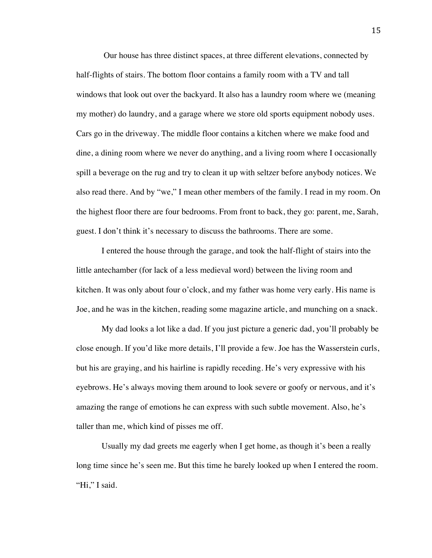Our house has three distinct spaces, at three different elevations, connected by half-flights of stairs. The bottom floor contains a family room with a TV and tall windows that look out over the backyard. It also has a laundry room where we (meaning my mother) do laundry, and a garage where we store old sports equipment nobody uses. Cars go in the driveway. The middle floor contains a kitchen where we make food and dine, a dining room where we never do anything, and a living room where I occasionally spill a beverage on the rug and try to clean it up with seltzer before anybody notices. We also read there. And by "we," I mean other members of the family. I read in my room. On the highest floor there are four bedrooms. From front to back, they go: parent, me, Sarah, guest. I don't think it's necessary to discuss the bathrooms. There are some.

I entered the house through the garage, and took the half-flight of stairs into the little antechamber (for lack of a less medieval word) between the living room and kitchen. It was only about four o'clock, and my father was home very early. His name is Joe, and he was in the kitchen, reading some magazine article, and munching on a snack.

My dad looks a lot like a dad. If you just picture a generic dad, you'll probably be close enough. If you'd like more details, I'll provide a few. Joe has the Wasserstein curls, but his are graying, and his hairline is rapidly receding. He's very expressive with his eyebrows. He's always moving them around to look severe or goofy or nervous, and it's amazing the range of emotions he can express with such subtle movement. Also, he's taller than me, which kind of pisses me off.

Usually my dad greets me eagerly when I get home, as though it's been a really long time since he's seen me. But this time he barely looked up when I entered the room. "Hi," I said.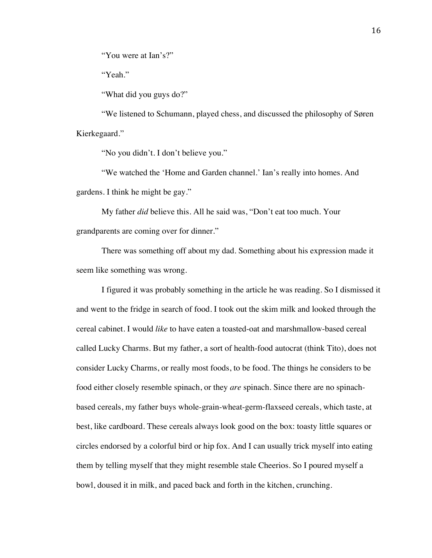"You were at Ian's?"

"Yeah."

"What did you guys do?"

"We listened to Schumann, played chess, and discussed the philosophy of Søren Kierkegaard."

"No you didn't. I don't believe you."

"We watched the 'Home and Garden channel.' Ian's really into homes. And gardens. I think he might be gay."

My father *did* believe this. All he said was, "Don't eat too much. Your grandparents are coming over for dinner."

There was something off about my dad. Something about his expression made it seem like something was wrong.

I figured it was probably something in the article he was reading. So I dismissed it and went to the fridge in search of food. I took out the skim milk and looked through the cereal cabinet. I would *like* to have eaten a toasted-oat and marshmallow-based cereal called Lucky Charms. But my father, a sort of health-food autocrat (think Tito), does not consider Lucky Charms, or really most foods, to be food. The things he considers to be food either closely resemble spinach, or they *are* spinach. Since there are no spinachbased cereals, my father buys whole-grain-wheat-germ-flaxseed cereals, which taste, at best, like cardboard. These cereals always look good on the box: toasty little squares or circles endorsed by a colorful bird or hip fox. And I can usually trick myself into eating them by telling myself that they might resemble stale Cheerios. So I poured myself a bowl, doused it in milk, and paced back and forth in the kitchen, crunching.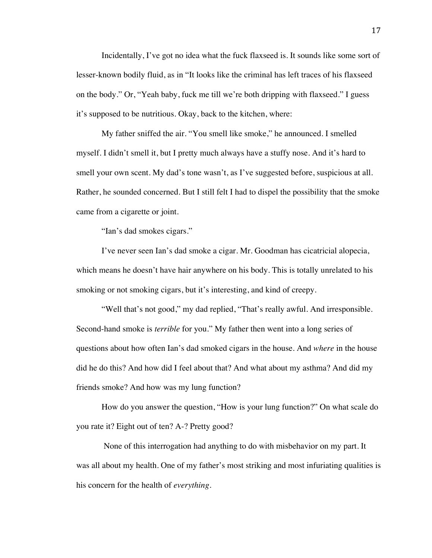Incidentally, I've got no idea what the fuck flaxseed is. It sounds like some sort of lesser-known bodily fluid, as in "It looks like the criminal has left traces of his flaxseed on the body." Or, "Yeah baby, fuck me till we're both dripping with flaxseed." I guess it's supposed to be nutritious. Okay, back to the kitchen, where:

My father sniffed the air. "You smell like smoke," he announced. I smelled myself. I didn't smell it, but I pretty much always have a stuffy nose. And it's hard to smell your own scent. My dad's tone wasn't, as I've suggested before, suspicious at all. Rather, he sounded concerned. But I still felt I had to dispel the possibility that the smoke came from a cigarette or joint.

"Ian's dad smokes cigars."

I've never seen Ian's dad smoke a cigar. Mr. Goodman has cicatricial alopecia, which means he doesn't have hair anywhere on his body. This is totally unrelated to his smoking or not smoking cigars, but it's interesting, and kind of creepy.

"Well that's not good," my dad replied, "That's really awful. And irresponsible. Second-hand smoke is *terrible* for you." My father then went into a long series of questions about how often Ian's dad smoked cigars in the house. And *where* in the house did he do this? And how did I feel about that? And what about my asthma? And did my friends smoke? And how was my lung function?

How do you answer the question, "How is your lung function?" On what scale do you rate it? Eight out of ten? A-? Pretty good?

 None of this interrogation had anything to do with misbehavior on my part. It was all about my health. One of my father's most striking and most infuriating qualities is his concern for the health of *everything*.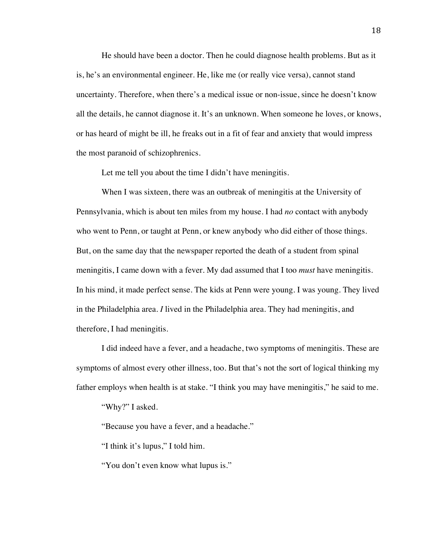He should have been a doctor. Then he could diagnose health problems. But as it is, he's an environmental engineer. He, like me (or really vice versa), cannot stand uncertainty. Therefore, when there's a medical issue or non-issue, since he doesn't know all the details, he cannot diagnose it. It's an unknown. When someone he loves, or knows, or has heard of might be ill, he freaks out in a fit of fear and anxiety that would impress the most paranoid of schizophrenics.

Let me tell you about the time I didn't have meningitis.

When I was sixteen, there was an outbreak of meningitis at the University of Pennsylvania, which is about ten miles from my house. I had *no* contact with anybody who went to Penn, or taught at Penn, or knew anybody who did either of those things. But, on the same day that the newspaper reported the death of a student from spinal meningitis, I came down with a fever. My dad assumed that I too *must* have meningitis. In his mind, it made perfect sense. The kids at Penn were young. I was young. They lived in the Philadelphia area. *I* lived in the Philadelphia area. They had meningitis, and therefore, I had meningitis.

I did indeed have a fever, and a headache, two symptoms of meningitis. These are symptoms of almost every other illness, too. But that's not the sort of logical thinking my father employs when health is at stake. "I think you may have meningitis," he said to me.

"Why?" I asked.

"Because you have a fever, and a headache."

"I think it's lupus," I told him.

"You don't even know what lupus is."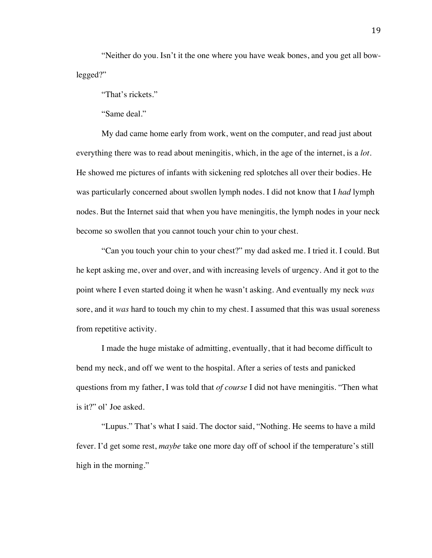"Neither do you. Isn't it the one where you have weak bones, and you get all bowlegged?"

"That's rickets."

"Same deal."

My dad came home early from work, went on the computer, and read just about everything there was to read about meningitis, which, in the age of the internet, is a *lot*. He showed me pictures of infants with sickening red splotches all over their bodies. He was particularly concerned about swollen lymph nodes. I did not know that I *had* lymph nodes. But the Internet said that when you have meningitis, the lymph nodes in your neck become so swollen that you cannot touch your chin to your chest.

"Can you touch your chin to your chest?" my dad asked me. I tried it. I could. But he kept asking me, over and over, and with increasing levels of urgency. And it got to the point where I even started doing it when he wasn't asking. And eventually my neck *was* sore, and it *was* hard to touch my chin to my chest. I assumed that this was usual soreness from repetitive activity.

I made the huge mistake of admitting, eventually, that it had become difficult to bend my neck, and off we went to the hospital. After a series of tests and panicked questions from my father, I was told that *of course* I did not have meningitis. "Then what is it?" ol' Joe asked.

"Lupus." That's what I said. The doctor said, "Nothing. He seems to have a mild fever. I'd get some rest, *maybe* take one more day off of school if the temperature's still high in the morning."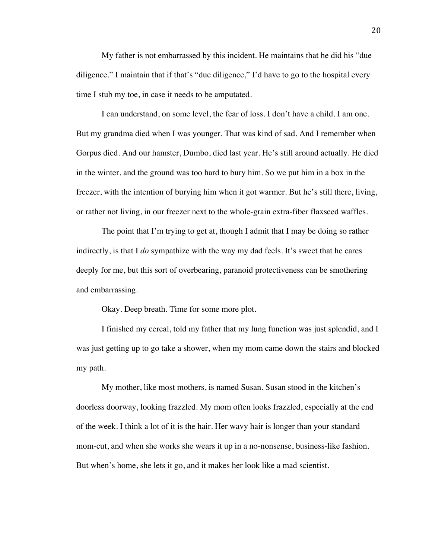My father is not embarrassed by this incident. He maintains that he did his "due diligence." I maintain that if that's "due diligence," I'd have to go to the hospital every time I stub my toe, in case it needs to be amputated.

I can understand, on some level, the fear of loss. I don't have a child. I am one. But my grandma died when I was younger. That was kind of sad. And I remember when Gorpus died. And our hamster, Dumbo, died last year. He's still around actually. He died in the winter, and the ground was too hard to bury him. So we put him in a box in the freezer, with the intention of burying him when it got warmer. But he's still there, living, or rather not living, in our freezer next to the whole-grain extra-fiber flaxseed waffles.

The point that I'm trying to get at, though I admit that I may be doing so rather indirectly, is that I *do* sympathize with the way my dad feels. It's sweet that he cares deeply for me, but this sort of overbearing, paranoid protectiveness can be smothering and embarrassing.

Okay. Deep breath. Time for some more plot.

I finished my cereal, told my father that my lung function was just splendid, and I was just getting up to go take a shower, when my mom came down the stairs and blocked my path.

My mother, like most mothers, is named Susan. Susan stood in the kitchen's doorless doorway, looking frazzled. My mom often looks frazzled, especially at the end of the week. I think a lot of it is the hair. Her wavy hair is longer than your standard mom-cut, and when she works she wears it up in a no-nonsense, business-like fashion. But when's home, she lets it go, and it makes her look like a mad scientist.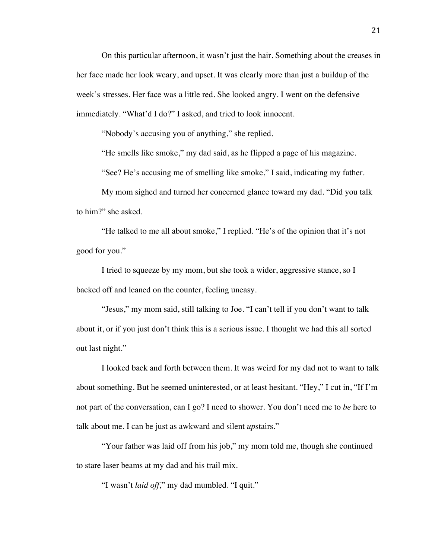On this particular afternoon, it wasn't just the hair. Something about the creases in her face made her look weary, and upset. It was clearly more than just a buildup of the week's stresses. Her face was a little red. She looked angry. I went on the defensive immediately. "What'd I do?" I asked, and tried to look innocent.

"Nobody's accusing you of anything," she replied.

"He smells like smoke," my dad said, as he flipped a page of his magazine.

"See? He's accusing me of smelling like smoke," I said, indicating my father.

My mom sighed and turned her concerned glance toward my dad. "Did you talk to him?" she asked.

"He talked to me all about smoke," I replied. "He's of the opinion that it's not good for you."

I tried to squeeze by my mom, but she took a wider, aggressive stance, so I backed off and leaned on the counter, feeling uneasy.

"Jesus," my mom said, still talking to Joe. "I can't tell if you don't want to talk about it, or if you just don't think this is a serious issue. I thought we had this all sorted out last night."

I looked back and forth between them. It was weird for my dad not to want to talk about something. But he seemed uninterested, or at least hesitant. "Hey," I cut in, "If I'm not part of the conversation, can I go? I need to shower. You don't need me to *be* here to talk about me. I can be just as awkward and silent *up*stairs."

"Your father was laid off from his job," my mom told me, though she continued to stare laser beams at my dad and his trail mix.

"I wasn't *laid off*," my dad mumbled. "I quit."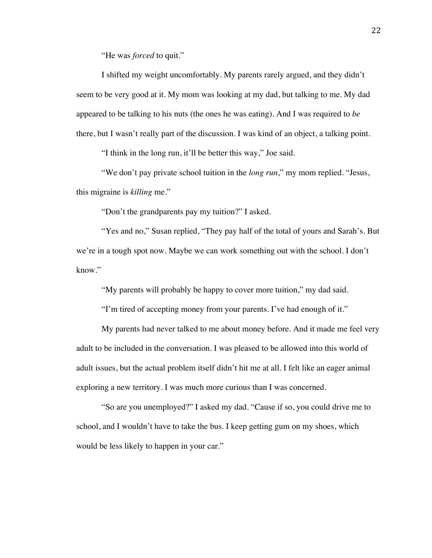"He was *forced* to quit."

I shifted my weight uncomfortably. My parents rarely argued, and they didn't seem to be very good at it. My mom was looking at my dad, but talking to me. My dad appeared to be talking to his nuts (the ones he was eating). And I was required to *be*  there, but I wasn't really part of the discussion. I was kind of an object, a talking point.

"I think in the long run, it'll be better this way," Joe said.

"We don't pay private school tuition in the *long run*," my mom replied. "Jesus, this migraine is *killing* me."

"Don't the grandparents pay my tuition?" I asked.

"Yes and no," Susan replied, "They pay half of the total of yours and Sarah's. But we're in a tough spot now. Maybe we can work something out with the school. I don't know."

"My parents will probably be happy to cover more tuition," my dad said.

"I'm tired of accepting money from your parents. I've had enough of it."

My parents had never talked to me about money before. And it made me feel very adult to be included in the conversation. I was pleased to be allowed into this world of adult issues, but the actual problem itself didn't hit me at all. I felt like an eager animal exploring a new territory. I was much more curious than I was concerned.

"So are you unemployed?" I asked my dad. "Cause if so, you could drive me to school, and I wouldn't have to take the bus. I keep getting gum on my shoes, which would be less likely to happen in your car."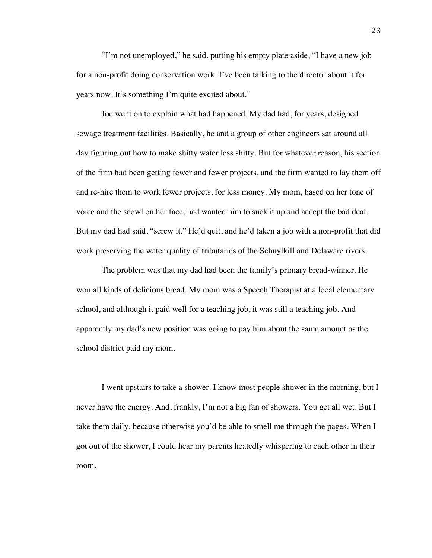"I'm not unemployed," he said, putting his empty plate aside, "I have a new job for a non-profit doing conservation work. I've been talking to the director about it for years now. It's something I'm quite excited about."

Joe went on to explain what had happened. My dad had, for years, designed sewage treatment facilities. Basically, he and a group of other engineers sat around all day figuring out how to make shitty water less shitty. But for whatever reason, his section of the firm had been getting fewer and fewer projects, and the firm wanted to lay them off and re-hire them to work fewer projects, for less money. My mom, based on her tone of voice and the scowl on her face, had wanted him to suck it up and accept the bad deal. But my dad had said, "screw it." He'd quit, and he'd taken a job with a non-profit that did work preserving the water quality of tributaries of the Schuylkill and Delaware rivers.

The problem was that my dad had been the family's primary bread-winner. He won all kinds of delicious bread. My mom was a Speech Therapist at a local elementary school, and although it paid well for a teaching job, it was still a teaching job. And apparently my dad's new position was going to pay him about the same amount as the school district paid my mom.

I went upstairs to take a shower. I know most people shower in the morning, but I never have the energy. And, frankly, I'm not a big fan of showers. You get all wet. But I take them daily, because otherwise you'd be able to smell me through the pages. When I got out of the shower, I could hear my parents heatedly whispering to each other in their room.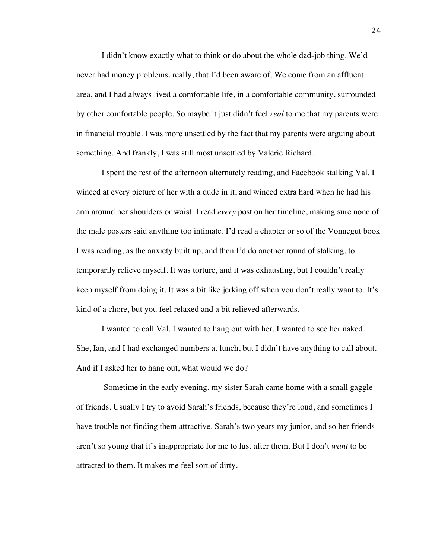I didn't know exactly what to think or do about the whole dad-job thing. We'd never had money problems, really, that I'd been aware of. We come from an affluent area, and I had always lived a comfortable life, in a comfortable community, surrounded by other comfortable people. So maybe it just didn't feel *real* to me that my parents were in financial trouble. I was more unsettled by the fact that my parents were arguing about something. And frankly, I was still most unsettled by Valerie Richard.

I spent the rest of the afternoon alternately reading, and Facebook stalking Val. I winced at every picture of her with a dude in it, and winced extra hard when he had his arm around her shoulders or waist. I read *every* post on her timeline, making sure none of the male posters said anything too intimate. I'd read a chapter or so of the Vonnegut book I was reading, as the anxiety built up, and then I'd do another round of stalking, to temporarily relieve myself. It was torture, and it was exhausting, but I couldn't really keep myself from doing it. It was a bit like jerking off when you don't really want to. It's kind of a chore, but you feel relaxed and a bit relieved afterwards.

I wanted to call Val. I wanted to hang out with her. I wanted to see her naked. She, Ian, and I had exchanged numbers at lunch, but I didn't have anything to call about. And if I asked her to hang out, what would we do?

 Sometime in the early evening, my sister Sarah came home with a small gaggle of friends. Usually I try to avoid Sarah's friends, because they're loud, and sometimes I have trouble not finding them attractive. Sarah's two years my junior, and so her friends aren't so young that it's inappropriate for me to lust after them. But I don't *want* to be attracted to them. It makes me feel sort of dirty.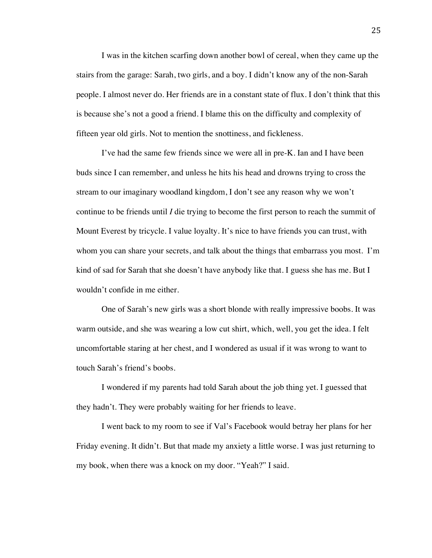I was in the kitchen scarfing down another bowl of cereal, when they came up the stairs from the garage: Sarah, two girls, and a boy. I didn't know any of the non-Sarah people. I almost never do. Her friends are in a constant state of flux. I don't think that this is because she's not a good a friend. I blame this on the difficulty and complexity of fifteen year old girls. Not to mention the snottiness, and fickleness.

I've had the same few friends since we were all in pre-K. Ian and I have been buds since I can remember, and unless he hits his head and drowns trying to cross the stream to our imaginary woodland kingdom, I don't see any reason why we won't continue to be friends until *I* die trying to become the first person to reach the summit of Mount Everest by tricycle. I value loyalty. It's nice to have friends you can trust, with whom you can share your secrets, and talk about the things that embarrass you most. I'm kind of sad for Sarah that she doesn't have anybody like that. I guess she has me. But I wouldn't confide in me either.

One of Sarah's new girls was a short blonde with really impressive boobs. It was warm outside, and she was wearing a low cut shirt, which, well, you get the idea. I felt uncomfortable staring at her chest, and I wondered as usual if it was wrong to want to touch Sarah's friend's boobs.

I wondered if my parents had told Sarah about the job thing yet. I guessed that they hadn't. They were probably waiting for her friends to leave.

I went back to my room to see if Val's Facebook would betray her plans for her Friday evening. It didn't. But that made my anxiety a little worse. I was just returning to my book, when there was a knock on my door. "Yeah?" I said.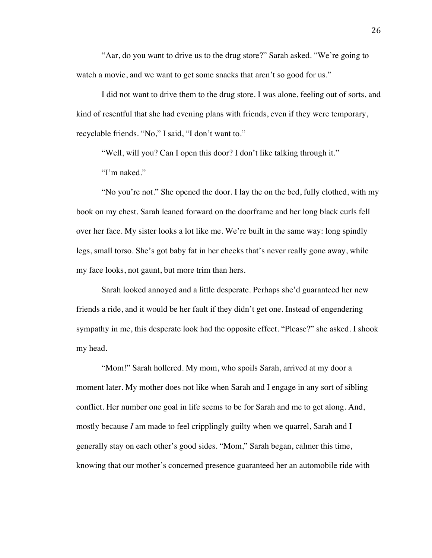"Aar, do you want to drive us to the drug store?" Sarah asked. "We're going to watch a movie, and we want to get some snacks that aren't so good for us."

I did not want to drive them to the drug store. I was alone, feeling out of sorts, and kind of resentful that she had evening plans with friends, even if they were temporary, recyclable friends. "No," I said, "I don't want to."

"Well, will you? Can I open this door? I don't like talking through it."

"I'm naked."

"No you're not." She opened the door. I lay the on the bed, fully clothed, with my book on my chest. Sarah leaned forward on the doorframe and her long black curls fell over her face. My sister looks a lot like me. We're built in the same way: long spindly legs, small torso. She's got baby fat in her cheeks that's never really gone away, while my face looks, not gaunt, but more trim than hers.

Sarah looked annoyed and a little desperate. Perhaps she'd guaranteed her new friends a ride, and it would be her fault if they didn't get one. Instead of engendering sympathy in me, this desperate look had the opposite effect. "Please?" she asked. I shook my head.

"Mom!" Sarah hollered. My mom, who spoils Sarah, arrived at my door a moment later. My mother does not like when Sarah and I engage in any sort of sibling conflict. Her number one goal in life seems to be for Sarah and me to get along. And, mostly because *I* am made to feel cripplingly guilty when we quarrel, Sarah and I generally stay on each other's good sides. "Mom," Sarah began, calmer this time, knowing that our mother's concerned presence guaranteed her an automobile ride with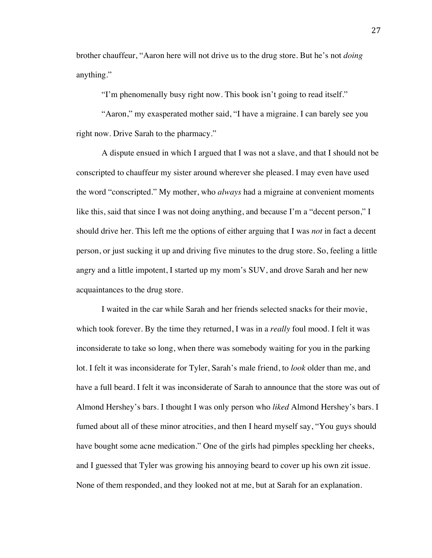brother chauffeur, "Aaron here will not drive us to the drug store. But he's not *doing* anything."

"I'm phenomenally busy right now. This book isn't going to read itself."

"Aaron," my exasperated mother said, "I have a migraine. I can barely see you right now. Drive Sarah to the pharmacy."

A dispute ensued in which I argued that I was not a slave, and that I should not be conscripted to chauffeur my sister around wherever she pleased. I may even have used the word "conscripted." My mother, who *always* had a migraine at convenient moments like this, said that since I was not doing anything, and because I'm a "decent person," I should drive her. This left me the options of either arguing that I was *not* in fact a decent person, or just sucking it up and driving five minutes to the drug store. So, feeling a little angry and a little impotent, I started up my mom's SUV, and drove Sarah and her new acquaintances to the drug store.

I waited in the car while Sarah and her friends selected snacks for their movie, which took forever. By the time they returned, I was in a *really* foul mood. I felt it was inconsiderate to take so long, when there was somebody waiting for you in the parking lot. I felt it was inconsiderate for Tyler, Sarah's male friend, to *look* older than me, and have a full beard. I felt it was inconsiderate of Sarah to announce that the store was out of Almond Hershey's bars. I thought I was only person who *liked* Almond Hershey's bars. I fumed about all of these minor atrocities, and then I heard myself say, "You guys should have bought some acne medication." One of the girls had pimples speckling her cheeks, and I guessed that Tyler was growing his annoying beard to cover up his own zit issue. None of them responded, and they looked not at me, but at Sarah for an explanation.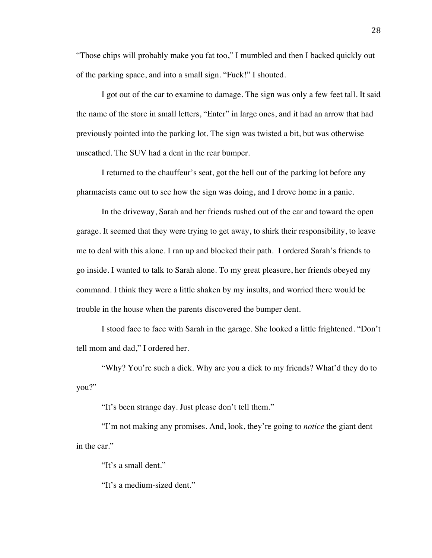"Those chips will probably make you fat too," I mumbled and then I backed quickly out of the parking space, and into a small sign. "Fuck!" I shouted.

I got out of the car to examine to damage. The sign was only a few feet tall. It said the name of the store in small letters, "Enter" in large ones, and it had an arrow that had previously pointed into the parking lot. The sign was twisted a bit, but was otherwise unscathed. The SUV had a dent in the rear bumper.

I returned to the chauffeur's seat, got the hell out of the parking lot before any pharmacists came out to see how the sign was doing, and I drove home in a panic.

In the driveway, Sarah and her friends rushed out of the car and toward the open garage. It seemed that they were trying to get away, to shirk their responsibility, to leave me to deal with this alone. I ran up and blocked their path. I ordered Sarah's friends to go inside. I wanted to talk to Sarah alone. To my great pleasure, her friends obeyed my command. I think they were a little shaken by my insults, and worried there would be trouble in the house when the parents discovered the bumper dent.

I stood face to face with Sarah in the garage. She looked a little frightened. "Don't tell mom and dad," I ordered her.

"Why? You're such a dick. Why are you a dick to my friends? What'd they do to you?"

"It's been strange day. Just please don't tell them."

"I'm not making any promises. And, look, they're going to *notice* the giant dent in the car."

"It's a small dent."

"It's a medium-sized dent."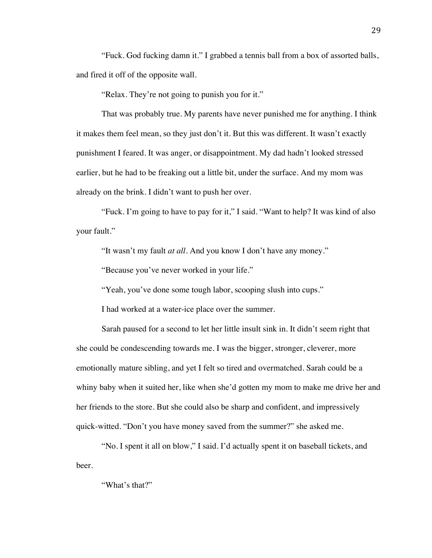"Fuck. God fucking damn it." I grabbed a tennis ball from a box of assorted balls, and fired it off of the opposite wall.

"Relax. They're not going to punish you for it."

That was probably true. My parents have never punished me for anything. I think it makes them feel mean, so they just don't it. But this was different. It wasn't exactly punishment I feared. It was anger, or disappointment. My dad hadn't looked stressed earlier, but he had to be freaking out a little bit, under the surface. And my mom was already on the brink. I didn't want to push her over.

"Fuck. I'm going to have to pay for it," I said. "Want to help? It was kind of also your fault."

"It wasn't my fault *at all*. And you know I don't have any money."

"Because you've never worked in your life."

"Yeah, you've done some tough labor, scooping slush into cups."

I had worked at a water-ice place over the summer.

Sarah paused for a second to let her little insult sink in. It didn't seem right that she could be condescending towards me. I was the bigger, stronger, cleverer, more emotionally mature sibling, and yet I felt so tired and overmatched. Sarah could be a whiny baby when it suited her, like when she'd gotten my mom to make me drive her and her friends to the store. But she could also be sharp and confident, and impressively quick-witted. "Don't you have money saved from the summer?" she asked me.

"No. I spent it all on blow," I said. I'd actually spent it on baseball tickets, and beer.

"What's that?"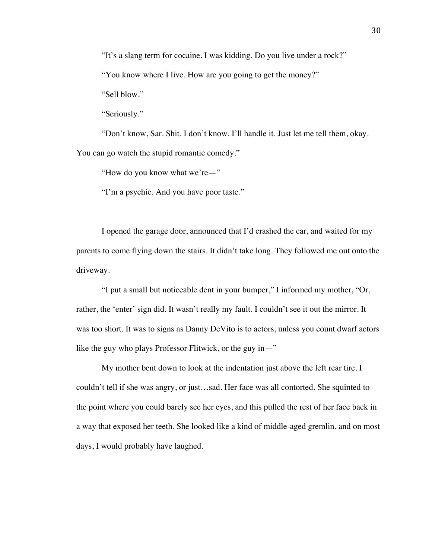"It's a slang term for cocaine. I was kidding. Do you live under a rock?"

"You know where I live. How are you going to get the money?"

"Sell blow."

"Seriously."

"Don't know, Sar. Shit. I don't know. I'll handle it. Just let me tell them, okay. You can go watch the stupid romantic comedy."

"How do you know what we're—"

"I'm a psychic. And you have poor taste."

I opened the garage door, announced that I'd crashed the car, and waited for my parents to come flying down the stairs. It didn't take long. They followed me out onto the driveway.

"I put a small but noticeable dent in your bumper," I informed my mother, "Or, rather, the 'enter' sign did. It wasn't really my fault. I couldn't see it out the mirror. It was too short. It was to signs as Danny DeVito is to actors, unless you count dwarf actors like the guy who plays Professor Flitwick, or the guy in—"

My mother bent down to look at the indentation just above the left rear tire. I couldn't tell if she was angry, or just…sad. Her face was all contorted. She squinted to the point where you could barely see her eyes, and this pulled the rest of her face back in a way that exposed her teeth. She looked like a kind of middle-aged gremlin, and on most days, I would probably have laughed.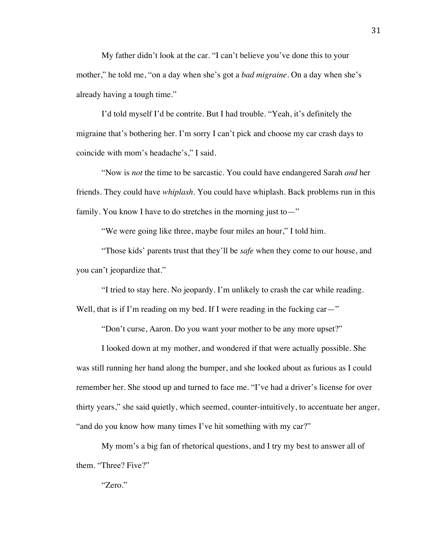My father didn't look at the car. "I can't believe you've done this to your mother," he told me, "on a day when she's got a *bad migraine*. On a day when she's already having a tough time."

I'd told myself I'd be contrite. But I had trouble. "Yeah, it's definitely the migraine that's bothering her. I'm sorry I can't pick and choose my car crash days to coincide with mom's headache's," I said.

"Now is *not* the time to be sarcastic. You could have endangered Sarah *and* her friends. They could have *whiplash*. You could have whiplash. Back problems run in this family. You know I have to do stretches in the morning just to—"

"We were going like three, maybe four miles an hour," I told him.

"Those kids' parents trust that they'll be *safe* when they come to our house, and you can't jeopardize that."

"I tried to stay here. No jeopardy. I'm unlikely to crash the car while reading.

Well, that is if I'm reading on my bed. If I were reading in the fucking car—"

"Don't curse, Aaron. Do you want your mother to be any more upset?"

I looked down at my mother, and wondered if that were actually possible. She was still running her hand along the bumper, and she looked about as furious as I could remember her. She stood up and turned to face me. "I've had a driver's license for over thirty years," she said quietly, which seemed, counter-intuitively, to accentuate her anger, "and do you know how many times I've hit something with my car?"

My mom's a big fan of rhetorical questions, and I try my best to answer all of them. "Three? Five?"

"Zero."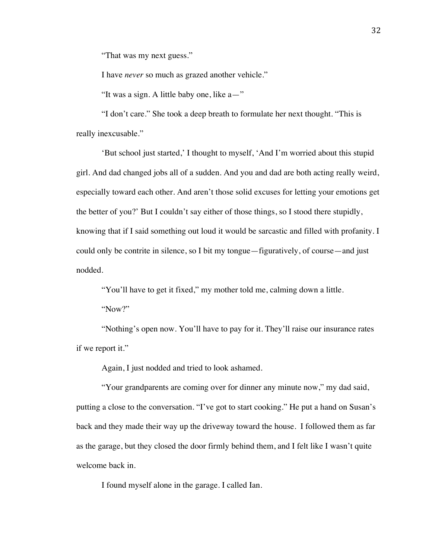"That was my next guess."

I have *never* so much as grazed another vehicle."

"It was a sign. A little baby one, like a—"

"I don't care." She took a deep breath to formulate her next thought. "This is really inexcusable."

'But school just started,' I thought to myself, 'And I'm worried about this stupid girl. And dad changed jobs all of a sudden. And you and dad are both acting really weird, especially toward each other. And aren't those solid excuses for letting your emotions get the better of you?' But I couldn't say either of those things, so I stood there stupidly, knowing that if I said something out loud it would be sarcastic and filled with profanity. I could only be contrite in silence, so I bit my tongue—figuratively, of course—and just nodded.

"You'll have to get it fixed," my mother told me, calming down a little. "Now?"

"Nothing's open now. You'll have to pay for it. They'll raise our insurance rates if we report it."

Again, I just nodded and tried to look ashamed.

"Your grandparents are coming over for dinner any minute now," my dad said, putting a close to the conversation. "I've got to start cooking." He put a hand on Susan's back and they made their way up the driveway toward the house. I followed them as far as the garage, but they closed the door firmly behind them, and I felt like I wasn't quite welcome back in.

I found myself alone in the garage. I called Ian.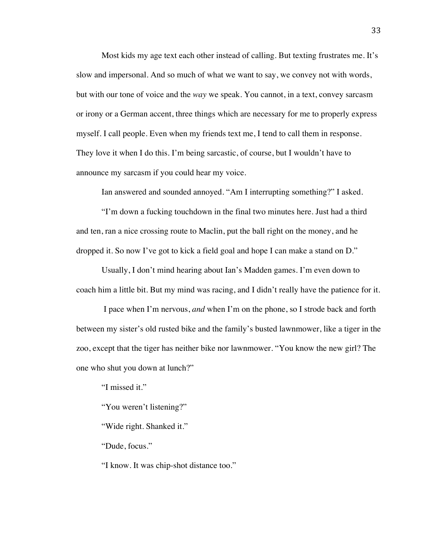Most kids my age text each other instead of calling. But texting frustrates me. It's slow and impersonal. And so much of what we want to say, we convey not with words, but with our tone of voice and the *way* we speak. You cannot, in a text, convey sarcasm or irony or a German accent, three things which are necessary for me to properly express myself. I call people. Even when my friends text me, I tend to call them in response. They love it when I do this. I'm being sarcastic, of course, but I wouldn't have to announce my sarcasm if you could hear my voice.

Ian answered and sounded annoyed. "Am I interrupting something?" I asked.

"I'm down a fucking touchdown in the final two minutes here. Just had a third and ten, ran a nice crossing route to Maclin, put the ball right on the money, and he dropped it. So now I've got to kick a field goal and hope I can make a stand on D."

Usually, I don't mind hearing about Ian's Madden games. I'm even down to coach him a little bit. But my mind was racing, and I didn't really have the patience for it.

 I pace when I'm nervous, *and* when I'm on the phone, so I strode back and forth between my sister's old rusted bike and the family's busted lawnmower, like a tiger in the zoo, except that the tiger has neither bike nor lawnmower. "You know the new girl? The one who shut you down at lunch?"

"I missed it."

"You weren't listening?"

"Wide right. Shanked it."

"Dude, focus."

"I know. It was chip-shot distance too."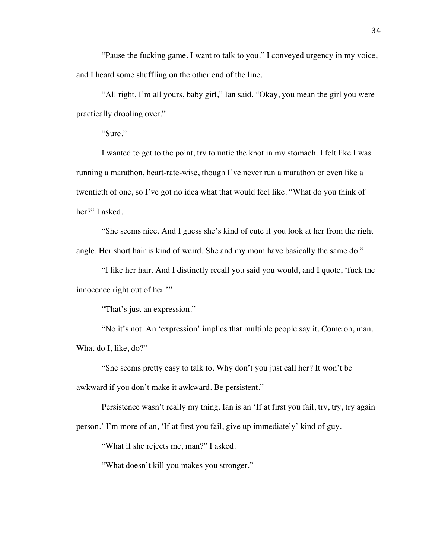"Pause the fucking game. I want to talk to you." I conveyed urgency in my voice, and I heard some shuffling on the other end of the line.

"All right, I'm all yours, baby girl," Ian said. "Okay, you mean the girl you were practically drooling over."

"Sure."

I wanted to get to the point, try to untie the knot in my stomach. I felt like I was running a marathon, heart-rate-wise, though I've never run a marathon or even like a twentieth of one, so I've got no idea what that would feel like. "What do you think of her?" I asked.

"She seems nice. And I guess she's kind of cute if you look at her from the right angle. Her short hair is kind of weird. She and my mom have basically the same do."

"I like her hair. And I distinctly recall you said you would, and I quote, 'fuck the innocence right out of her.'"

"That's just an expression."

"No it's not. An 'expression' implies that multiple people say it. Come on, man. What do I, like, do?"

"She seems pretty easy to talk to. Why don't you just call her? It won't be awkward if you don't make it awkward. Be persistent."

Persistence wasn't really my thing. Ian is an 'If at first you fail, try, try, try again person.' I'm more of an, 'If at first you fail, give up immediately' kind of guy.

"What if she rejects me, man?" I asked.

"What doesn't kill you makes you stronger."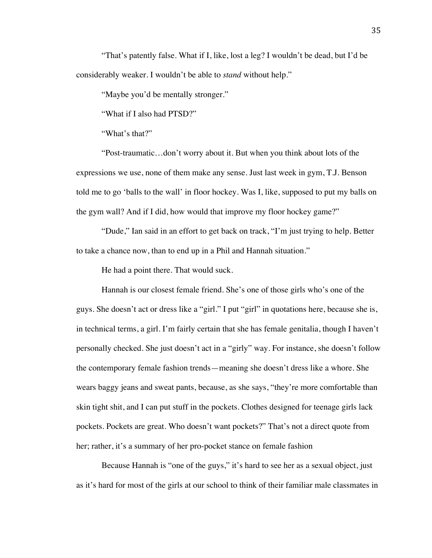"That's patently false. What if I, like, lost a leg? I wouldn't be dead, but I'd be considerably weaker. I wouldn't be able to *stand* without help."

"Maybe you'd be mentally stronger."

"What if I also had PTSD?"

"What's that?"

"Post-traumatic…don't worry about it. But when you think about lots of the expressions we use, none of them make any sense. Just last week in gym, T.J. Benson told me to go 'balls to the wall' in floor hockey. Was I, like, supposed to put my balls on the gym wall? And if I did, how would that improve my floor hockey game?"

"Dude," Ian said in an effort to get back on track, "I'm just trying to help. Better to take a chance now, than to end up in a Phil and Hannah situation."

He had a point there. That would suck.

Hannah is our closest female friend. She's one of those girls who's one of the guys. She doesn't act or dress like a "girl." I put "girl" in quotations here, because she is, in technical terms, a girl. I'm fairly certain that she has female genitalia, though I haven't personally checked. She just doesn't act in a "girly" way. For instance, she doesn't follow the contemporary female fashion trends—meaning she doesn't dress like a whore. She wears baggy jeans and sweat pants, because, as she says, "they're more comfortable than skin tight shit, and I can put stuff in the pockets. Clothes designed for teenage girls lack pockets. Pockets are great. Who doesn't want pockets?" That's not a direct quote from her; rather, it's a summary of her pro-pocket stance on female fashion

Because Hannah is "one of the guys," it's hard to see her as a sexual object, just as it's hard for most of the girls at our school to think of their familiar male classmates in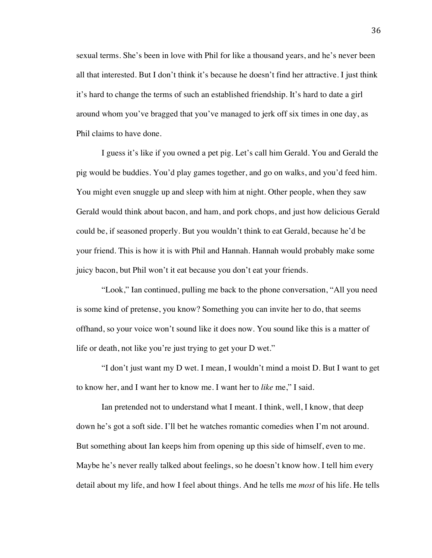sexual terms. She's been in love with Phil for like a thousand years, and he's never been all that interested. But I don't think it's because he doesn't find her attractive. I just think it's hard to change the terms of such an established friendship. It's hard to date a girl around whom you've bragged that you've managed to jerk off six times in one day, as Phil claims to have done.

I guess it's like if you owned a pet pig. Let's call him Gerald. You and Gerald the pig would be buddies. You'd play games together, and go on walks, and you'd feed him. You might even snuggle up and sleep with him at night. Other people, when they saw Gerald would think about bacon, and ham, and pork chops, and just how delicious Gerald could be, if seasoned properly. But you wouldn't think to eat Gerald, because he'd be your friend. This is how it is with Phil and Hannah. Hannah would probably make some juicy bacon, but Phil won't it eat because you don't eat your friends.

"Look," Ian continued, pulling me back to the phone conversation, "All you need is some kind of pretense, you know? Something you can invite her to do, that seems offhand, so your voice won't sound like it does now. You sound like this is a matter of life or death, not like you're just trying to get your D wet."

"I don't just want my D wet. I mean, I wouldn't mind a moist D. But I want to get to know her, and I want her to know me. I want her to *like* me," I said.

Ian pretended not to understand what I meant. I think, well, I know, that deep down he's got a soft side. I'll bet he watches romantic comedies when I'm not around. But something about Ian keeps him from opening up this side of himself, even to me. Maybe he's never really talked about feelings, so he doesn't know how. I tell him every detail about my life, and how I feel about things. And he tells me *most* of his life. He tells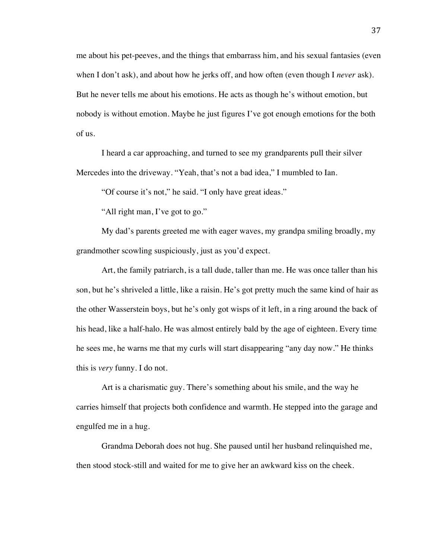me about his pet-peeves, and the things that embarrass him, and his sexual fantasies (even when I don't ask), and about how he jerks off, and how often (even though I *never* ask). But he never tells me about his emotions. He acts as though he's without emotion, but nobody is without emotion. Maybe he just figures I've got enough emotions for the both of us.

I heard a car approaching, and turned to see my grandparents pull their silver Mercedes into the driveway. "Yeah, that's not a bad idea," I mumbled to Ian.

"Of course it's not," he said. "I only have great ideas."

"All right man, I've got to go."

My dad's parents greeted me with eager waves, my grandpa smiling broadly, my grandmother scowling suspiciously, just as you'd expect.

Art, the family patriarch, is a tall dude, taller than me. He was once taller than his son, but he's shriveled a little, like a raisin. He's got pretty much the same kind of hair as the other Wasserstein boys, but he's only got wisps of it left, in a ring around the back of his head, like a half-halo. He was almost entirely bald by the age of eighteen. Every time he sees me, he warns me that my curls will start disappearing "any day now." He thinks this is *very* funny. I do not.

Art is a charismatic guy. There's something about his smile, and the way he carries himself that projects both confidence and warmth. He stepped into the garage and engulfed me in a hug.

Grandma Deborah does not hug. She paused until her husband relinquished me, then stood stock-still and waited for me to give her an awkward kiss on the cheek.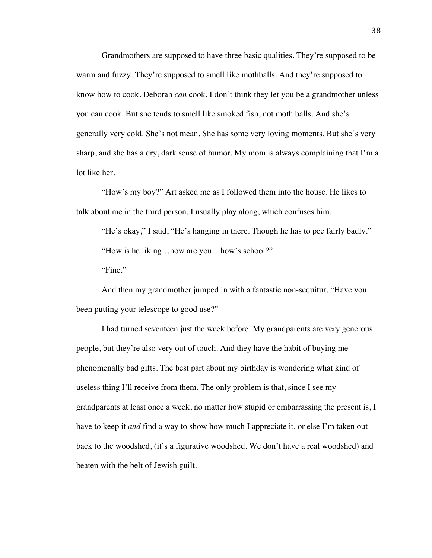Grandmothers are supposed to have three basic qualities. They're supposed to be warm and fuzzy. They're supposed to smell like mothballs. And they're supposed to know how to cook. Deborah *can* cook. I don't think they let you be a grandmother unless you can cook. But she tends to smell like smoked fish, not moth balls. And she's generally very cold. She's not mean. She has some very loving moments. But she's very sharp, and she has a dry, dark sense of humor. My mom is always complaining that I'm a lot like her.

"How's my boy?" Art asked me as I followed them into the house. He likes to talk about me in the third person. I usually play along, which confuses him.

"He's okay," I said, "He's hanging in there. Though he has to pee fairly badly." "How is he liking…how are you…how's school?" "Fine."

And then my grandmother jumped in with a fantastic non-sequitur. "Have you been putting your telescope to good use?"

I had turned seventeen just the week before. My grandparents are very generous people, but they're also very out of touch. And they have the habit of buying me phenomenally bad gifts. The best part about my birthday is wondering what kind of useless thing I'll receive from them. The only problem is that, since I see my grandparents at least once a week, no matter how stupid or embarrassing the present is, I have to keep it *and* find a way to show how much I appreciate it, or else I'm taken out back to the woodshed, (it's a figurative woodshed. We don't have a real woodshed) and beaten with the belt of Jewish guilt.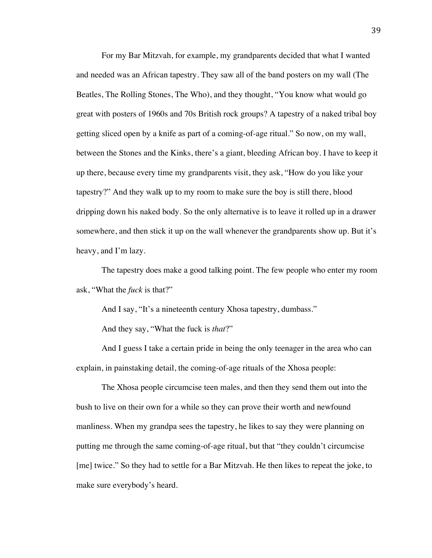For my Bar Mitzvah, for example, my grandparents decided that what I wanted and needed was an African tapestry. They saw all of the band posters on my wall (The Beatles, The Rolling Stones, The Who), and they thought, "You know what would go great with posters of 1960s and 70s British rock groups? A tapestry of a naked tribal boy getting sliced open by a knife as part of a coming-of-age ritual." So now, on my wall, between the Stones and the Kinks, there's a giant, bleeding African boy. I have to keep it up there, because every time my grandparents visit, they ask, "How do you like your tapestry?" And they walk up to my room to make sure the boy is still there, blood dripping down his naked body. So the only alternative is to leave it rolled up in a drawer somewhere, and then stick it up on the wall whenever the grandparents show up. But it's heavy, and I'm lazy.

The tapestry does make a good talking point. The few people who enter my room ask, "What the *fuck* is that?"

And I say, "It's a nineteenth century Xhosa tapestry, dumbass."

And they say, "What the fuck is *that*?"

And I guess I take a certain pride in being the only teenager in the area who can explain, in painstaking detail, the coming-of-age rituals of the Xhosa people:

The Xhosa people circumcise teen males, and then they send them out into the bush to live on their own for a while so they can prove their worth and newfound manliness. When my grandpa sees the tapestry, he likes to say they were planning on putting me through the same coming-of-age ritual, but that "they couldn't circumcise [me] twice." So they had to settle for a Bar Mitzvah. He then likes to repeat the joke, to make sure everybody's heard.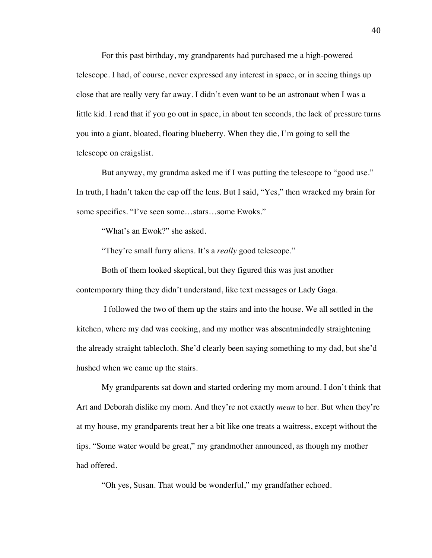For this past birthday, my grandparents had purchased me a high-powered telescope. I had, of course, never expressed any interest in space, or in seeing things up close that are really very far away. I didn't even want to be an astronaut when I was a little kid. I read that if you go out in space, in about ten seconds, the lack of pressure turns you into a giant, bloated, floating blueberry. When they die, I'm going to sell the telescope on craigslist.

But anyway, my grandma asked me if I was putting the telescope to "good use." In truth, I hadn't taken the cap off the lens. But I said, "Yes," then wracked my brain for some specifics. "I've seen some…stars…some Ewoks."

"What's an Ewok?" she asked.

"They're small furry aliens. It's a *really* good telescope."

Both of them looked skeptical, but they figured this was just another contemporary thing they didn't understand, like text messages or Lady Gaga.

 I followed the two of them up the stairs and into the house. We all settled in the kitchen, where my dad was cooking, and my mother was absentmindedly straightening the already straight tablecloth. She'd clearly been saying something to my dad, but she'd hushed when we came up the stairs.

My grandparents sat down and started ordering my mom around. I don't think that Art and Deborah dislike my mom. And they're not exactly *mean* to her. But when they're at my house, my grandparents treat her a bit like one treats a waitress, except without the tips. "Some water would be great," my grandmother announced, as though my mother had offered.

"Oh yes, Susan. That would be wonderful," my grandfather echoed.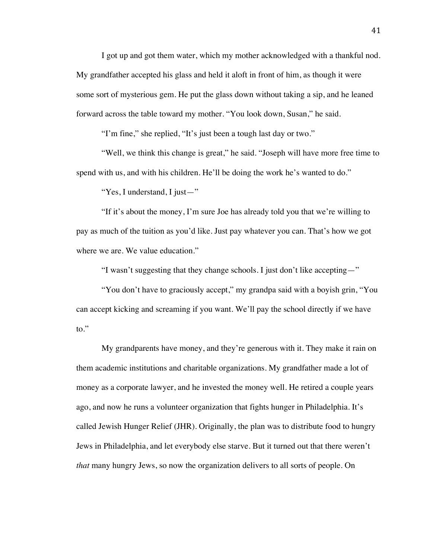I got up and got them water, which my mother acknowledged with a thankful nod. My grandfather accepted his glass and held it aloft in front of him, as though it were some sort of mysterious gem. He put the glass down without taking a sip, and he leaned forward across the table toward my mother. "You look down, Susan," he said.

"I'm fine," she replied, "It's just been a tough last day or two."

"Well, we think this change is great," he said. "Joseph will have more free time to spend with us, and with his children. He'll be doing the work he's wanted to do."

"Yes, I understand, I just—"

"If it's about the money, I'm sure Joe has already told you that we're willing to pay as much of the tuition as you'd like. Just pay whatever you can. That's how we got where we are. We value education."

"I wasn't suggesting that they change schools. I just don't like accepting—"

"You don't have to graciously accept," my grandpa said with a boyish grin, "You can accept kicking and screaming if you want. We'll pay the school directly if we have to."

My grandparents have money, and they're generous with it. They make it rain on them academic institutions and charitable organizations. My grandfather made a lot of money as a corporate lawyer, and he invested the money well. He retired a couple years ago, and now he runs a volunteer organization that fights hunger in Philadelphia. It's called Jewish Hunger Relief (JHR). Originally, the plan was to distribute food to hungry Jews in Philadelphia, and let everybody else starve. But it turned out that there weren't *that* many hungry Jews, so now the organization delivers to all sorts of people. On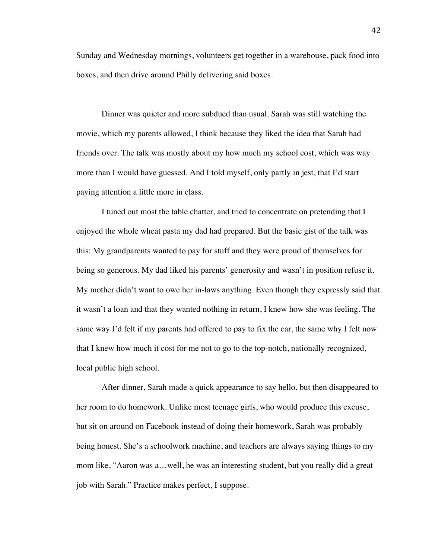Sunday and Wednesday mornings, volunteers get together in a warehouse, pack food into boxes, and then drive around Philly delivering said boxes.

Dinner was quieter and more subdued than usual. Sarah was still watching the movie, which my parents allowed, I think because they liked the idea that Sarah had friends over. The talk was mostly about my how much my school cost, which was way more than I would have guessed. And I told myself, only partly in jest, that I'd start paying attention a little more in class.

I tuned out most the table chatter, and tried to concentrate on pretending that I enjoyed the whole wheat pasta my dad had prepared. But the basic gist of the talk was this: My grandparents wanted to pay for stuff and they were proud of themselves for being so generous. My dad liked his parents' generosity and wasn't in position refuse it. My mother didn't want to owe her in-laws anything. Even though they expressly said that it wasn't a loan and that they wanted nothing in return, I knew how she was feeling. The same way I'd felt if my parents had offered to pay to fix the car, the same why I felt now that I knew how much it cost for me not to go to the top-notch, nationally recognized, local public high school.

After dinner, Sarah made a quick appearance to say hello, but then disappeared to her room to do homework. Unlike most teenage girls, who would produce this excuse, but sit on around on Facebook instead of doing their homework, Sarah was probably being honest. She's a schoolwork machine, and teachers are always saying things to my mom like, "Aaron was a…well, he was an interesting student, but you really did a great job with Sarah." Practice makes perfect, I suppose.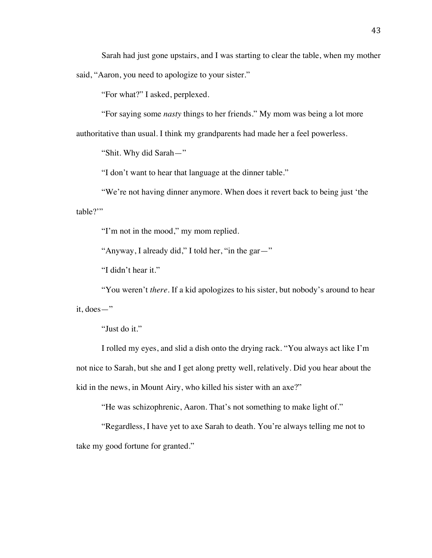Sarah had just gone upstairs, and I was starting to clear the table, when my mother said, "Aaron, you need to apologize to your sister."

"For what?" I asked, perplexed.

"For saying some *nasty* things to her friends." My mom was being a lot more

authoritative than usual. I think my grandparents had made her a feel powerless.

"Shit. Why did Sarah—"

"I don't want to hear that language at the dinner table."

"We're not having dinner anymore. When does it revert back to being just 'the table?"

"I'm not in the mood," my mom replied.

"Anyway, I already did," I told her, "in the gar—"

"I didn't hear it."

"You weren't *there*. If a kid apologizes to his sister, but nobody's around to hear it, does—"

"Just do it."

I rolled my eyes, and slid a dish onto the drying rack. "You always act like I'm not nice to Sarah, but she and I get along pretty well, relatively. Did you hear about the kid in the news, in Mount Airy, who killed his sister with an axe?"

"He was schizophrenic, Aaron. That's not something to make light of."

"Regardless, I have yet to axe Sarah to death. You're always telling me not to take my good fortune for granted."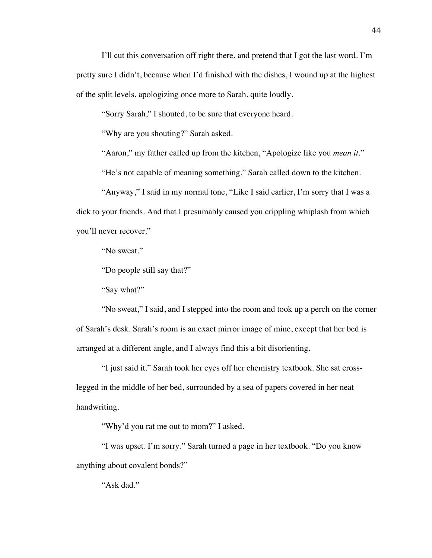I'll cut this conversation off right there, and pretend that I got the last word. I'm pretty sure I didn't, because when I'd finished with the dishes, I wound up at the highest of the split levels, apologizing once more to Sarah, quite loudly.

"Sorry Sarah," I shouted, to be sure that everyone heard.

"Why are you shouting?" Sarah asked.

"Aaron," my father called up from the kitchen, "Apologize like you *mean it*."

"He's not capable of meaning something," Sarah called down to the kitchen.

"Anyway," I said in my normal tone, "Like I said earlier, I'm sorry that I was a dick to your friends. And that I presumably caused you crippling whiplash from which you'll never recover."

"No sweat."

"Do people still say that?"

"Say what?"

"No sweat," I said, and I stepped into the room and took up a perch on the corner of Sarah's desk. Sarah's room is an exact mirror image of mine, except that her bed is arranged at a different angle, and I always find this a bit disorienting.

"I just said it." Sarah took her eyes off her chemistry textbook. She sat crosslegged in the middle of her bed, surrounded by a sea of papers covered in her neat handwriting.

"Why'd you rat me out to mom?" I asked.

"I was upset. I'm sorry." Sarah turned a page in her textbook. "Do you know anything about covalent bonds?"

"Ask dad."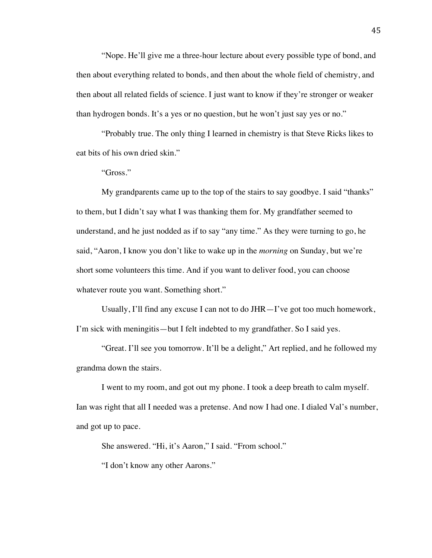"Nope. He'll give me a three-hour lecture about every possible type of bond, and then about everything related to bonds, and then about the whole field of chemistry, and then about all related fields of science. I just want to know if they're stronger or weaker than hydrogen bonds. It's a yes or no question, but he won't just say yes or no."

"Probably true. The only thing I learned in chemistry is that Steve Ricks likes to eat bits of his own dried skin."

"Gross."

My grandparents came up to the top of the stairs to say goodbye. I said "thanks" to them, but I didn't say what I was thanking them for. My grandfather seemed to understand, and he just nodded as if to say "any time." As they were turning to go, he said, "Aaron, I know you don't like to wake up in the *morning* on Sunday, but we're short some volunteers this time. And if you want to deliver food, you can choose whatever route you want. Something short."

Usually, I'll find any excuse I can not to do JHR—I've got too much homework, I'm sick with meningitis—but I felt indebted to my grandfather. So I said yes.

"Great. I'll see you tomorrow. It'll be a delight," Art replied, and he followed my grandma down the stairs.

I went to my room, and got out my phone. I took a deep breath to calm myself. Ian was right that all I needed was a pretense. And now I had one. I dialed Val's number, and got up to pace.

She answered. "Hi, it's Aaron," I said. "From school."

"I don't know any other Aarons."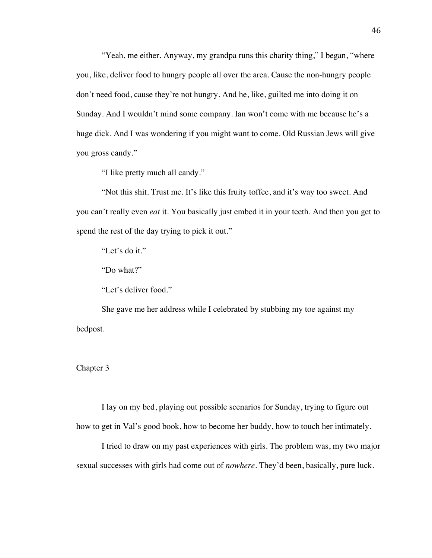"Yeah, me either. Anyway, my grandpa runs this charity thing," I began, "where you, like, deliver food to hungry people all over the area. Cause the non-hungry people don't need food, cause they're not hungry. And he, like, guilted me into doing it on Sunday. And I wouldn't mind some company. Ian won't come with me because he's a huge dick. And I was wondering if you might want to come. Old Russian Jews will give you gross candy."

"I like pretty much all candy."

"Not this shit. Trust me. It's like this fruity toffee, and it's way too sweet. And you can't really even *eat* it. You basically just embed it in your teeth. And then you get to spend the rest of the day trying to pick it out."

"Let's do it."

"Do what?"

"Let's deliver food."

She gave me her address while I celebrated by stubbing my toe against my bedpost.

## Chapter 3

I lay on my bed, playing out possible scenarios for Sunday, trying to figure out how to get in Val's good book, how to become her buddy, how to touch her intimately.

I tried to draw on my past experiences with girls. The problem was, my two major sexual successes with girls had come out of *nowhere*. They'd been, basically, pure luck.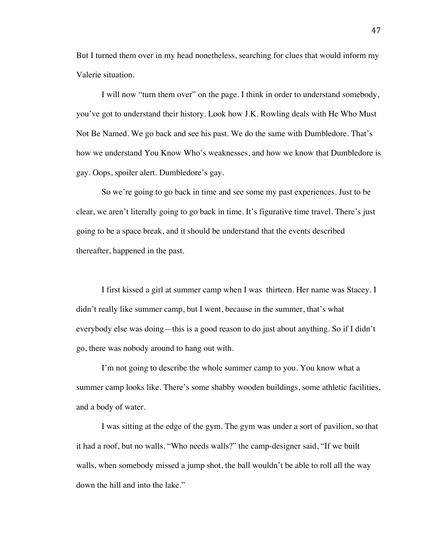But I turned them over in my head nonetheless, searching for clues that would inform my Valerie situation.

I will now "turn them over" on the page. I think in order to understand somebody, you've got to understand their history. Look how J.K. Rowling deals with He Who Must Not Be Named. We go back and see his past. We do the same with Dumbledore. That's how we understand You Know Who's weaknesses, and how we know that Dumbledore is gay. Oops, spoiler alert. Dumbledore's gay.

So we're going to go back in time and see some my past experiences. Just to be clear, we aren't literally going to go back in time. It's figurative time travel. There's just going to be a space break, and it should be understand that the events described thereafter, happened in the past.

I first kissed a girl at summer camp when I was thirteen. Her name was Stacey. I didn't really like summer camp, but I went, because in the summer, that's what everybody else was doing—this is a good reason to do just about anything. So if I didn't go, there was nobody around to hang out with.

I'm not going to describe the whole summer camp to you. You know what a summer camp looks like. There's some shabby wooden buildings, some athletic facilities, and a body of water.

I was sitting at the edge of the gym. The gym was under a sort of pavilion, so that it had a roof, but no walls. "Who needs walls?" the camp-designer said, "If we built walls, when somebody missed a jump shot, the ball wouldn't be able to roll all the way down the hill and into the lake."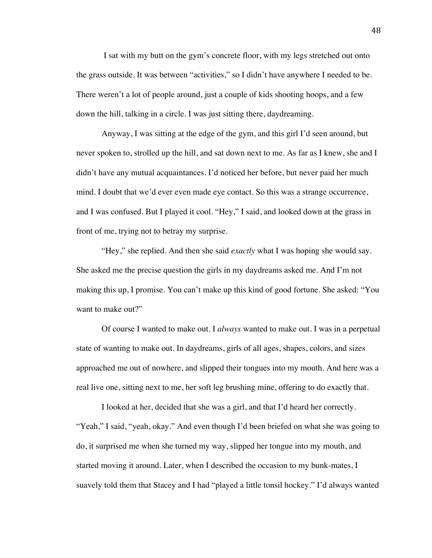I sat with my butt on the gym's concrete floor, with my legs stretched out onto the grass outside. It was between "activities," so I didn't have anywhere I needed to be. There weren't a lot of people around, just a couple of kids shooting hoops, and a few down the hill, talking in a circle. I was just sitting there, daydreaming.

Anyway, I was sitting at the edge of the gym, and this girl I'd seen around, but never spoken to, strolled up the hill, and sat down next to me. As far as I knew, she and I didn't have any mutual acquaintances. I'd noticed her before, but never paid her much mind. I doubt that we'd ever even made eye contact. So this was a strange occurrence, and I was confused. But I played it cool. "Hey," I said, and looked down at the grass in front of me, trying not to betray my surprise.

"Hey," she replied. And then she said *exactly* what I was hoping she would say. She asked me the precise question the girls in my daydreams asked me. And I'm not making this up, I promise. You can't make up this kind of good fortune. She asked: "You want to make out?"

Of course I wanted to make out. I *always* wanted to make out. I was in a perpetual state of wanting to make out. In daydreams, girls of all ages, shapes, colors, and sizes approached me out of nowhere, and slipped their tongues into my mouth. And here was a real live one, sitting next to me, her soft leg brushing mine, offering to do exactly that.

I looked at her, decided that she was a girl, and that I'd heard her correctly. "Yeah," I said, "yeah, okay." And even though I'd been briefed on what she was going to do, it surprised me when she turned my way, slipped her tongue into my mouth, and started moving it around. Later, when I described the occasion to my bunk-mates, I suavely told them that Stacey and I had "played a little tonsil hockey." I'd always wanted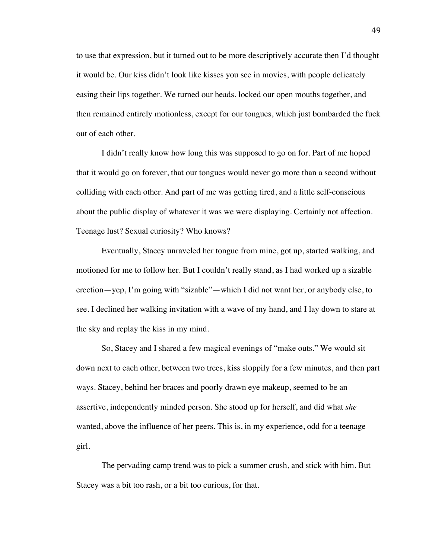to use that expression, but it turned out to be more descriptively accurate then I'd thought it would be. Our kiss didn't look like kisses you see in movies, with people delicately easing their lips together. We turned our heads, locked our open mouths together, and then remained entirely motionless, except for our tongues, which just bombarded the fuck out of each other.

I didn't really know how long this was supposed to go on for. Part of me hoped that it would go on forever, that our tongues would never go more than a second without colliding with each other. And part of me was getting tired, and a little self-conscious about the public display of whatever it was we were displaying. Certainly not affection. Teenage lust? Sexual curiosity? Who knows?

Eventually, Stacey unraveled her tongue from mine, got up, started walking, and motioned for me to follow her. But I couldn't really stand, as I had worked up a sizable erection—yep, I'm going with "sizable"—which I did not want her, or anybody else, to see. I declined her walking invitation with a wave of my hand, and I lay down to stare at the sky and replay the kiss in my mind.

So, Stacey and I shared a few magical evenings of "make outs." We would sit down next to each other, between two trees, kiss sloppily for a few minutes, and then part ways. Stacey, behind her braces and poorly drawn eye makeup, seemed to be an assertive, independently minded person. She stood up for herself, and did what *she* wanted, above the influence of her peers. This is, in my experience, odd for a teenage girl.

The pervading camp trend was to pick a summer crush, and stick with him. But Stacey was a bit too rash, or a bit too curious, for that.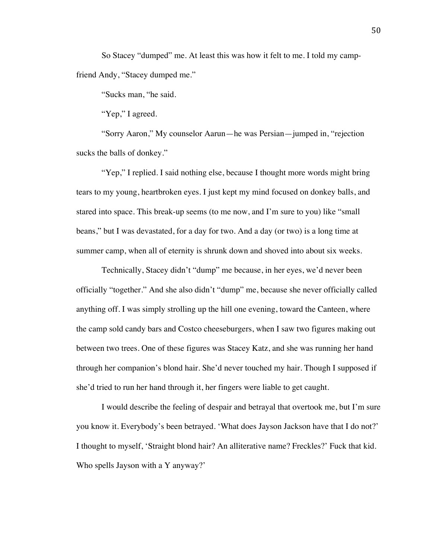So Stacey "dumped" me. At least this was how it felt to me. I told my campfriend Andy, "Stacey dumped me."

"Sucks man, "he said.

"Yep," I agreed.

"Sorry Aaron," My counselor Aarun—he was Persian—jumped in, "rejection sucks the balls of donkey."

"Yep," I replied. I said nothing else, because I thought more words might bring tears to my young, heartbroken eyes. I just kept my mind focused on donkey balls, and stared into space. This break-up seems (to me now, and I'm sure to you) like "small beans," but I was devastated, for a day for two. And a day (or two) is a long time at summer camp, when all of eternity is shrunk down and shoved into about six weeks.

Technically, Stacey didn't "dump" me because, in her eyes, we'd never been officially "together." And she also didn't "dump" me, because she never officially called anything off. I was simply strolling up the hill one evening, toward the Canteen, where the camp sold candy bars and Costco cheeseburgers, when I saw two figures making out between two trees. One of these figures was Stacey Katz, and she was running her hand through her companion's blond hair. She'd never touched my hair. Though I supposed if she'd tried to run her hand through it, her fingers were liable to get caught.

I would describe the feeling of despair and betrayal that overtook me, but I'm sure you know it. Everybody's been betrayed. 'What does Jayson Jackson have that I do not?' I thought to myself, 'Straight blond hair? An alliterative name? Freckles?' Fuck that kid. Who spells Jayson with a Y anyway?'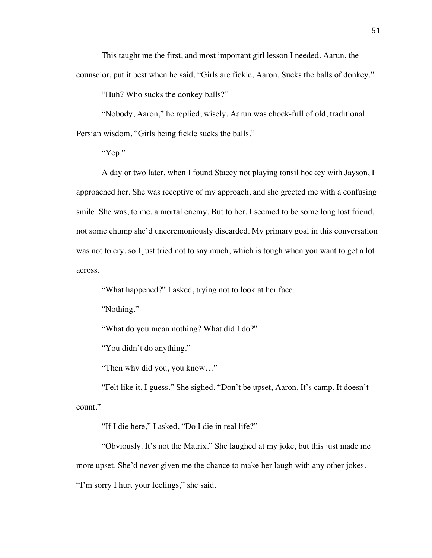This taught me the first, and most important girl lesson I needed. Aarun, the counselor, put it best when he said, "Girls are fickle, Aaron. Sucks the balls of donkey."

"Huh? Who sucks the donkey balls?"

"Nobody, Aaron," he replied, wisely. Aarun was chock-full of old, traditional Persian wisdom, "Girls being fickle sucks the balls."

"Yep."

A day or two later, when I found Stacey not playing tonsil hockey with Jayson, I approached her. She was receptive of my approach, and she greeted me with a confusing smile. She was, to me, a mortal enemy. But to her, I seemed to be some long lost friend, not some chump she'd unceremoniously discarded. My primary goal in this conversation was not to cry, so I just tried not to say much, which is tough when you want to get a lot across.

"What happened?" I asked, trying not to look at her face.

"Nothing."

"What do you mean nothing? What did I do?"

"You didn't do anything."

"Then why did you, you know…"

"Felt like it, I guess." She sighed. "Don't be upset, Aaron. It's camp. It doesn't count."

"If I die here," I asked, "Do I die in real life?"

"Obviously. It's not the Matrix." She laughed at my joke, but this just made me more upset. She'd never given me the chance to make her laugh with any other jokes. "I'm sorry I hurt your feelings," she said.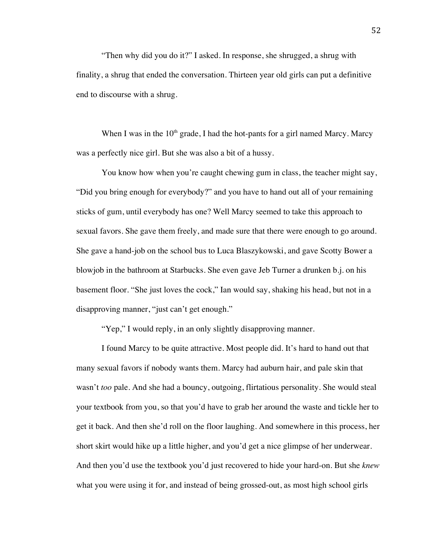"Then why did you do it?" I asked. In response, she shrugged, a shrug with finality, a shrug that ended the conversation. Thirteen year old girls can put a definitive end to discourse with a shrug.

When I was in the  $10<sup>th</sup>$  grade, I had the hot-pants for a girl named Marcy. Marcy was a perfectly nice girl. But she was also a bit of a hussy.

You know how when you're caught chewing gum in class, the teacher might say, "Did you bring enough for everybody?" and you have to hand out all of your remaining sticks of gum, until everybody has one? Well Marcy seemed to take this approach to sexual favors. She gave them freely, and made sure that there were enough to go around. She gave a hand-job on the school bus to Luca Blaszykowski, and gave Scotty Bower a blowjob in the bathroom at Starbucks. She even gave Jeb Turner a drunken b.j. on his basement floor. "She just loves the cock," Ian would say, shaking his head, but not in a disapproving manner, "just can't get enough."

"Yep," I would reply, in an only slightly disapproving manner.

I found Marcy to be quite attractive. Most people did. It's hard to hand out that many sexual favors if nobody wants them. Marcy had auburn hair, and pale skin that wasn't *too* pale. And she had a bouncy, outgoing, flirtatious personality. She would steal your textbook from you, so that you'd have to grab her around the waste and tickle her to get it back. And then she'd roll on the floor laughing. And somewhere in this process, her short skirt would hike up a little higher, and you'd get a nice glimpse of her underwear. And then you'd use the textbook you'd just recovered to hide your hard-on. But she *knew* what you were using it for, and instead of being grossed-out, as most high school girls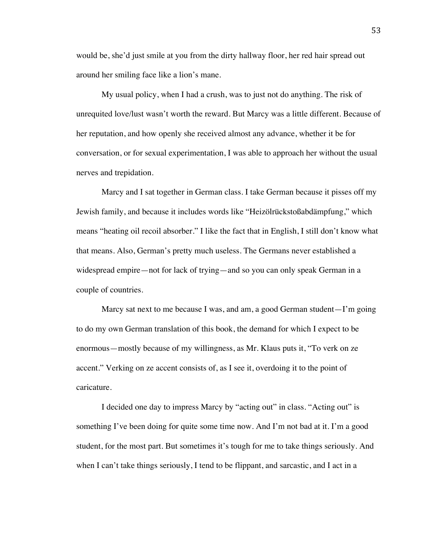would be, she'd just smile at you from the dirty hallway floor, her red hair spread out around her smiling face like a lion's mane.

My usual policy, when I had a crush, was to just not do anything. The risk of unrequited love/lust wasn't worth the reward. But Marcy was a little different. Because of her reputation, and how openly she received almost any advance, whether it be for conversation, or for sexual experimentation, I was able to approach her without the usual nerves and trepidation.

Marcy and I sat together in German class. I take German because it pisses off my Jewish family, and because it includes words like "Heizölrückstoßabdämpfung," which means "heating oil recoil absorber." I like the fact that in English, I still don't know what that means. Also, German's pretty much useless. The Germans never established a widespread empire—not for lack of trying—and so you can only speak German in a couple of countries.

Marcy sat next to me because I was, and am, a good German student—I'm going to do my own German translation of this book, the demand for which I expect to be enormous—mostly because of my willingness, as Mr. Klaus puts it, "To verk on ze accent." Verking on ze accent consists of, as I see it, overdoing it to the point of caricature.

I decided one day to impress Marcy by "acting out" in class. "Acting out" is something I've been doing for quite some time now. And I'm not bad at it. I'm a good student, for the most part. But sometimes it's tough for me to take things seriously. And when I can't take things seriously, I tend to be flippant, and sarcastic, and I act in a

53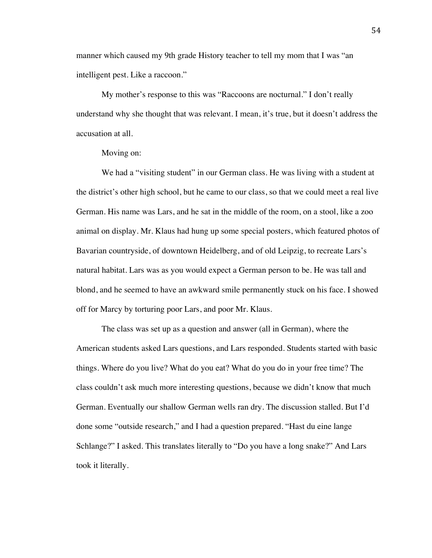manner which caused my 9th grade History teacher to tell my mom that I was "an intelligent pest. Like a raccoon."

My mother's response to this was "Raccoons are nocturnal." I don't really understand why she thought that was relevant. I mean, it's true, but it doesn't address the accusation at all.

## Moving on:

We had a "visiting student" in our German class. He was living with a student at the district's other high school, but he came to our class, so that we could meet a real live German. His name was Lars, and he sat in the middle of the room, on a stool, like a zoo animal on display. Mr. Klaus had hung up some special posters, which featured photos of Bavarian countryside, of downtown Heidelberg, and of old Leipzig, to recreate Lars's natural habitat. Lars was as you would expect a German person to be. He was tall and blond, and he seemed to have an awkward smile permanently stuck on his face. I showed off for Marcy by torturing poor Lars, and poor Mr. Klaus.

The class was set up as a question and answer (all in German), where the American students asked Lars questions, and Lars responded. Students started with basic things. Where do you live? What do you eat? What do you do in your free time? The class couldn't ask much more interesting questions, because we didn't know that much German. Eventually our shallow German wells ran dry. The discussion stalled. But I'd done some "outside research," and I had a question prepared. "Hast du eine lange Schlange?" I asked. This translates literally to "Do you have a long snake?" And Lars took it literally.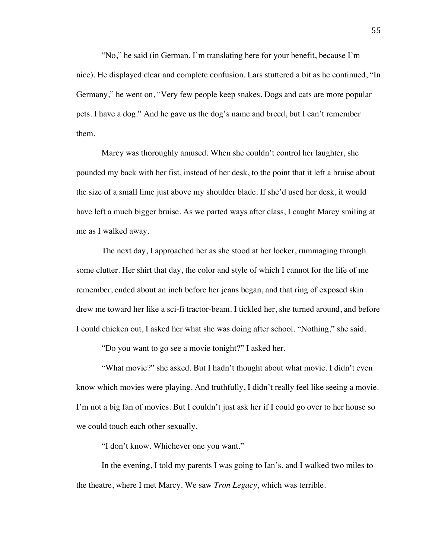"No," he said (in German. I'm translating here for your benefit, because I'm nice). He displayed clear and complete confusion. Lars stuttered a bit as he continued, "In Germany," he went on, "Very few people keep snakes. Dogs and cats are more popular pets. I have a dog." And he gave us the dog's name and breed, but I can't remember them.

Marcy was thoroughly amused. When she couldn't control her laughter, she pounded my back with her fist, instead of her desk, to the point that it left a bruise about the size of a small lime just above my shoulder blade. If she'd used her desk, it would have left a much bigger bruise. As we parted ways after class, I caught Marcy smiling at me as I walked away.

The next day, I approached her as she stood at her locker, rummaging through some clutter. Her shirt that day, the color and style of which I cannot for the life of me remember, ended about an inch before her jeans began, and that ring of exposed skin drew me toward her like a sci-fi tractor-beam. I tickled her, she turned around, and before I could chicken out, I asked her what she was doing after school. "Nothing," she said.

"Do you want to go see a movie tonight?" I asked her.

"What movie?" she asked. But I hadn't thought about what movie. I didn't even know which movies were playing. And truthfully, I didn't really feel like seeing a movie. I'm not a big fan of movies. But I couldn't just ask her if I could go over to her house so we could touch each other sexually.

"I don't know. Whichever one you want."

In the evening, I told my parents I was going to Ian's, and I walked two miles to the theatre, where I met Marcy. We saw *Tron Legacy*, which was terrible.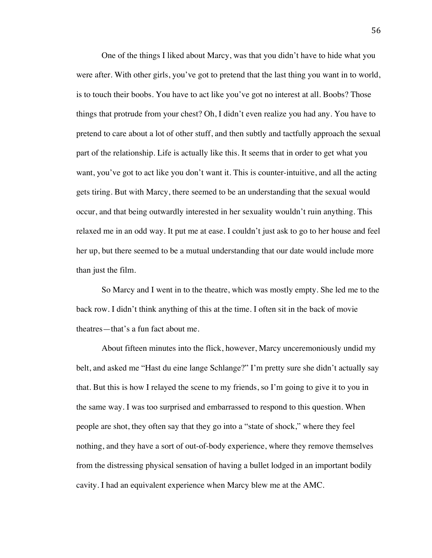One of the things I liked about Marcy, was that you didn't have to hide what you were after. With other girls, you've got to pretend that the last thing you want in to world, is to touch their boobs. You have to act like you've got no interest at all. Boobs? Those things that protrude from your chest? Oh, I didn't even realize you had any. You have to pretend to care about a lot of other stuff, and then subtly and tactfully approach the sexual part of the relationship. Life is actually like this. It seems that in order to get what you want, you've got to act like you don't want it. This is counter-intuitive, and all the acting gets tiring. But with Marcy, there seemed to be an understanding that the sexual would occur, and that being outwardly interested in her sexuality wouldn't ruin anything. This relaxed me in an odd way. It put me at ease. I couldn't just ask to go to her house and feel her up, but there seemed to be a mutual understanding that our date would include more than just the film.

So Marcy and I went in to the theatre, which was mostly empty. She led me to the back row. I didn't think anything of this at the time. I often sit in the back of movie theatres—that's a fun fact about me.

About fifteen minutes into the flick, however, Marcy unceremoniously undid my belt, and asked me "Hast du eine lange Schlange?" I'm pretty sure she didn't actually say that. But this is how I relayed the scene to my friends, so I'm going to give it to you in the same way. I was too surprised and embarrassed to respond to this question. When people are shot, they often say that they go into a "state of shock," where they feel nothing, and they have a sort of out-of-body experience, where they remove themselves from the distressing physical sensation of having a bullet lodged in an important bodily cavity. I had an equivalent experience when Marcy blew me at the AMC.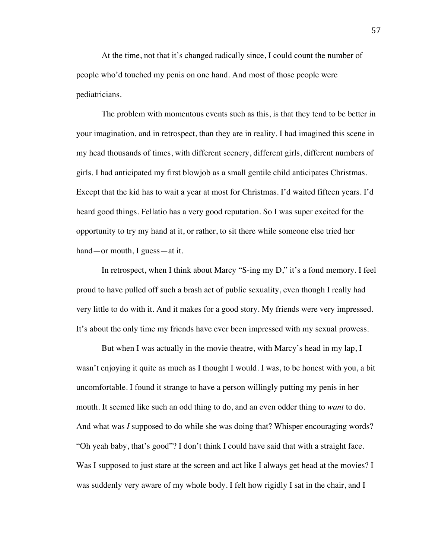At the time, not that it's changed radically since, I could count the number of people who'd touched my penis on one hand. And most of those people were pediatricians.

The problem with momentous events such as this, is that they tend to be better in your imagination, and in retrospect, than they are in reality. I had imagined this scene in my head thousands of times, with different scenery, different girls, different numbers of girls. I had anticipated my first blowjob as a small gentile child anticipates Christmas. Except that the kid has to wait a year at most for Christmas. I'd waited fifteen years. I'd heard good things. Fellatio has a very good reputation. So I was super excited for the opportunity to try my hand at it, or rather, to sit there while someone else tried her hand—or mouth, I guess—at it.

In retrospect, when I think about Marcy "S-ing my D," it's a fond memory. I feel proud to have pulled off such a brash act of public sexuality, even though I really had very little to do with it. And it makes for a good story. My friends were very impressed. It's about the only time my friends have ever been impressed with my sexual prowess.

But when I was actually in the movie theatre, with Marcy's head in my lap, I wasn't enjoying it quite as much as I thought I would. I was, to be honest with you, a bit uncomfortable. I found it strange to have a person willingly putting my penis in her mouth. It seemed like such an odd thing to do, and an even odder thing to *want* to do. And what was *I* supposed to do while she was doing that? Whisper encouraging words? "Oh yeah baby, that's good"? I don't think I could have said that with a straight face. Was I supposed to just stare at the screen and act like I always get head at the movies? I was suddenly very aware of my whole body. I felt how rigidly I sat in the chair, and I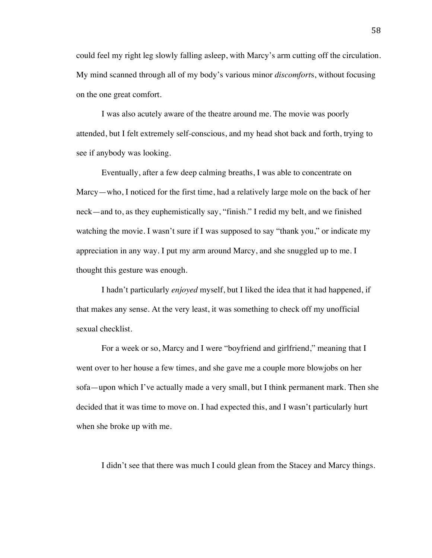could feel my right leg slowly falling asleep, with Marcy's arm cutting off the circulation. My mind scanned through all of my body's various minor *discomfort*s, without focusing on the one great comfort.

I was also acutely aware of the theatre around me. The movie was poorly attended, but I felt extremely self-conscious, and my head shot back and forth, trying to see if anybody was looking.

Eventually, after a few deep calming breaths, I was able to concentrate on Marcy—who, I noticed for the first time, had a relatively large mole on the back of her neck—and to, as they euphemistically say, "finish." I redid my belt, and we finished watching the movie. I wasn't sure if I was supposed to say "thank you," or indicate my appreciation in any way. I put my arm around Marcy, and she snuggled up to me. I thought this gesture was enough.

I hadn't particularly *enjoyed* myself, but I liked the idea that it had happened, if that makes any sense. At the very least, it was something to check off my unofficial sexual checklist.

For a week or so, Marcy and I were "boyfriend and girlfriend," meaning that I went over to her house a few times, and she gave me a couple more blowjobs on her sofa—upon which I've actually made a very small, but I think permanent mark. Then she decided that it was time to move on. I had expected this, and I wasn't particularly hurt when she broke up with me.

I didn't see that there was much I could glean from the Stacey and Marcy things.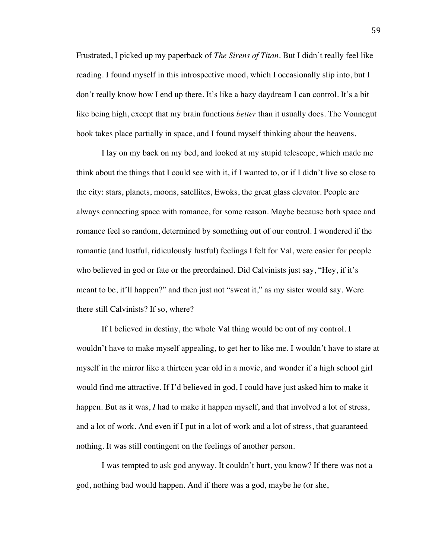Frustrated, I picked up my paperback of *The Sirens of Titan*. But I didn't really feel like reading. I found myself in this introspective mood, which I occasionally slip into, but I don't really know how I end up there. It's like a hazy daydream I can control. It's a bit like being high, except that my brain functions *better* than it usually does. The Vonnegut book takes place partially in space, and I found myself thinking about the heavens.

I lay on my back on my bed, and looked at my stupid telescope, which made me think about the things that I could see with it, if I wanted to, or if I didn't live so close to the city: stars, planets, moons, satellites, Ewoks, the great glass elevator. People are always connecting space with romance, for some reason. Maybe because both space and romance feel so random, determined by something out of our control. I wondered if the romantic (and lustful, ridiculously lustful) feelings I felt for Val, were easier for people who believed in god or fate or the preordained. Did Calvinists just say, "Hey, if it's meant to be, it'll happen?" and then just not "sweat it," as my sister would say. Were there still Calvinists? If so, where?

If I believed in destiny, the whole Val thing would be out of my control. I wouldn't have to make myself appealing, to get her to like me. I wouldn't have to stare at myself in the mirror like a thirteen year old in a movie, and wonder if a high school girl would find me attractive. If I'd believed in god, I could have just asked him to make it happen. But as it was, *I* had to make it happen myself, and that involved a lot of stress, and a lot of work. And even if I put in a lot of work and a lot of stress, that guaranteed nothing. It was still contingent on the feelings of another person.

I was tempted to ask god anyway. It couldn't hurt, you know? If there was not a god, nothing bad would happen. And if there was a god, maybe he (or she,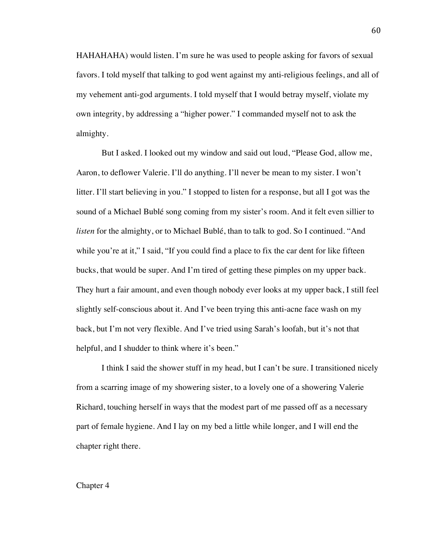HAHAHAHA) would listen. I'm sure he was used to people asking for favors of sexual favors. I told myself that talking to god went against my anti-religious feelings, and all of my vehement anti-god arguments. I told myself that I would betray myself, violate my own integrity, by addressing a "higher power." I commanded myself not to ask the almighty.

But I asked. I looked out my window and said out loud, "Please God, allow me, Aaron, to deflower Valerie. I'll do anything. I'll never be mean to my sister. I won't litter. I'll start believing in you." I stopped to listen for a response, but all I got was the sound of a Michael Bublé song coming from my sister's room. And it felt even sillier to *listen* for the almighty, or to Michael Bublé, than to talk to god. So I continued. "And while you're at it," I said, "If you could find a place to fix the car dent for like fifteen bucks, that would be super. And I'm tired of getting these pimples on my upper back. They hurt a fair amount, and even though nobody ever looks at my upper back, I still feel slightly self-conscious about it. And I've been trying this anti-acne face wash on my back, but I'm not very flexible. And I've tried using Sarah's loofah, but it's not that helpful, and I shudder to think where it's been."

I think I said the shower stuff in my head, but I can't be sure. I transitioned nicely from a scarring image of my showering sister, to a lovely one of a showering Valerie Richard, touching herself in ways that the modest part of me passed off as a necessary part of female hygiene. And I lay on my bed a little while longer, and I will end the chapter right there.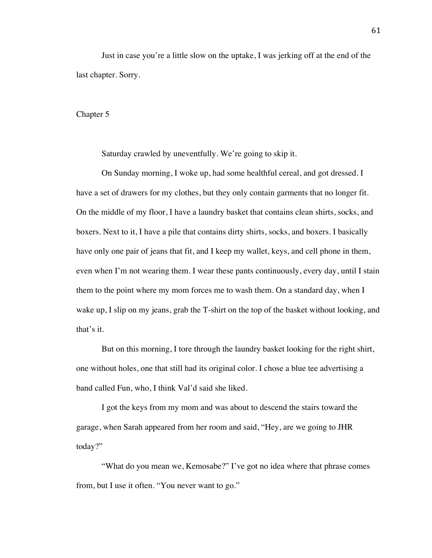Just in case you're a little slow on the uptake, I was jerking off at the end of the last chapter. Sorry.

Chapter 5

Saturday crawled by uneventfully. We're going to skip it.

On Sunday morning, I woke up, had some healthful cereal, and got dressed. I have a set of drawers for my clothes, but they only contain garments that no longer fit. On the middle of my floor, I have a laundry basket that contains clean shirts, socks, and boxers. Next to it, I have a pile that contains dirty shirts, socks, and boxers. I basically have only one pair of jeans that fit, and I keep my wallet, keys, and cell phone in them, even when I'm not wearing them. I wear these pants continuously, every day, until I stain them to the point where my mom forces me to wash them. On a standard day, when I wake up, I slip on my jeans, grab the T-shirt on the top of the basket without looking, and that's it.

But on this morning, I tore through the laundry basket looking for the right shirt, one without holes, one that still had its original color. I chose a blue tee advertising a band called Fun, who, I think Val'd said she liked.

I got the keys from my mom and was about to descend the stairs toward the garage, when Sarah appeared from her room and said, "Hey, are we going to JHR today?"

"What do you mean we, Kemosabe?" I've got no idea where that phrase comes from, but I use it often. "You never want to go."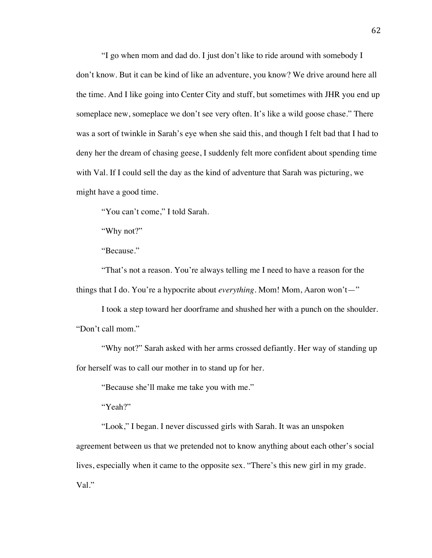"I go when mom and dad do. I just don't like to ride around with somebody I don't know. But it can be kind of like an adventure, you know? We drive around here all the time. And I like going into Center City and stuff, but sometimes with JHR you end up someplace new, someplace we don't see very often. It's like a wild goose chase." There was a sort of twinkle in Sarah's eye when she said this, and though I felt bad that I had to deny her the dream of chasing geese, I suddenly felt more confident about spending time with Val. If I could sell the day as the kind of adventure that Sarah was picturing, we might have a good time.

"You can't come," I told Sarah.

"Why not?"

"Because."

"That's not a reason. You're always telling me I need to have a reason for the things that I do. You're a hypocrite about *everything*. Mom! Mom, Aaron won't—"

I took a step toward her doorframe and shushed her with a punch on the shoulder. "Don't call mom."

"Why not?" Sarah asked with her arms crossed defiantly. Her way of standing up for herself was to call our mother in to stand up for her.

"Because she'll make me take you with me."

"Yeah?"

"Look," I began. I never discussed girls with Sarah. It was an unspoken agreement between us that we pretended not to know anything about each other's social lives, especially when it came to the opposite sex. "There's this new girl in my grade. Val."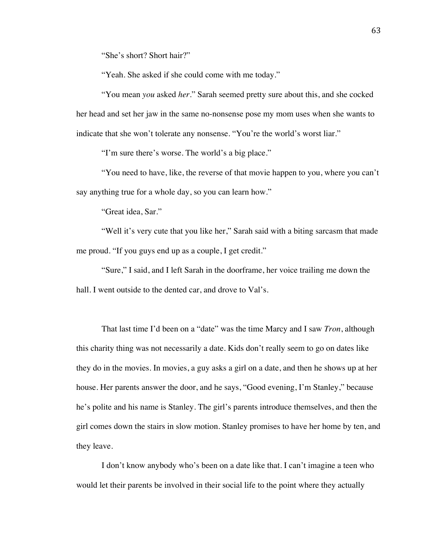"She's short? Short hair?"

"Yeah. She asked if she could come with me today."

"You mean *you* asked *her*." Sarah seemed pretty sure about this, and she cocked her head and set her jaw in the same no-nonsense pose my mom uses when she wants to indicate that she won't tolerate any nonsense. "You're the world's worst liar."

"I'm sure there's worse. The world's a big place."

"You need to have, like, the reverse of that movie happen to you, where you can't say anything true for a whole day, so you can learn how."

"Great idea, Sar."

"Well it's very cute that you like her," Sarah said with a biting sarcasm that made me proud. "If you guys end up as a couple, I get credit."

"Sure," I said, and I left Sarah in the doorframe, her voice trailing me down the hall. I went outside to the dented car, and drove to Val's.

That last time I'd been on a "date" was the time Marcy and I saw *Tron*, although this charity thing was not necessarily a date. Kids don't really seem to go on dates like they do in the movies. In movies, a guy asks a girl on a date, and then he shows up at her house. Her parents answer the door, and he says, "Good evening, I'm Stanley," because he's polite and his name is Stanley. The girl's parents introduce themselves, and then the girl comes down the stairs in slow motion. Stanley promises to have her home by ten, and they leave.

I don't know anybody who's been on a date like that. I can't imagine a teen who would let their parents be involved in their social life to the point where they actually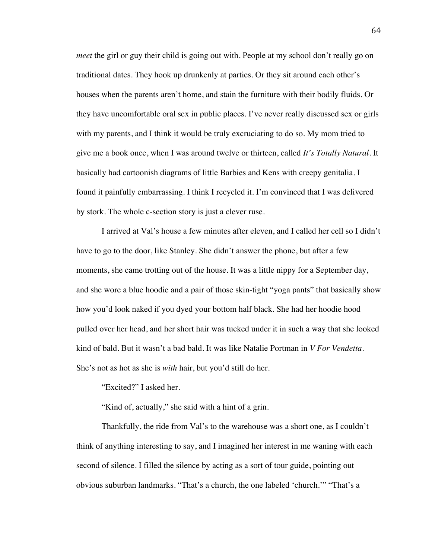*meet* the girl or guy their child is going out with. People at my school don't really go on traditional dates. They hook up drunkenly at parties. Or they sit around each other's houses when the parents aren't home, and stain the furniture with their bodily fluids. Or they have uncomfortable oral sex in public places. I've never really discussed sex or girls with my parents, and I think it would be truly excruciating to do so. My mom tried to give me a book once, when I was around twelve or thirteen, called *It's Totally Natural*. It basically had cartoonish diagrams of little Barbies and Kens with creepy genitalia. I found it painfully embarrassing. I think I recycled it. I'm convinced that I was delivered by stork. The whole c-section story is just a clever ruse.

I arrived at Val's house a few minutes after eleven, and I called her cell so I didn't have to go to the door, like Stanley. She didn't answer the phone, but after a few moments, she came trotting out of the house. It was a little nippy for a September day, and she wore a blue hoodie and a pair of those skin-tight "yoga pants" that basically show how you'd look naked if you dyed your bottom half black. She had her hoodie hood pulled over her head, and her short hair was tucked under it in such a way that she looked kind of bald. But it wasn't a bad bald. It was like Natalie Portman in *V For Vendetta*. She's not as hot as she is *with* hair, but you'd still do her.

"Excited?" I asked her.

"Kind of, actually," she said with a hint of a grin.

Thankfully, the ride from Val's to the warehouse was a short one, as I couldn't think of anything interesting to say, and I imagined her interest in me waning with each second of silence. I filled the silence by acting as a sort of tour guide, pointing out obvious suburban landmarks. "That's a church, the one labeled 'church.'" "That's a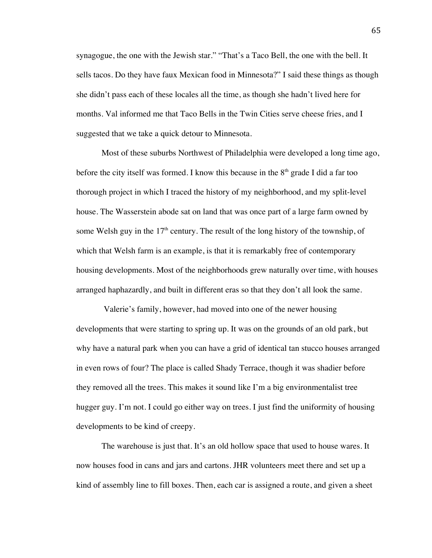synagogue, the one with the Jewish star." "That's a Taco Bell, the one with the bell. It sells tacos. Do they have faux Mexican food in Minnesota?" I said these things as though she didn't pass each of these locales all the time, as though she hadn't lived here for months. Val informed me that Taco Bells in the Twin Cities serve cheese fries, and I suggested that we take a quick detour to Minnesota.

Most of these suburbs Northwest of Philadelphia were developed a long time ago, before the city itself was formed. I know this because in the  $8<sup>th</sup>$  grade I did a far too thorough project in which I traced the history of my neighborhood, and my split-level house. The Wasserstein abode sat on land that was once part of a large farm owned by some Welsh guy in the  $17<sup>th</sup>$  century. The result of the long history of the township, of which that Welsh farm is an example, is that it is remarkably free of contemporary housing developments. Most of the neighborhoods grew naturally over time, with houses arranged haphazardly, and built in different eras so that they don't all look the same.

 Valerie's family, however, had moved into one of the newer housing developments that were starting to spring up. It was on the grounds of an old park, but why have a natural park when you can have a grid of identical tan stucco houses arranged in even rows of four? The place is called Shady Terrace, though it was shadier before they removed all the trees. This makes it sound like I'm a big environmentalist tree hugger guy. I'm not. I could go either way on trees. I just find the uniformity of housing developments to be kind of creepy.

The warehouse is just that. It's an old hollow space that used to house wares. It now houses food in cans and jars and cartons. JHR volunteers meet there and set up a kind of assembly line to fill boxes. Then, each car is assigned a route, and given a sheet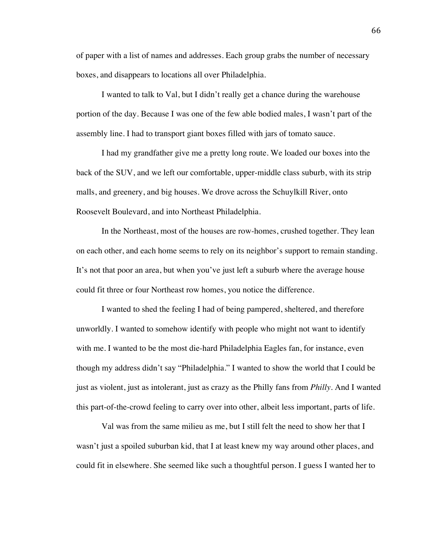of paper with a list of names and addresses. Each group grabs the number of necessary boxes, and disappears to locations all over Philadelphia.

I wanted to talk to Val, but I didn't really get a chance during the warehouse portion of the day. Because I was one of the few able bodied males, I wasn't part of the assembly line. I had to transport giant boxes filled with jars of tomato sauce.

I had my grandfather give me a pretty long route. We loaded our boxes into the back of the SUV, and we left our comfortable, upper-middle class suburb, with its strip malls, and greenery, and big houses. We drove across the Schuylkill River, onto Roosevelt Boulevard, and into Northeast Philadelphia.

In the Northeast, most of the houses are row-homes, crushed together. They lean on each other, and each home seems to rely on its neighbor's support to remain standing. It's not that poor an area, but when you've just left a suburb where the average house could fit three or four Northeast row homes, you notice the difference.

I wanted to shed the feeling I had of being pampered, sheltered, and therefore unworldly. I wanted to somehow identify with people who might not want to identify with me. I wanted to be the most die-hard Philadelphia Eagles fan, for instance, even though my address didn't say "Philadelphia." I wanted to show the world that I could be just as violent, just as intolerant, just as crazy as the Philly fans from *Philly*. And I wanted this part-of-the-crowd feeling to carry over into other, albeit less important, parts of life.

Val was from the same milieu as me, but I still felt the need to show her that I wasn't just a spoiled suburban kid, that I at least knew my way around other places, and could fit in elsewhere. She seemed like such a thoughtful person. I guess I wanted her to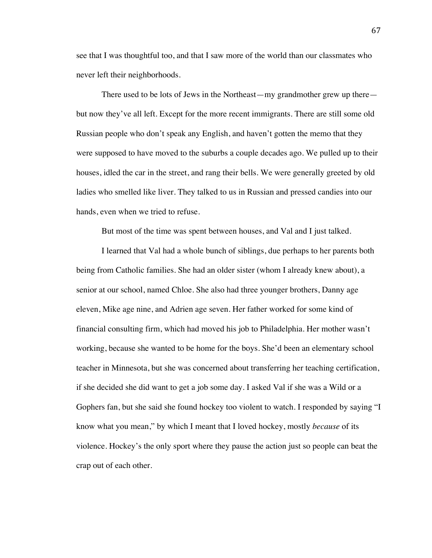see that I was thoughtful too, and that I saw more of the world than our classmates who never left their neighborhoods.

There used to be lots of Jews in the Northeast—my grandmother grew up there but now they've all left. Except for the more recent immigrants. There are still some old Russian people who don't speak any English, and haven't gotten the memo that they were supposed to have moved to the suburbs a couple decades ago. We pulled up to their houses, idled the car in the street, and rang their bells. We were generally greeted by old ladies who smelled like liver. They talked to us in Russian and pressed candies into our hands, even when we tried to refuse.

But most of the time was spent between houses, and Val and I just talked.

I learned that Val had a whole bunch of siblings, due perhaps to her parents both being from Catholic families. She had an older sister (whom I already knew about), a senior at our school, named Chloe. She also had three younger brothers, Danny age eleven, Mike age nine, and Adrien age seven. Her father worked for some kind of financial consulting firm, which had moved his job to Philadelphia. Her mother wasn't working, because she wanted to be home for the boys. She'd been an elementary school teacher in Minnesota, but she was concerned about transferring her teaching certification, if she decided she did want to get a job some day. I asked Val if she was a Wild or a Gophers fan, but she said she found hockey too violent to watch. I responded by saying "I know what you mean," by which I meant that I loved hockey, mostly *because* of its violence. Hockey's the only sport where they pause the action just so people can beat the crap out of each other.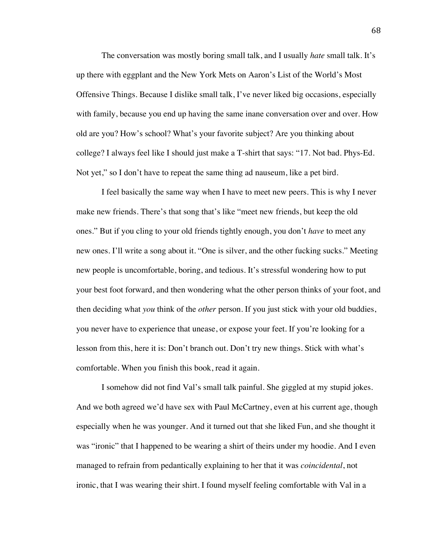The conversation was mostly boring small talk, and I usually *hate* small talk. It's up there with eggplant and the New York Mets on Aaron's List of the World's Most Offensive Things. Because I dislike small talk, I've never liked big occasions, especially with family, because you end up having the same inane conversation over and over. How old are you? How's school? What's your favorite subject? Are you thinking about college? I always feel like I should just make a T-shirt that says: "17. Not bad. Phys-Ed. Not yet," so I don't have to repeat the same thing ad nauseum, like a pet bird.

I feel basically the same way when I have to meet new peers. This is why I never make new friends. There's that song that's like "meet new friends, but keep the old ones." But if you cling to your old friends tightly enough, you don't *have* to meet any new ones. I'll write a song about it. "One is silver, and the other fucking sucks." Meeting new people is uncomfortable, boring, and tedious. It's stressful wondering how to put your best foot forward, and then wondering what the other person thinks of your foot, and then deciding what *you* think of the *other* person. If you just stick with your old buddies, you never have to experience that unease, or expose your feet. If you're looking for a lesson from this, here it is: Don't branch out. Don't try new things. Stick with what's comfortable. When you finish this book, read it again.

I somehow did not find Val's small talk painful. She giggled at my stupid jokes. And we both agreed we'd have sex with Paul McCartney, even at his current age, though especially when he was younger. And it turned out that she liked Fun, and she thought it was "ironic" that I happened to be wearing a shirt of theirs under my hoodie. And I even managed to refrain from pedantically explaining to her that it was *coincidental*, not ironic, that I was wearing their shirt. I found myself feeling comfortable with Val in a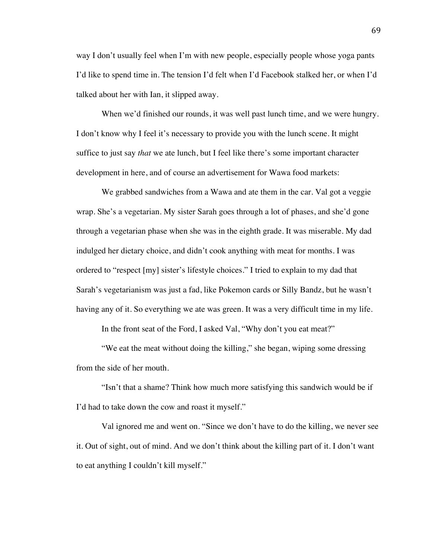way I don't usually feel when I'm with new people, especially people whose yoga pants I'd like to spend time in. The tension I'd felt when I'd Facebook stalked her, or when I'd talked about her with Ian, it slipped away.

When we'd finished our rounds, it was well past lunch time, and we were hungry. I don't know why I feel it's necessary to provide you with the lunch scene. It might suffice to just say *that* we ate lunch, but I feel like there's some important character development in here, and of course an advertisement for Wawa food markets:

We grabbed sandwiches from a Wawa and ate them in the car. Val got a veggie wrap. She's a vegetarian. My sister Sarah goes through a lot of phases, and she'd gone through a vegetarian phase when she was in the eighth grade. It was miserable. My dad indulged her dietary choice, and didn't cook anything with meat for months. I was ordered to "respect [my] sister's lifestyle choices." I tried to explain to my dad that Sarah's vegetarianism was just a fad, like Pokemon cards or Silly Bandz, but he wasn't having any of it. So everything we ate was green. It was a very difficult time in my life.

In the front seat of the Ford, I asked Val, "Why don't you eat meat?"

"We eat the meat without doing the killing," she began, wiping some dressing from the side of her mouth.

"Isn't that a shame? Think how much more satisfying this sandwich would be if I'd had to take down the cow and roast it myself."

Val ignored me and went on. "Since we don't have to do the killing, we never see it. Out of sight, out of mind. And we don't think about the killing part of it. I don't want to eat anything I couldn't kill myself."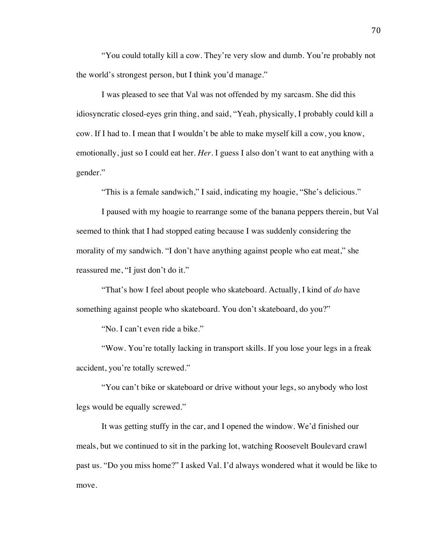"You could totally kill a cow. They're very slow and dumb. You're probably not the world's strongest person, but I think you'd manage."

I was pleased to see that Val was not offended by my sarcasm. She did this idiosyncratic closed-eyes grin thing, and said, "Yeah, physically, I probably could kill a cow. If I had to. I mean that I wouldn't be able to make myself kill a cow, you know, emotionally, just so I could eat her. *Her.* I guess I also don't want to eat anything with a gender."

"This is a female sandwich," I said, indicating my hoagie, "She's delicious."

I paused with my hoagie to rearrange some of the banana peppers therein, but Val seemed to think that I had stopped eating because I was suddenly considering the morality of my sandwich. "I don't have anything against people who eat meat," she reassured me, "I just don't do it."

"That's how I feel about people who skateboard. Actually, I kind of *do* have something against people who skateboard. You don't skateboard, do you?"

"No. I can't even ride a bike."

"Wow. You're totally lacking in transport skills. If you lose your legs in a freak accident, you're totally screwed."

"You can't bike or skateboard or drive without your legs, so anybody who lost legs would be equally screwed."

It was getting stuffy in the car, and I opened the window. We'd finished our meals, but we continued to sit in the parking lot, watching Roosevelt Boulevard crawl past us. "Do you miss home?" I asked Val. I'd always wondered what it would be like to move.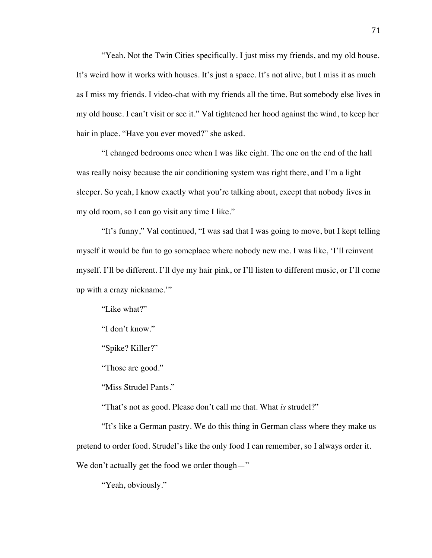"Yeah. Not the Twin Cities specifically. I just miss my friends, and my old house. It's weird how it works with houses. It's just a space. It's not alive, but I miss it as much as I miss my friends. I video-chat with my friends all the time. But somebody else lives in my old house. I can't visit or see it." Val tightened her hood against the wind, to keep her hair in place. "Have you ever moved?" she asked.

"I changed bedrooms once when I was like eight. The one on the end of the hall was really noisy because the air conditioning system was right there, and I'm a light sleeper. So yeah, I know exactly what you're talking about, except that nobody lives in my old room, so I can go visit any time I like."

"It's funny," Val continued, "I was sad that I was going to move, but I kept telling myself it would be fun to go someplace where nobody new me. I was like, 'I'll reinvent myself. I'll be different. I'll dye my hair pink, or I'll listen to different music, or I'll come up with a crazy nickname.'"

"Like what?"

"I don't know."

"Spike? Killer?"

"Those are good."

"Miss Strudel Pants."

"That's not as good. Please don't call me that. What *is* strudel?"

"It's like a German pastry. We do this thing in German class where they make us pretend to order food. Strudel's like the only food I can remember, so I always order it. We don't actually get the food we order though—"

"Yeah, obviously."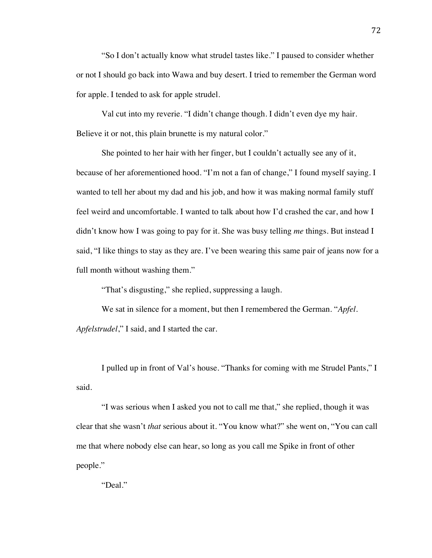"So I don't actually know what strudel tastes like." I paused to consider whether or not I should go back into Wawa and buy desert. I tried to remember the German word for apple. I tended to ask for apple strudel.

Val cut into my reverie. "I didn't change though. I didn't even dye my hair. Believe it or not, this plain brunette is my natural color."

She pointed to her hair with her finger, but I couldn't actually see any of it, because of her aforementioned hood. "I'm not a fan of change," I found myself saying. I wanted to tell her about my dad and his job, and how it was making normal family stuff feel weird and uncomfortable. I wanted to talk about how I'd crashed the car, and how I didn't know how I was going to pay for it. She was busy telling *me* things. But instead I said, "I like things to stay as they are. I've been wearing this same pair of jeans now for a full month without washing them."

"That's disgusting," she replied, suppressing a laugh.

We sat in silence for a moment, but then I remembered the German. "*Apfel*. *Apfelstrudel*," I said, and I started the car.

I pulled up in front of Val's house. "Thanks for coming with me Strudel Pants," I said.

"I was serious when I asked you not to call me that," she replied, though it was clear that she wasn't *that* serious about it. "You know what?" she went on, "You can call me that where nobody else can hear, so long as you call me Spike in front of other people."

"Deal."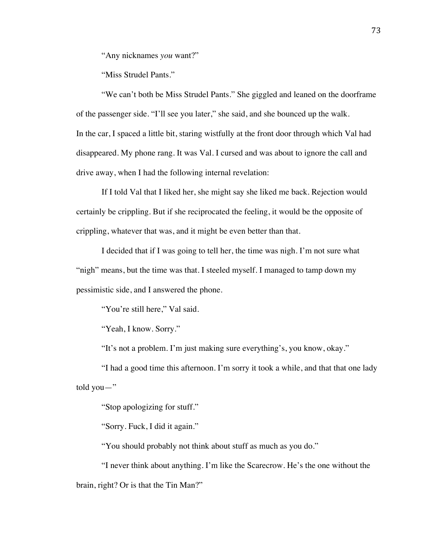"Any nicknames *you* want?"

"Miss Strudel Pants."

"We can't both be Miss Strudel Pants." She giggled and leaned on the doorframe of the passenger side. "I'll see you later," she said, and she bounced up the walk. In the car, I spaced a little bit, staring wistfully at the front door through which Val had disappeared. My phone rang. It was Val. I cursed and was about to ignore the call and drive away, when I had the following internal revelation:

If I told Val that I liked her, she might say she liked me back. Rejection would certainly be crippling. But if she reciprocated the feeling, it would be the opposite of crippling, whatever that was, and it might be even better than that.

I decided that if I was going to tell her, the time was nigh. I'm not sure what "nigh" means, but the time was that. I steeled myself. I managed to tamp down my pessimistic side, and I answered the phone.

"You're still here," Val said.

"Yeah, I know. Sorry."

"It's not a problem. I'm just making sure everything's, you know, okay."

"I had a good time this afternoon. I'm sorry it took a while, and that that one lady told you—"

"Stop apologizing for stuff."

"Sorry. Fuck, I did it again."

"You should probably not think about stuff as much as you do."

"I never think about anything. I'm like the Scarecrow. He's the one without the brain, right? Or is that the Tin Man?"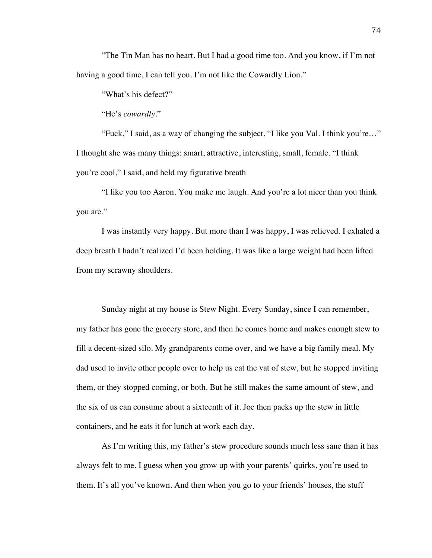"The Tin Man has no heart. But I had a good time too. And you know, if I'm not having a good time, I can tell you. I'm not like the Cowardly Lion."

"What's his defect?"

"He's *cowardly.*"

"Fuck," I said, as a way of changing the subject, "I like you Val. I think you're…" I thought she was many things: smart, attractive, interesting, small, female. "I think you're cool," I said, and held my figurative breath

"I like you too Aaron. You make me laugh. And you're a lot nicer than you think you are."

I was instantly very happy. But more than I was happy, I was relieved. I exhaled a deep breath I hadn't realized I'd been holding. It was like a large weight had been lifted from my scrawny shoulders.

Sunday night at my house is Stew Night. Every Sunday, since I can remember, my father has gone the grocery store, and then he comes home and makes enough stew to fill a decent-sized silo. My grandparents come over, and we have a big family meal. My dad used to invite other people over to help us eat the vat of stew, but he stopped inviting them, or they stopped coming, or both. But he still makes the same amount of stew, and the six of us can consume about a sixteenth of it. Joe then packs up the stew in little containers, and he eats it for lunch at work each day.

As I'm writing this, my father's stew procedure sounds much less sane than it has always felt to me. I guess when you grow up with your parents' quirks, you're used to them. It's all you've known. And then when you go to your friends' houses, the stuff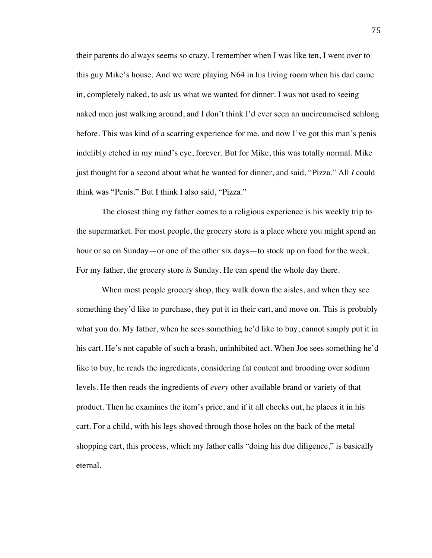their parents do always seems so crazy. I remember when I was like ten, I went over to this guy Mike's house. And we were playing N64 in his living room when his dad came in, completely naked, to ask us what we wanted for dinner. I was not used to seeing naked men just walking around, and I don't think I'd ever seen an uncircumcised schlong before. This was kind of a scarring experience for me, and now I've got this man's penis indelibly etched in my mind's eye, forever. But for Mike, this was totally normal. Mike just thought for a second about what he wanted for dinner, and said, "Pizza." All *I* could think was "Penis." But I think I also said, "Pizza."

The closest thing my father comes to a religious experience is his weekly trip to the supermarket. For most people, the grocery store is a place where you might spend an hour or so on Sunday—or one of the other six days—to stock up on food for the week. For my father, the grocery store *is* Sunday. He can spend the whole day there.

When most people grocery shop, they walk down the aisles, and when they see something they'd like to purchase, they put it in their cart, and move on. This is probably what you do. My father, when he sees something he'd like to buy, cannot simply put it in his cart. He's not capable of such a brash, uninhibited act. When Joe sees something he'd like to buy, he reads the ingredients, considering fat content and brooding over sodium levels. He then reads the ingredients of *every* other available brand or variety of that product. Then he examines the item's price, and if it all checks out, he places it in his cart. For a child, with his legs shoved through those holes on the back of the metal shopping cart, this process, which my father calls "doing his due diligence," is basically eternal.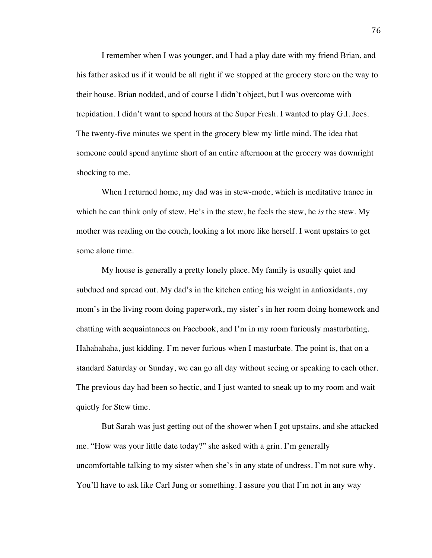I remember when I was younger, and I had a play date with my friend Brian, and his father asked us if it would be all right if we stopped at the grocery store on the way to their house. Brian nodded, and of course I didn't object, but I was overcome with trepidation. I didn't want to spend hours at the Super Fresh. I wanted to play G.I. Joes. The twenty-five minutes we spent in the grocery blew my little mind. The idea that someone could spend anytime short of an entire afternoon at the grocery was downright shocking to me.

When I returned home, my dad was in stew-mode, which is meditative trance in which he can think only of stew. He's in the stew, he feels the stew, he *is* the stew. My mother was reading on the couch, looking a lot more like herself. I went upstairs to get some alone time.

My house is generally a pretty lonely place. My family is usually quiet and subdued and spread out. My dad's in the kitchen eating his weight in antioxidants, my mom's in the living room doing paperwork, my sister's in her room doing homework and chatting with acquaintances on Facebook, and I'm in my room furiously masturbating. Hahahahaha, just kidding. I'm never furious when I masturbate. The point is, that on a standard Saturday or Sunday, we can go all day without seeing or speaking to each other. The previous day had been so hectic, and I just wanted to sneak up to my room and wait quietly for Stew time.

But Sarah was just getting out of the shower when I got upstairs, and she attacked me. "How was your little date today?" she asked with a grin. I'm generally uncomfortable talking to my sister when she's in any state of undress. I'm not sure why. You'll have to ask like Carl Jung or something. I assure you that I'm not in any way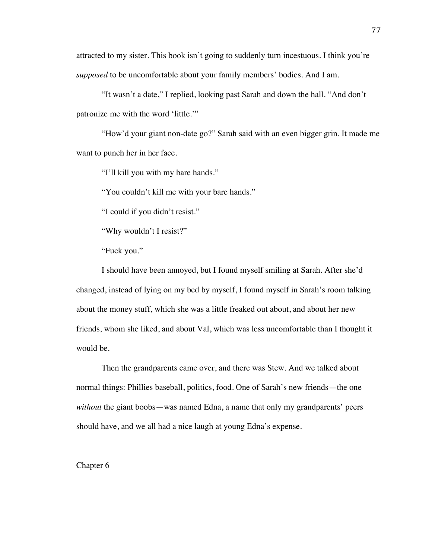attracted to my sister. This book isn't going to suddenly turn incestuous. I think you're *supposed* to be uncomfortable about your family members' bodies. And I am.

"It wasn't a date," I replied, looking past Sarah and down the hall. "And don't patronize me with the word 'little.'"

"How'd your giant non-date go?" Sarah said with an even bigger grin. It made me want to punch her in her face.

"I'll kill you with my bare hands."

"You couldn't kill me with your bare hands."

"I could if you didn't resist."

"Why wouldn't I resist?"

"Fuck you."

I should have been annoyed, but I found myself smiling at Sarah. After she'd changed, instead of lying on my bed by myself, I found myself in Sarah's room talking about the money stuff, which she was a little freaked out about, and about her new friends, whom she liked, and about Val, which was less uncomfortable than I thought it would be.

Then the grandparents came over, and there was Stew. And we talked about normal things: Phillies baseball, politics, food. One of Sarah's new friends—the one *without* the giant boobs—was named Edna, a name that only my grandparents' peers should have, and we all had a nice laugh at young Edna's expense.

## Chapter 6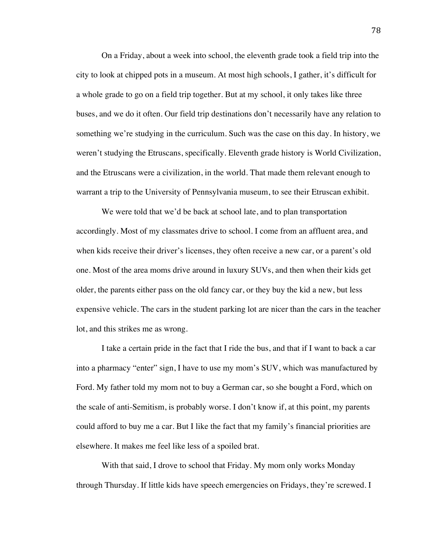On a Friday, about a week into school, the eleventh grade took a field trip into the city to look at chipped pots in a museum. At most high schools, I gather, it's difficult for a whole grade to go on a field trip together. But at my school, it only takes like three buses, and we do it often. Our field trip destinations don't necessarily have any relation to something we're studying in the curriculum. Such was the case on this day. In history, we weren't studying the Etruscans, specifically. Eleventh grade history is World Civilization, and the Etruscans were a civilization, in the world. That made them relevant enough to warrant a trip to the University of Pennsylvania museum, to see their Etruscan exhibit.

We were told that we'd be back at school late, and to plan transportation accordingly. Most of my classmates drive to school. I come from an affluent area, and when kids receive their driver's licenses, they often receive a new car, or a parent's old one. Most of the area moms drive around in luxury SUVs, and then when their kids get older, the parents either pass on the old fancy car, or they buy the kid a new, but less expensive vehicle. The cars in the student parking lot are nicer than the cars in the teacher lot, and this strikes me as wrong.

I take a certain pride in the fact that I ride the bus, and that if I want to back a car into a pharmacy "enter" sign, I have to use my mom's SUV, which was manufactured by Ford. My father told my mom not to buy a German car, so she bought a Ford, which on the scale of anti-Semitism, is probably worse. I don't know if, at this point, my parents could afford to buy me a car. But I like the fact that my family's financial priorities are elsewhere. It makes me feel like less of a spoiled brat.

With that said, I drove to school that Friday. My mom only works Monday through Thursday. If little kids have speech emergencies on Fridays, they're screwed. I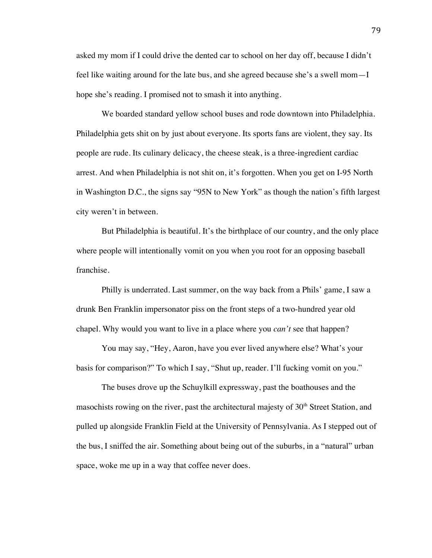asked my mom if I could drive the dented car to school on her day off, because I didn't feel like waiting around for the late bus, and she agreed because she's a swell mom—I hope she's reading. I promised not to smash it into anything.

We boarded standard yellow school buses and rode downtown into Philadelphia. Philadelphia gets shit on by just about everyone. Its sports fans are violent, they say. Its people are rude. Its culinary delicacy, the cheese steak, is a three-ingredient cardiac arrest. And when Philadelphia is not shit on, it's forgotten. When you get on I-95 North in Washington D.C., the signs say "95N to New York" as though the nation's fifth largest city weren't in between.

But Philadelphia is beautiful. It's the birthplace of our country, and the only place where people will intentionally vomit on you when you root for an opposing baseball franchise.

Philly is underrated. Last summer, on the way back from a Phils' game, I saw a drunk Ben Franklin impersonator piss on the front steps of a two-hundred year old chapel. Why would you want to live in a place where you *can't* see that happen?

You may say, "Hey, Aaron, have you ever lived anywhere else? What's your basis for comparison?" To which I say, "Shut up, reader. I'll fucking vomit on you."

The buses drove up the Schuylkill expressway, past the boathouses and the masochists rowing on the river, past the architectural majesty of  $30<sup>th</sup>$  Street Station, and pulled up alongside Franklin Field at the University of Pennsylvania. As I stepped out of the bus, I sniffed the air. Something about being out of the suburbs, in a "natural" urban space, woke me up in a way that coffee never does.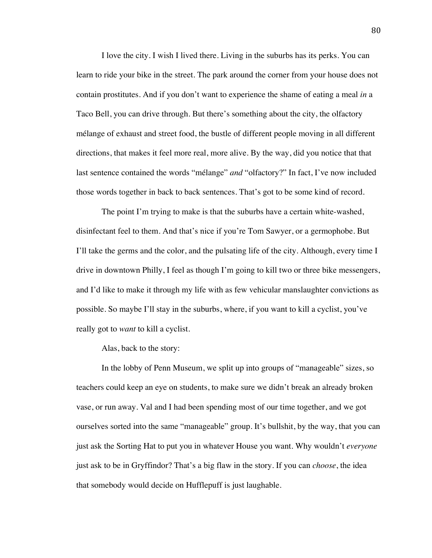I love the city. I wish I lived there. Living in the suburbs has its perks. You can learn to ride your bike in the street. The park around the corner from your house does not contain prostitutes. And if you don't want to experience the shame of eating a meal *in* a Taco Bell, you can drive through. But there's something about the city, the olfactory mélange of exhaust and street food, the bustle of different people moving in all different directions, that makes it feel more real, more alive. By the way, did you notice that that last sentence contained the words "mélange" *and* "olfactory?" In fact, I've now included those words together in back to back sentences. That's got to be some kind of record.

The point I'm trying to make is that the suburbs have a certain white-washed, disinfectant feel to them. And that's nice if you're Tom Sawyer, or a germophobe. But I'll take the germs and the color, and the pulsating life of the city. Although, every time I drive in downtown Philly, I feel as though I'm going to kill two or three bike messengers, and I'd like to make it through my life with as few vehicular manslaughter convictions as possible. So maybe I'll stay in the suburbs, where, if you want to kill a cyclist, you've really got to *want* to kill a cyclist.

Alas, back to the story:

In the lobby of Penn Museum, we split up into groups of "manageable" sizes, so teachers could keep an eye on students, to make sure we didn't break an already broken vase, or run away. Val and I had been spending most of our time together, and we got ourselves sorted into the same "manageable" group. It's bullshit, by the way, that you can just ask the Sorting Hat to put you in whatever House you want. Why wouldn't *everyone* just ask to be in Gryffindor? That's a big flaw in the story. If you can *choose*, the idea that somebody would decide on Hufflepuff is just laughable.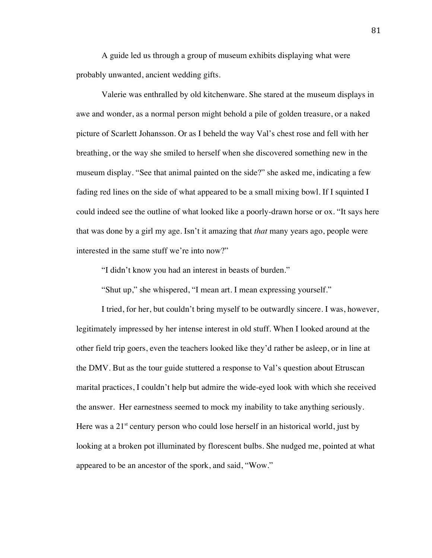A guide led us through a group of museum exhibits displaying what were probably unwanted, ancient wedding gifts.

Valerie was enthralled by old kitchenware. She stared at the museum displays in awe and wonder, as a normal person might behold a pile of golden treasure, or a naked picture of Scarlett Johansson. Or as I beheld the way Val's chest rose and fell with her breathing, or the way she smiled to herself when she discovered something new in the museum display. "See that animal painted on the side?" she asked me, indicating a few fading red lines on the side of what appeared to be a small mixing bowl. If I squinted I could indeed see the outline of what looked like a poorly-drawn horse or ox. "It says here that was done by a girl my age. Isn't it amazing that *that* many years ago, people were interested in the same stuff we're into now?"

"I didn't know you had an interest in beasts of burden."

"Shut up," she whispered, "I mean art. I mean expressing yourself."

I tried, for her, but couldn't bring myself to be outwardly sincere. I was, however, legitimately impressed by her intense interest in old stuff. When I looked around at the other field trip goers, even the teachers looked like they'd rather be asleep, or in line at the DMV. But as the tour guide stuttered a response to Val's question about Etruscan marital practices, I couldn't help but admire the wide-eyed look with which she received the answer. Her earnestness seemed to mock my inability to take anything seriously. Here was a  $21<sup>st</sup>$  century person who could lose herself in an historical world, just by looking at a broken pot illuminated by florescent bulbs. She nudged me, pointed at what appeared to be an ancestor of the spork, and said, "Wow."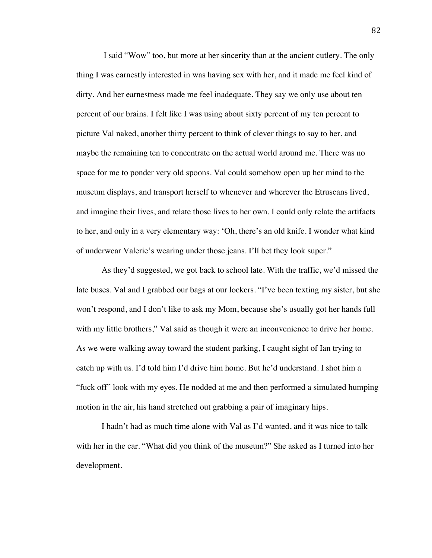I said "Wow" too, but more at her sincerity than at the ancient cutlery. The only thing I was earnestly interested in was having sex with her, and it made me feel kind of dirty. And her earnestness made me feel inadequate. They say we only use about ten percent of our brains. I felt like I was using about sixty percent of my ten percent to picture Val naked, another thirty percent to think of clever things to say to her, and maybe the remaining ten to concentrate on the actual world around me. There was no space for me to ponder very old spoons. Val could somehow open up her mind to the museum displays, and transport herself to whenever and wherever the Etruscans lived, and imagine their lives, and relate those lives to her own. I could only relate the artifacts to her, and only in a very elementary way: 'Oh, there's an old knife. I wonder what kind of underwear Valerie's wearing under those jeans. I'll bet they look super."

As they'd suggested, we got back to school late. With the traffic, we'd missed the late buses. Val and I grabbed our bags at our lockers. "I've been texting my sister, but she won't respond, and I don't like to ask my Mom, because she's usually got her hands full with my little brothers," Val said as though it were an inconvenience to drive her home. As we were walking away toward the student parking, I caught sight of Ian trying to catch up with us. I'd told him I'd drive him home. But he'd understand. I shot him a "fuck off" look with my eyes. He nodded at me and then performed a simulated humping motion in the air, his hand stretched out grabbing a pair of imaginary hips.

I hadn't had as much time alone with Val as I'd wanted, and it was nice to talk with her in the car. "What did you think of the museum?" She asked as I turned into her development.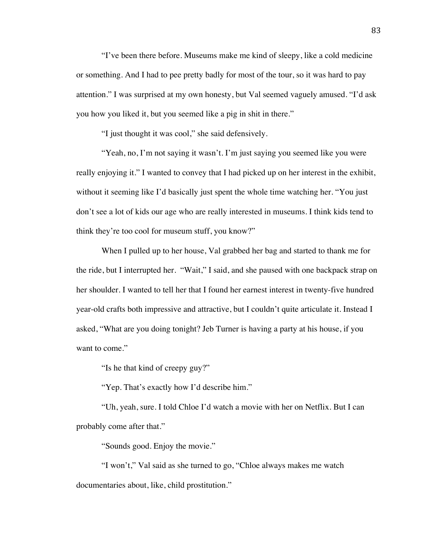"I've been there before. Museums make me kind of sleepy, like a cold medicine or something. And I had to pee pretty badly for most of the tour, so it was hard to pay attention." I was surprised at my own honesty, but Val seemed vaguely amused. "I'd ask you how you liked it, but you seemed like a pig in shit in there."

"I just thought it was cool," she said defensively.

"Yeah, no, I'm not saying it wasn't. I'm just saying you seemed like you were really enjoying it." I wanted to convey that I had picked up on her interest in the exhibit, without it seeming like I'd basically just spent the whole time watching her. "You just don't see a lot of kids our age who are really interested in museums. I think kids tend to think they're too cool for museum stuff, you know?"

When I pulled up to her house, Val grabbed her bag and started to thank me for the ride, but I interrupted her. "Wait," I said, and she paused with one backpack strap on her shoulder. I wanted to tell her that I found her earnest interest in twenty-five hundred year-old crafts both impressive and attractive, but I couldn't quite articulate it. Instead I asked, "What are you doing tonight? Jeb Turner is having a party at his house, if you want to come."

"Is he that kind of creepy guy?"

"Yep. That's exactly how I'd describe him."

"Uh, yeah, sure. I told Chloe I'd watch a movie with her on Netflix. But I can probably come after that."

"Sounds good. Enjoy the movie."

"I won't," Val said as she turned to go, "Chloe always makes me watch documentaries about, like, child prostitution."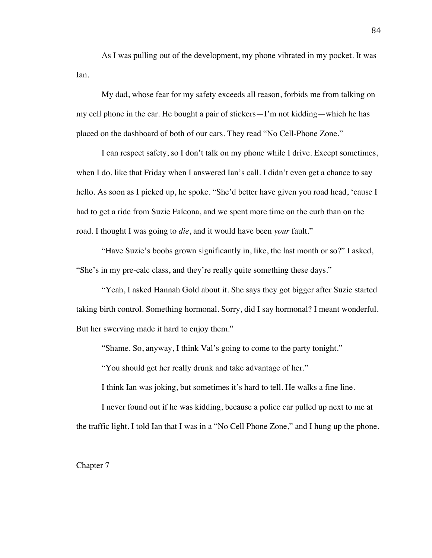As I was pulling out of the development, my phone vibrated in my pocket. It was Ian.

My dad, whose fear for my safety exceeds all reason, forbids me from talking on my cell phone in the car. He bought a pair of stickers—I'm not kidding—which he has placed on the dashboard of both of our cars. They read "No Cell-Phone Zone."

I can respect safety, so I don't talk on my phone while I drive. Except sometimes, when I do, like that Friday when I answered Ian's call. I didn't even get a chance to say hello. As soon as I picked up, he spoke. "She'd better have given you road head, 'cause I had to get a ride from Suzie Falcona, and we spent more time on the curb than on the road. I thought I was going to *die*, and it would have been *your* fault."

"Have Suzie's boobs grown significantly in, like, the last month or so?" I asked, "She's in my pre-calc class, and they're really quite something these days."

"Yeah, I asked Hannah Gold about it. She says they got bigger after Suzie started taking birth control. Something hormonal. Sorry, did I say hormonal? I meant wonderful. But her swerving made it hard to enjoy them."

"Shame. So, anyway, I think Val's going to come to the party tonight."

"You should get her really drunk and take advantage of her."

I think Ian was joking, but sometimes it's hard to tell. He walks a fine line.

I never found out if he was kidding, because a police car pulled up next to me at the traffic light. I told Ian that I was in a "No Cell Phone Zone," and I hung up the phone.

Chapter 7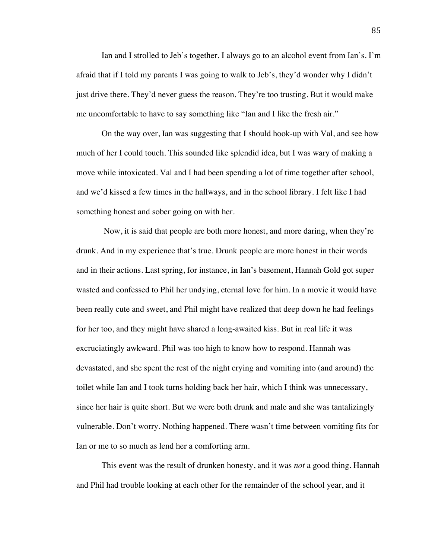Ian and I strolled to Jeb's together. I always go to an alcohol event from Ian's. I'm afraid that if I told my parents I was going to walk to Jeb's, they'd wonder why I didn't just drive there. They'd never guess the reason. They're too trusting. But it would make me uncomfortable to have to say something like "Ian and I like the fresh air."

On the way over, Ian was suggesting that I should hook-up with Val, and see how much of her I could touch. This sounded like splendid idea, but I was wary of making a move while intoxicated. Val and I had been spending a lot of time together after school, and we'd kissed a few times in the hallways, and in the school library. I felt like I had something honest and sober going on with her.

 Now, it is said that people are both more honest, and more daring, when they're drunk. And in my experience that's true. Drunk people are more honest in their words and in their actions. Last spring, for instance, in Ian's basement, Hannah Gold got super wasted and confessed to Phil her undying, eternal love for him. In a movie it would have been really cute and sweet, and Phil might have realized that deep down he had feelings for her too, and they might have shared a long-awaited kiss. But in real life it was excruciatingly awkward. Phil was too high to know how to respond. Hannah was devastated, and she spent the rest of the night crying and vomiting into (and around) the toilet while Ian and I took turns holding back her hair, which I think was unnecessary, since her hair is quite short. But we were both drunk and male and she was tantalizingly vulnerable. Don't worry. Nothing happened. There wasn't time between vomiting fits for Ian or me to so much as lend her a comforting arm.

This event was the result of drunken honesty, and it was *not* a good thing. Hannah and Phil had trouble looking at each other for the remainder of the school year, and it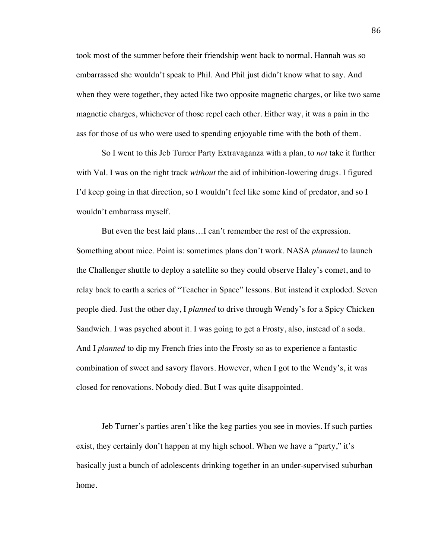took most of the summer before their friendship went back to normal. Hannah was so embarrassed she wouldn't speak to Phil. And Phil just didn't know what to say. And when they were together, they acted like two opposite magnetic charges, or like two same magnetic charges, whichever of those repel each other. Either way, it was a pain in the ass for those of us who were used to spending enjoyable time with the both of them.

So I went to this Jeb Turner Party Extravaganza with a plan, to *not* take it further with Val. I was on the right track *without* the aid of inhibition-lowering drugs. I figured I'd keep going in that direction, so I wouldn't feel like some kind of predator, and so I wouldn't embarrass myself.

But even the best laid plans…I can't remember the rest of the expression. Something about mice. Point is: sometimes plans don't work. NASA *planned* to launch the Challenger shuttle to deploy a satellite so they could observe Haley's comet, and to relay back to earth a series of "Teacher in Space" lessons. But instead it exploded. Seven people died. Just the other day, I *planned* to drive through Wendy's for a Spicy Chicken Sandwich. I was psyched about it. I was going to get a Frosty, also, instead of a soda. And I *planned* to dip my French fries into the Frosty so as to experience a fantastic combination of sweet and savory flavors. However, when I got to the Wendy's, it was closed for renovations. Nobody died. But I was quite disappointed.

Jeb Turner's parties aren't like the keg parties you see in movies. If such parties exist, they certainly don't happen at my high school. When we have a "party," it's basically just a bunch of adolescents drinking together in an under-supervised suburban home.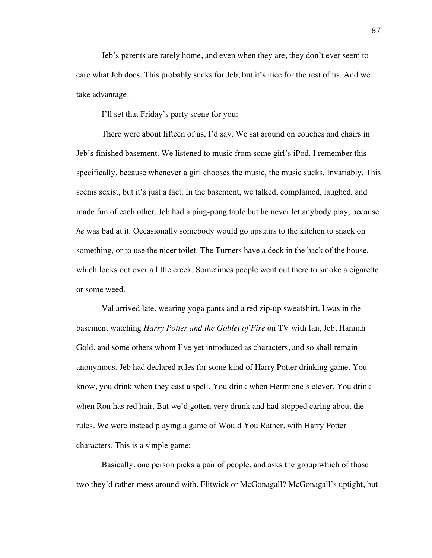Jeb's parents are rarely home, and even when they are, they don't ever seem to care what Jeb does. This probably sucks for Jeb, but it's nice for the rest of us. And we take advantage.

I'll set that Friday's party scene for you:

There were about fifteen of us, I'd say. We sat around on couches and chairs in Jeb's finished basement. We listened to music from some girl's iPod. I remember this specifically, because whenever a girl chooses the music, the music sucks. Invariably. This seems sexist, but it's just a fact. In the basement, we talked, complained, laughed, and made fun of each other. Jeb had a ping-pong table but he never let anybody play, because *he* was bad at it. Occasionally somebody would go upstairs to the kitchen to snack on something, or to use the nicer toilet. The Turners have a deck in the back of the house, which looks out over a little creek. Sometimes people went out there to smoke a cigarette or some weed.

Val arrived late, wearing yoga pants and a red zip-up sweatshirt. I was in the basement watching *Harry Potter and the Goblet of Fire* on TV with Ian, Jeb, Hannah Gold, and some others whom I've yet introduced as characters, and so shall remain anonymous. Jeb had declared rules for some kind of Harry Potter drinking game. You know, you drink when they cast a spell. You drink when Hermione's clever. You drink when Ron has red hair. But we'd gotten very drunk and had stopped caring about the rules. We were instead playing a game of Would You Rather, with Harry Potter characters. This is a simple game:

Basically, one person picks a pair of people, and asks the group which of those two they'd rather mess around with. Flitwick or McGonagall? McGonagall's uptight, but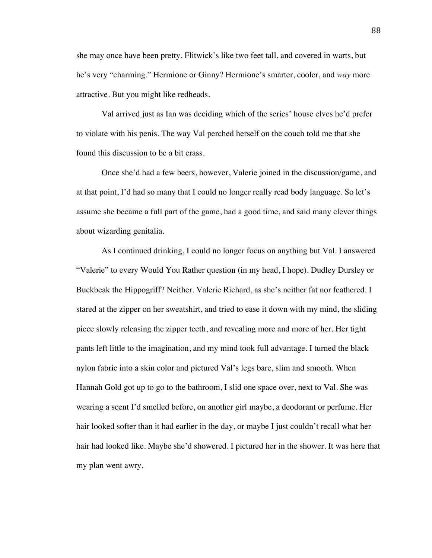she may once have been pretty. Flitwick's like two feet tall, and covered in warts, but he's very "charming." Hermione or Ginny? Hermione's smarter, cooler, and *way* more attractive. But you might like redheads.

Val arrived just as Ian was deciding which of the series' house elves he'd prefer to violate with his penis. The way Val perched herself on the couch told me that she found this discussion to be a bit crass.

Once she'd had a few beers, however, Valerie joined in the discussion/game, and at that point, I'd had so many that I could no longer really read body language. So let's assume she became a full part of the game, had a good time, and said many clever things about wizarding genitalia.

As I continued drinking, I could no longer focus on anything but Val. I answered "Valerie" to every Would You Rather question (in my head, I hope). Dudley Dursley or Buckbeak the Hippogriff? Neither. Valerie Richard, as she's neither fat nor feathered. I stared at the zipper on her sweatshirt, and tried to ease it down with my mind, the sliding piece slowly releasing the zipper teeth, and revealing more and more of her. Her tight pants left little to the imagination, and my mind took full advantage. I turned the black nylon fabric into a skin color and pictured Val's legs bare, slim and smooth. When Hannah Gold got up to go to the bathroom, I slid one space over, next to Val. She was wearing a scent I'd smelled before, on another girl maybe, a deodorant or perfume. Her hair looked softer than it had earlier in the day, or maybe I just couldn't recall what her hair had looked like. Maybe she'd showered. I pictured her in the shower. It was here that my plan went awry.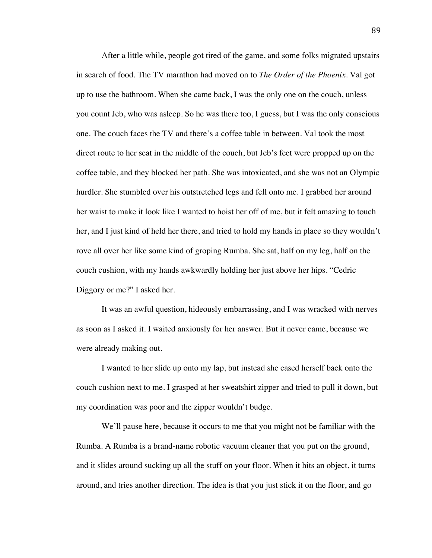After a little while, people got tired of the game, and some folks migrated upstairs in search of food. The TV marathon had moved on to *The Order of the Phoenix.* Val got up to use the bathroom. When she came back, I was the only one on the couch, unless you count Jeb, who was asleep. So he was there too, I guess, but I was the only conscious one. The couch faces the TV and there's a coffee table in between. Val took the most direct route to her seat in the middle of the couch, but Jeb's feet were propped up on the coffee table, and they blocked her path. She was intoxicated, and she was not an Olympic hurdler. She stumbled over his outstretched legs and fell onto me. I grabbed her around her waist to make it look like I wanted to hoist her off of me, but it felt amazing to touch her, and I just kind of held her there, and tried to hold my hands in place so they wouldn't rove all over her like some kind of groping Rumba. She sat, half on my leg, half on the couch cushion, with my hands awkwardly holding her just above her hips. "Cedric Diggory or me?" I asked her.

It was an awful question, hideously embarrassing, and I was wracked with nerves as soon as I asked it. I waited anxiously for her answer. But it never came, because we were already making out.

I wanted to her slide up onto my lap, but instead she eased herself back onto the couch cushion next to me. I grasped at her sweatshirt zipper and tried to pull it down, but my coordination was poor and the zipper wouldn't budge.

We'll pause here, because it occurs to me that you might not be familiar with the Rumba. A Rumba is a brand-name robotic vacuum cleaner that you put on the ground, and it slides around sucking up all the stuff on your floor. When it hits an object, it turns around, and tries another direction. The idea is that you just stick it on the floor, and go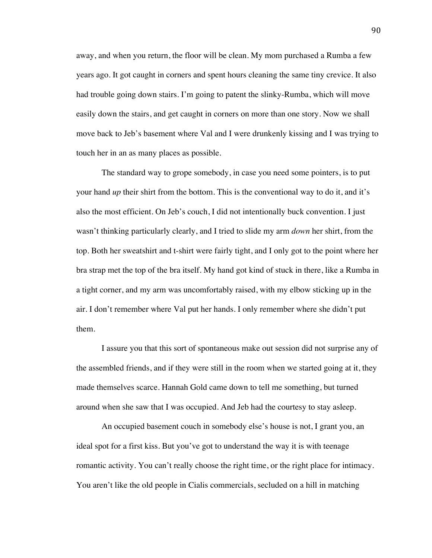away, and when you return, the floor will be clean. My mom purchased a Rumba a few years ago. It got caught in corners and spent hours cleaning the same tiny crevice. It also had trouble going down stairs. I'm going to patent the slinky-Rumba, which will move easily down the stairs, and get caught in corners on more than one story. Now we shall move back to Jeb's basement where Val and I were drunkenly kissing and I was trying to touch her in an as many places as possible.

The standard way to grope somebody, in case you need some pointers, is to put your hand *up* their shirt from the bottom. This is the conventional way to do it, and it's also the most efficient. On Jeb's couch, I did not intentionally buck convention. I just wasn't thinking particularly clearly, and I tried to slide my arm *down* her shirt, from the top. Both her sweatshirt and t-shirt were fairly tight, and I only got to the point where her bra strap met the top of the bra itself. My hand got kind of stuck in there, like a Rumba in a tight corner, and my arm was uncomfortably raised, with my elbow sticking up in the air. I don't remember where Val put her hands. I only remember where she didn't put them.

I assure you that this sort of spontaneous make out session did not surprise any of the assembled friends, and if they were still in the room when we started going at it, they made themselves scarce. Hannah Gold came down to tell me something, but turned around when she saw that I was occupied. And Jeb had the courtesy to stay asleep.

An occupied basement couch in somebody else's house is not, I grant you, an ideal spot for a first kiss. But you've got to understand the way it is with teenage romantic activity. You can't really choose the right time, or the right place for intimacy. You aren't like the old people in Cialis commercials, secluded on a hill in matching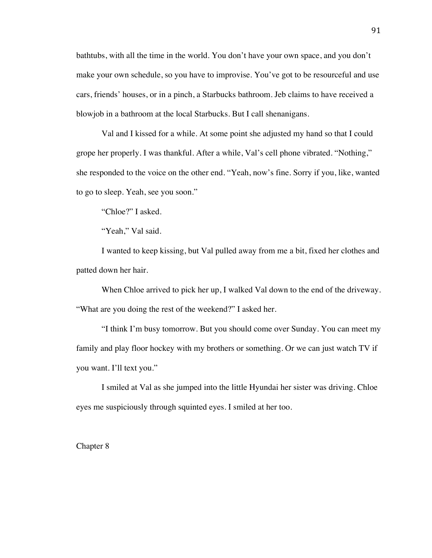bathtubs, with all the time in the world. You don't have your own space, and you don't make your own schedule, so you have to improvise. You've got to be resourceful and use cars, friends' houses, or in a pinch, a Starbucks bathroom. Jeb claims to have received a blowjob in a bathroom at the local Starbucks. But I call shenanigans.

Val and I kissed for a while. At some point she adjusted my hand so that I could grope her properly. I was thankful. After a while, Val's cell phone vibrated. "Nothing," she responded to the voice on the other end. "Yeah, now's fine. Sorry if you, like, wanted to go to sleep. Yeah, see you soon."

"Chloe?" I asked.

"Yeah," Val said.

I wanted to keep kissing, but Val pulled away from me a bit, fixed her clothes and patted down her hair.

When Chloe arrived to pick her up, I walked Val down to the end of the driveway. "What are you doing the rest of the weekend?" I asked her.

"I think I'm busy tomorrow. But you should come over Sunday. You can meet my family and play floor hockey with my brothers or something. Or we can just watch TV if you want. I'll text you."

I smiled at Val as she jumped into the little Hyundai her sister was driving. Chloe eyes me suspiciously through squinted eyes. I smiled at her too.

Chapter 8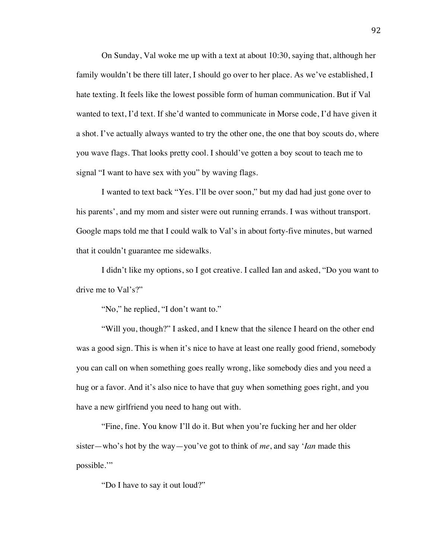On Sunday, Val woke me up with a text at about 10:30, saying that, although her family wouldn't be there till later, I should go over to her place. As we've established, I hate texting. It feels like the lowest possible form of human communication. But if Val wanted to text, I'd text. If she'd wanted to communicate in Morse code, I'd have given it a shot. I've actually always wanted to try the other one, the one that boy scouts do, where you wave flags. That looks pretty cool. I should've gotten a boy scout to teach me to signal "I want to have sex with you" by waving flags.

I wanted to text back "Yes. I'll be over soon," but my dad had just gone over to his parents', and my mom and sister were out running errands. I was without transport. Google maps told me that I could walk to Val's in about forty-five minutes, but warned that it couldn't guarantee me sidewalks.

I didn't like my options, so I got creative. I called Ian and asked, "Do you want to drive me to Val's?"

"No," he replied, "I don't want to."

"Will you, though?" I asked, and I knew that the silence I heard on the other end was a good sign. This is when it's nice to have at least one really good friend, somebody you can call on when something goes really wrong, like somebody dies and you need a hug or a favor. And it's also nice to have that guy when something goes right, and you have a new girlfriend you need to hang out with.

"Fine, fine. You know I'll do it. But when you're fucking her and her older sister—who's hot by the way—you've got to think of *me*, and say '*Ian* made this possible."

"Do I have to say it out loud?"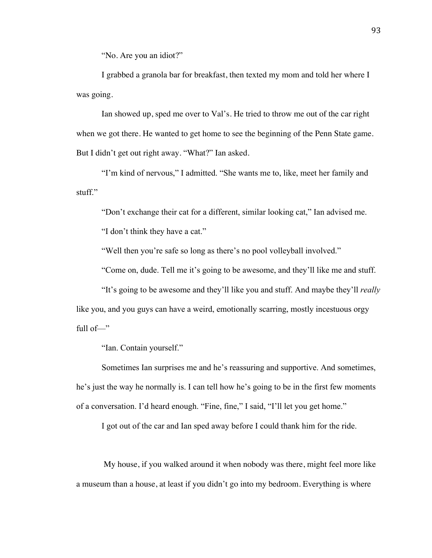"No. Are you an idiot?"

I grabbed a granola bar for breakfast, then texted my mom and told her where I was going.

Ian showed up, sped me over to Val's. He tried to throw me out of the car right when we got there. He wanted to get home to see the beginning of the Penn State game. But I didn't get out right away. "What?" Ian asked.

"I'm kind of nervous," I admitted. "She wants me to, like, meet her family and stuff."

"Don't exchange their cat for a different, similar looking cat," Ian advised me.

"I don't think they have a cat."

"Well then you're safe so long as there's no pool volleyball involved."

"Come on, dude. Tell me it's going to be awesome, and they'll like me and stuff.

"It's going to be awesome and they'll like you and stuff. And maybe they'll *really* like you, and you guys can have a weird, emotionally scarring, mostly incestuous orgy full of—"

"Ian. Contain yourself."

Sometimes Ian surprises me and he's reassuring and supportive. And sometimes, he's just the way he normally is. I can tell how he's going to be in the first few moments of a conversation. I'd heard enough. "Fine, fine," I said, "I'll let you get home."

I got out of the car and Ian sped away before I could thank him for the ride.

 My house, if you walked around it when nobody was there, might feel more like a museum than a house, at least if you didn't go into my bedroom. Everything is where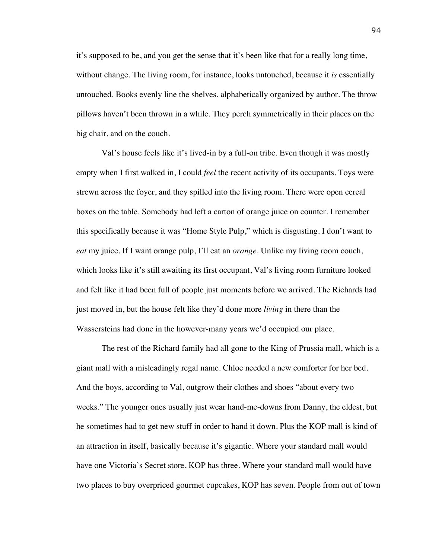it's supposed to be, and you get the sense that it's been like that for a really long time, without change. The living room, for instance, looks untouched, because it *is* essentially untouched. Books evenly line the shelves, alphabetically organized by author. The throw pillows haven't been thrown in a while. They perch symmetrically in their places on the big chair, and on the couch.

Val's house feels like it's lived-in by a full-on tribe. Even though it was mostly empty when I first walked in, I could *feel* the recent activity of its occupants. Toys were strewn across the foyer, and they spilled into the living room. There were open cereal boxes on the table. Somebody had left a carton of orange juice on counter. I remember this specifically because it was "Home Style Pulp," which is disgusting. I don't want to *eat* my juice. If I want orange pulp, I'll eat an *orange*. Unlike my living room couch, which looks like it's still awaiting its first occupant, Val's living room furniture looked and felt like it had been full of people just moments before we arrived. The Richards had just moved in, but the house felt like they'd done more *living* in there than the Wassersteins had done in the however-many years we'd occupied our place.

The rest of the Richard family had all gone to the King of Prussia mall, which is a giant mall with a misleadingly regal name. Chloe needed a new comforter for her bed. And the boys, according to Val, outgrow their clothes and shoes "about every two weeks." The younger ones usually just wear hand-me-downs from Danny, the eldest, but he sometimes had to get new stuff in order to hand it down. Plus the KOP mall is kind of an attraction in itself, basically because it's gigantic. Where your standard mall would have one Victoria's Secret store, KOP has three. Where your standard mall would have two places to buy overpriced gourmet cupcakes, KOP has seven. People from out of town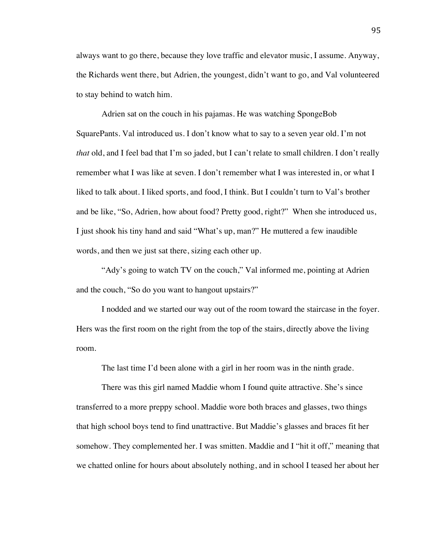always want to go there, because they love traffic and elevator music, I assume. Anyway, the Richards went there, but Adrien, the youngest, didn't want to go, and Val volunteered to stay behind to watch him.

Adrien sat on the couch in his pajamas. He was watching SpongeBob SquarePants. Val introduced us. I don't know what to say to a seven year old. I'm not *that* old, and I feel bad that I'm so jaded, but I can't relate to small children. I don't really remember what I was like at seven. I don't remember what I was interested in, or what I liked to talk about. I liked sports, and food, I think. But I couldn't turn to Val's brother and be like, "So, Adrien, how about food? Pretty good, right?" When she introduced us, I just shook his tiny hand and said "What's up, man?" He muttered a few inaudible words, and then we just sat there, sizing each other up.

"Ady's going to watch TV on the couch," Val informed me, pointing at Adrien and the couch, "So do you want to hangout upstairs?"

I nodded and we started our way out of the room toward the staircase in the foyer. Hers was the first room on the right from the top of the stairs, directly above the living room.

The last time I'd been alone with a girl in her room was in the ninth grade.

There was this girl named Maddie whom I found quite attractive. She's since transferred to a more preppy school. Maddie wore both braces and glasses, two things that high school boys tend to find unattractive. But Maddie's glasses and braces fit her somehow. They complemented her. I was smitten. Maddie and I "hit it off," meaning that we chatted online for hours about absolutely nothing, and in school I teased her about her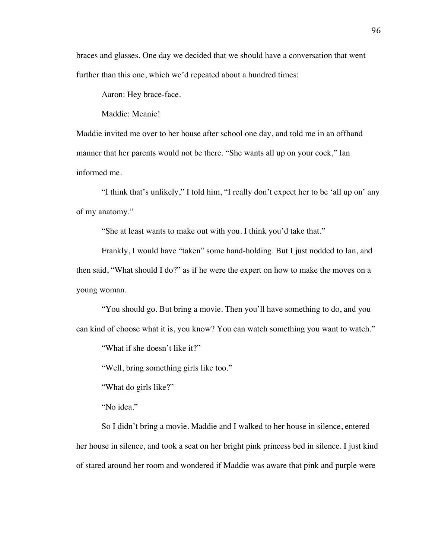braces and glasses. One day we decided that we should have a conversation that went further than this one, which we'd repeated about a hundred times:

Aaron: Hey brace-face.

Maddie: Meanie!

Maddie invited me over to her house after school one day, and told me in an offhand manner that her parents would not be there. "She wants all up on your cock," Ian informed me.

"I think that's unlikely," I told him, "I really don't expect her to be 'all up on' any of my anatomy."

"She at least wants to make out with you. I think you'd take that."

Frankly, I would have "taken" some hand-holding. But I just nodded to Ian, and then said, "What should I do?" as if he were the expert on how to make the moves on a young woman.

"You should go. But bring a movie. Then you'll have something to do, and you can kind of choose what it is, you know? You can watch something you want to watch."

"What if she doesn't like it?"

"Well, bring something girls like too."

"What do girls like?"

"No idea."

So I didn't bring a movie. Maddie and I walked to her house in silence, entered her house in silence, and took a seat on her bright pink princess bed in silence. I just kind of stared around her room and wondered if Maddie was aware that pink and purple were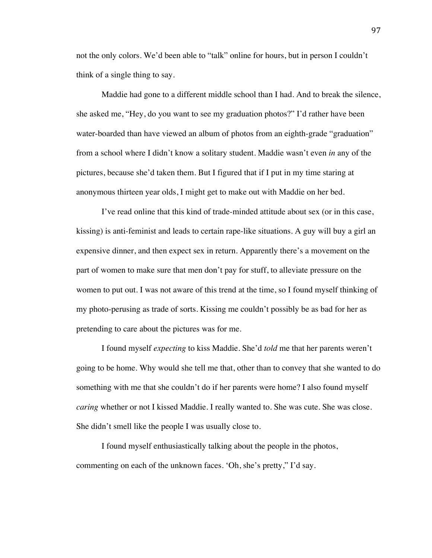not the only colors. We'd been able to "talk" online for hours, but in person I couldn't think of a single thing to say.

Maddie had gone to a different middle school than I had. And to break the silence, she asked me, "Hey, do you want to see my graduation photos?" I'd rather have been water-boarded than have viewed an album of photos from an eighth-grade "graduation" from a school where I didn't know a solitary student. Maddie wasn't even *in* any of the pictures, because she'd taken them. But I figured that if I put in my time staring at anonymous thirteen year olds, I might get to make out with Maddie on her bed.

I've read online that this kind of trade-minded attitude about sex (or in this case, kissing) is anti-feminist and leads to certain rape-like situations. A guy will buy a girl an expensive dinner, and then expect sex in return. Apparently there's a movement on the part of women to make sure that men don't pay for stuff, to alleviate pressure on the women to put out. I was not aware of this trend at the time, so I found myself thinking of my photo-perusing as trade of sorts. Kissing me couldn't possibly be as bad for her as pretending to care about the pictures was for me.

I found myself *expecting* to kiss Maddie. She'd *told* me that her parents weren't going to be home. Why would she tell me that, other than to convey that she wanted to do something with me that she couldn't do if her parents were home? I also found myself *caring* whether or not I kissed Maddie. I really wanted to. She was cute. She was close. She didn't smell like the people I was usually close to.

I found myself enthusiastically talking about the people in the photos, commenting on each of the unknown faces. 'Oh, she's pretty," I'd say.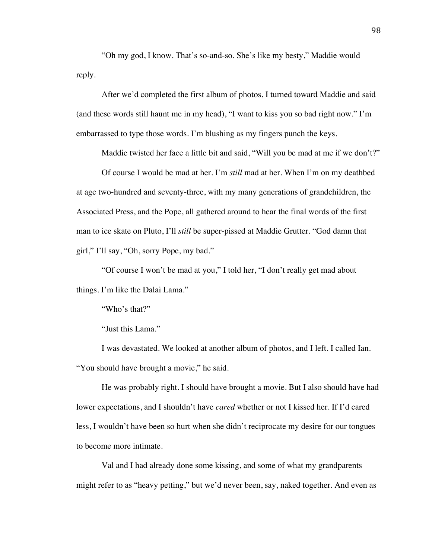"Oh my god, I know. That's so-and-so. She's like my besty," Maddie would reply.

After we'd completed the first album of photos, I turned toward Maddie and said (and these words still haunt me in my head), "I want to kiss you so bad right now." I'm embarrassed to type those words. I'm blushing as my fingers punch the keys.

Maddie twisted her face a little bit and said, "Will you be mad at me if we don't?"

Of course I would be mad at her. I'm *still* mad at her. When I'm on my deathbed at age two-hundred and seventy-three, with my many generations of grandchildren, the Associated Press, and the Pope, all gathered around to hear the final words of the first man to ice skate on Pluto, I'll *still* be super-pissed at Maddie Grutter. "God damn that girl," I'll say, "Oh, sorry Pope, my bad."

"Of course I won't be mad at you," I told her, "I don't really get mad about things. I'm like the Dalai Lama."

"Who's that?"

"Just this Lama."

I was devastated. We looked at another album of photos, and I left. I called Ian. "You should have brought a movie," he said.

He was probably right. I should have brought a movie. But I also should have had lower expectations, and I shouldn't have *cared* whether or not I kissed her. If I'd cared less, I wouldn't have been so hurt when she didn't reciprocate my desire for our tongues to become more intimate.

Val and I had already done some kissing, and some of what my grandparents might refer to as "heavy petting," but we'd never been, say, naked together. And even as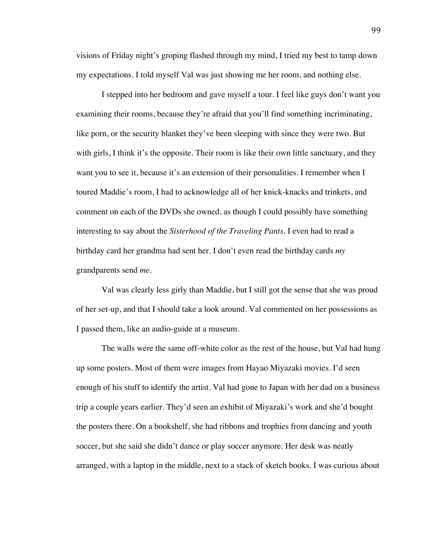visions of Friday night's groping flashed through my mind, I tried my best to tamp down my expectations. I told myself Val was just showing me her room, and nothing else.

I stepped into her bedroom and gave myself a tour. I feel like guys don't want you examining their rooms, because they're afraid that you'll find something incriminating, like porn, or the security blanket they've been sleeping with since they were two. But with girls, I think it's the opposite. Their room is like their own little sanctuary, and they want you to see it, because it's an extension of their personalities. I remember when I toured Maddie's room, I had to acknowledge all of her knick-knacks and trinkets, and comment on each of the DVDs she owned, as though I could possibly have something interesting to say about the *Sisterhood of the Traveling Pants*. I even had to read a birthday card her grandma had sent her. I don't even read the birthday cards *my* grandparents send *me*.

Val was clearly less girly than Maddie, but I still got the sense that she was proud of her set-up, and that I should take a look around. Val commented on her possessions as I passed them, like an audio-guide at a museum.

The walls were the same off-white color as the rest of the house, but Val had hung up some posters. Most of them were images from Hayao Miyazaki movies. I'd seen enough of his stuff to identify the artist. Val had gone to Japan with her dad on a business trip a couple years earlier. They'd seen an exhibit of Miyazaki's work and she'd bought the posters there. On a bookshelf, she had ribbons and trophies from dancing and youth soccer, but she said she didn't dance or play soccer anymore. Her desk was neatly arranged, with a laptop in the middle, next to a stack of sketch books. I was curious about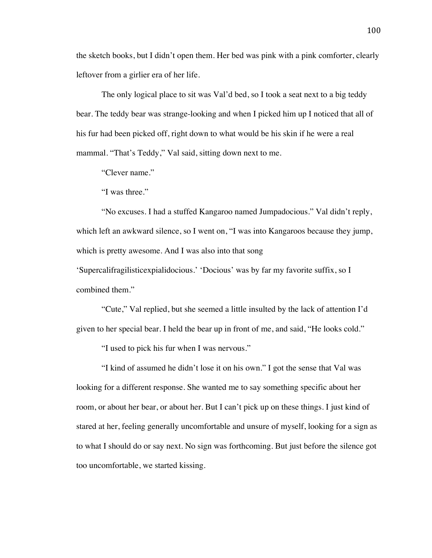the sketch books, but I didn't open them. Her bed was pink with a pink comforter, clearly leftover from a girlier era of her life.

The only logical place to sit was Val'd bed, so I took a seat next to a big teddy bear. The teddy bear was strange-looking and when I picked him up I noticed that all of his fur had been picked off, right down to what would be his skin if he were a real mammal. "That's Teddy," Val said, sitting down next to me.

"Clever name."

"I was three."

"No excuses. I had a stuffed Kangaroo named Jumpadocious." Val didn't reply, which left an awkward silence, so I went on, "I was into Kangaroos because they jump, which is pretty awesome. And I was also into that song 'Supercalifragilisticexpialidocious.' 'Docious' was by far my favorite suffix, so I

combined them."

"Cute," Val replied, but she seemed a little insulted by the lack of attention I'd given to her special bear. I held the bear up in front of me, and said, "He looks cold."

"I used to pick his fur when I was nervous."

"I kind of assumed he didn't lose it on his own." I got the sense that Val was looking for a different response. She wanted me to say something specific about her room, or about her bear, or about her. But I can't pick up on these things. I just kind of stared at her, feeling generally uncomfortable and unsure of myself, looking for a sign as to what I should do or say next. No sign was forthcoming. But just before the silence got too uncomfortable, we started kissing.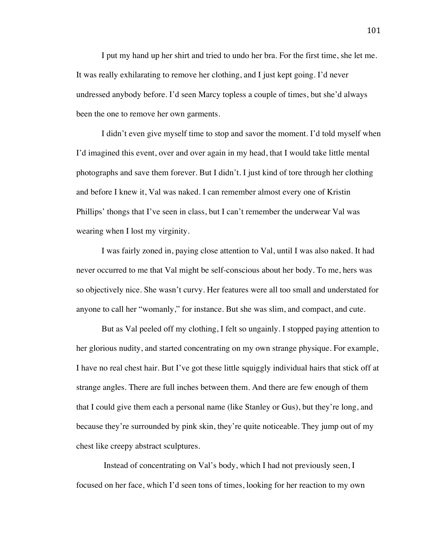I put my hand up her shirt and tried to undo her bra. For the first time, she let me. It was really exhilarating to remove her clothing, and I just kept going. I'd never undressed anybody before. I'd seen Marcy topless a couple of times, but she'd always been the one to remove her own garments.

I didn't even give myself time to stop and savor the moment. I'd told myself when I'd imagined this event, over and over again in my head, that I would take little mental photographs and save them forever. But I didn't. I just kind of tore through her clothing and before I knew it, Val was naked. I can remember almost every one of Kristin Phillips' thongs that I've seen in class, but I can't remember the underwear Val was wearing when I lost my virginity.

I was fairly zoned in, paying close attention to Val, until I was also naked. It had never occurred to me that Val might be self-conscious about her body. To me, hers was so objectively nice. She wasn't curvy. Her features were all too small and understated for anyone to call her "womanly," for instance. But she was slim, and compact, and cute.

But as Val peeled off my clothing, I felt so ungainly. I stopped paying attention to her glorious nudity, and started concentrating on my own strange physique. For example, I have no real chest hair. But I've got these little squiggly individual hairs that stick off at strange angles. There are full inches between them. And there are few enough of them that I could give them each a personal name (like Stanley or Gus), but they're long, and because they're surrounded by pink skin, they're quite noticeable. They jump out of my chest like creepy abstract sculptures.

 Instead of concentrating on Val's body, which I had not previously seen, I focused on her face, which I'd seen tons of times, looking for her reaction to my own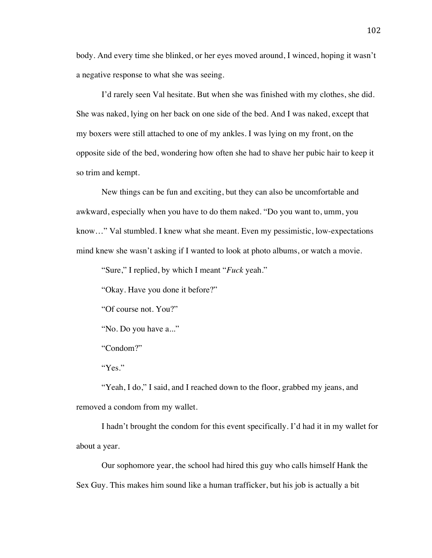body. And every time she blinked, or her eyes moved around, I winced, hoping it wasn't a negative response to what she was seeing.

I'd rarely seen Val hesitate. But when she was finished with my clothes, she did. She was naked, lying on her back on one side of the bed. And I was naked, except that my boxers were still attached to one of my ankles. I was lying on my front, on the opposite side of the bed, wondering how often she had to shave her pubic hair to keep it so trim and kempt.

New things can be fun and exciting, but they can also be uncomfortable and awkward, especially when you have to do them naked. "Do you want to, umm, you know…" Val stumbled. I knew what she meant. Even my pessimistic, low-expectations mind knew she wasn't asking if I wanted to look at photo albums, or watch a movie.

"Sure," I replied, by which I meant "*Fuck* yeah."

"Okay. Have you done it before?"

"Of course not. You?"

"No. Do you have a..."

"Condom?"

"Yes."

"Yeah, I do," I said, and I reached down to the floor, grabbed my jeans, and removed a condom from my wallet.

I hadn't brought the condom for this event specifically. I'd had it in my wallet for about a year.

Our sophomore year, the school had hired this guy who calls himself Hank the Sex Guy. This makes him sound like a human trafficker, but his job is actually a bit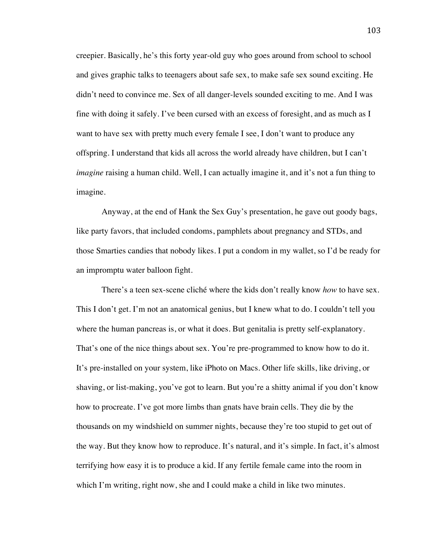creepier. Basically, he's this forty year-old guy who goes around from school to school and gives graphic talks to teenagers about safe sex, to make safe sex sound exciting. He didn't need to convince me. Sex of all danger-levels sounded exciting to me. And I was fine with doing it safely. I've been cursed with an excess of foresight, and as much as I want to have sex with pretty much every female I see, I don't want to produce any offspring. I understand that kids all across the world already have children, but I can't *imagine* raising a human child. Well, I can actually imagine it, and it's not a fun thing to imagine.

Anyway, at the end of Hank the Sex Guy's presentation, he gave out goody bags, like party favors, that included condoms, pamphlets about pregnancy and STDs, and those Smarties candies that nobody likes. I put a condom in my wallet, so I'd be ready for an impromptu water balloon fight.

There's a teen sex-scene cliché where the kids don't really know *how* to have sex. This I don't get. I'm not an anatomical genius, but I knew what to do. I couldn't tell you where the human pancreas is, or what it does. But genitalia is pretty self-explanatory. That's one of the nice things about sex. You're pre-programmed to know how to do it. It's pre-installed on your system, like iPhoto on Macs. Other life skills, like driving, or shaving, or list-making, you've got to learn. But you're a shitty animal if you don't know how to procreate. I've got more limbs than gnats have brain cells. They die by the thousands on my windshield on summer nights, because they're too stupid to get out of the way. But they know how to reproduce. It's natural, and it's simple. In fact, it's almost terrifying how easy it is to produce a kid. If any fertile female came into the room in which I'm writing, right now, she and I could make a child in like two minutes.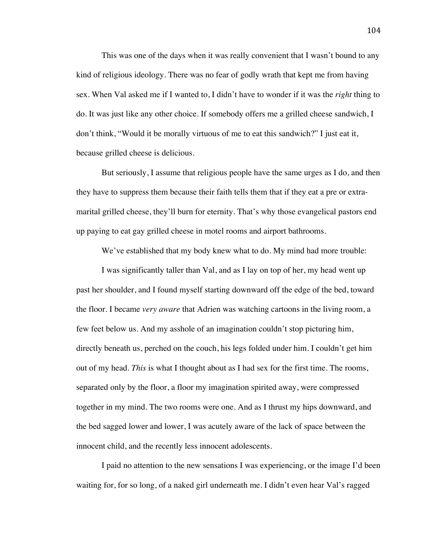This was one of the days when it was really convenient that I wasn't bound to any kind of religious ideology. There was no fear of godly wrath that kept me from having sex. When Val asked me if I wanted to, I didn't have to wonder if it was the *right* thing to do. It was just like any other choice. If somebody offers me a grilled cheese sandwich, I don't think, "Would it be morally virtuous of me to eat this sandwich?" I just eat it, because grilled cheese is delicious.

But seriously, I assume that religious people have the same urges as I do, and then they have to suppress them because their faith tells them that if they eat a pre or extramarital grilled cheese, they'll burn for eternity. That's why those evangelical pastors end up paying to eat gay grilled cheese in motel rooms and airport bathrooms.

We've established that my body knew what to do. My mind had more trouble:

I was significantly taller than Val, and as I lay on top of her, my head went up past her shoulder, and I found myself starting downward off the edge of the bed, toward the floor. I became *very aware* that Adrien was watching cartoons in the living room, a few feet below us. And my asshole of an imagination couldn't stop picturing him, directly beneath us, perched on the couch, his legs folded under him. I couldn't get him out of my head. *This* is what I thought about as I had sex for the first time. The rooms, separated only by the floor, a floor my imagination spirited away, were compressed together in my mind. The two rooms were one. And as I thrust my hips downward, and the bed sagged lower and lower, I was acutely aware of the lack of space between the innocent child, and the recently less innocent adolescents.

I paid no attention to the new sensations I was experiencing, or the image I'd been waiting for, for so long, of a naked girl underneath me. I didn't even hear Val's ragged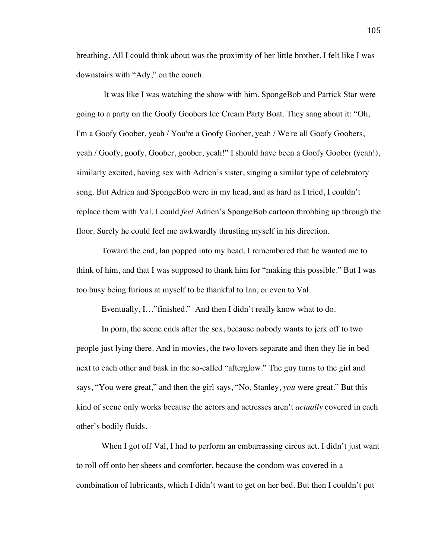breathing. All I could think about was the proximity of her little brother. I felt like I was downstairs with "Ady," on the couch.

 It was like I was watching the show with him. SpongeBob and Partick Star were going to a party on the Goofy Goobers Ice Cream Party Boat. They sang about it: "Oh, I'm a Goofy Goober, yeah / You're a Goofy Goober, yeah / We're all Goofy Goobers, yeah / Goofy, goofy, Goober, goober, yeah!" I should have been a Goofy Goober (yeah!), similarly excited, having sex with Adrien's sister, singing a similar type of celebratory song. But Adrien and SpongeBob were in my head, and as hard as I tried, I couldn't replace them with Val. I could *feel* Adrien's SpongeBob cartoon throbbing up through the floor. Surely he could feel me awkwardly thrusting myself in his direction.

Toward the end, Ian popped into my head. I remembered that he wanted me to think of him, and that I was supposed to thank him for "making this possible." But I was too busy being furious at myself to be thankful to Ian, or even to Val.

Eventually, I…"finished." And then I didn't really know what to do.

In porn, the scene ends after the sex, because nobody wants to jerk off to two people just lying there. And in movies, the two lovers separate and then they lie in bed next to each other and bask in the so-called "afterglow." The guy turns to the girl and says, "You were great," and then the girl says, "No, Stanley, *you* were great." But this kind of scene only works because the actors and actresses aren't *actually* covered in each other's bodily fluids.

When I got off Val, I had to perform an embarrassing circus act. I didn't just want to roll off onto her sheets and comforter, because the condom was covered in a combination of lubricants, which I didn't want to get on her bed. But then I couldn't put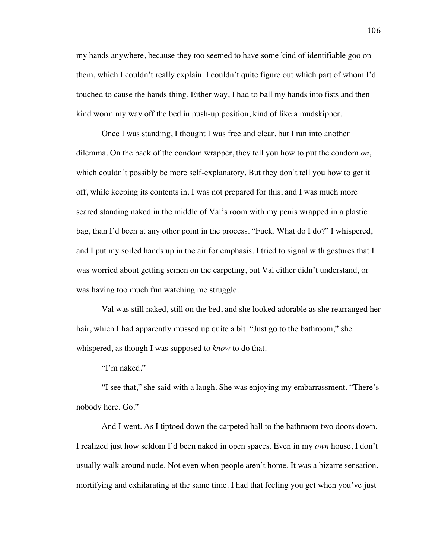my hands anywhere, because they too seemed to have some kind of identifiable goo on them, which I couldn't really explain. I couldn't quite figure out which part of whom I'd touched to cause the hands thing. Either way, I had to ball my hands into fists and then kind worm my way off the bed in push-up position, kind of like a mudskipper.

Once I was standing, I thought I was free and clear, but I ran into another dilemma. On the back of the condom wrapper, they tell you how to put the condom *on*, which couldn't possibly be more self-explanatory. But they don't tell you how to get it off, while keeping its contents in. I was not prepared for this, and I was much more scared standing naked in the middle of Val's room with my penis wrapped in a plastic bag, than I'd been at any other point in the process. "Fuck. What do I do?" I whispered, and I put my soiled hands up in the air for emphasis. I tried to signal with gestures that I was worried about getting semen on the carpeting, but Val either didn't understand, or was having too much fun watching me struggle.

Val was still naked, still on the bed, and she looked adorable as she rearranged her hair, which I had apparently mussed up quite a bit. "Just go to the bathroom," she whispered, as though I was supposed to *know* to do that.

"I'm naked."

"I see that," she said with a laugh. She was enjoying my embarrassment. "There's nobody here. Go."

And I went. As I tiptoed down the carpeted hall to the bathroom two doors down, I realized just how seldom I'd been naked in open spaces. Even in my *own* house, I don't usually walk around nude. Not even when people aren't home. It was a bizarre sensation, mortifying and exhilarating at the same time. I had that feeling you get when you've just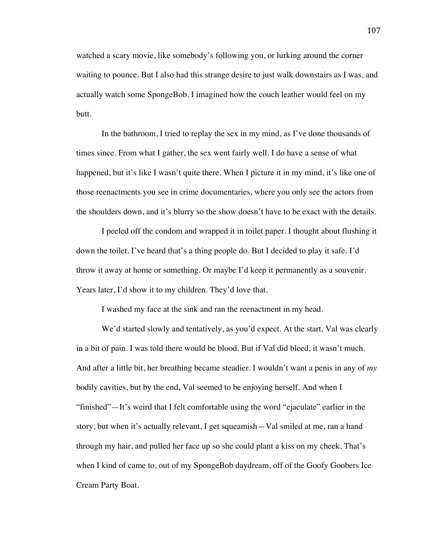watched a scary movie, like somebody's following you, or lurking around the corner waiting to pounce. But I also had this strange desire to just walk downstairs as I was, and actually watch some SpongeBob. I imagined how the couch leather would feel on my butt.

In the bathroom, I tried to replay the sex in my mind, as I've done thousands of times since. From what I gather, the sex went fairly well. I do have a sense of what happened, but it's like I wasn't quite there. When I picture it in my mind, it's like one of those reenactments you see in crime documentaries, where you only see the actors from the shoulders down, and it's blurry so the show doesn't have to be exact with the details.

I peeled off the condom and wrapped it in toilet paper. I thought about flushing it down the toilet. I've heard that's a thing people do. But I decided to play it safe. I'd throw it away at home or something. Or maybe I'd keep it permanently as a souvenir. Years later, I'd show it to my children. They'd love that.

I washed my face at the sink and ran the reenactment in my head.

We'd started slowly and tentatively, as you'd expect. At the start, Val was clearly in a bit of pain. I was told there would be blood. But if Val did bleed, it wasn't much. And after a little bit, her breathing became steadier. I wouldn't want a penis in any of *my* bodily cavities, but by the end, Val seemed to be enjoying herself. And when I "finished"—It's weird that I felt comfortable using the word "ejaculate" earlier in the story, but when it's actually relevant, I get squeamish—Val smiled at me, ran a hand through my hair, and pulled her face up so she could plant a kiss on my cheek. That's when I kind of came to, out of my SpongeBob daydream, off of the Goofy Goobers Ice Cream Party Boat.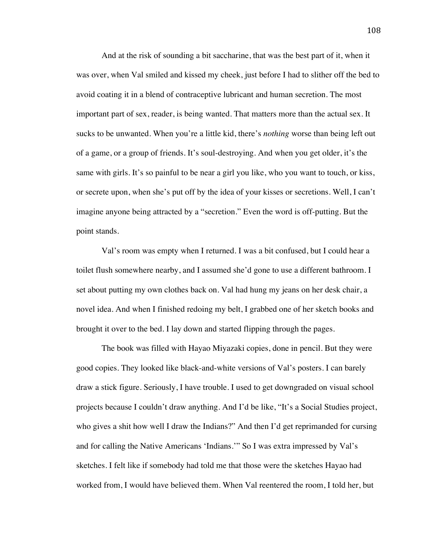And at the risk of sounding a bit saccharine, that was the best part of it, when it was over, when Val smiled and kissed my cheek, just before I had to slither off the bed to avoid coating it in a blend of contraceptive lubricant and human secretion. The most important part of sex, reader, is being wanted. That matters more than the actual sex. It sucks to be unwanted. When you're a little kid, there's *nothing* worse than being left out of a game, or a group of friends. It's soul-destroying. And when you get older, it's the same with girls. It's so painful to be near a girl you like, who you want to touch, or kiss, or secrete upon, when she's put off by the idea of your kisses or secretions. Well, I can't imagine anyone being attracted by a "secretion." Even the word is off-putting. But the point stands.

Val's room was empty when I returned. I was a bit confused, but I could hear a toilet flush somewhere nearby, and I assumed she'd gone to use a different bathroom. I set about putting my own clothes back on. Val had hung my jeans on her desk chair, a novel idea. And when I finished redoing my belt, I grabbed one of her sketch books and brought it over to the bed. I lay down and started flipping through the pages.

The book was filled with Hayao Miyazaki copies, done in pencil. But they were good copies. They looked like black-and-white versions of Val's posters. I can barely draw a stick figure. Seriously, I have trouble. I used to get downgraded on visual school projects because I couldn't draw anything. And I'd be like, "It's a Social Studies project, who gives a shit how well I draw the Indians?" And then I'd get reprimanded for cursing and for calling the Native Americans 'Indians.'" So I was extra impressed by Val's sketches. I felt like if somebody had told me that those were the sketches Hayao had worked from, I would have believed them. When Val reentered the room, I told her, but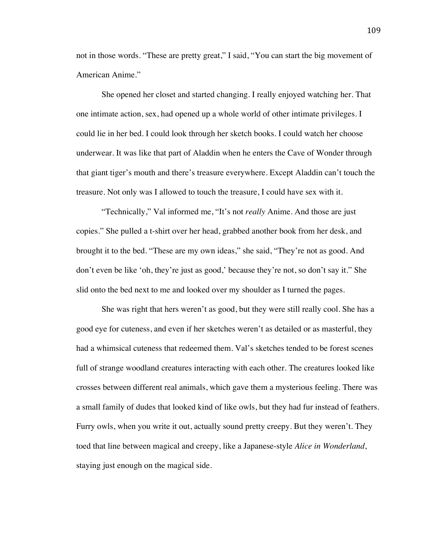not in those words. "These are pretty great," I said, "You can start the big movement of American Anime."

She opened her closet and started changing. I really enjoyed watching her. That one intimate action, sex, had opened up a whole world of other intimate privileges. I could lie in her bed. I could look through her sketch books. I could watch her choose underwear. It was like that part of Aladdin when he enters the Cave of Wonder through that giant tiger's mouth and there's treasure everywhere. Except Aladdin can't touch the treasure. Not only was I allowed to touch the treasure, I could have sex with it.

"Technically," Val informed me, "It's not *really* Anime. And those are just copies." She pulled a t-shirt over her head, grabbed another book from her desk, and brought it to the bed. "These are my own ideas," she said, "They're not as good. And don't even be like 'oh, they're just as good,' because they're not, so don't say it." She slid onto the bed next to me and looked over my shoulder as I turned the pages.

She was right that hers weren't as good, but they were still really cool. She has a good eye for cuteness, and even if her sketches weren't as detailed or as masterful, they had a whimsical cuteness that redeemed them. Val's sketches tended to be forest scenes full of strange woodland creatures interacting with each other. The creatures looked like crosses between different real animals, which gave them a mysterious feeling. There was a small family of dudes that looked kind of like owls, but they had fur instead of feathers. Furry owls, when you write it out, actually sound pretty creepy. But they weren't. They toed that line between magical and creepy, like a Japanese-style *Alice in Wonderland*, staying just enough on the magical side.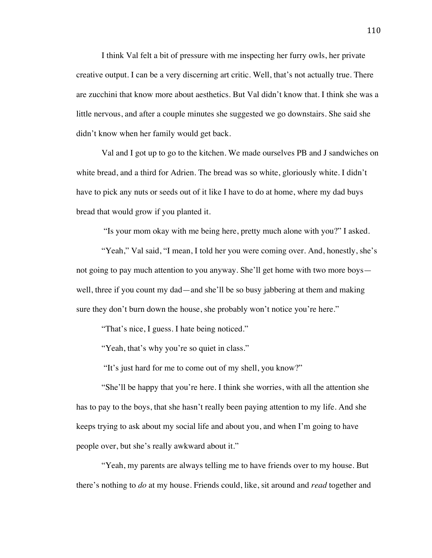I think Val felt a bit of pressure with me inspecting her furry owls, her private creative output. I can be a very discerning art critic. Well, that's not actually true. There are zucchini that know more about aesthetics. But Val didn't know that. I think she was a little nervous, and after a couple minutes she suggested we go downstairs. She said she didn't know when her family would get back.

Val and I got up to go to the kitchen. We made ourselves PB and J sandwiches on white bread, and a third for Adrien. The bread was so white, gloriously white. I didn't have to pick any nuts or seeds out of it like I have to do at home, where my dad buys bread that would grow if you planted it.

"Is your mom okay with me being here, pretty much alone with you?" I asked.

"Yeah," Val said, "I mean, I told her you were coming over. And, honestly, she's not going to pay much attention to you anyway. She'll get home with two more boys well, three if you count my dad—and she'll be so busy jabbering at them and making sure they don't burn down the house, she probably won't notice you're here."

"That's nice, I guess. I hate being noticed."

"Yeah, that's why you're so quiet in class."

"It's just hard for me to come out of my shell, you know?"

"She'll be happy that you're here. I think she worries, with all the attention she has to pay to the boys, that she hasn't really been paying attention to my life. And she keeps trying to ask about my social life and about you, and when I'm going to have people over, but she's really awkward about it."

"Yeah, my parents are always telling me to have friends over to my house. But there's nothing to *do* at my house. Friends could, like, sit around and *read* together and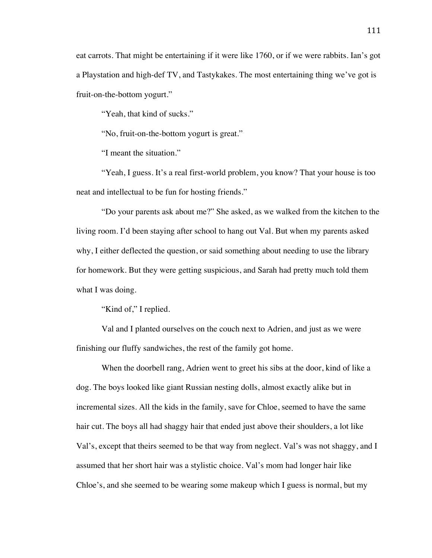eat carrots. That might be entertaining if it were like 1760, or if we were rabbits. Ian's got a Playstation and high-def TV, and Tastykakes. The most entertaining thing we've got is fruit-on-the-bottom yogurt."

"Yeah, that kind of sucks."

"No, fruit-on-the-bottom yogurt is great."

"I meant the situation."

"Yeah, I guess. It's a real first-world problem, you know? That your house is too neat and intellectual to be fun for hosting friends."

"Do your parents ask about me?" She asked, as we walked from the kitchen to the living room. I'd been staying after school to hang out Val. But when my parents asked why, I either deflected the question, or said something about needing to use the library for homework. But they were getting suspicious, and Sarah had pretty much told them what I was doing.

"Kind of," I replied.

Val and I planted ourselves on the couch next to Adrien, and just as we were finishing our fluffy sandwiches, the rest of the family got home.

When the doorbell rang, Adrien went to greet his sibs at the door, kind of like a dog. The boys looked like giant Russian nesting dolls, almost exactly alike but in incremental sizes. All the kids in the family, save for Chloe, seemed to have the same hair cut. The boys all had shaggy hair that ended just above their shoulders, a lot like Val's, except that theirs seemed to be that way from neglect. Val's was not shaggy, and I assumed that her short hair was a stylistic choice. Val's mom had longer hair like Chloe's, and she seemed to be wearing some makeup which I guess is normal, but my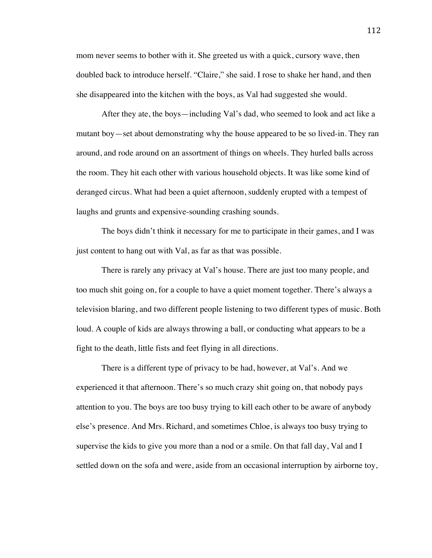mom never seems to bother with it. She greeted us with a quick, cursory wave, then doubled back to introduce herself. "Claire," she said. I rose to shake her hand, and then she disappeared into the kitchen with the boys, as Val had suggested she would.

After they ate, the boys—including Val's dad, who seemed to look and act like a mutant boy—set about demonstrating why the house appeared to be so lived-in. They ran around, and rode around on an assortment of things on wheels. They hurled balls across the room. They hit each other with various household objects. It was like some kind of deranged circus. What had been a quiet afternoon, suddenly erupted with a tempest of laughs and grunts and expensive-sounding crashing sounds.

The boys didn't think it necessary for me to participate in their games, and I was just content to hang out with Val, as far as that was possible.

There is rarely any privacy at Val's house. There are just too many people, and too much shit going on, for a couple to have a quiet moment together. There's always a television blaring, and two different people listening to two different types of music. Both loud. A couple of kids are always throwing a ball, or conducting what appears to be a fight to the death, little fists and feet flying in all directions.

There is a different type of privacy to be had, however, at Val's. And we experienced it that afternoon. There's so much crazy shit going on, that nobody pays attention to you. The boys are too busy trying to kill each other to be aware of anybody else's presence. And Mrs. Richard, and sometimes Chloe, is always too busy trying to supervise the kids to give you more than a nod or a smile. On that fall day, Val and I settled down on the sofa and were, aside from an occasional interruption by airborne toy,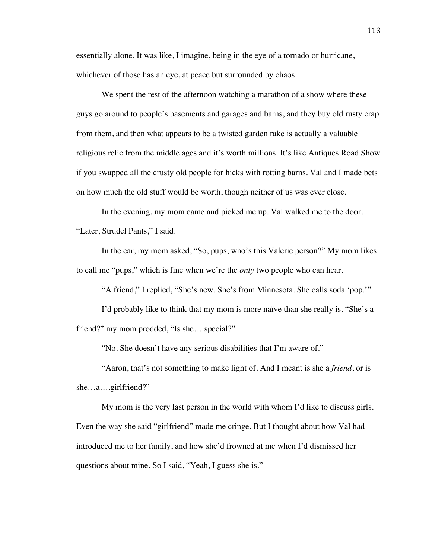essentially alone. It was like, I imagine, being in the eye of a tornado or hurricane, whichever of those has an eye, at peace but surrounded by chaos.

We spent the rest of the afternoon watching a marathon of a show where these guys go around to people's basements and garages and barns, and they buy old rusty crap from them, and then what appears to be a twisted garden rake is actually a valuable religious relic from the middle ages and it's worth millions. It's like Antiques Road Show if you swapped all the crusty old people for hicks with rotting barns. Val and I made bets on how much the old stuff would be worth, though neither of us was ever close.

In the evening, my mom came and picked me up. Val walked me to the door. "Later, Strudel Pants," I said.

In the car, my mom asked, "So, pups, who's this Valerie person?" My mom likes to call me "pups," which is fine when we're the *only* two people who can hear.

"A friend," I replied, "She's new. She's from Minnesota. She calls soda 'pop.'"

I'd probably like to think that my mom is more naïve than she really is. "She's a friend?" my mom prodded, "Is she... special?"

"No. She doesn't have any serious disabilities that I'm aware of."

"Aaron, that's not something to make light of. And I meant is she a *friend*, or is she…a….girlfriend?"

My mom is the very last person in the world with whom I'd like to discuss girls. Even the way she said "girlfriend" made me cringe. But I thought about how Val had introduced me to her family, and how she'd frowned at me when I'd dismissed her questions about mine. So I said, "Yeah, I guess she is."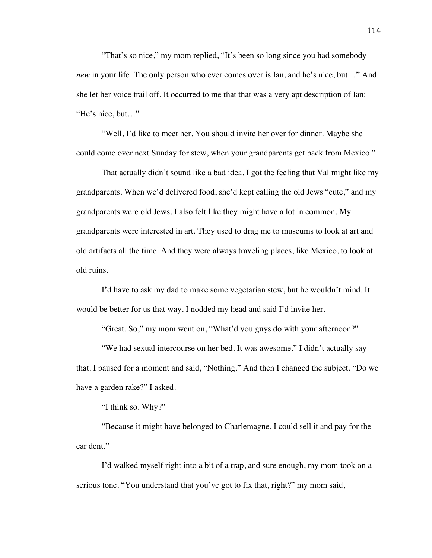"That's so nice," my mom replied, "It's been so long since you had somebody *new* in your life. The only person who ever comes over is Ian, and he's nice, but..." And she let her voice trail off. It occurred to me that that was a very apt description of Ian: "He's nice, but…"

"Well, I'd like to meet her. You should invite her over for dinner. Maybe she could come over next Sunday for stew, when your grandparents get back from Mexico."

That actually didn't sound like a bad idea. I got the feeling that Val might like my grandparents. When we'd delivered food, she'd kept calling the old Jews "cute," and my grandparents were old Jews. I also felt like they might have a lot in common. My grandparents were interested in art. They used to drag me to museums to look at art and old artifacts all the time. And they were always traveling places, like Mexico, to look at old ruins.

I'd have to ask my dad to make some vegetarian stew, but he wouldn't mind. It would be better for us that way. I nodded my head and said I'd invite her.

"Great. So," my mom went on, "What'd you guys do with your afternoon?"

"We had sexual intercourse on her bed. It was awesome." I didn't actually say that. I paused for a moment and said, "Nothing." And then I changed the subject. "Do we have a garden rake?" I asked.

"I think so. Why?"

"Because it might have belonged to Charlemagne. I could sell it and pay for the car dent."

I'd walked myself right into a bit of a trap, and sure enough, my mom took on a serious tone. "You understand that you've got to fix that, right?" my mom said,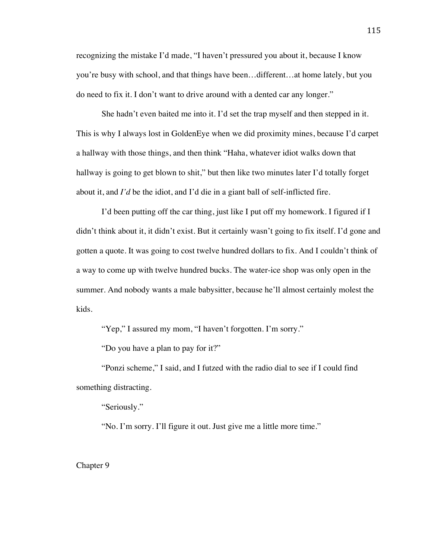recognizing the mistake I'd made, "I haven't pressured you about it, because I know you're busy with school, and that things have been…different…at home lately, but you do need to fix it. I don't want to drive around with a dented car any longer."

She hadn't even baited me into it. I'd set the trap myself and then stepped in it. This is why I always lost in GoldenEye when we did proximity mines, because I'd carpet a hallway with those things, and then think "Haha, whatever idiot walks down that hallway is going to get blown to shit," but then like two minutes later I'd totally forget about it, and *I'd* be the idiot, and I'd die in a giant ball of self-inflicted fire.

I'd been putting off the car thing, just like I put off my homework. I figured if I didn't think about it, it didn't exist. But it certainly wasn't going to fix itself. I'd gone and gotten a quote. It was going to cost twelve hundred dollars to fix. And I couldn't think of a way to come up with twelve hundred bucks. The water-ice shop was only open in the summer. And nobody wants a male babysitter, because he'll almost certainly molest the kids.

"Yep," I assured my mom, "I haven't forgotten. I'm sorry."

"Do you have a plan to pay for it?"

"Ponzi scheme," I said, and I futzed with the radio dial to see if I could find something distracting.

"Seriously."

"No. I'm sorry. I'll figure it out. Just give me a little more time."

Chapter 9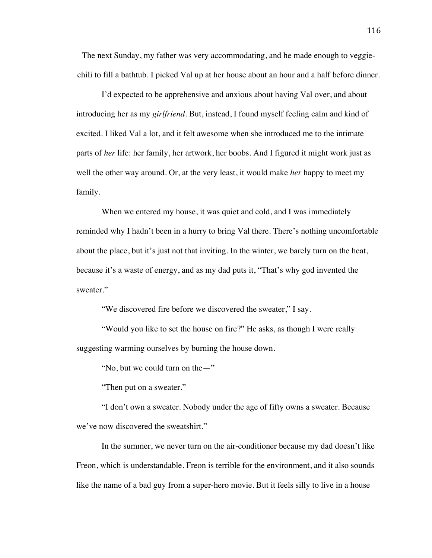The next Sunday, my father was very accommodating, and he made enough to veggiechili to fill a bathtub. I picked Val up at her house about an hour and a half before dinner.

I'd expected to be apprehensive and anxious about having Val over, and about introducing her as my *girlfriend*. But, instead, I found myself feeling calm and kind of excited. I liked Val a lot, and it felt awesome when she introduced me to the intimate parts of *her* life: her family, her artwork, her boobs. And I figured it might work just as well the other way around. Or, at the very least, it would make *her* happy to meet my family.

When we entered my house, it was quiet and cold, and I was immediately reminded why I hadn't been in a hurry to bring Val there. There's nothing uncomfortable about the place, but it's just not that inviting. In the winter, we barely turn on the heat, because it's a waste of energy, and as my dad puts it, "That's why god invented the sweater."

"We discovered fire before we discovered the sweater," I say.

"Would you like to set the house on fire?" He asks, as though I were really suggesting warming ourselves by burning the house down.

"No, but we could turn on the—"

"Then put on a sweater."

"I don't own a sweater. Nobody under the age of fifty owns a sweater. Because we've now discovered the sweatshirt."

In the summer, we never turn on the air-conditioner because my dad doesn't like Freon, which is understandable. Freon is terrible for the environment, and it also sounds like the name of a bad guy from a super-hero movie. But it feels silly to live in a house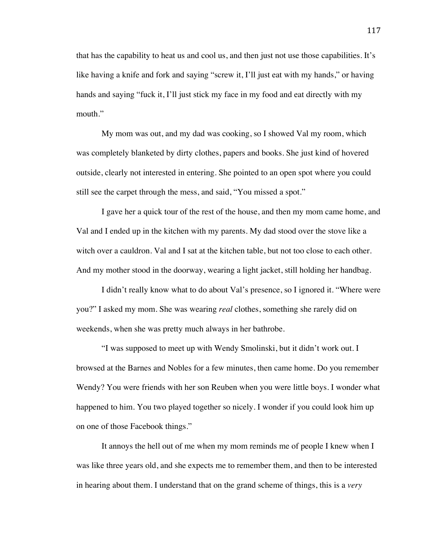that has the capability to heat us and cool us, and then just not use those capabilities. It's like having a knife and fork and saying "screw it, I'll just eat with my hands," or having hands and saying "fuck it, I'll just stick my face in my food and eat directly with my mouth."

My mom was out, and my dad was cooking, so I showed Val my room, which was completely blanketed by dirty clothes, papers and books. She just kind of hovered outside, clearly not interested in entering. She pointed to an open spot where you could still see the carpet through the mess, and said, "You missed a spot."

I gave her a quick tour of the rest of the house, and then my mom came home, and Val and I ended up in the kitchen with my parents. My dad stood over the stove like a witch over a cauldron. Val and I sat at the kitchen table, but not too close to each other. And my mother stood in the doorway, wearing a light jacket, still holding her handbag.

I didn't really know what to do about Val's presence, so I ignored it. "Where were you?" I asked my mom. She was wearing *real* clothes, something she rarely did on weekends, when she was pretty much always in her bathrobe.

"I was supposed to meet up with Wendy Smolinski, but it didn't work out. I browsed at the Barnes and Nobles for a few minutes, then came home. Do you remember Wendy? You were friends with her son Reuben when you were little boys. I wonder what happened to him. You two played together so nicely. I wonder if you could look him up on one of those Facebook things."

It annoys the hell out of me when my mom reminds me of people I knew when I was like three years old, and she expects me to remember them, and then to be interested in hearing about them. I understand that on the grand scheme of things, this is a *very*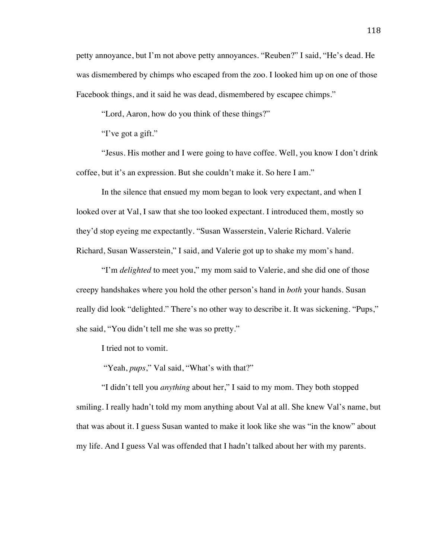petty annoyance, but I'm not above petty annoyances. "Reuben?" I said, "He's dead. He was dismembered by chimps who escaped from the zoo. I looked him up on one of those Facebook things, and it said he was dead, dismembered by escapee chimps."

"Lord, Aaron, how do you think of these things?"

"I've got a gift."

"Jesus. His mother and I were going to have coffee. Well, you know I don't drink coffee, but it's an expression. But she couldn't make it. So here I am."

In the silence that ensued my mom began to look very expectant, and when I looked over at Val, I saw that she too looked expectant. I introduced them, mostly so they'd stop eyeing me expectantly. "Susan Wasserstein, Valerie Richard. Valerie Richard, Susan Wasserstein," I said, and Valerie got up to shake my mom's hand.

"I'm *delighted* to meet you," my mom said to Valerie, and she did one of those creepy handshakes where you hold the other person's hand in *both* your hands. Susan really did look "delighted." There's no other way to describe it. It was sickening. "Pups," she said, "You didn't tell me she was so pretty."

I tried not to vomit.

"Yeah, *pups*," Val said, "What's with that?"

"I didn't tell you *anything* about her," I said to my mom. They both stopped smiling. I really hadn't told my mom anything about Val at all. She knew Val's name, but that was about it. I guess Susan wanted to make it look like she was "in the know" about my life. And I guess Val was offended that I hadn't talked about her with my parents.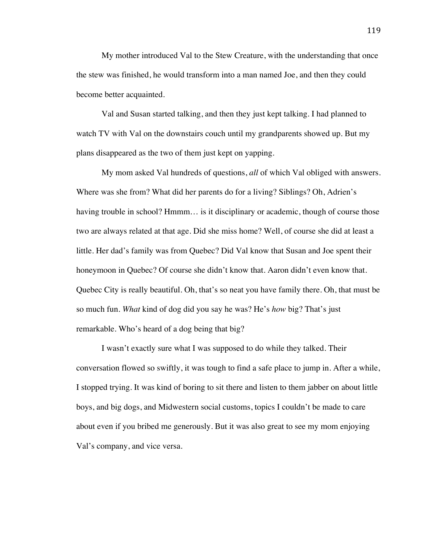My mother introduced Val to the Stew Creature, with the understanding that once the stew was finished, he would transform into a man named Joe, and then they could become better acquainted.

Val and Susan started talking, and then they just kept talking. I had planned to watch TV with Val on the downstairs couch until my grandparents showed up. But my plans disappeared as the two of them just kept on yapping.

My mom asked Val hundreds of questions, *all* of which Val obliged with answers. Where was she from? What did her parents do for a living? Siblings? Oh, Adrien's having trouble in school? Hmmm... is it disciplinary or academic, though of course those two are always related at that age. Did she miss home? Well, of course she did at least a little. Her dad's family was from Quebec? Did Val know that Susan and Joe spent their honeymoon in Quebec? Of course she didn't know that. Aaron didn't even know that. Quebec City is really beautiful. Oh, that's so neat you have family there. Oh, that must be so much fun. *What* kind of dog did you say he was? He's *how* big? That's just remarkable. Who's heard of a dog being that big?

I wasn't exactly sure what I was supposed to do while they talked. Their conversation flowed so swiftly, it was tough to find a safe place to jump in. After a while, I stopped trying. It was kind of boring to sit there and listen to them jabber on about little boys, and big dogs, and Midwestern social customs, topics I couldn't be made to care about even if you bribed me generously. But it was also great to see my mom enjoying Val's company, and vice versa.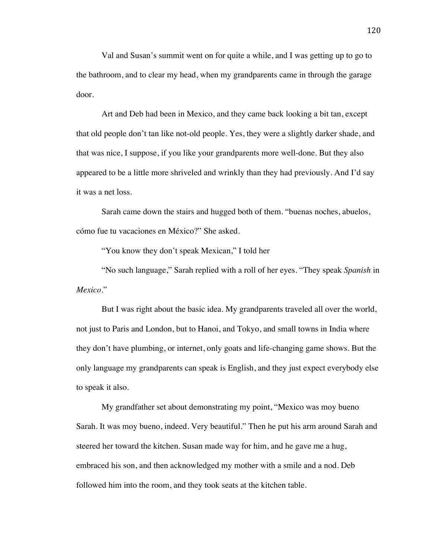Val and Susan's summit went on for quite a while, and I was getting up to go to the bathroom, and to clear my head, when my grandparents came in through the garage door.

Art and Deb had been in Mexico, and they came back looking a bit tan, except that old people don't tan like not-old people. Yes, they were a slightly darker shade, and that was nice, I suppose, if you like your grandparents more well-done. But they also appeared to be a little more shriveled and wrinkly than they had previously. And I'd say it was a net loss.

Sarah came down the stairs and hugged both of them. "buenas noches, abuelos, cómo fue tu vacaciones en México?" She asked.

"You know they don't speak Mexican," I told her

"No such language," Sarah replied with a roll of her eyes. "They speak *Spanish* in *Mexico*."

But I was right about the basic idea. My grandparents traveled all over the world, not just to Paris and London, but to Hanoi, and Tokyo, and small towns in India where they don't have plumbing, or internet, only goats and life-changing game shows. But the only language my grandparents can speak is English, and they just expect everybody else to speak it also.

My grandfather set about demonstrating my point, "Mexico was moy bueno Sarah. It was moy bueno, indeed. Very beautiful." Then he put his arm around Sarah and steered her toward the kitchen. Susan made way for him, and he gave me a hug, embraced his son, and then acknowledged my mother with a smile and a nod. Deb followed him into the room, and they took seats at the kitchen table.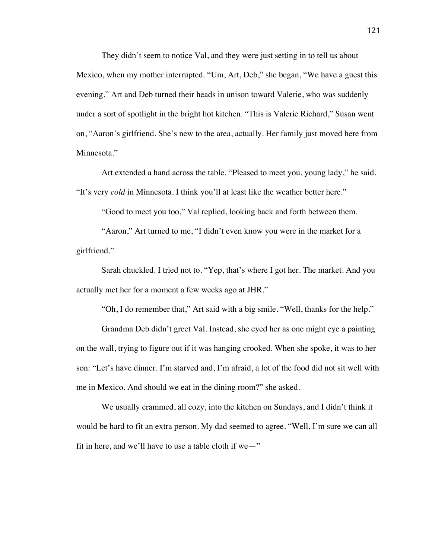They didn't seem to notice Val, and they were just setting in to tell us about Mexico, when my mother interrupted. "Um, Art, Deb," she began, "We have a guest this evening." Art and Deb turned their heads in unison toward Valerie, who was suddenly under a sort of spotlight in the bright hot kitchen. "This is Valerie Richard," Susan went on, "Aaron's girlfriend. She's new to the area, actually. Her family just moved here from Minnesota."

Art extended a hand across the table. "Pleased to meet you, young lady," he said. "It's very *cold* in Minnesota. I think you'll at least like the weather better here."

"Good to meet you too," Val replied, looking back and forth between them.

"Aaron," Art turned to me, "I didn't even know you were in the market for a girlfriend."

Sarah chuckled. I tried not to. "Yep, that's where I got her. The market. And you actually met her for a moment a few weeks ago at JHR."

"Oh, I do remember that," Art said with a big smile. "Well, thanks for the help."

Grandma Deb didn't greet Val. Instead, she eyed her as one might eye a painting on the wall, trying to figure out if it was hanging crooked. When she spoke, it was to her son: "Let's have dinner. I'm starved and, I'm afraid, a lot of the food did not sit well with me in Mexico. And should we eat in the dining room?" she asked.

We usually crammed, all cozy, into the kitchen on Sundays, and I didn't think it would be hard to fit an extra person. My dad seemed to agree. "Well, I'm sure we can all fit in here, and we'll have to use a table cloth if we—"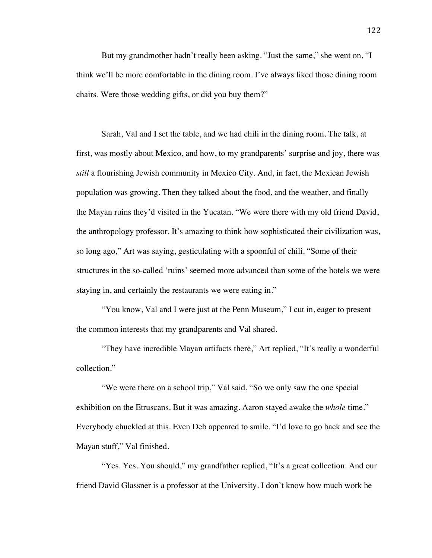But my grandmother hadn't really been asking. "Just the same," she went on, "I think we'll be more comfortable in the dining room. I've always liked those dining room chairs. Were those wedding gifts, or did you buy them?"

Sarah, Val and I set the table, and we had chili in the dining room. The talk, at first, was mostly about Mexico, and how, to my grandparents' surprise and joy, there was *still* a flourishing Jewish community in Mexico City. And, in fact, the Mexican Jewish population was growing. Then they talked about the food, and the weather, and finally the Mayan ruins they'd visited in the Yucatan. "We were there with my old friend David, the anthropology professor. It's amazing to think how sophisticated their civilization was, so long ago," Art was saying, gesticulating with a spoonful of chili. "Some of their structures in the so-called 'ruins' seemed more advanced than some of the hotels we were staying in, and certainly the restaurants we were eating in."

"You know, Val and I were just at the Penn Museum," I cut in, eager to present the common interests that my grandparents and Val shared.

"They have incredible Mayan artifacts there," Art replied, "It's really a wonderful collection."

"We were there on a school trip," Val said, "So we only saw the one special exhibition on the Etruscans. But it was amazing. Aaron stayed awake the *whole* time." Everybody chuckled at this. Even Deb appeared to smile. "I'd love to go back and see the Mayan stuff," Val finished.

"Yes. Yes. You should," my grandfather replied, "It's a great collection. And our friend David Glassner is a professor at the University. I don't know how much work he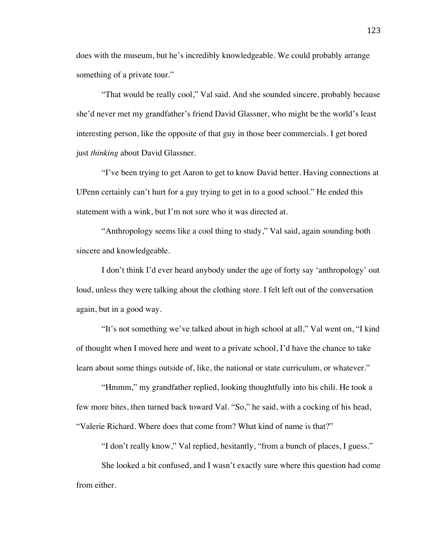does with the museum, but he's incredibly knowledgeable. We could probably arrange something of a private tour."

"That would be really cool," Val said. And she sounded sincere, probably because she'd never met my grandfather's friend David Glassner, who might be the world's least interesting person, like the opposite of that guy in those beer commercials. I get bored just *thinking* about David Glassner.

"I've been trying to get Aaron to get to know David better. Having connections at UPenn certainly can't hurt for a guy trying to get in to a good school." He ended this statement with a wink, but I'm not sure who it was directed at.

"Anthropology seems like a cool thing to study," Val said, again sounding both sincere and knowledgeable.

I don't think I'd ever heard anybody under the age of forty say 'anthropology' out loud, unless they were talking about the clothing store. I felt left out of the conversation again, but in a good way.

"It's not something we've talked about in high school at all," Val went on, "I kind of thought when I moved here and went to a private school, I'd have the chance to take learn about some things outside of, like, the national or state curriculum, or whatever."

"Hmmm," my grandfather replied, looking thoughtfully into his chili. He took a few more bites, then turned back toward Val. "So," he said, with a cocking of his head, "Valerie Richard. Where does that come from? What kind of name is that?"

"I don't really know," Val replied, hesitantly, "from a bunch of places, I guess."

She looked a bit confused, and I wasn't exactly sure where this question had come from either.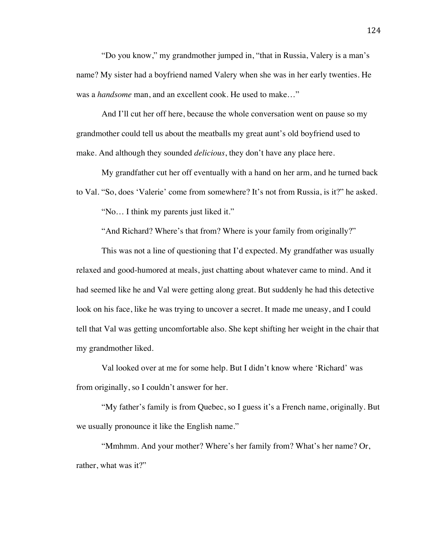"Do you know," my grandmother jumped in, "that in Russia, Valery is a man's name? My sister had a boyfriend named Valery when she was in her early twenties. He was a *handsome* man, and an excellent cook. He used to make…"

And I'll cut her off here, because the whole conversation went on pause so my grandmother could tell us about the meatballs my great aunt's old boyfriend used to make. And although they sounded *delicious*, they don't have any place here.

My grandfather cut her off eventually with a hand on her arm, and he turned back to Val. "So, does 'Valerie' come from somewhere? It's not from Russia, is it?" he asked.

"No… I think my parents just liked it."

"And Richard? Where's that from? Where is your family from originally?"

This was not a line of questioning that I'd expected. My grandfather was usually relaxed and good-humored at meals, just chatting about whatever came to mind. And it had seemed like he and Val were getting along great. But suddenly he had this detective look on his face, like he was trying to uncover a secret. It made me uneasy, and I could tell that Val was getting uncomfortable also. She kept shifting her weight in the chair that my grandmother liked.

Val looked over at me for some help. But I didn't know where 'Richard' was from originally, so I couldn't answer for her.

"My father's family is from Quebec, so I guess it's a French name, originally. But we usually pronounce it like the English name."

"Mmhmm. And your mother? Where's her family from? What's her name? Or, rather, what was it?"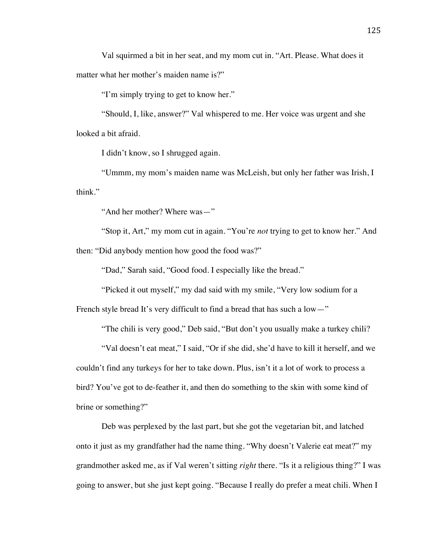Val squirmed a bit in her seat, and my mom cut in. "Art. Please. What does it matter what her mother's maiden name is?"

"I'm simply trying to get to know her."

"Should, I, like, answer?" Val whispered to me. Her voice was urgent and she looked a bit afraid.

I didn't know, so I shrugged again.

"Ummm, my mom's maiden name was McLeish, but only her father was Irish, I think."

"And her mother? Where was—"

"Stop it, Art," my mom cut in again. "You're *not* trying to get to know her." And then: "Did anybody mention how good the food was?"

"Dad," Sarah said, "Good food. I especially like the bread."

"Picked it out myself," my dad said with my smile, "Very low sodium for a

French style bread It's very difficult to find a bread that has such a low—"

"The chili is very good," Deb said, "But don't you usually make a turkey chili?

"Val doesn't eat meat," I said, "Or if she did, she'd have to kill it herself, and we couldn't find any turkeys for her to take down. Plus, isn't it a lot of work to process a bird? You've got to de-feather it, and then do something to the skin with some kind of brine or something?"

Deb was perplexed by the last part, but she got the vegetarian bit, and latched onto it just as my grandfather had the name thing. "Why doesn't Valerie eat meat?" my grandmother asked me, as if Val weren't sitting *right* there. "Is it a religious thing?" I was going to answer, but she just kept going. "Because I really do prefer a meat chili. When I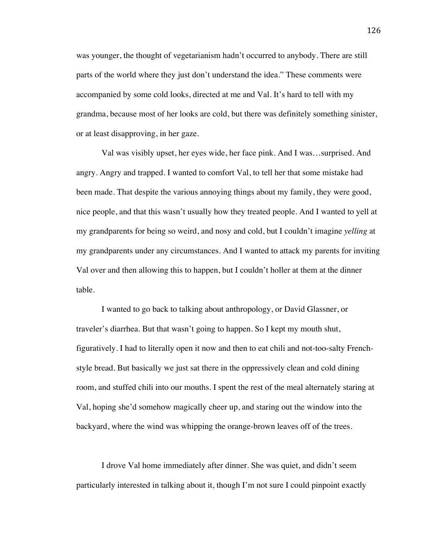was younger, the thought of vegetarianism hadn't occurred to anybody. There are still parts of the world where they just don't understand the idea." These comments were accompanied by some cold looks, directed at me and Val. It's hard to tell with my grandma, because most of her looks are cold, but there was definitely something sinister, or at least disapproving, in her gaze.

Val was visibly upset, her eyes wide, her face pink. And I was…surprised. And angry. Angry and trapped. I wanted to comfort Val, to tell her that some mistake had been made. That despite the various annoying things about my family, they were good, nice people, and that this wasn't usually how they treated people. And I wanted to yell at my grandparents for being so weird, and nosy and cold, but I couldn't imagine *yelling* at my grandparents under any circumstances. And I wanted to attack my parents for inviting Val over and then allowing this to happen, but I couldn't holler at them at the dinner table.

I wanted to go back to talking about anthropology, or David Glassner, or traveler's diarrhea. But that wasn't going to happen. So I kept my mouth shut, figuratively. I had to literally open it now and then to eat chili and not-too-salty Frenchstyle bread. But basically we just sat there in the oppressively clean and cold dining room, and stuffed chili into our mouths. I spent the rest of the meal alternately staring at Val, hoping she'd somehow magically cheer up, and staring out the window into the backyard, where the wind was whipping the orange-brown leaves off of the trees.

I drove Val home immediately after dinner. She was quiet, and didn't seem particularly interested in talking about it, though I'm not sure I could pinpoint exactly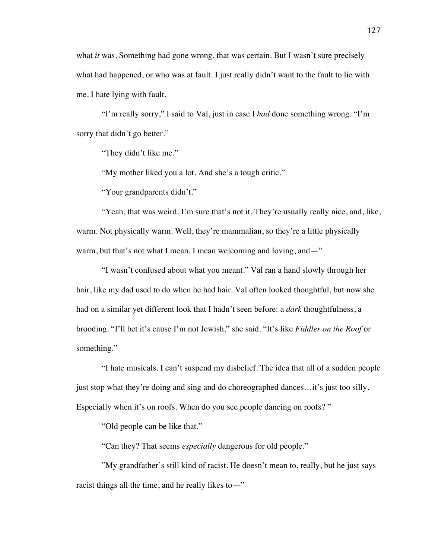what *it* was. Something had gone wrong, that was certain. But I wasn't sure precisely what had happened, or who was at fault. I just really didn't want to the fault to lie with me. I hate lying with fault.

"I'm really sorry," I said to Val, just in case I *had* done something wrong. "I'm sorry that didn't go better."

"They didn't like me."

"My mother liked you a lot. And she's a tough critic."

"Your grandparents didn't."

"Yeah, that was weird. I'm sure that's not it. They're usually really nice, and, like, warm. Not physically warm. Well, they're mammalian, so they're a little physically warm, but that's not what I mean. I mean welcoming and loving, and—"

"I wasn't confused about what you meant." Val ran a hand slowly through her hair, like my dad used to do when he had hair. Val often looked thoughtful, but now she had on a similar yet different look that I hadn't seen before: a *dark* thoughtfulness, a brooding. "I'll bet it's cause I'm not Jewish," she said. "It's like *Fiddler on the Roof* or something."

"I hate musicals. I can't suspend my disbelief. The idea that all of a sudden people just stop what they're doing and sing and do choreographed dances...it's just too silly. Especially when it's on roofs. When do you see people dancing on roofs? "

"Old people can be like that."

"Can they? That seems *especially* dangerous for old people."

"My grandfather's still kind of racist. He doesn't mean to, really, but he just says racist things all the time, and he really likes to—"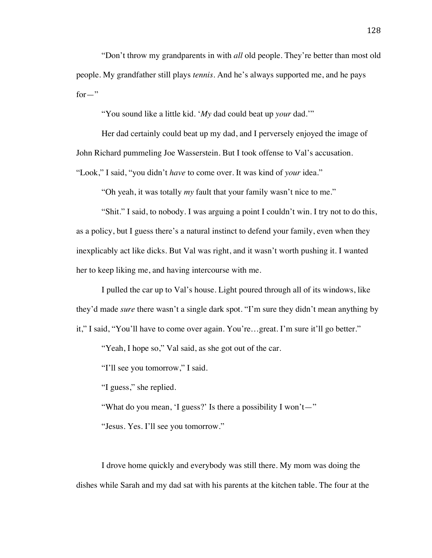"Don't throw my grandparents in with *all* old people. They're better than most old people. My grandfather still plays *tennis*. And he's always supported me, and he pays for—"

"You sound like a little kid. '*My* dad could beat up *your* dad.'"

Her dad certainly could beat up my dad, and I perversely enjoyed the image of John Richard pummeling Joe Wasserstein. But I took offense to Val's accusation. "Look," I said, "you didn't *have* to come over. It was kind of *your* idea."

"Oh yeah, it was totally *my* fault that your family wasn't nice to me."

"Shit." I said, to nobody. I was arguing a point I couldn't win. I try not to do this, as a policy, but I guess there's a natural instinct to defend your family, even when they inexplicably act like dicks. But Val was right, and it wasn't worth pushing it. I wanted her to keep liking me, and having intercourse with me.

I pulled the car up to Val's house. Light poured through all of its windows, like they'd made *sure* there wasn't a single dark spot. "I'm sure they didn't mean anything by it," I said, "You'll have to come over again. You're…great. I'm sure it'll go better."

"Yeah, I hope so," Val said, as she got out of the car.

"I'll see you tomorrow," I said.

"I guess," she replied.

"What do you mean, 'I guess?' Is there a possibility I won't—"

"Jesus. Yes. I'll see you tomorrow."

I drove home quickly and everybody was still there. My mom was doing the dishes while Sarah and my dad sat with his parents at the kitchen table. The four at the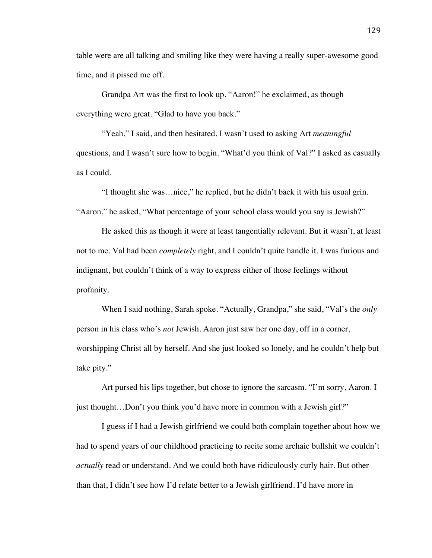table were are all talking and smiling like they were having a really super-awesome good time, and it pissed me off.

Grandpa Art was the first to look up. "Aaron!" he exclaimed, as though everything were great. "Glad to have you back."

"Yeah," I said, and then hesitated. I wasn't used to asking Art *meaningful* questions, and I wasn't sure how to begin. "What'd you think of Val?" I asked as casually as I could.

"I thought she was…nice," he replied, but he didn't back it with his usual grin. "Aaron," he asked, "What percentage of your school class would you say is Jewish?"

He asked this as though it were at least tangentially relevant. But it wasn't, at least not to me. Val had been *completely* right, and I couldn't quite handle it. I was furious and indignant, but couldn't think of a way to express either of those feelings without profanity.

When I said nothing, Sarah spoke. "Actually, Grandpa," she said, "Val's the *only* person in his class who's *not* Jewish. Aaron just saw her one day, off in a corner, worshipping Christ all by herself. And she just looked so lonely, and he couldn't help but take pity."

Art pursed his lips together, but chose to ignore the sarcasm. "I'm sorry, Aaron. I just thought…Don't you think you'd have more in common with a Jewish girl?"

I guess if I had a Jewish girlfriend we could both complain together about how we had to spend years of our childhood practicing to recite some archaic bullshit we couldn't *actually* read or understand. And we could both have ridiculously curly hair. But other than that, I didn't see how I'd relate better to a Jewish girlfriend. I'd have more in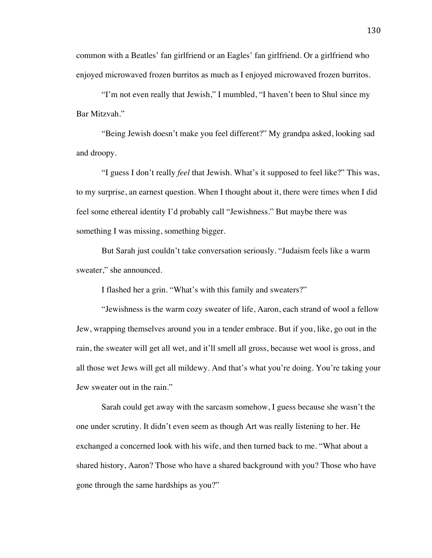common with a Beatles' fan girlfriend or an Eagles' fan girlfriend. Or a girlfriend who enjoyed microwaved frozen burritos as much as I enjoyed microwaved frozen burritos.

"I'm not even really that Jewish," I mumbled, "I haven't been to Shul since my Bar Mitzvah."

"Being Jewish doesn't make you feel different?" My grandpa asked, looking sad and droopy.

"I guess I don't really *feel* that Jewish. What's it supposed to feel like?" This was, to my surprise, an earnest question. When I thought about it, there were times when I did feel some ethereal identity I'd probably call "Jewishness." But maybe there was something I was missing, something bigger.

But Sarah just couldn't take conversation seriously. "Judaism feels like a warm sweater," she announced.

I flashed her a grin. "What's with this family and sweaters?"

"Jewishness is the warm cozy sweater of life, Aaron, each strand of wool a fellow Jew, wrapping themselves around you in a tender embrace. But if you, like, go out in the rain, the sweater will get all wet, and it'll smell all gross, because wet wool is gross, and all those wet Jews will get all mildewy. And that's what you're doing. You're taking your Jew sweater out in the rain."

Sarah could get away with the sarcasm somehow, I guess because she wasn't the one under scrutiny. It didn't even seem as though Art was really listening to her. He exchanged a concerned look with his wife, and then turned back to me. "What about a shared history, Aaron? Those who have a shared background with you? Those who have gone through the same hardships as you?"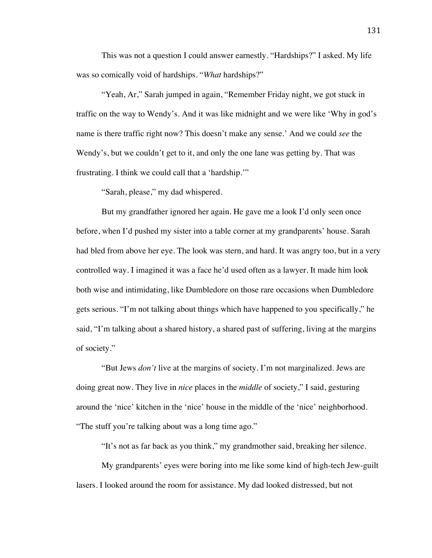This was not a question I could answer earnestly. "Hardships?" I asked. My life was so comically void of hardships. "*What* hardships?"

"Yeah, Ar," Sarah jumped in again, "Remember Friday night, we got stuck in traffic on the way to Wendy's. And it was like midnight and we were like 'Why in god's name is there traffic right now? This doesn't make any sense.' And we could *see* the Wendy's, but we couldn't get to it, and only the one lane was getting by. That was frustrating. I think we could call that a 'hardship.'"

"Sarah, please," my dad whispered.

But my grandfather ignored her again. He gave me a look I'd only seen once before, when I'd pushed my sister into a table corner at my grandparents' house. Sarah had bled from above her eye. The look was stern, and hard. It was angry too, but in a very controlled way. I imagined it was a face he'd used often as a lawyer. It made him look both wise and intimidating, like Dumbledore on those rare occasions when Dumbledore gets serious. "I'm not talking about things which have happened to you specifically," he said, "I'm talking about a shared history, a shared past of suffering, living at the margins of society."

"But Jews *don't* live at the margins of society. I'm not marginalized. Jews are doing great now. They live in *nice* places in the *middle* of society," I said, gesturing around the 'nice' kitchen in the 'nice' house in the middle of the 'nice' neighborhood. "The stuff you're talking about was a long time ago."

"It's not as far back as you think," my grandmother said, breaking her silence.

My grandparents' eyes were boring into me like some kind of high-tech Jew-guilt lasers. I looked around the room for assistance. My dad looked distressed, but not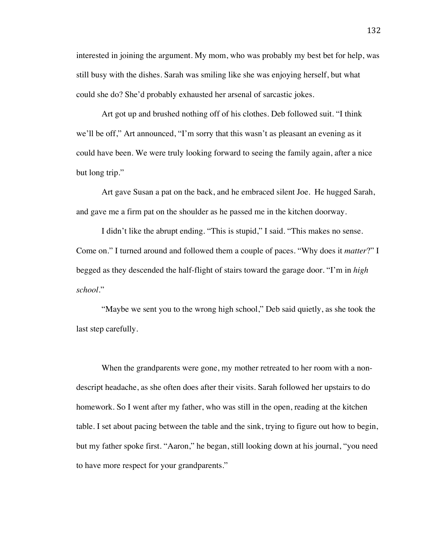interested in joining the argument. My mom, who was probably my best bet for help, was still busy with the dishes. Sarah was smiling like she was enjoying herself, but what could she do? She'd probably exhausted her arsenal of sarcastic jokes.

Art got up and brushed nothing off of his clothes. Deb followed suit. "I think we'll be off," Art announced, "I'm sorry that this wasn't as pleasant an evening as it could have been. We were truly looking forward to seeing the family again, after a nice but long trip."

Art gave Susan a pat on the back, and he embraced silent Joe. He hugged Sarah, and gave me a firm pat on the shoulder as he passed me in the kitchen doorway.

I didn't like the abrupt ending. "This is stupid," I said. "This makes no sense. Come on." I turned around and followed them a couple of paces. "Why does it *matter*?" I begged as they descended the half-flight of stairs toward the garage door. "I'm in *high school*."

"Maybe we sent you to the wrong high school," Deb said quietly, as she took the last step carefully.

When the grandparents were gone, my mother retreated to her room with a nondescript headache, as she often does after their visits. Sarah followed her upstairs to do homework. So I went after my father, who was still in the open, reading at the kitchen table. I set about pacing between the table and the sink, trying to figure out how to begin, but my father spoke first. "Aaron," he began, still looking down at his journal, "you need to have more respect for your grandparents."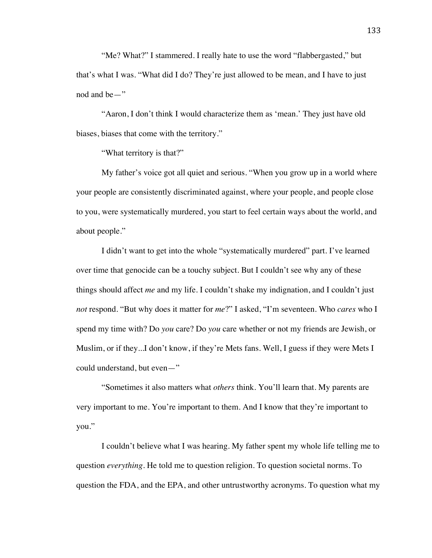"Me? What?" I stammered. I really hate to use the word "flabbergasted," but that's what I was. "What did I do? They're just allowed to be mean, and I have to just nod and be—"

"Aaron, I don't think I would characterize them as 'mean.' They just have old biases, biases that come with the territory."

"What territory is that?"

My father's voice got all quiet and serious. "When you grow up in a world where your people are consistently discriminated against, where your people, and people close to you, were systematically murdered, you start to feel certain ways about the world, and about people."

I didn't want to get into the whole "systematically murdered" part. I've learned over time that genocide can be a touchy subject. But I couldn't see why any of these things should affect *me* and my life. I couldn't shake my indignation, and I couldn't just *not* respond. "But why does it matter for *me*?" I asked, "I'm seventeen. Who *cares* who I spend my time with? Do *you* care? Do *you* care whether or not my friends are Jewish, or Muslim, or if they...I don't know, if they're Mets fans. Well, I guess if they were Mets I could understand, but even—"

"Sometimes it also matters what *others* think. You'll learn that. My parents are very important to me. You're important to them. And I know that they're important to you."

I couldn't believe what I was hearing. My father spent my whole life telling me to question *everything*. He told me to question religion. To question societal norms. To question the FDA, and the EPA, and other untrustworthy acronyms. To question what my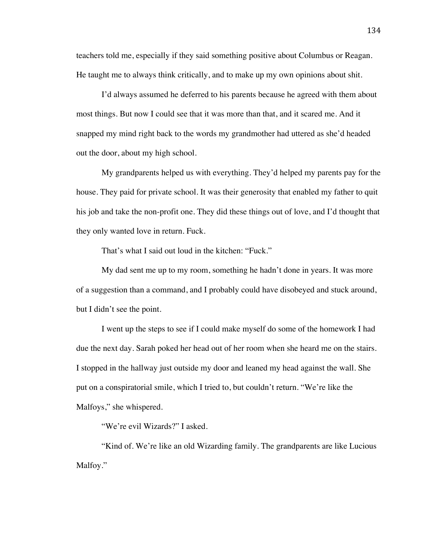teachers told me, especially if they said something positive about Columbus or Reagan. He taught me to always think critically, and to make up my own opinions about shit.

I'd always assumed he deferred to his parents because he agreed with them about most things. But now I could see that it was more than that, and it scared me. And it snapped my mind right back to the words my grandmother had uttered as she'd headed out the door, about my high school.

My grandparents helped us with everything. They'd helped my parents pay for the house. They paid for private school. It was their generosity that enabled my father to quit his job and take the non-profit one. They did these things out of love, and I'd thought that they only wanted love in return. Fuck.

That's what I said out loud in the kitchen: "Fuck."

My dad sent me up to my room, something he hadn't done in years. It was more of a suggestion than a command, and I probably could have disobeyed and stuck around, but I didn't see the point.

I went up the steps to see if I could make myself do some of the homework I had due the next day. Sarah poked her head out of her room when she heard me on the stairs. I stopped in the hallway just outside my door and leaned my head against the wall. She put on a conspiratorial smile, which I tried to, but couldn't return. "We're like the Malfoys," she whispered.

"We're evil Wizards?" I asked.

"Kind of. We're like an old Wizarding family. The grandparents are like Lucious Malfoy."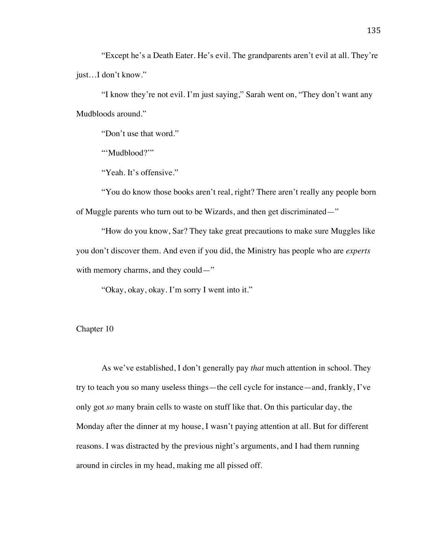"Except he's a Death Eater. He's evil. The grandparents aren't evil at all. They're just…I don't know."

"I know they're not evil. I'm just saying," Sarah went on, "They don't want any Mudbloods around."

"Don't use that word."

"'Mudblood?"

"Yeah. It's offensive."

"You do know those books aren't real, right? There aren't really any people born of Muggle parents who turn out to be Wizards, and then get discriminated—"

"How do you know, Sar? They take great precautions to make sure Muggles like you don't discover them. And even if you did, the Ministry has people who are *experts* with memory charms, and they could—"

"Okay, okay, okay. I'm sorry I went into it."

## Chapter 10

As we've established, I don't generally pay *that* much attention in school. They try to teach you so many useless things—the cell cycle for instance—and, frankly, I've only got *so* many brain cells to waste on stuff like that. On this particular day, the Monday after the dinner at my house, I wasn't paying attention at all. But for different reasons. I was distracted by the previous night's arguments, and I had them running around in circles in my head, making me all pissed off.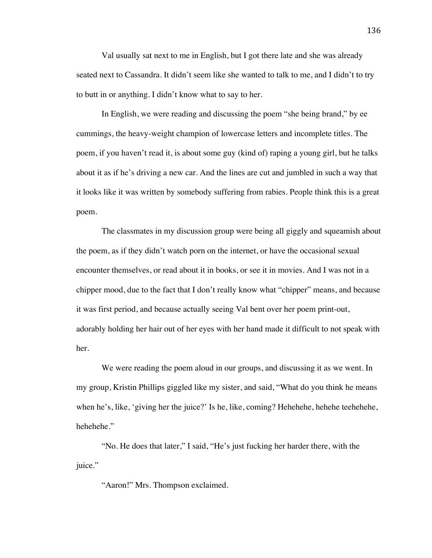Val usually sat next to me in English, but I got there late and she was already seated next to Cassandra. It didn't seem like she wanted to talk to me, and I didn't to try to butt in or anything. I didn't know what to say to her.

In English, we were reading and discussing the poem "she being brand," by ee cummings, the heavy-weight champion of lowercase letters and incomplete titles. The poem, if you haven't read it, is about some guy (kind of) raping a young girl, but he talks about it as if he's driving a new car. And the lines are cut and jumbled in such a way that it looks like it was written by somebody suffering from rabies. People think this is a great poem.

The classmates in my discussion group were being all giggly and squeamish about the poem, as if they didn't watch porn on the internet, or have the occasional sexual encounter themselves, or read about it in books, or see it in movies. And I was not in a chipper mood, due to the fact that I don't really know what "chipper" means, and because it was first period, and because actually seeing Val bent over her poem print-out, adorably holding her hair out of her eyes with her hand made it difficult to not speak with her.

We were reading the poem aloud in our groups, and discussing it as we went. In my group, Kristin Phillips giggled like my sister, and said, "What do you think he means when he's, like, 'giving her the juice?' Is he, like, coming? Hehehehe, hehehe teehehehe, hehehe."

"No. He does that later," I said, "He's just fucking her harder there, with the juice."

"Aaron!" Mrs. Thompson exclaimed.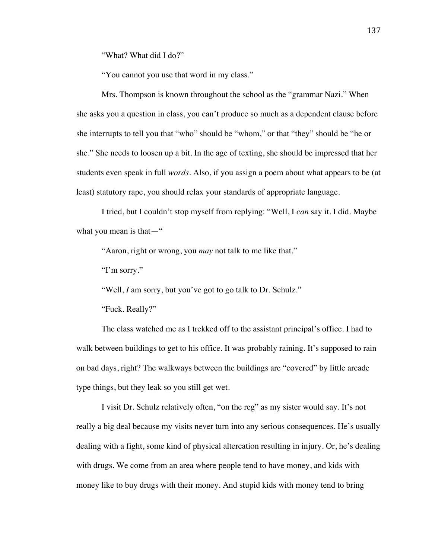"What? What did I do?"

"You cannot you use that word in my class."

Mrs. Thompson is known throughout the school as the "grammar Nazi." When she asks you a question in class, you can't produce so much as a dependent clause before she interrupts to tell you that "who" should be "whom," or that "they" should be "he or she." She needs to loosen up a bit. In the age of texting, she should be impressed that her students even speak in full *words*. Also, if you assign a poem about what appears to be (at least) statutory rape, you should relax your standards of appropriate language.

I tried, but I couldn't stop myself from replying: "Well, I *can* say it. I did. Maybe what you mean is that—"

"Aaron, right or wrong, you *may* not talk to me like that."

"I'm sorry."

"Well, *I* am sorry, but you've got to go talk to Dr. Schulz."

"Fuck. Really?"

The class watched me as I trekked off to the assistant principal's office. I had to walk between buildings to get to his office. It was probably raining. It's supposed to rain on bad days, right? The walkways between the buildings are "covered" by little arcade type things, but they leak so you still get wet.

I visit Dr. Schulz relatively often, "on the reg" as my sister would say. It's not really a big deal because my visits never turn into any serious consequences. He's usually dealing with a fight, some kind of physical altercation resulting in injury. Or, he's dealing with drugs. We come from an area where people tend to have money, and kids with money like to buy drugs with their money. And stupid kids with money tend to bring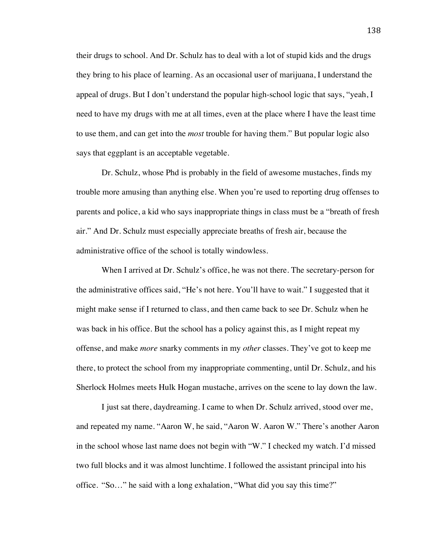their drugs to school. And Dr. Schulz has to deal with a lot of stupid kids and the drugs they bring to his place of learning. As an occasional user of marijuana, I understand the appeal of drugs. But I don't understand the popular high-school logic that says, "yeah, I need to have my drugs with me at all times, even at the place where I have the least time to use them, and can get into the *most* trouble for having them." But popular logic also says that eggplant is an acceptable vegetable.

Dr. Schulz, whose Phd is probably in the field of awesome mustaches, finds my trouble more amusing than anything else. When you're used to reporting drug offenses to parents and police, a kid who says inappropriate things in class must be a "breath of fresh air." And Dr. Schulz must especially appreciate breaths of fresh air, because the administrative office of the school is totally windowless.

When I arrived at Dr. Schulz's office, he was not there. The secretary-person for the administrative offices said, "He's not here. You'll have to wait." I suggested that it might make sense if I returned to class, and then came back to see Dr. Schulz when he was back in his office. But the school has a policy against this, as I might repeat my offense, and make *more* snarky comments in my *other* classes. They've got to keep me there, to protect the school from my inappropriate commenting, until Dr. Schulz, and his Sherlock Holmes meets Hulk Hogan mustache, arrives on the scene to lay down the law.

I just sat there, daydreaming. I came to when Dr. Schulz arrived, stood over me, and repeated my name. "Aaron W, he said, "Aaron W. Aaron W." There's another Aaron in the school whose last name does not begin with "W." I checked my watch. I'd missed two full blocks and it was almost lunchtime. I followed the assistant principal into his office. "So…" he said with a long exhalation, "What did you say this time?"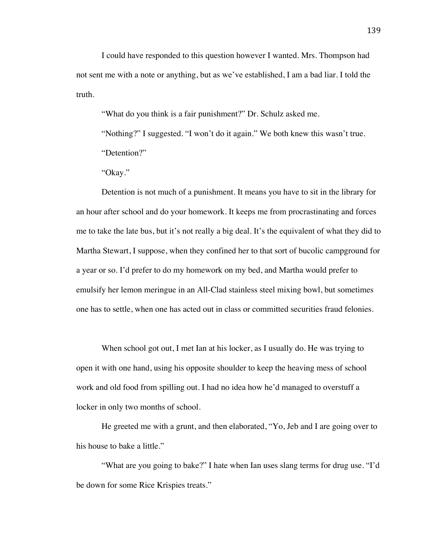I could have responded to this question however I wanted. Mrs. Thompson had not sent me with a note or anything, but as we've established, I am a bad liar. I told the truth.

"What do you think is a fair punishment?" Dr. Schulz asked me.

"Nothing?" I suggested. "I won't do it again." We both knew this wasn't true. "Detention?"

"Okay."

Detention is not much of a punishment. It means you have to sit in the library for an hour after school and do your homework. It keeps me from procrastinating and forces me to take the late bus, but it's not really a big deal. It's the equivalent of what they did to Martha Stewart, I suppose, when they confined her to that sort of bucolic campground for a year or so. I'd prefer to do my homework on my bed, and Martha would prefer to emulsify her lemon meringue in an All-Clad stainless steel mixing bowl, but sometimes one has to settle, when one has acted out in class or committed securities fraud felonies.

When school got out, I met Ian at his locker, as I usually do. He was trying to open it with one hand, using his opposite shoulder to keep the heaving mess of school work and old food from spilling out. I had no idea how he'd managed to overstuff a locker in only two months of school.

He greeted me with a grunt, and then elaborated, "Yo, Jeb and I are going over to his house to bake a little."

"What are you going to bake?" I hate when Ian uses slang terms for drug use. "I'd be down for some Rice Krispies treats."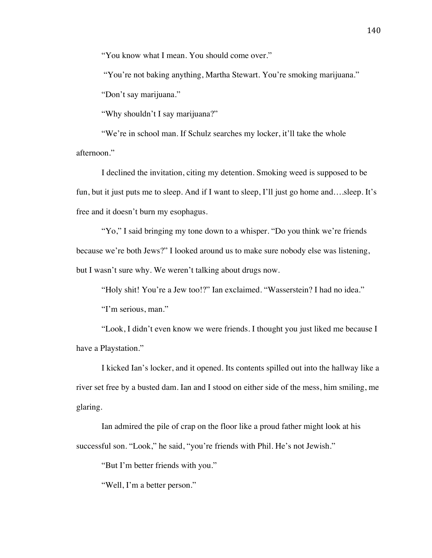"You know what I mean. You should come over."

"You're not baking anything, Martha Stewart. You're smoking marijuana."

"Don't say marijuana."

"Why shouldn't I say marijuana?"

"We're in school man. If Schulz searches my locker, it'll take the whole afternoon."

I declined the invitation, citing my detention. Smoking weed is supposed to be fun, but it just puts me to sleep. And if I want to sleep, I'll just go home and...sleep. It's free and it doesn't burn my esophagus.

"Yo," I said bringing my tone down to a whisper. "Do you think we're friends because we're both Jews?" I looked around us to make sure nobody else was listening, but I wasn't sure why. We weren't talking about drugs now.

"Holy shit! You're a Jew too!?" Ian exclaimed. "Wasserstein? I had no idea."

"I'm serious, man."

"Look, I didn't even know we were friends. I thought you just liked me because I have a Playstation."

I kicked Ian's locker, and it opened. Its contents spilled out into the hallway like a river set free by a busted dam. Ian and I stood on either side of the mess, him smiling, me glaring.

Ian admired the pile of crap on the floor like a proud father might look at his successful son. "Look," he said, "you're friends with Phil. He's not Jewish."

"But I'm better friends with you."

"Well, I'm a better person."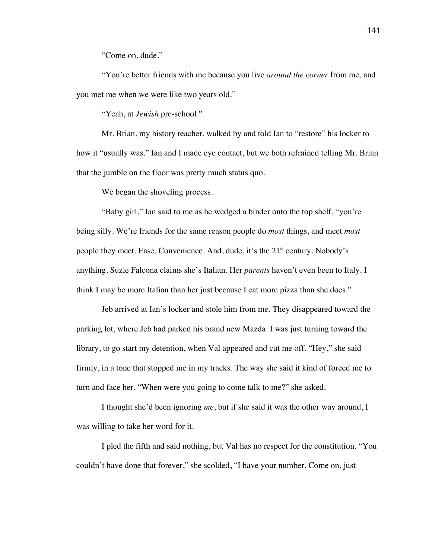"Come on, dude."

"You're better friends with me because you live *around the corner* from me, and you met me when we were like two years old."

"Yeah, at *Jewish* pre-school."

Mr. Brian, my history teacher, walked by and told Ian to "restore" his locker to how it "usually was." Ian and I made eye contact, but we both refrained telling Mr. Brian that the jumble on the floor was pretty much status quo.

We began the shoveling process.

"Baby girl," Ian said to me as he wedged a binder onto the top shelf, "you're being silly. We're friends for the same reason people do *most* things, and meet *most* people they meet. Ease. Convenience. And, dude, it's the 21<sup>st</sup> century. Nobody's anything. Suzie Falcona claims she's Italian. Her *parents* haven't even been to Italy. I think I may be more Italian than her just because I eat more pizza than she does."

Jeb arrived at Ian's locker and stole him from me. They disappeared toward the parking lot, where Jeb had parked his brand new Mazda. I was just turning toward the library, to go start my detention, when Val appeared and cut me off. "Hey," she said firmly, in a tone that stopped me in my tracks. The way she said it kind of forced me to turn and face her. "When were you going to come talk to me?" she asked.

I thought she'd been ignoring *me*, but if she said it was the other way around, I was willing to take her word for it.

I pled the fifth and said nothing, but Val has no respect for the constitution. "You couldn't have done that forever," she scolded, "I have your number. Come on, just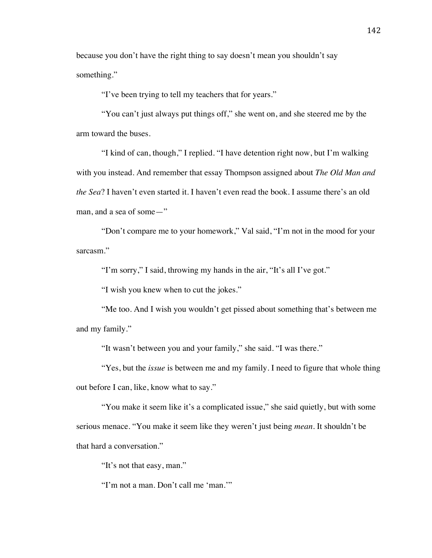because you don't have the right thing to say doesn't mean you shouldn't say something."

"I've been trying to tell my teachers that for years."

"You can't just always put things off," she went on, and she steered me by the arm toward the buses.

"I kind of can, though," I replied. "I have detention right now, but I'm walking with you instead. And remember that essay Thompson assigned about *The Old Man and the Sea*? I haven't even started it. I haven't even read the book. I assume there's an old man, and a sea of some—"

"Don't compare me to your homework," Val said, "I'm not in the mood for your sarcasm."

"I'm sorry," I said, throwing my hands in the air, "It's all I've got."

"I wish you knew when to cut the jokes."

"Me too. And I wish you wouldn't get pissed about something that's between me and my family."

"It wasn't between you and your family," she said. "I was there."

"Yes, but the *issue* is between me and my family. I need to figure that whole thing out before I can, like, know what to say."

"You make it seem like it's a complicated issue," she said quietly, but with some serious menace. "You make it seem like they weren't just being *mean*. It shouldn't be that hard a conversation."

"It's not that easy, man."

"I'm not a man. Don't call me 'man.'"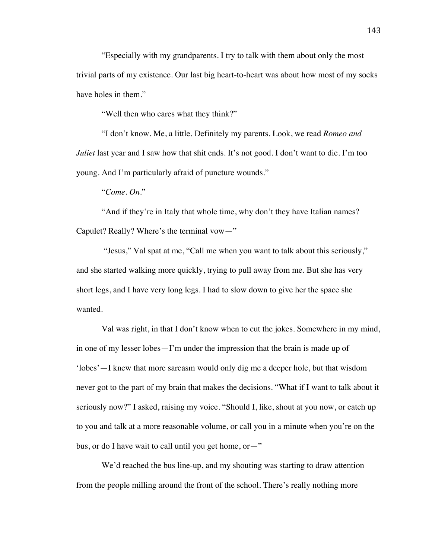"Especially with my grandparents. I try to talk with them about only the most trivial parts of my existence. Our last big heart-to-heart was about how most of my socks have holes in them."

"Well then who cares what they think?"

"I don't know. Me, a little. Definitely my parents. Look, we read *Romeo and Juliet* last year and I saw how that shit ends. It's not good. I don't want to die. I'm too young. And I'm particularly afraid of puncture wounds."

"*Come*. *On*."

"And if they're in Italy that whole time, why don't they have Italian names? Capulet? Really? Where's the terminal vow—"

 "Jesus," Val spat at me, "Call me when you want to talk about this seriously," and she started walking more quickly, trying to pull away from me. But she has very short legs, and I have very long legs. I had to slow down to give her the space she wanted.

Val was right, in that I don't know when to cut the jokes. Somewhere in my mind, in one of my lesser lobes—I'm under the impression that the brain is made up of 'lobes'—I knew that more sarcasm would only dig me a deeper hole, but that wisdom never got to the part of my brain that makes the decisions. "What if I want to talk about it seriously now?" I asked, raising my voice. "Should I, like, shout at you now, or catch up to you and talk at a more reasonable volume, or call you in a minute when you're on the bus, or do I have wait to call until you get home, or—"

We'd reached the bus line-up, and my shouting was starting to draw attention from the people milling around the front of the school. There's really nothing more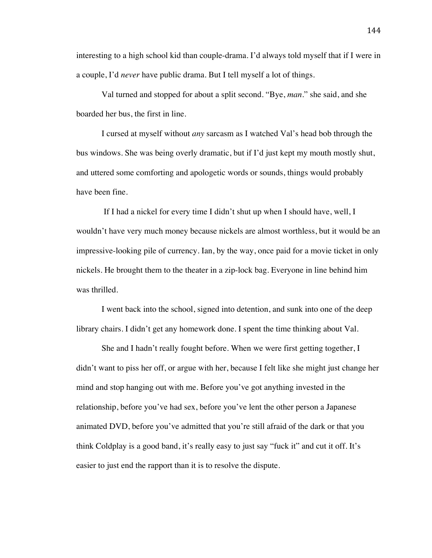interesting to a high school kid than couple-drama. I'd always told myself that if I were in a couple, I'd *never* have public drama. But I tell myself a lot of things.

Val turned and stopped for about a split second. "Bye, *man.*" she said, and she boarded her bus, the first in line.

I cursed at myself without *any* sarcasm as I watched Val's head bob through the bus windows. She was being overly dramatic, but if I'd just kept my mouth mostly shut, and uttered some comforting and apologetic words or sounds, things would probably have been fine.

 If I had a nickel for every time I didn't shut up when I should have, well, I wouldn't have very much money because nickels are almost worthless, but it would be an impressive-looking pile of currency. Ian, by the way, once paid for a movie ticket in only nickels. He brought them to the theater in a zip-lock bag. Everyone in line behind him was thrilled.

I went back into the school, signed into detention, and sunk into one of the deep library chairs. I didn't get any homework done. I spent the time thinking about Val.

She and I hadn't really fought before. When we were first getting together, I didn't want to piss her off, or argue with her, because I felt like she might just change her mind and stop hanging out with me. Before you've got anything invested in the relationship, before you've had sex, before you've lent the other person a Japanese animated DVD, before you've admitted that you're still afraid of the dark or that you think Coldplay is a good band, it's really easy to just say "fuck it" and cut it off. It's easier to just end the rapport than it is to resolve the dispute.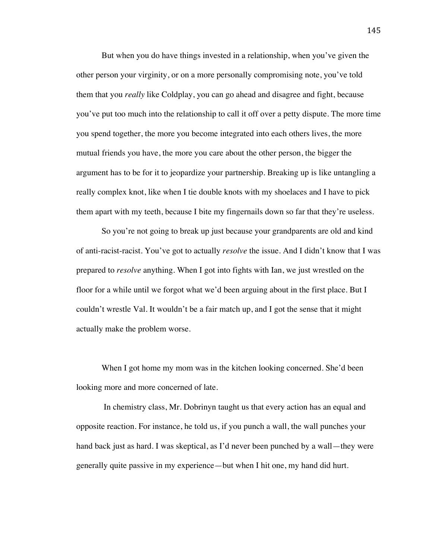But when you do have things invested in a relationship, when you've given the other person your virginity, or on a more personally compromising note, you've told them that you *really* like Coldplay, you can go ahead and disagree and fight, because you've put too much into the relationship to call it off over a petty dispute. The more time you spend together, the more you become integrated into each others lives, the more mutual friends you have, the more you care about the other person, the bigger the argument has to be for it to jeopardize your partnership. Breaking up is like untangling a really complex knot, like when I tie double knots with my shoelaces and I have to pick them apart with my teeth, because I bite my fingernails down so far that they're useless.

So you're not going to break up just because your grandparents are old and kind of anti-racist-racist. You've got to actually *resolve* the issue. And I didn't know that I was prepared to *resolve* anything. When I got into fights with Ian, we just wrestled on the floor for a while until we forgot what we'd been arguing about in the first place. But I couldn't wrestle Val. It wouldn't be a fair match up, and I got the sense that it might actually make the problem worse.

When I got home my mom was in the kitchen looking concerned. She'd been looking more and more concerned of late.

 In chemistry class, Mr. Dobrinyn taught us that every action has an equal and opposite reaction. For instance, he told us, if you punch a wall, the wall punches your hand back just as hard. I was skeptical, as I'd never been punched by a wall—they were generally quite passive in my experience—but when I hit one, my hand did hurt.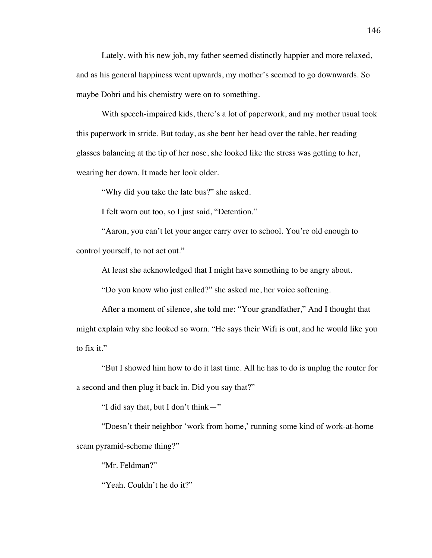Lately, with his new job, my father seemed distinctly happier and more relaxed, and as his general happiness went upwards, my mother's seemed to go downwards. So maybe Dobri and his chemistry were on to something.

With speech-impaired kids, there's a lot of paperwork, and my mother usual took this paperwork in stride. But today, as she bent her head over the table, her reading glasses balancing at the tip of her nose, she looked like the stress was getting to her, wearing her down. It made her look older.

"Why did you take the late bus?" she asked.

I felt worn out too, so I just said, "Detention."

"Aaron, you can't let your anger carry over to school. You're old enough to control yourself, to not act out."

At least she acknowledged that I might have something to be angry about.

"Do you know who just called?" she asked me, her voice softening.

After a moment of silence, she told me: "Your grandfather," And I thought that might explain why she looked so worn. "He says their Wifi is out, and he would like you to fix it."

"But I showed him how to do it last time. All he has to do is unplug the router for a second and then plug it back in. Did you say that?"

"I did say that, but I don't think—"

"Doesn't their neighbor 'work from home,' running some kind of work-at-home scam pyramid-scheme thing?"

"Mr. Feldman?"

"Yeah. Couldn't he do it?"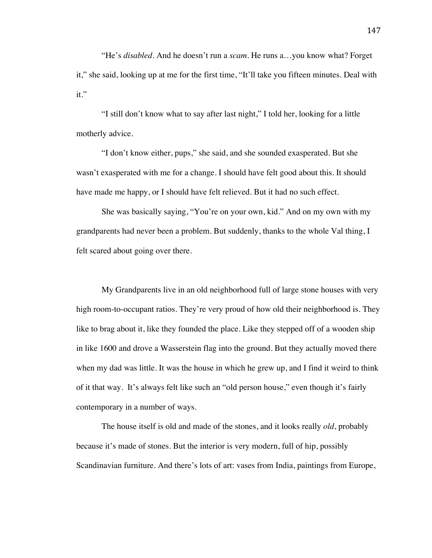"He's *disabled*. And he doesn't run a *scam*. He runs a…you know what? Forget it," she said, looking up at me for the first time, "It'll take you fifteen minutes. Deal with it."

"I still don't know what to say after last night," I told her, looking for a little motherly advice.

"I don't know either, pups," she said, and she sounded exasperated. But she wasn't exasperated with me for a change. I should have felt good about this. It should have made me happy, or I should have felt relieved. But it had no such effect.

She was basically saying, "You're on your own, kid." And on my own with my grandparents had never been a problem. But suddenly, thanks to the whole Val thing, I felt scared about going over there.

My Grandparents live in an old neighborhood full of large stone houses with very high room-to-occupant ratios. They're very proud of how old their neighborhood is. They like to brag about it, like they founded the place. Like they stepped off of a wooden ship in like 1600 and drove a Wasserstein flag into the ground. But they actually moved there when my dad was little. It was the house in which he grew up, and I find it weird to think of it that way. It's always felt like such an "old person house," even though it's fairly contemporary in a number of ways.

The house itself is old and made of the stones, and it looks really *old*, probably because it's made of stones. But the interior is very modern, full of hip, possibly Scandinavian furniture. And there's lots of art: vases from India, paintings from Europe,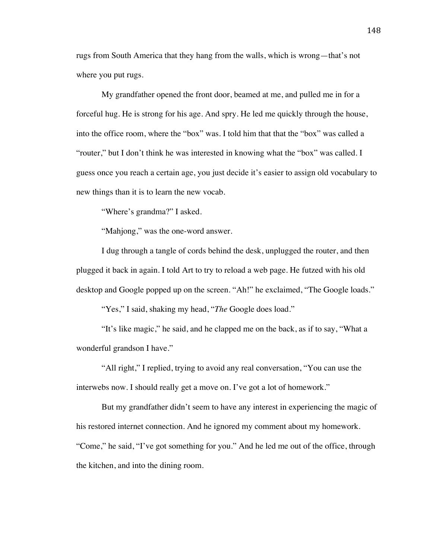rugs from South America that they hang from the walls, which is wrong—that's not where you put rugs.

My grandfather opened the front door, beamed at me, and pulled me in for a forceful hug. He is strong for his age. And spry. He led me quickly through the house, into the office room, where the "box" was. I told him that that the "box" was called a "router," but I don't think he was interested in knowing what the "box" was called. I guess once you reach a certain age, you just decide it's easier to assign old vocabulary to new things than it is to learn the new vocab.

"Where's grandma?" I asked.

"Mahjong," was the one-word answer.

I dug through a tangle of cords behind the desk, unplugged the router, and then plugged it back in again. I told Art to try to reload a web page. He futzed with his old desktop and Google popped up on the screen. "Ah!" he exclaimed, "The Google loads."

"Yes," I said, shaking my head, "*The* Google does load."

"It's like magic," he said, and he clapped me on the back, as if to say, "What a wonderful grandson I have."

"All right," I replied, trying to avoid any real conversation, "You can use the interwebs now. I should really get a move on. I've got a lot of homework."

But my grandfather didn't seem to have any interest in experiencing the magic of his restored internet connection. And he ignored my comment about my homework. "Come," he said, "I've got something for you." And he led me out of the office, through the kitchen, and into the dining room.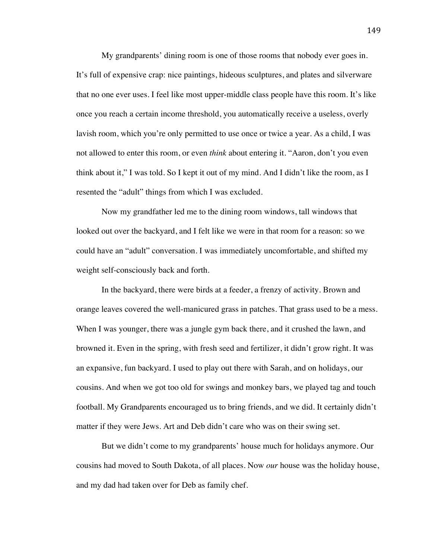My grandparents' dining room is one of those rooms that nobody ever goes in. It's full of expensive crap: nice paintings, hideous sculptures, and plates and silverware that no one ever uses. I feel like most upper-middle class people have this room. It's like once you reach a certain income threshold, you automatically receive a useless, overly lavish room, which you're only permitted to use once or twice a year. As a child, I was not allowed to enter this room, or even *think* about entering it. "Aaron, don't you even think about it," I was told. So I kept it out of my mind. And I didn't like the room, as I resented the "adult" things from which I was excluded.

Now my grandfather led me to the dining room windows, tall windows that looked out over the backyard, and I felt like we were in that room for a reason: so we could have an "adult" conversation. I was immediately uncomfortable, and shifted my weight self-consciously back and forth.

In the backyard, there were birds at a feeder, a frenzy of activity. Brown and orange leaves covered the well-manicured grass in patches. That grass used to be a mess. When I was younger, there was a jungle gym back there, and it crushed the lawn, and browned it. Even in the spring, with fresh seed and fertilizer, it didn't grow right. It was an expansive, fun backyard. I used to play out there with Sarah, and on holidays, our cousins. And when we got too old for swings and monkey bars, we played tag and touch football. My Grandparents encouraged us to bring friends, and we did. It certainly didn't matter if they were Jews. Art and Deb didn't care who was on their swing set.

But we didn't come to my grandparents' house much for holidays anymore. Our cousins had moved to South Dakota, of all places. Now *our* house was the holiday house, and my dad had taken over for Deb as family chef.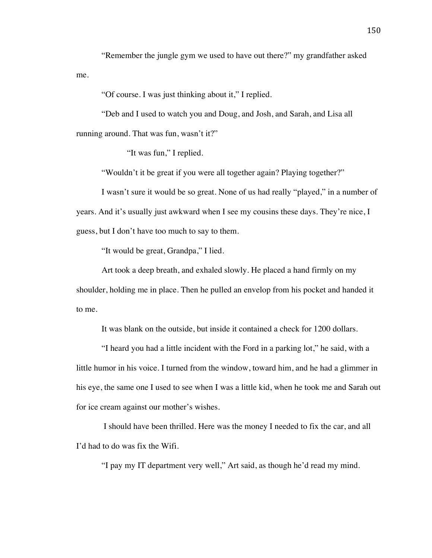"Remember the jungle gym we used to have out there?" my grandfather asked me.

"Of course. I was just thinking about it," I replied.

"Deb and I used to watch you and Doug, and Josh, and Sarah, and Lisa all running around. That was fun, wasn't it?"

"It was fun," I replied.

"Wouldn't it be great if you were all together again? Playing together?"

I wasn't sure it would be so great. None of us had really "played," in a number of years. And it's usually just awkward when I see my cousins these days. They're nice, I guess, but I don't have too much to say to them.

"It would be great, Grandpa," I lied.

Art took a deep breath, and exhaled slowly. He placed a hand firmly on my shoulder, holding me in place. Then he pulled an envelop from his pocket and handed it to me.

It was blank on the outside, but inside it contained a check for 1200 dollars.

"I heard you had a little incident with the Ford in a parking lot," he said, with a little humor in his voice. I turned from the window, toward him, and he had a glimmer in his eye, the same one I used to see when I was a little kid, when he took me and Sarah out for ice cream against our mother's wishes.

 I should have been thrilled. Here was the money I needed to fix the car, and all I'd had to do was fix the Wifi.

"I pay my IT department very well," Art said, as though he'd read my mind.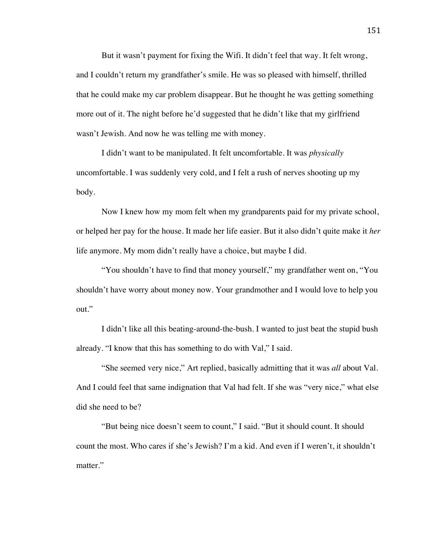But it wasn't payment for fixing the Wifi. It didn't feel that way. It felt wrong, and I couldn't return my grandfather's smile. He was so pleased with himself, thrilled that he could make my car problem disappear. But he thought he was getting something more out of it. The night before he'd suggested that he didn't like that my girlfriend wasn't Jewish. And now he was telling me with money.

I didn't want to be manipulated. It felt uncomfortable. It was *physically* uncomfortable. I was suddenly very cold, and I felt a rush of nerves shooting up my body.

Now I knew how my mom felt when my grandparents paid for my private school, or helped her pay for the house. It made her life easier. But it also didn't quite make it *her* life anymore. My mom didn't really have a choice, but maybe I did.

"You shouldn't have to find that money yourself," my grandfather went on, "You shouldn't have worry about money now. Your grandmother and I would love to help you out."

I didn't like all this beating-around-the-bush. I wanted to just beat the stupid bush already. "I know that this has something to do with Val," I said.

"She seemed very nice," Art replied, basically admitting that it was *all* about Val. And I could feel that same indignation that Val had felt. If she was "very nice," what else did she need to be?

"But being nice doesn't seem to count," I said. "But it should count. It should count the most. Who cares if she's Jewish? I'm a kid. And even if I weren't, it shouldn't matter."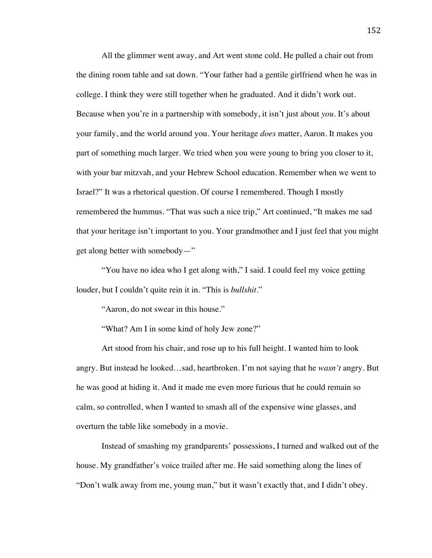All the glimmer went away, and Art went stone cold. He pulled a chair out from the dining room table and sat down. "Your father had a gentile girlfriend when he was in college. I think they were still together when he graduated. And it didn't work out. Because when you're in a partnership with somebody, it isn't just about *you*. It's about your family, and the world around you. Your heritage *does* matter, Aaron. It makes you part of something much larger. We tried when you were young to bring you closer to it, with your bar mitzvah, and your Hebrew School education. Remember when we went to Israel?" It was a rhetorical question. Of course I remembered. Though I mostly remembered the hummus. "That was such a nice trip," Art continued, "It makes me sad that your heritage isn't important to you. Your grandmother and I just feel that you might get along better with somebody—"

"You have no idea who I get along with," I said. I could feel my voice getting louder, but I couldn't quite rein it in. "This is *bullshit*."

"Aaron, do not swear in this house."

"What? Am I in some kind of holy Jew zone?"

Art stood from his chair, and rose up to his full height. I wanted him to look angry. But instead he looked…sad, heartbroken. I'm not saying that he *wasn't* angry. But he was good at hiding it. And it made me even more furious that he could remain so calm, so controlled, when I wanted to smash all of the expensive wine glasses, and overturn the table like somebody in a movie.

Instead of smashing my grandparents' possessions, I turned and walked out of the house. My grandfather's voice trailed after me. He said something along the lines of "Don't walk away from me, young man," but it wasn't exactly that, and I didn't obey.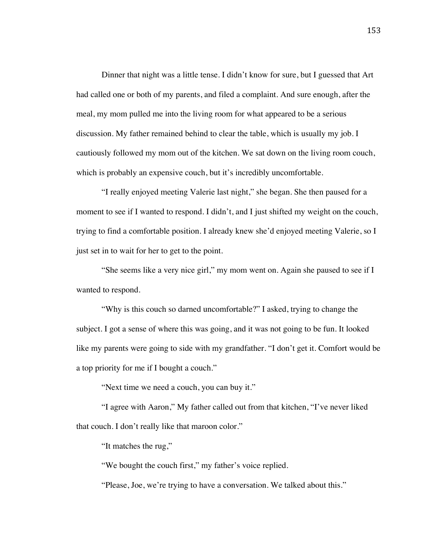Dinner that night was a little tense. I didn't know for sure, but I guessed that Art had called one or both of my parents, and filed a complaint. And sure enough, after the meal, my mom pulled me into the living room for what appeared to be a serious discussion. My father remained behind to clear the table, which is usually my job. I cautiously followed my mom out of the kitchen. We sat down on the living room couch, which is probably an expensive couch, but it's incredibly uncomfortable.

"I really enjoyed meeting Valerie last night," she began. She then paused for a moment to see if I wanted to respond. I didn't, and I just shifted my weight on the couch, trying to find a comfortable position. I already knew she'd enjoyed meeting Valerie, so I just set in to wait for her to get to the point.

"She seems like a very nice girl," my mom went on. Again she paused to see if I wanted to respond.

"Why is this couch so darned uncomfortable?" I asked, trying to change the subject. I got a sense of where this was going, and it was not going to be fun. It looked like my parents were going to side with my grandfather. "I don't get it. Comfort would be a top priority for me if I bought a couch."

"Next time we need a couch, you can buy it."

"I agree with Aaron," My father called out from that kitchen, "I've never liked that couch. I don't really like that maroon color."

"It matches the rug,"

"We bought the couch first," my father's voice replied.

"Please, Joe, we're trying to have a conversation. We talked about this."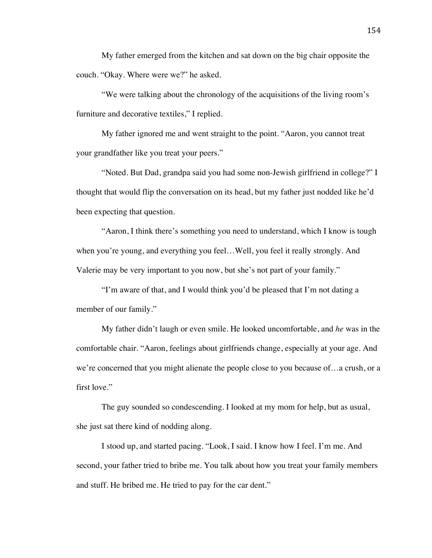My father emerged from the kitchen and sat down on the big chair opposite the couch. "Okay. Where were we?" he asked.

"We were talking about the chronology of the acquisitions of the living room's furniture and decorative textiles," I replied.

My father ignored me and went straight to the point. "Aaron, you cannot treat your grandfather like you treat your peers."

"Noted. But Dad, grandpa said you had some non-Jewish girlfriend in college?" I thought that would flip the conversation on its head, but my father just nodded like he'd been expecting that question.

"Aaron, I think there's something you need to understand, which I know is tough when you're young, and everything you feel...Well, you feel it really strongly. And Valerie may be very important to you now, but she's not part of your family."

"I'm aware of that, and I would think you'd be pleased that I'm not dating a member of our family."

My father didn't laugh or even smile. He looked uncomfortable, and *he* was in the comfortable chair. "Aaron, feelings about girlfriends change, especially at your age. And we're concerned that you might alienate the people close to you because of…a crush, or a first love."

The guy sounded so condescending. I looked at my mom for help, but as usual, she just sat there kind of nodding along.

I stood up, and started pacing. "Look, I said. I know how I feel. I'm me. And second, your father tried to bribe me. You talk about how you treat your family members and stuff. He bribed me. He tried to pay for the car dent."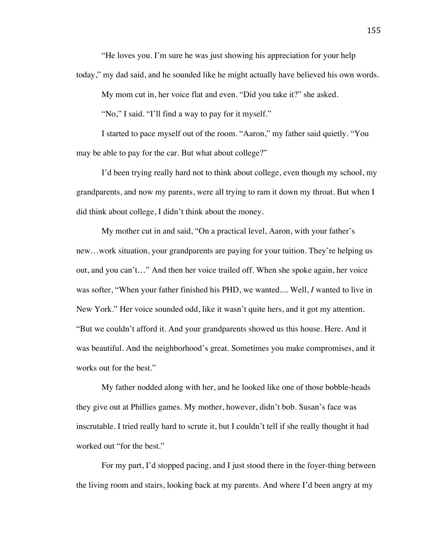"He loves you. I'm sure he was just showing his appreciation for your help today," my dad said, and he sounded like he might actually have believed his own words.

My mom cut in, her voice flat and even. "Did you take it?" she asked.

"No," I said. "I'll find a way to pay for it myself."

I started to pace myself out of the room. "Aaron," my father said quietly. "You may be able to pay for the car. But what about college?"

I'd been trying really hard not to think about college, even though my school, my grandparents, and now my parents, were all trying to ram it down my throat. But when I did think about college, I didn't think about the money.

My mother cut in and said, "On a practical level, Aaron, with your father's new…work situation, your grandparents are paying for your tuition. They're helping us out, and you can't…" And then her voice trailed off. When she spoke again, her voice was softer, "When your father finished his PHD, we wanted.... Well, *I* wanted to live in New York." Her voice sounded odd, like it wasn't quite hers, and it got my attention. "But we couldn't afford it. And your grandparents showed us this house. Here. And it was beautiful. And the neighborhood's great. Sometimes you make compromises, and it works out for the best."

My father nodded along with her, and he looked like one of those bobble-heads they give out at Phillies games. My mother, however, didn't bob. Susan's face was inscrutable. I tried really hard to scrute it, but I couldn't tell if she really thought it had worked out "for the best."

For my part, I'd stopped pacing, and I just stood there in the foyer-thing between the living room and stairs, looking back at my parents. And where I'd been angry at my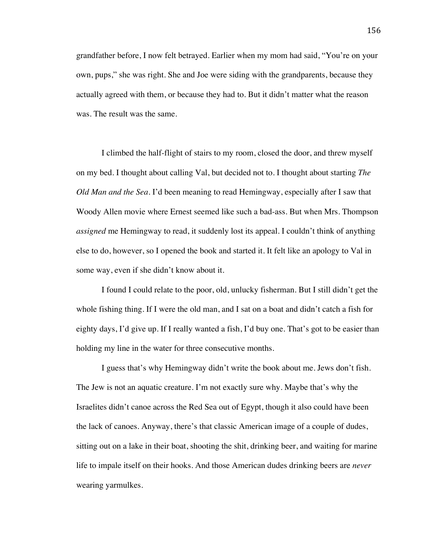grandfather before, I now felt betrayed. Earlier when my mom had said, "You're on your own, pups," she was right. She and Joe were siding with the grandparents, because they actually agreed with them, or because they had to. But it didn't matter what the reason was. The result was the same.

I climbed the half-flight of stairs to my room, closed the door, and threw myself on my bed. I thought about calling Val, but decided not to. I thought about starting *The Old Man and the Sea*. I'd been meaning to read Hemingway, especially after I saw that Woody Allen movie where Ernest seemed like such a bad-ass. But when Mrs. Thompson *assigned* me Hemingway to read, it suddenly lost its appeal. I couldn't think of anything else to do, however, so I opened the book and started it. It felt like an apology to Val in some way, even if she didn't know about it.

I found I could relate to the poor, old, unlucky fisherman. But I still didn't get the whole fishing thing. If I were the old man, and I sat on a boat and didn't catch a fish for eighty days, I'd give up. If I really wanted a fish, I'd buy one. That's got to be easier than holding my line in the water for three consecutive months.

I guess that's why Hemingway didn't write the book about me. Jews don't fish. The Jew is not an aquatic creature. I'm not exactly sure why. Maybe that's why the Israelites didn't canoe across the Red Sea out of Egypt, though it also could have been the lack of canoes. Anyway, there's that classic American image of a couple of dudes, sitting out on a lake in their boat, shooting the shit, drinking beer, and waiting for marine life to impale itself on their hooks. And those American dudes drinking beers are *never* wearing yarmulkes.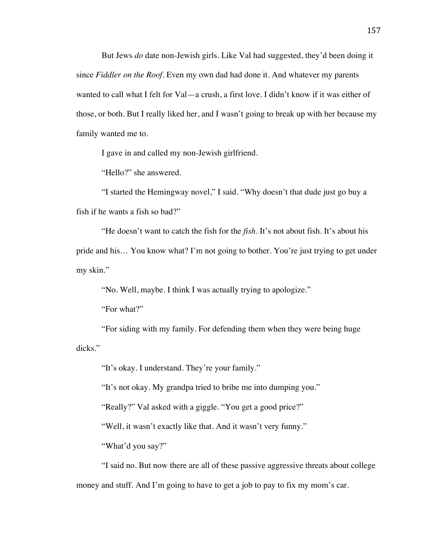But Jews *do* date non-Jewish girls. Like Val had suggested, they'd been doing it since *Fiddler on the Roof*. Even my own dad had done it. And whatever my parents wanted to call what I felt for Val—a crush, a first love. I didn't know if it was either of those, or both. But I really liked her, and I wasn't going to break up with her because my family wanted me to.

I gave in and called my non-Jewish girlfriend.

"Hello?" she answered.

"I started the Hemingway novel," I said. "Why doesn't that dude just go buy a fish if he wants a fish so bad?"

"He doesn't want to catch the fish for the *fish*. It's not about fish. It's about his pride and his… You know what? I'm not going to bother. You're just trying to get under my skin."

"No. Well, maybe. I think I was actually trying to apologize."

"For what?"

"For siding with my family. For defending them when they were being huge dicks."

"It's okay. I understand. They're your family."

"It's not okay. My grandpa tried to bribe me into dumping you."

"Really?" Val asked with a giggle. "You get a good price?"

"Well, it wasn't exactly like that. And it wasn't very funny."

"What'd you say?"

"I said no. But now there are all of these passive aggressive threats about college money and stuff. And I'm going to have to get a job to pay to fix my mom's car.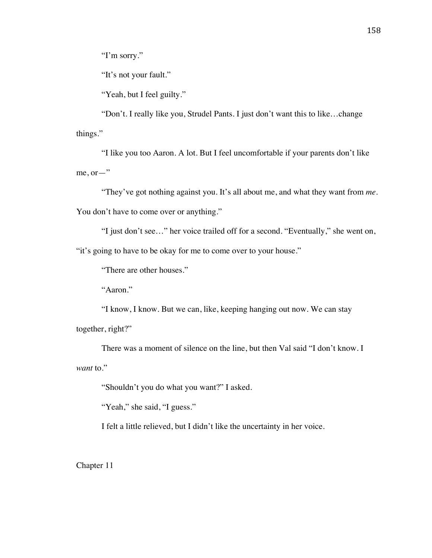"I'm sorry."

"It's not your fault."

"Yeah, but I feel guilty."

"Don't. I really like you, Strudel Pants. I just don't want this to like…change things."

"I like you too Aaron. A lot. But I feel uncomfortable if your parents don't like me, or—"

"They've got nothing against you. It's all about me, and what they want from *me*. You don't have to come over or anything."

"I just don't see…" her voice trailed off for a second. "Eventually," she went on,

"it's going to have to be okay for me to come over to your house."

"There are other houses."

"Aaron."

"I know, I know. But we can, like, keeping hanging out now. We can stay together, right?"

There was a moment of silence on the line, but then Val said "I don't know. I *want* to."

"Shouldn't you do what you want?" I asked.

"Yeah," she said, "I guess."

I felt a little relieved, but I didn't like the uncertainty in her voice.

Chapter 11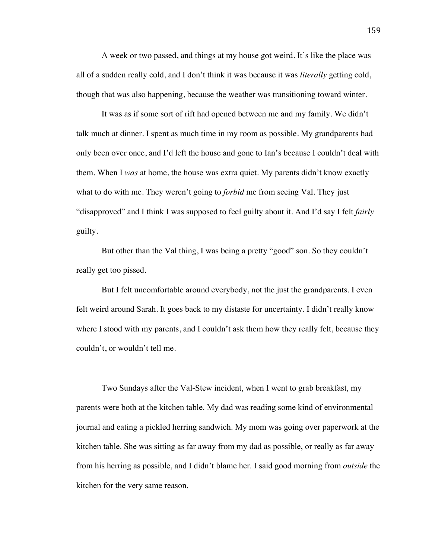A week or two passed, and things at my house got weird. It's like the place was all of a sudden really cold, and I don't think it was because it was *literally* getting cold, though that was also happening, because the weather was transitioning toward winter.

It was as if some sort of rift had opened between me and my family. We didn't talk much at dinner. I spent as much time in my room as possible. My grandparents had only been over once, and I'd left the house and gone to Ian's because I couldn't deal with them. When I *was* at home, the house was extra quiet. My parents didn't know exactly what to do with me. They weren't going to *forbid* me from seeing Val. They just "disapproved" and I think I was supposed to feel guilty about it. And I'd say I felt *fairly* guilty.

But other than the Val thing, I was being a pretty "good" son. So they couldn't really get too pissed.

But I felt uncomfortable around everybody, not the just the grandparents. I even felt weird around Sarah. It goes back to my distaste for uncertainty. I didn't really know where I stood with my parents, and I couldn't ask them how they really felt, because they couldn't, or wouldn't tell me.

Two Sundays after the Val-Stew incident, when I went to grab breakfast, my parents were both at the kitchen table. My dad was reading some kind of environmental journal and eating a pickled herring sandwich. My mom was going over paperwork at the kitchen table. She was sitting as far away from my dad as possible, or really as far away from his herring as possible, and I didn't blame her. I said good morning from *outside* the kitchen for the very same reason.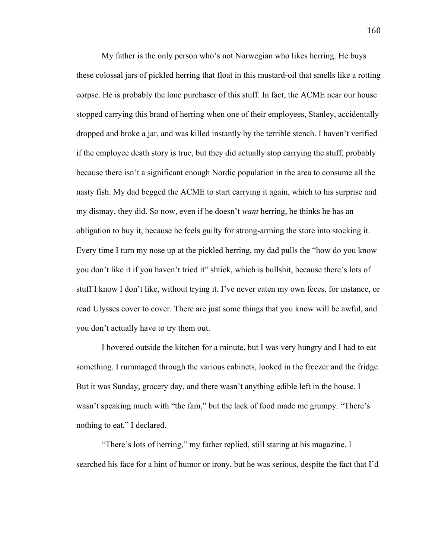My father is the only person who's not Norwegian who likes herring. He buys these colossal jars of pickled herring that float in this mustard-oil that smells like a rotting corpse. He is probably the lone purchaser of this stuff. In fact, the ACME near our house stopped carrying this brand of herring when one of their employees, Stanley, accidentally dropped and broke a jar, and was killed instantly by the terrible stench. I haven't verified if the employee death story is true, but they did actually stop carrying the stuff, probably because there isn't a significant enough Nordic population in the area to consume all the nasty fish. My dad begged the ACME to start carrying it again, which to his surprise and my dismay, they did. So now, even if he doesn't *want* herring, he thinks he has an obligation to buy it, because he feels guilty for strong-arming the store into stocking it. Every time I turn my nose up at the pickled herring, my dad pulls the "how do you know you don't like it if you haven't tried it" shtick, which is bullshit, because there's lots of stuff I know I don't like, without trying it. I've never eaten my own feces, for instance, or read Ulysses cover to cover. There are just some things that you know will be awful, and you don't actually have to try them out.

I hovered outside the kitchen for a minute, but I was very hungry and I had to eat something. I rummaged through the various cabinets, looked in the freezer and the fridge. But it was Sunday, grocery day, and there wasn't anything edible left in the house. I wasn't speaking much with "the fam," but the lack of food made me grumpy. "There's nothing to eat," I declared.

"There's lots of herring," my father replied, still staring at his magazine. I searched his face for a hint of humor or irony, but he was serious, despite the fact that I'd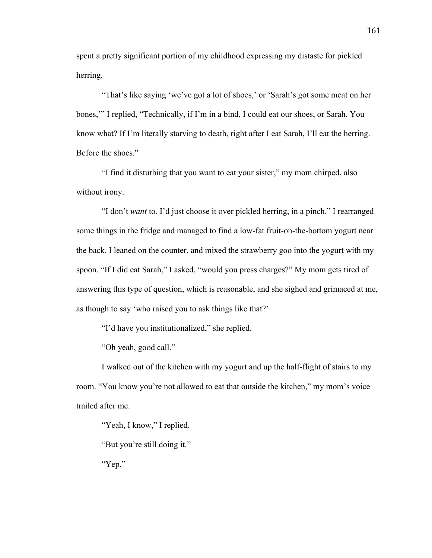spent a pretty significant portion of my childhood expressing my distaste for pickled herring.

"That's like saying 'we've got a lot of shoes,' or 'Sarah's got some meat on her bones,'" I replied, "Technically, if I'm in a bind, I could eat our shoes, or Sarah. You know what? If I'm literally starving to death, right after I eat Sarah, I'll eat the herring. Before the shoes."

"I find it disturbing that you want to eat your sister," my mom chirped, also without irony.

"I don't *want* to. I'd just choose it over pickled herring, in a pinch." I rearranged some things in the fridge and managed to find a low-fat fruit-on-the-bottom yogurt near the back. I leaned on the counter, and mixed the strawberry goo into the yogurt with my spoon. "If I did eat Sarah," I asked, "would you press charges?" My mom gets tired of answering this type of question, which is reasonable, and she sighed and grimaced at me, as though to say 'who raised you to ask things like that?'

"I'd have you institutionalized," she replied.

"Oh yeah, good call."

I walked out of the kitchen with my yogurt and up the half-flight of stairs to my room. "You know you're not allowed to eat that outside the kitchen," my mom's voice trailed after me.

"Yeah, I know," I replied.

"But you're still doing it."

"Yep."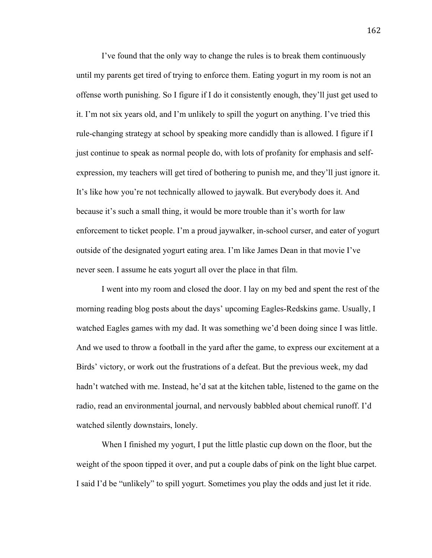I've found that the only way to change the rules is to break them continuously until my parents get tired of trying to enforce them. Eating yogurt in my room is not an offense worth punishing. So I figure if I do it consistently enough, they'll just get used to it. I'm not six years old, and I'm unlikely to spill the yogurt on anything. I've tried this rule-changing strategy at school by speaking more candidly than is allowed. I figure if I just continue to speak as normal people do, with lots of profanity for emphasis and selfexpression, my teachers will get tired of bothering to punish me, and they'll just ignore it. It's like how you're not technically allowed to jaywalk. But everybody does it. And because it's such a small thing, it would be more trouble than it's worth for law enforcement to ticket people. I'm a proud jaywalker, in-school curser, and eater of yogurt outside of the designated yogurt eating area. I'm like James Dean in that movie I've never seen. I assume he eats yogurt all over the place in that film.

I went into my room and closed the door. I lay on my bed and spent the rest of the morning reading blog posts about the days' upcoming Eagles-Redskins game. Usually, I watched Eagles games with my dad. It was something we'd been doing since I was little. And we used to throw a football in the yard after the game, to express our excitement at a Birds' victory, or work out the frustrations of a defeat. But the previous week, my dad hadn't watched with me. Instead, he'd sat at the kitchen table, listened to the game on the radio, read an environmental journal, and nervously babbled about chemical runoff. I'd watched silently downstairs, lonely.

When I finished my yogurt, I put the little plastic cup down on the floor, but the weight of the spoon tipped it over, and put a couple dabs of pink on the light blue carpet. I said I'd be "unlikely" to spill yogurt. Sometimes you play the odds and just let it ride.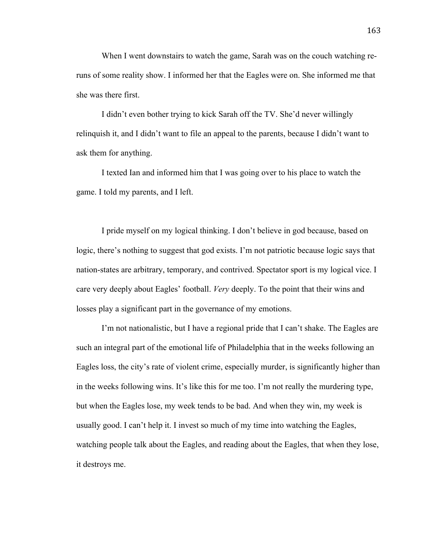When I went downstairs to watch the game, Sarah was on the couch watching reruns of some reality show. I informed her that the Eagles were on. She informed me that she was there first.

I didn't even bother trying to kick Sarah off the TV. She'd never willingly relinquish it, and I didn't want to file an appeal to the parents, because I didn't want to ask them for anything.

I texted Ian and informed him that I was going over to his place to watch the game. I told my parents, and I left.

I pride myself on my logical thinking. I don't believe in god because, based on logic, there's nothing to suggest that god exists. I'm not patriotic because logic says that nation-states are arbitrary, temporary, and contrived. Spectator sport is my logical vice. I care very deeply about Eagles' football. *Very* deeply. To the point that their wins and losses play a significant part in the governance of my emotions.

I'm not nationalistic, but I have a regional pride that I can't shake. The Eagles are such an integral part of the emotional life of Philadelphia that in the weeks following an Eagles loss, the city's rate of violent crime, especially murder, is significantly higher than in the weeks following wins. It's like this for me too. I'm not really the murdering type, but when the Eagles lose, my week tends to be bad. And when they win, my week is usually good. I can't help it. I invest so much of my time into watching the Eagles, watching people talk about the Eagles, and reading about the Eagles, that when they lose, it destroys me.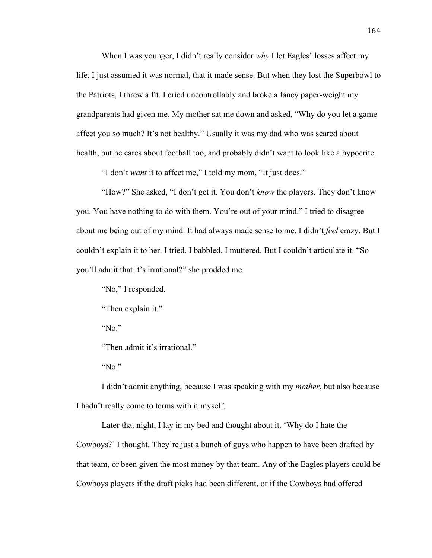When I was younger, I didn't really consider *why* I let Eagles' losses affect my life. I just assumed it was normal, that it made sense. But when they lost the Superbowl to the Patriots, I threw a fit. I cried uncontrollably and broke a fancy paper-weight my grandparents had given me. My mother sat me down and asked, "Why do you let a game affect you so much? It's not healthy." Usually it was my dad who was scared about health, but he cares about football too, and probably didn't want to look like a hypocrite.

"I don't *want* it to affect me," I told my mom, "It just does."

"How?" She asked, "I don't get it. You don't *know* the players. They don't know you. You have nothing to do with them. You're out of your mind." I tried to disagree about me being out of my mind. It had always made sense to me. I didn't *feel* crazy. But I couldn't explain it to her. I tried. I babbled. I muttered. But I couldn't articulate it. "So you'll admit that it's irrational?" she prodded me.

"No," I responded.

"Then explain it."

"No."

"Then admit it's irrational."

"No."

I didn't admit anything, because I was speaking with my *mother*, but also because I hadn't really come to terms with it myself.

Later that night, I lay in my bed and thought about it. 'Why do I hate the Cowboys?' I thought. They're just a bunch of guys who happen to have been drafted by that team, or been given the most money by that team. Any of the Eagles players could be Cowboys players if the draft picks had been different, or if the Cowboys had offered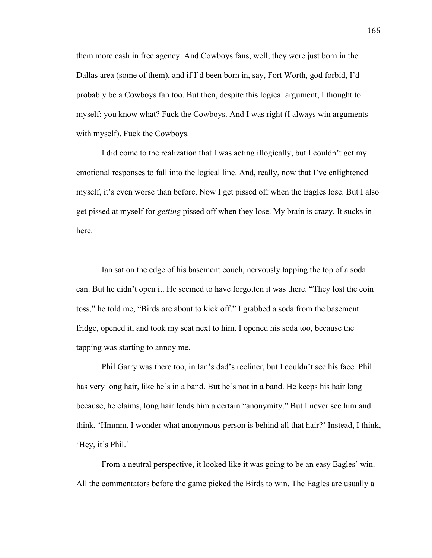them more cash in free agency. And Cowboys fans, well, they were just born in the Dallas area (some of them), and if I'd been born in, say, Fort Worth, god forbid, I'd probably be a Cowboys fan too. But then, despite this logical argument, I thought to myself: you know what? Fuck the Cowboys. And I was right (I always win arguments with myself). Fuck the Cowboys.

I did come to the realization that I was acting illogically, but I couldn't get my emotional responses to fall into the logical line. And, really, now that I've enlightened myself, it's even worse than before. Now I get pissed off when the Eagles lose. But I also get pissed at myself for *getting* pissed off when they lose. My brain is crazy. It sucks in here.

Ian sat on the edge of his basement couch, nervously tapping the top of a soda can. But he didn't open it. He seemed to have forgotten it was there. "They lost the coin toss," he told me, "Birds are about to kick off." I grabbed a soda from the basement fridge, opened it, and took my seat next to him. I opened his soda too, because the tapping was starting to annoy me.

Phil Garry was there too, in Ian's dad's recliner, but I couldn't see his face. Phil has very long hair, like he's in a band. But he's not in a band. He keeps his hair long because, he claims, long hair lends him a certain "anonymity." But I never see him and think, 'Hmmm, I wonder what anonymous person is behind all that hair?' Instead, I think, 'Hey, it's Phil.'

From a neutral perspective, it looked like it was going to be an easy Eagles' win. All the commentators before the game picked the Birds to win. The Eagles are usually a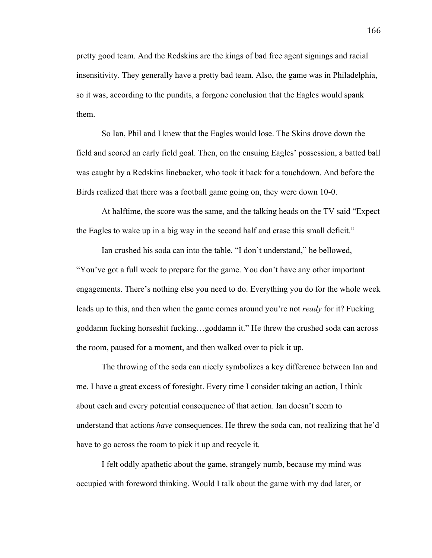pretty good team. And the Redskins are the kings of bad free agent signings and racial insensitivity. They generally have a pretty bad team. Also, the game was in Philadelphia, so it was, according to the pundits, a forgone conclusion that the Eagles would spank them.

So Ian, Phil and I knew that the Eagles would lose. The Skins drove down the field and scored an early field goal. Then, on the ensuing Eagles' possession, a batted ball was caught by a Redskins linebacker, who took it back for a touchdown. And before the Birds realized that there was a football game going on, they were down 10-0.

At halftime, the score was the same, and the talking heads on the TV said "Expect the Eagles to wake up in a big way in the second half and erase this small deficit."

Ian crushed his soda can into the table. "I don't understand," he bellowed, "You've got a full week to prepare for the game. You don't have any other important engagements. There's nothing else you need to do. Everything you do for the whole week leads up to this, and then when the game comes around you're not *ready* for it? Fucking goddamn fucking horseshit fucking…goddamn it." He threw the crushed soda can across the room, paused for a moment, and then walked over to pick it up.

The throwing of the soda can nicely symbolizes a key difference between Ian and me. I have a great excess of foresight. Every time I consider taking an action, I think about each and every potential consequence of that action. Ian doesn't seem to understand that actions *have* consequences. He threw the soda can, not realizing that he'd have to go across the room to pick it up and recycle it.

I felt oddly apathetic about the game, strangely numb, because my mind was occupied with foreword thinking. Would I talk about the game with my dad later, or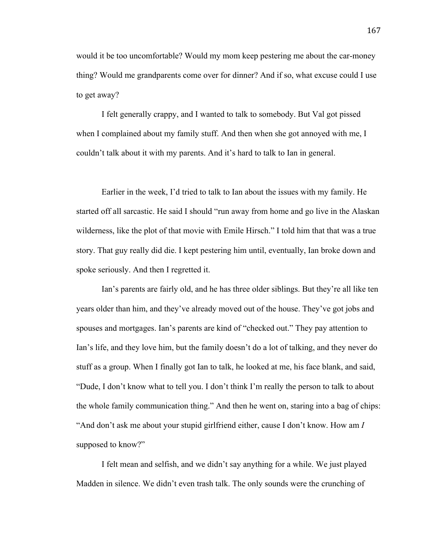would it be too uncomfortable? Would my mom keep pestering me about the car-money thing? Would me grandparents come over for dinner? And if so, what excuse could I use to get away?

I felt generally crappy, and I wanted to talk to somebody. But Val got pissed when I complained about my family stuff. And then when she got annoyed with me, I couldn't talk about it with my parents. And it's hard to talk to Ian in general.

Earlier in the week, I'd tried to talk to Ian about the issues with my family. He started off all sarcastic. He said I should "run away from home and go live in the Alaskan wilderness, like the plot of that movie with Emile Hirsch." I told him that that was a true story. That guy really did die. I kept pestering him until, eventually, Ian broke down and spoke seriously. And then I regretted it.

Ian's parents are fairly old, and he has three older siblings. But they're all like ten years older than him, and they've already moved out of the house. They've got jobs and spouses and mortgages. Ian's parents are kind of "checked out." They pay attention to Ian's life, and they love him, but the family doesn't do a lot of talking, and they never do stuff as a group. When I finally got Ian to talk, he looked at me, his face blank, and said, "Dude, I don't know what to tell you. I don't think I'm really the person to talk to about the whole family communication thing." And then he went on, staring into a bag of chips: "And don't ask me about your stupid girlfriend either, cause I don't know. How am *I* supposed to know?"

I felt mean and selfish, and we didn't say anything for a while. We just played Madden in silence. We didn't even trash talk. The only sounds were the crunching of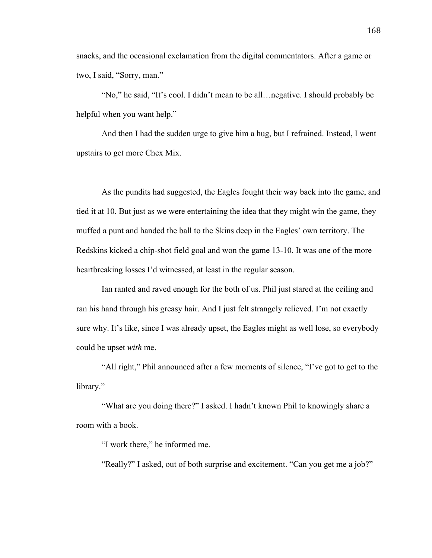snacks, and the occasional exclamation from the digital commentators. After a game or two, I said, "Sorry, man."

"No," he said, "It's cool. I didn't mean to be all…negative. I should probably be helpful when you want help."

And then I had the sudden urge to give him a hug, but I refrained. Instead, I went upstairs to get more Chex Mix.

As the pundits had suggested, the Eagles fought their way back into the game, and tied it at 10. But just as we were entertaining the idea that they might win the game, they muffed a punt and handed the ball to the Skins deep in the Eagles' own territory. The Redskins kicked a chip-shot field goal and won the game 13-10. It was one of the more heartbreaking losses I'd witnessed, at least in the regular season.

Ian ranted and raved enough for the both of us. Phil just stared at the ceiling and ran his hand through his greasy hair. And I just felt strangely relieved. I'm not exactly sure why. It's like, since I was already upset, the Eagles might as well lose, so everybody could be upset *with* me.

"All right," Phil announced after a few moments of silence, "I've got to get to the library."

"What are you doing there?" I asked. I hadn't known Phil to knowingly share a room with a book.

"I work there," he informed me.

"Really?" I asked, out of both surprise and excitement. "Can you get me a job?"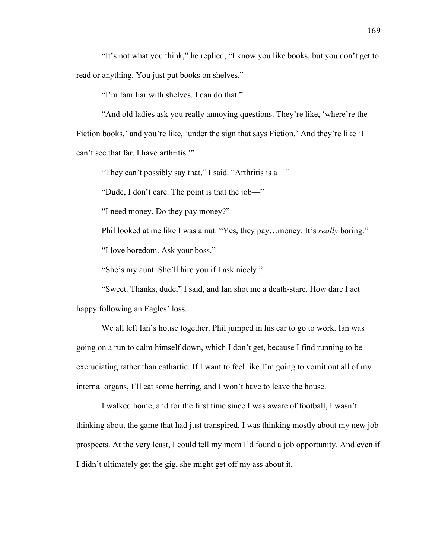"It's not what you think," he replied, "I know you like books, but you don't get to read or anything. You just put books on shelves."

"I'm familiar with shelves. I can do that."

"And old ladies ask you really annoying questions. They're like, 'where're the Fiction books,' and you're like, 'under the sign that says Fiction.' And they're like 'I can't see that far. I have arthritis.'"

"They can't possibly say that," I said. "Arthritis is a—"

"Dude, I don't care. The point is that the job—"

"I need money. Do they pay money?"

Phil looked at me like I was a nut. "Yes, they pay…money. It's *really* boring."

"I love boredom. Ask your boss."

"She's my aunt. She'll hire you if I ask nicely."

"Sweet. Thanks, dude," I said, and Ian shot me a death-stare. How dare I act happy following an Eagles' loss.

We all left Ian's house together. Phil jumped in his car to go to work. Ian was going on a run to calm himself down, which I don't get, because I find running to be excruciating rather than cathartic. If I want to feel like I'm going to vomit out all of my internal organs, I'll eat some herring, and I won't have to leave the house.

I walked home, and for the first time since I was aware of football, I wasn't thinking about the game that had just transpired. I was thinking mostly about my new job prospects. At the very least, I could tell my mom I'd found a job opportunity. And even if I didn't ultimately get the gig, she might get off my ass about it.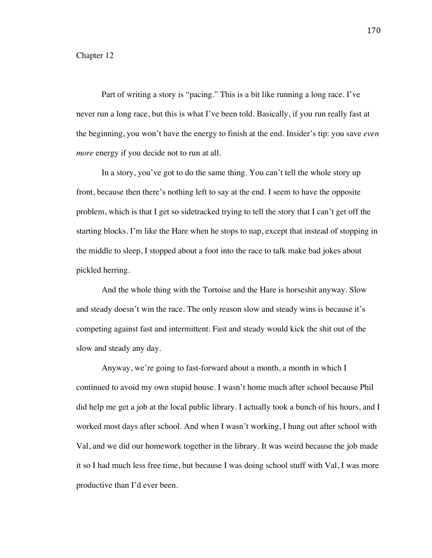Part of writing a story is "pacing." This is a bit like running a long race. I've never run a long race, but this is what I've been told. Basically, if you run really fast at the beginning, you won't have the energy to finish at the end. Insider's tip: you save *even more* energy if you decide not to run at all.

In a story, you've got to do the same thing. You can't tell the whole story up front, because then there's nothing left to say at the end. I seem to have the opposite problem, which is that I get so sidetracked trying to tell the story that I can't get off the starting blocks. I'm like the Hare when he stops to nap, except that instead of stopping in the middle to sleep, I stopped about a foot into the race to talk make bad jokes about pickled herring.

And the whole thing with the Tortoise and the Hare is horseshit anyway. Slow and steady doesn't win the race. The only reason slow and steady wins is because it's competing against fast and intermittent. Fast and steady would kick the shit out of the slow and steady any day.

Anyway, we're going to fast-forward about a month, a month in which I continued to avoid my own stupid house. I wasn't home much after school because Phil did help me get a job at the local public library. I actually took a bunch of his hours, and I worked most days after school. And when I wasn't working, I hung out after school with Val, and we did our homework together in the library. It was weird because the job made it so I had much less free time, but because I was doing school stuff with Val, I was more productive than I'd ever been.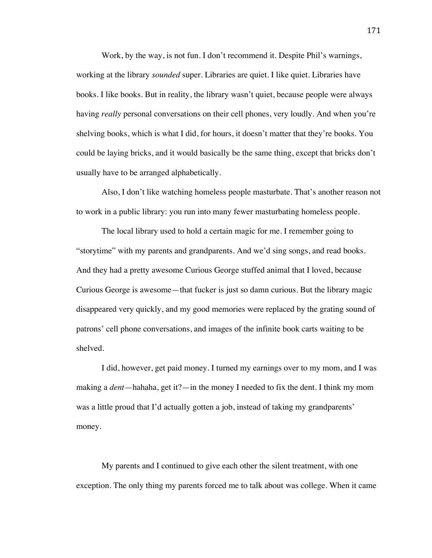Work, by the way, is not fun. I don't recommend it. Despite Phil's warnings, working at the library *sounded* super. Libraries are quiet. I like quiet. Libraries have books. I like books. But in reality, the library wasn't quiet, because people were always having *really* personal conversations on their cell phones, very loudly. And when you're shelving books, which is what I did, for hours, it doesn't matter that they're books. You could be laying bricks, and it would basically be the same thing, except that bricks don't usually have to be arranged alphabetically.

Also, I don't like watching homeless people masturbate. That's another reason not to work in a public library: you run into many fewer masturbating homeless people.

The local library used to hold a certain magic for me. I remember going to "storytime" with my parents and grandparents. And we'd sing songs, and read books. And they had a pretty awesome Curious George stuffed animal that I loved, because Curious George is awesome—that fucker is just so damn curious. But the library magic disappeared very quickly, and my good memories were replaced by the grating sound of patrons' cell phone conversations, and images of the infinite book carts waiting to be shelved.

I did, however, get paid money. I turned my earnings over to my mom, and I was making a *dent*—hahaha, get it?—in the money I needed to fix the dent. I think my mom was a little proud that I'd actually gotten a job, instead of taking my grandparents' money.

My parents and I continued to give each other the silent treatment, with one exception. The only thing my parents forced me to talk about was college. When it came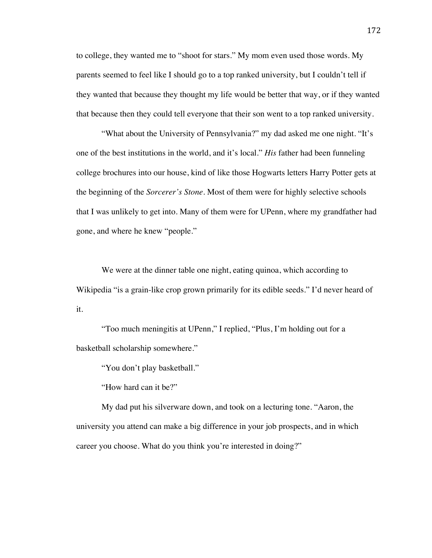to college, they wanted me to "shoot for stars." My mom even used those words. My parents seemed to feel like I should go to a top ranked university, but I couldn't tell if they wanted that because they thought my life would be better that way, or if they wanted that because then they could tell everyone that their son went to a top ranked university.

"What about the University of Pennsylvania?" my dad asked me one night. "It's one of the best institutions in the world, and it's local." *His* father had been funneling college brochures into our house, kind of like those Hogwarts letters Harry Potter gets at the beginning of the *Sorcerer's Stone*. Most of them were for highly selective schools that I was unlikely to get into. Many of them were for UPenn, where my grandfather had gone, and where he knew "people."

We were at the dinner table one night, eating quinoa, which according to Wikipedia "is a grain-like crop grown primarily for its edible seeds." I'd never heard of it.

"Too much meningitis at UPenn," I replied, "Plus, I'm holding out for a basketball scholarship somewhere."

"You don't play basketball."

"How hard can it be?"

My dad put his silverware down, and took on a lecturing tone. "Aaron, the university you attend can make a big difference in your job prospects, and in which career you choose. What do you think you're interested in doing?"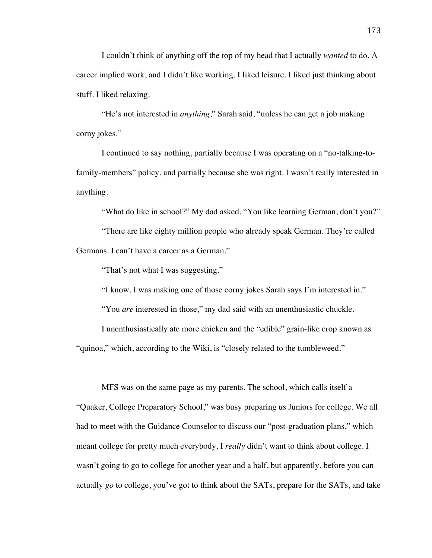I couldn't think of anything off the top of my head that I actually *wanted* to do. A career implied work, and I didn't like working. I liked leisure. I liked just thinking about stuff. I liked relaxing.

"He's not interested in *anything*," Sarah said, "unless he can get a job making corny jokes."

I continued to say nothing, partially because I was operating on a "no-talking-tofamily-members" policy, and partially because she was right. I wasn't really interested in anything.

"What do like in school?" My dad asked. "You like learning German, don't you?"

"There are like eighty million people who already speak German. They're called Germans. I can't have a career as a German."

"That's not what I was suggesting."

"I know. I was making one of those corny jokes Sarah says I'm interested in."

"You *are* interested in those," my dad said with an unenthusiastic chuckle.

I unenthusiastically ate more chicken and the "edible" grain-like crop known as "quinoa," which, according to the Wiki, is "closely related to the tumbleweed."

MFS was on the same page as my parents. The school, which calls itself a "Quaker, College Preparatory School," was busy preparing us Juniors for college. We all had to meet with the Guidance Counselor to discuss our "post-graduation plans," which meant college for pretty much everybody. I *really* didn't want to think about college. I wasn't going to go to college for another year and a half, but apparently, before you can actually *go* to college, you've got to think about the SATs, prepare for the SATs, and take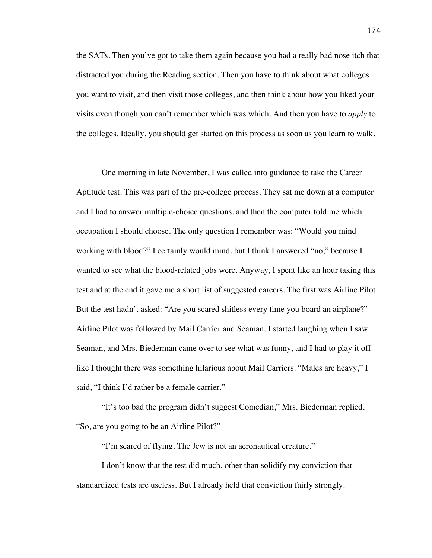the SATs. Then you've got to take them again because you had a really bad nose itch that distracted you during the Reading section. Then you have to think about what colleges you want to visit, and then visit those colleges, and then think about how you liked your visits even though you can't remember which was which. And then you have to *apply* to the colleges. Ideally, you should get started on this process as soon as you learn to walk.

One morning in late November, I was called into guidance to take the Career Aptitude test. This was part of the pre-college process. They sat me down at a computer and I had to answer multiple-choice questions, and then the computer told me which occupation I should choose. The only question I remember was: "Would you mind working with blood?" I certainly would mind, but I think I answered "no," because I wanted to see what the blood-related jobs were. Anyway, I spent like an hour taking this test and at the end it gave me a short list of suggested careers. The first was Airline Pilot. But the test hadn't asked: "Are you scared shitless every time you board an airplane?" Airline Pilot was followed by Mail Carrier and Seaman. I started laughing when I saw Seaman, and Mrs. Biederman came over to see what was funny, and I had to play it off like I thought there was something hilarious about Mail Carriers. "Males are heavy," I said, "I think I'd rather be a female carrier."

"It's too bad the program didn't suggest Comedian," Mrs. Biederman replied. "So, are you going to be an Airline Pilot?"

"I'm scared of flying. The Jew is not an aeronautical creature."

I don't know that the test did much, other than solidify my conviction that standardized tests are useless. But I already held that conviction fairly strongly.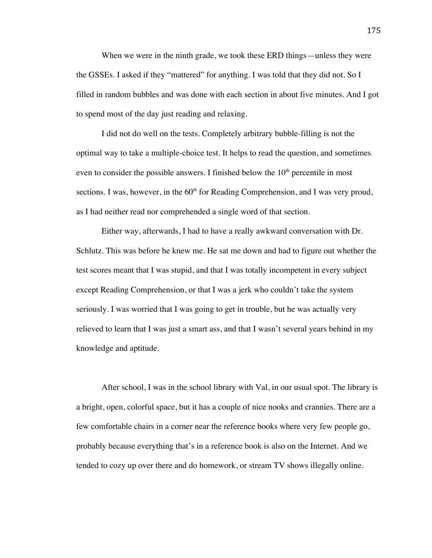When we were in the ninth grade, we took these ERD things—unless they were the GSSEs. I asked if they "mattered" for anything. I was told that they did not. So I filled in random bubbles and was done with each section in about five minutes. And I got to spend most of the day just reading and relaxing.

I did not do well on the tests. Completely arbitrary bubble-filling is not the optimal way to take a multiple-choice test. It helps to read the question, and sometimes even to consider the possible answers. I finished below the  $10<sup>th</sup>$  percentile in most sections. I was, however, in the  $60<sup>th</sup>$  for Reading Comprehension, and I was very proud, as I had neither read nor comprehended a single word of that section.

Either way, afterwards, I had to have a really awkward conversation with Dr. Schlutz. This was before he knew me. He sat me down and had to figure out whether the test scores meant that I was stupid, and that I was totally incompetent in every subject except Reading Comprehension, or that I was a jerk who couldn't take the system seriously. I was worried that I was going to get in trouble, but he was actually very relieved to learn that I was just a smart ass, and that I wasn't several years behind in my knowledge and aptitude.

After school, I was in the school library with Val, in our usual spot. The library is a bright, open, colorful space, but it has a couple of nice nooks and crannies. There are a few comfortable chairs in a corner near the reference books where very few people go, probably because everything that's in a reference book is also on the Internet. And we tended to cozy up over there and do homework, or stream TV shows illegally online.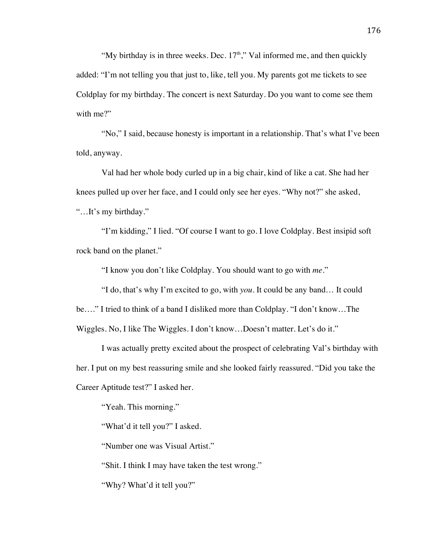"My birthday is in three weeks. Dec.  $17<sup>th</sup>$ ," Val informed me, and then quickly added: "I'm not telling you that just to, like, tell you. My parents got me tickets to see Coldplay for my birthday. The concert is next Saturday. Do you want to come see them with me?"

"No," I said, because honesty is important in a relationship. That's what I've been told, anyway.

Val had her whole body curled up in a big chair, kind of like a cat. She had her knees pulled up over her face, and I could only see her eyes. "Why not?" she asked, "…It's my birthday."

"I'm kidding," I lied. "Of course I want to go. I love Coldplay. Best insipid soft rock band on the planet."

"I know you don't like Coldplay. You should want to go with *me*."

"I do, that's why I'm excited to go, with *you*. It could be any band… It could be…." I tried to think of a band I disliked more than Coldplay. "I don't know…The Wiggles. No, I like The Wiggles. I don't know…Doesn't matter. Let's do it."

I was actually pretty excited about the prospect of celebrating Val's birthday with her. I put on my best reassuring smile and she looked fairly reassured. "Did you take the Career Aptitude test?" I asked her.

"Yeah. This morning."

"What'd it tell you?" I asked.

"Number one was Visual Artist."

"Shit. I think I may have taken the test wrong."

"Why? What'd it tell you?"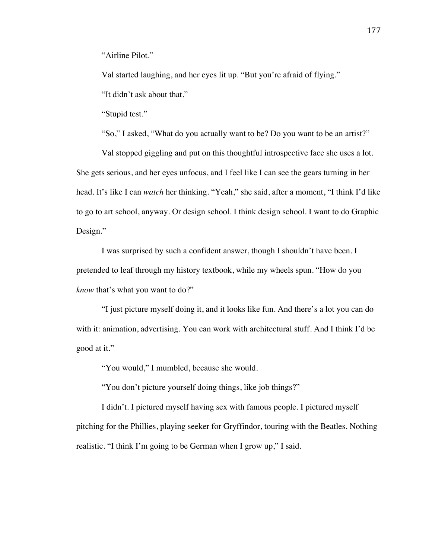"Airline Pilot."

Val started laughing, and her eyes lit up. "But you're afraid of flying."

"It didn't ask about that."

"Stupid test."

"So," I asked, "What do you actually want to be? Do you want to be an artist?"

Val stopped giggling and put on this thoughtful introspective face she uses a lot. She gets serious, and her eyes unfocus, and I feel like I can see the gears turning in her head. It's like I can *watch* her thinking. "Yeah," she said, after a moment, "I think I'd like to go to art school, anyway. Or design school. I think design school. I want to do Graphic Design."

I was surprised by such a confident answer, though I shouldn't have been. I pretended to leaf through my history textbook, while my wheels spun. "How do you *know* that's what you want to do?"

"I just picture myself doing it, and it looks like fun. And there's a lot you can do with it: animation, advertising. You can work with architectural stuff. And I think I'd be good at it."

"You would," I mumbled, because she would.

"You don't picture yourself doing things, like job things?"

I didn't. I pictured myself having sex with famous people. I pictured myself pitching for the Phillies, playing seeker for Gryffindor, touring with the Beatles. Nothing realistic. "I think I'm going to be German when I grow up," I said.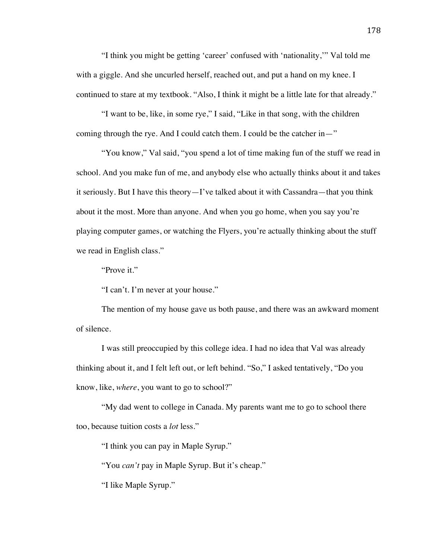"I think you might be getting 'career' confused with 'nationality,'" Val told me with a giggle. And she uncurled herself, reached out, and put a hand on my knee. I continued to stare at my textbook. "Also, I think it might be a little late for that already."

"I want to be, like, in some rye," I said, "Like in that song, with the children coming through the rye. And I could catch them. I could be the catcher in—"

"You know," Val said, "you spend a lot of time making fun of the stuff we read in school. And you make fun of me, and anybody else who actually thinks about it and takes it seriously. But I have this theory—I've talked about it with Cassandra—that you think about it the most. More than anyone. And when you go home, when you say you're playing computer games, or watching the Flyers, you're actually thinking about the stuff we read in English class."

"Prove it."

"I can't. I'm never at your house."

The mention of my house gave us both pause, and there was an awkward moment of silence.

I was still preoccupied by this college idea. I had no idea that Val was already thinking about it, and I felt left out, or left behind. "So," I asked tentatively, "Do you know, like, *where*, you want to go to school?"

"My dad went to college in Canada. My parents want me to go to school there too, because tuition costs a *lot* less."

"I think you can pay in Maple Syrup."

"You *can't* pay in Maple Syrup. But it's cheap."

"I like Maple Syrup."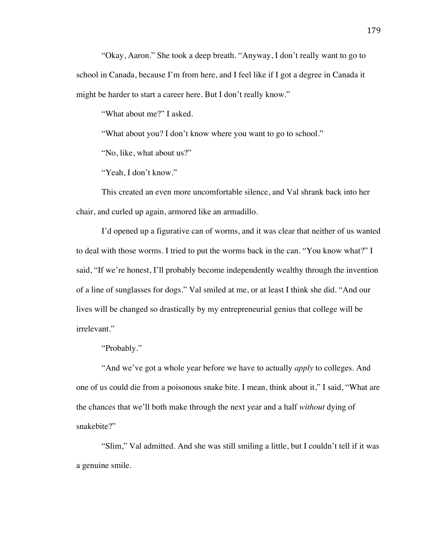"Okay, Aaron." She took a deep breath. "Anyway, I don't really want to go to school in Canada, because I'm from here, and I feel like if I got a degree in Canada it might be harder to start a career here. But I don't really know."

"What about me?" I asked.

"What about you? I don't know where you want to go to school."

"No, like, what about us?"

"Yeah, I don't know."

This created an even more uncomfortable silence, and Val shrank back into her chair, and curled up again, armored like an armadillo.

I'd opened up a figurative can of worms, and it was clear that neither of us wanted to deal with those worms. I tried to put the worms back in the can. "You know what?" I said, "If we're honest, I'll probably become independently wealthy through the invention of a line of sunglasses for dogs." Val smiled at me, or at least I think she did. "And our lives will be changed so drastically by my entrepreneurial genius that college will be irrelevant."

"Probably."

"And we've got a whole year before we have to actually *apply* to colleges. And one of us could die from a poisonous snake bite. I mean, think about it," I said, "What are the chances that we'll both make through the next year and a half *without* dying of snakebite?"

"Slim," Val admitted. And she was still smiling a little, but I couldn't tell if it was a genuine smile.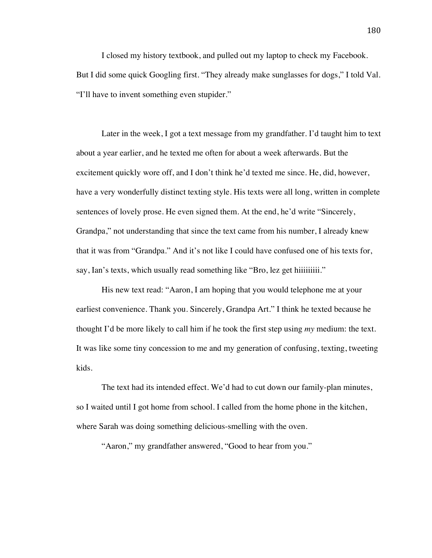I closed my history textbook, and pulled out my laptop to check my Facebook. But I did some quick Googling first. "They already make sunglasses for dogs," I told Val. "I'll have to invent something even stupider."

Later in the week, I got a text message from my grandfather. I'd taught him to text about a year earlier, and he texted me often for about a week afterwards. But the excitement quickly wore off, and I don't think he'd texted me since. He, did, however, have a very wonderfully distinct texting style. His texts were all long, written in complete sentences of lovely prose. He even signed them. At the end, he'd write "Sincerely, Grandpa," not understanding that since the text came from his number, I already knew that it was from "Grandpa." And it's not like I could have confused one of his texts for, say, Ian's texts, which usually read something like "Bro, lez get hiiiiiiiii."

His new text read: "Aaron, I am hoping that you would telephone me at your earliest convenience. Thank you. Sincerely, Grandpa Art." I think he texted because he thought I'd be more likely to call him if he took the first step using *my* medium: the text. It was like some tiny concession to me and my generation of confusing, texting, tweeting kids.

The text had its intended effect. We'd had to cut down our family-plan minutes, so I waited until I got home from school. I called from the home phone in the kitchen, where Sarah was doing something delicious-smelling with the oven.

"Aaron," my grandfather answered, "Good to hear from you."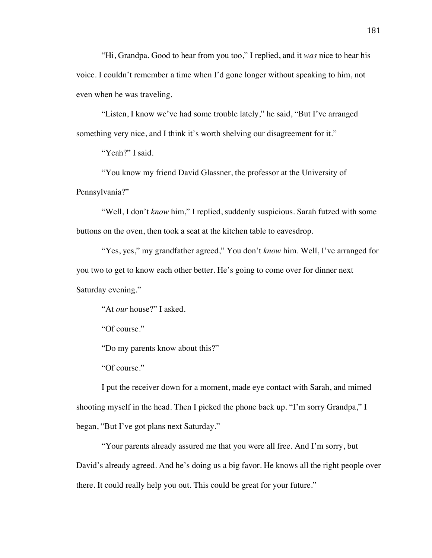"Hi, Grandpa. Good to hear from you too," I replied, and it *was* nice to hear his voice. I couldn't remember a time when I'd gone longer without speaking to him, not even when he was traveling.

"Listen, I know we've had some trouble lately," he said, "But I've arranged something very nice, and I think it's worth shelving our disagreement for it."

"Yeah?" I said.

"You know my friend David Glassner, the professor at the University of Pennsylvania?"

"Well, I don't *know* him," I replied, suddenly suspicious. Sarah futzed with some buttons on the oven, then took a seat at the kitchen table to eavesdrop.

"Yes, yes," my grandfather agreed," You don't *know* him. Well, I've arranged for you two to get to know each other better. He's going to come over for dinner next Saturday evening."

"At *our* house?" I asked.

"Of course."

"Do my parents know about this?"

"Of course."

I put the receiver down for a moment, made eye contact with Sarah, and mimed shooting myself in the head. Then I picked the phone back up. "I'm sorry Grandpa," I began, "But I've got plans next Saturday."

"Your parents already assured me that you were all free. And I'm sorry, but David's already agreed. And he's doing us a big favor. He knows all the right people over there. It could really help you out. This could be great for your future."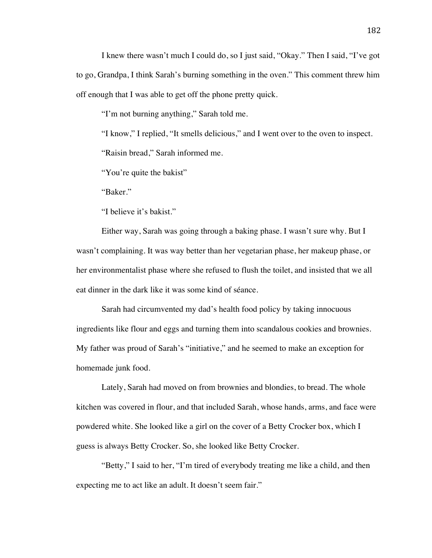I knew there wasn't much I could do, so I just said, "Okay." Then I said, "I've got to go, Grandpa, I think Sarah's burning something in the oven." This comment threw him off enough that I was able to get off the phone pretty quick.

"I'm not burning anything," Sarah told me.

"I know," I replied, "It smells delicious," and I went over to the oven to inspect.

"Raisin bread," Sarah informed me.

"You're quite the bakist"

"Baker."

"I believe it's bakist."

Either way, Sarah was going through a baking phase. I wasn't sure why. But I wasn't complaining. It was way better than her vegetarian phase, her makeup phase, or her environmentalist phase where she refused to flush the toilet, and insisted that we all eat dinner in the dark like it was some kind of séance.

Sarah had circumvented my dad's health food policy by taking innocuous ingredients like flour and eggs and turning them into scandalous cookies and brownies. My father was proud of Sarah's "initiative," and he seemed to make an exception for homemade junk food.

Lately, Sarah had moved on from brownies and blondies, to bread. The whole kitchen was covered in flour, and that included Sarah, whose hands, arms, and face were powdered white. She looked like a girl on the cover of a Betty Crocker box, which I guess is always Betty Crocker. So, she looked like Betty Crocker.

"Betty," I said to her, "I'm tired of everybody treating me like a child, and then expecting me to act like an adult. It doesn't seem fair."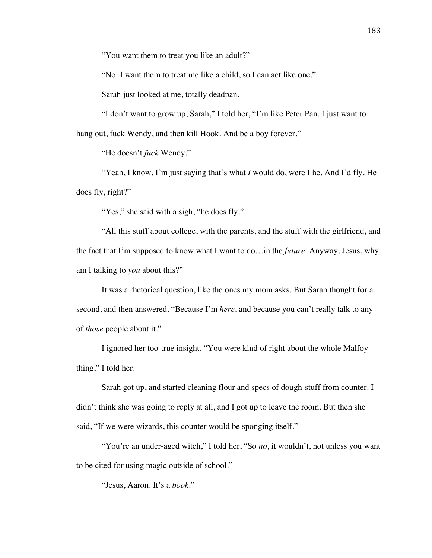"You want them to treat you like an adult?"

"No. I want them to treat me like a child, so I can act like one."

Sarah just looked at me, totally deadpan.

"I don't want to grow up, Sarah," I told her, "I'm like Peter Pan. I just want to hang out, fuck Wendy, and then kill Hook. And be a boy forever."

"He doesn't *fuck* Wendy."

"Yeah, I know. I'm just saying that's what *I* would do, were I he. And I'd fly. He does fly, right?"

"Yes," she said with a sigh, "he does fly."

"All this stuff about college, with the parents, and the stuff with the girlfriend, and the fact that I'm supposed to know what I want to do…in the *future*. Anyway, Jesus, why am I talking to *you* about this?"

It was a rhetorical question, like the ones my mom asks. But Sarah thought for a second, and then answered. "Because I'm *here*, and because you can't really talk to any of *those* people about it."

I ignored her too-true insight. "You were kind of right about the whole Malfoy thing," I told her.

Sarah got up, and started cleaning flour and specs of dough-stuff from counter. I didn't think she was going to reply at all, and I got up to leave the room. But then she said, "If we were wizards, this counter would be sponging itself."

"You're an under-aged witch," I told her, "So *no*, it wouldn't, not unless you want to be cited for using magic outside of school."

"Jesus, Aaron. It's a *book*."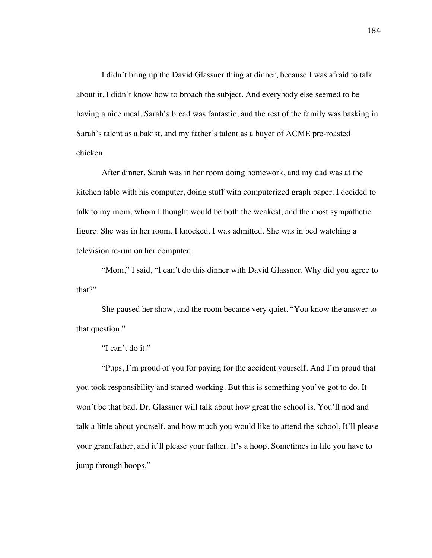I didn't bring up the David Glassner thing at dinner, because I was afraid to talk about it. I didn't know how to broach the subject. And everybody else seemed to be having a nice meal. Sarah's bread was fantastic, and the rest of the family was basking in Sarah's talent as a bakist, and my father's talent as a buyer of ACME pre-roasted chicken.

After dinner, Sarah was in her room doing homework, and my dad was at the kitchen table with his computer, doing stuff with computerized graph paper. I decided to talk to my mom, whom I thought would be both the weakest, and the most sympathetic figure. She was in her room. I knocked. I was admitted. She was in bed watching a television re-run on her computer.

"Mom," I said, "I can't do this dinner with David Glassner. Why did you agree to that?"

She paused her show, and the room became very quiet. "You know the answer to that question."

"I can't do it."

"Pups, I'm proud of you for paying for the accident yourself. And I'm proud that you took responsibility and started working. But this is something you've got to do. It won't be that bad. Dr. Glassner will talk about how great the school is. You'll nod and talk a little about yourself, and how much you would like to attend the school. It'll please your grandfather, and it'll please your father. It's a hoop. Sometimes in life you have to jump through hoops."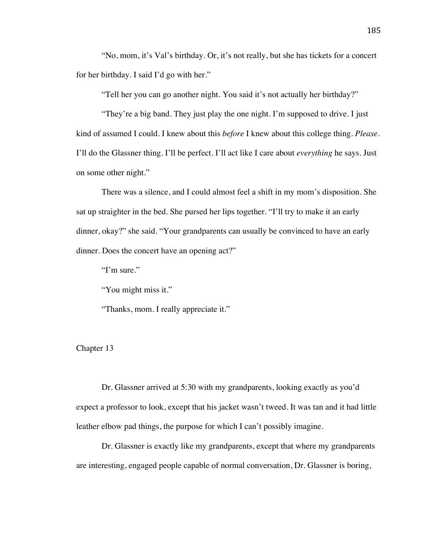"No, mom, it's Val's birthday. Or, it's not really, but she has tickets for a concert for her birthday. I said I'd go with her."

"Tell her you can go another night. You said it's not actually her birthday?"

"They're a big band. They just play the one night. I'm supposed to drive. I just kind of assumed I could. I knew about this *before* I knew about this college thing. *Please*. I'll do the Glassner thing. I'll be perfect. I'll act like I care about *everything* he says. Just on some other night."

There was a silence, and I could almost feel a shift in my mom's disposition. She sat up straighter in the bed. She pursed her lips together. "I'll try to make it an early dinner, okay?" she said. "Your grandparents can usually be convinced to have an early dinner. Does the concert have an opening act?"

"I'm sure."

"You might miss it."

"Thanks, mom. I really appreciate it."

Chapter 13

Dr. Glassner arrived at 5:30 with my grandparents, looking exactly as you'd expect a professor to look, except that his jacket wasn't tweed. It was tan and it had little leather elbow pad things, the purpose for which I can't possibly imagine.

Dr. Glassner is exactly like my grandparents, except that where my grandparents are interesting, engaged people capable of normal conversation, Dr. Glassner is boring,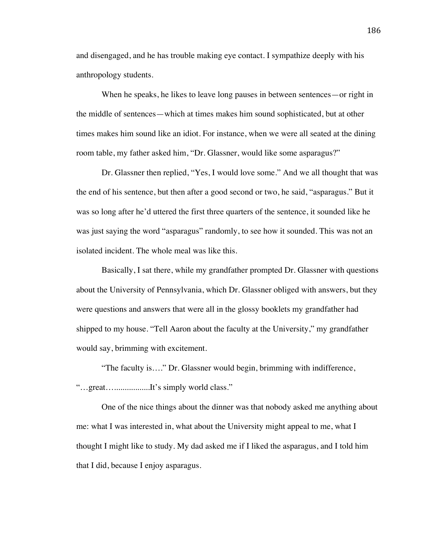and disengaged, and he has trouble making eye contact. I sympathize deeply with his anthropology students.

When he speaks, he likes to leave long pauses in between sentences—or right in the middle of sentences—which at times makes him sound sophisticated, but at other times makes him sound like an idiot. For instance, when we were all seated at the dining room table, my father asked him, "Dr. Glassner, would like some asparagus?"

Dr. Glassner then replied, "Yes, I would love some." And we all thought that was the end of his sentence, but then after a good second or two, he said, "asparagus." But it was so long after he'd uttered the first three quarters of the sentence, it sounded like he was just saying the word "asparagus" randomly, to see how it sounded. This was not an isolated incident. The whole meal was like this.

Basically, I sat there, while my grandfather prompted Dr. Glassner with questions about the University of Pennsylvania, which Dr. Glassner obliged with answers, but they were questions and answers that were all in the glossy booklets my grandfather had shipped to my house. "Tell Aaron about the faculty at the University," my grandfather would say, brimming with excitement.

"The faculty is…." Dr. Glassner would begin, brimming with indifference, "…great….................It's simply world class."

One of the nice things about the dinner was that nobody asked me anything about me: what I was interested in, what about the University might appeal to me, what I thought I might like to study. My dad asked me if I liked the asparagus, and I told him that I did, because I enjoy asparagus.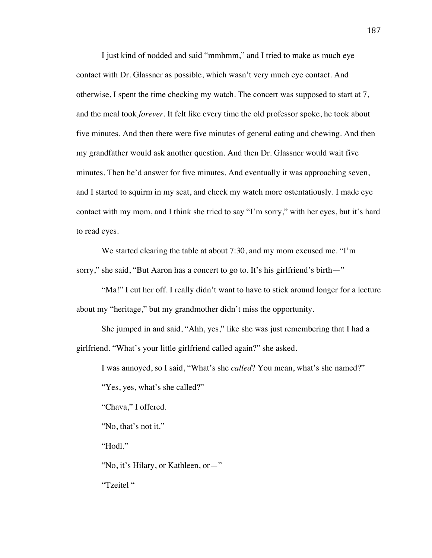I just kind of nodded and said "mmhmm," and I tried to make as much eye contact with Dr. Glassner as possible, which wasn't very much eye contact. And otherwise, I spent the time checking my watch. The concert was supposed to start at 7, and the meal took *forever*. It felt like every time the old professor spoke, he took about five minutes. And then there were five minutes of general eating and chewing. And then my grandfather would ask another question. And then Dr. Glassner would wait five minutes. Then he'd answer for five minutes. And eventually it was approaching seven, and I started to squirm in my seat, and check my watch more ostentatiously. I made eye contact with my mom, and I think she tried to say "I'm sorry," with her eyes, but it's hard to read eyes.

We started clearing the table at about 7:30, and my mom excused me. "I'm sorry," she said, "But Aaron has a concert to go to. It's his girlfriend's birth—"

"Ma!" I cut her off. I really didn't want to have to stick around longer for a lecture about my "heritage," but my grandmother didn't miss the opportunity.

She jumped in and said, "Ahh, yes," like she was just remembering that I had a girlfriend. "What's your little girlfriend called again?" she asked.

I was annoyed, so I said, "What's she *called*? You mean, what's she named?" "Yes, yes, what's she called?"

"Chava," I offered.

"No, that's not it."

"Hodl."

"No, it's Hilary, or Kathleen, or—"

"Tzeitel "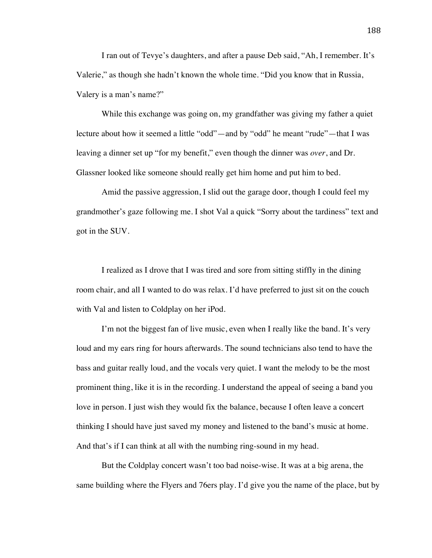I ran out of Tevye's daughters, and after a pause Deb said, "Ah, I remember. It's Valerie," as though she hadn't known the whole time. "Did you know that in Russia, Valery is a man's name?"

While this exchange was going on, my grandfather was giving my father a quiet lecture about how it seemed a little "odd"—and by "odd" he meant "rude"—that I was leaving a dinner set up "for my benefit," even though the dinner was *over*, and Dr. Glassner looked like someone should really get him home and put him to bed.

Amid the passive aggression, I slid out the garage door, though I could feel my grandmother's gaze following me. I shot Val a quick "Sorry about the tardiness" text and got in the SUV.

I realized as I drove that I was tired and sore from sitting stiffly in the dining room chair, and all I wanted to do was relax. I'd have preferred to just sit on the couch with Val and listen to Coldplay on her iPod.

I'm not the biggest fan of live music, even when I really like the band. It's very loud and my ears ring for hours afterwards. The sound technicians also tend to have the bass and guitar really loud, and the vocals very quiet. I want the melody to be the most prominent thing, like it is in the recording. I understand the appeal of seeing a band you love in person. I just wish they would fix the balance, because I often leave a concert thinking I should have just saved my money and listened to the band's music at home. And that's if I can think at all with the numbing ring-sound in my head.

But the Coldplay concert wasn't too bad noise-wise. It was at a big arena, the same building where the Flyers and 76ers play. I'd give you the name of the place, but by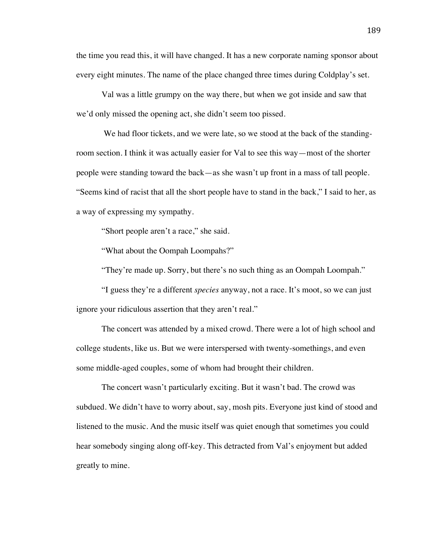the time you read this, it will have changed. It has a new corporate naming sponsor about every eight minutes. The name of the place changed three times during Coldplay's set.

Val was a little grumpy on the way there, but when we got inside and saw that we'd only missed the opening act, she didn't seem too pissed.

We had floor tickets, and we were late, so we stood at the back of the standingroom section. I think it was actually easier for Val to see this way—most of the shorter people were standing toward the back—as she wasn't up front in a mass of tall people. "Seems kind of racist that all the short people have to stand in the back," I said to her, as a way of expressing my sympathy.

"Short people aren't a race," she said.

"What about the Oompah Loompahs?"

"They're made up. Sorry, but there's no such thing as an Oompah Loompah."

"I guess they're a different *species* anyway, not a race. It's moot, so we can just ignore your ridiculous assertion that they aren't real."

The concert was attended by a mixed crowd. There were a lot of high school and college students, like us. But we were interspersed with twenty-somethings, and even some middle-aged couples, some of whom had brought their children.

The concert wasn't particularly exciting. But it wasn't bad. The crowd was subdued. We didn't have to worry about, say, mosh pits. Everyone just kind of stood and listened to the music. And the music itself was quiet enough that sometimes you could hear somebody singing along off-key. This detracted from Val's enjoyment but added greatly to mine.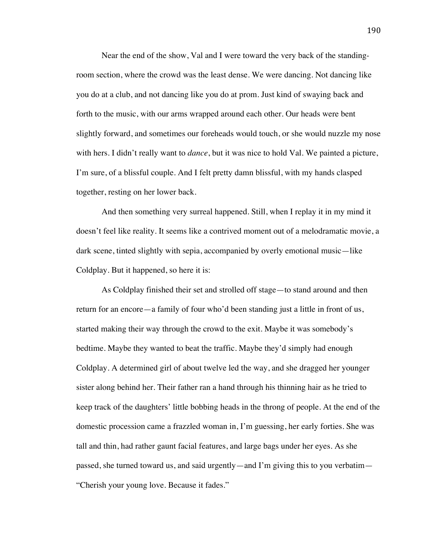Near the end of the show, Val and I were toward the very back of the standingroom section, where the crowd was the least dense. We were dancing. Not dancing like you do at a club, and not dancing like you do at prom. Just kind of swaying back and forth to the music, with our arms wrapped around each other. Our heads were bent slightly forward, and sometimes our foreheads would touch, or she would nuzzle my nose with hers. I didn't really want to *dance*, but it was nice to hold Val. We painted a picture, I'm sure, of a blissful couple. And I felt pretty damn blissful, with my hands clasped together, resting on her lower back.

And then something very surreal happened. Still, when I replay it in my mind it doesn't feel like reality. It seems like a contrived moment out of a melodramatic movie, a dark scene, tinted slightly with sepia, accompanied by overly emotional music—like Coldplay. But it happened, so here it is:

As Coldplay finished their set and strolled off stage—to stand around and then return for an encore—a family of four who'd been standing just a little in front of us, started making their way through the crowd to the exit. Maybe it was somebody's bedtime. Maybe they wanted to beat the traffic. Maybe they'd simply had enough Coldplay. A determined girl of about twelve led the way, and she dragged her younger sister along behind her. Their father ran a hand through his thinning hair as he tried to keep track of the daughters' little bobbing heads in the throng of people. At the end of the domestic procession came a frazzled woman in, I'm guessing, her early forties. She was tall and thin, had rather gaunt facial features, and large bags under her eyes. As she passed, she turned toward us, and said urgently—and I'm giving this to you verbatim— "Cherish your young love. Because it fades."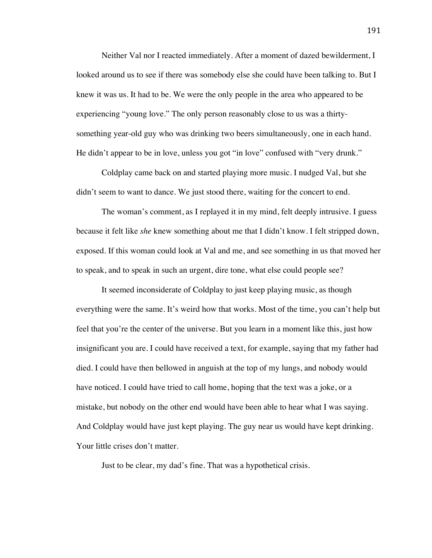Neither Val nor I reacted immediately. After a moment of dazed bewilderment, I looked around us to see if there was somebody else she could have been talking to. But I knew it was us. It had to be. We were the only people in the area who appeared to be experiencing "young love." The only person reasonably close to us was a thirtysomething year-old guy who was drinking two beers simultaneously, one in each hand. He didn't appear to be in love, unless you got "in love" confused with "very drunk."

Coldplay came back on and started playing more music. I nudged Val, but she didn't seem to want to dance. We just stood there, waiting for the concert to end.

The woman's comment, as I replayed it in my mind, felt deeply intrusive. I guess because it felt like *she* knew something about me that I didn't know. I felt stripped down, exposed. If this woman could look at Val and me, and see something in us that moved her to speak, and to speak in such an urgent, dire tone, what else could people see?

It seemed inconsiderate of Coldplay to just keep playing music, as though everything were the same. It's weird how that works. Most of the time, you can't help but feel that you're the center of the universe. But you learn in a moment like this, just how insignificant you are. I could have received a text, for example, saying that my father had died. I could have then bellowed in anguish at the top of my lungs, and nobody would have noticed. I could have tried to call home, hoping that the text was a joke, or a mistake, but nobody on the other end would have been able to hear what I was saying. And Coldplay would have just kept playing. The guy near us would have kept drinking. Your little crises don't matter.

Just to be clear, my dad's fine. That was a hypothetical crisis.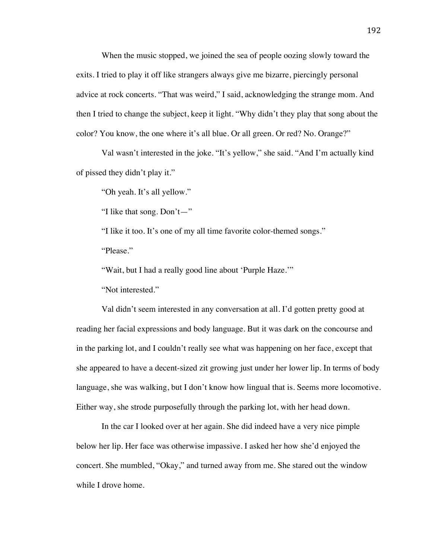When the music stopped, we joined the sea of people oozing slowly toward the exits. I tried to play it off like strangers always give me bizarre, piercingly personal advice at rock concerts. "That was weird," I said, acknowledging the strange mom. And then I tried to change the subject, keep it light. "Why didn't they play that song about the color? You know, the one where it's all blue. Or all green. Or red? No. Orange?"

Val wasn't interested in the joke. "It's yellow," she said. "And I'm actually kind of pissed they didn't play it."

"Oh yeah. It's all yellow."

"I like that song. Don't—"

"I like it too. It's one of my all time favorite color-themed songs."

"Please."

"Wait, but I had a really good line about 'Purple Haze.'"

"Not interested."

Val didn't seem interested in any conversation at all. I'd gotten pretty good at reading her facial expressions and body language. But it was dark on the concourse and in the parking lot, and I couldn't really see what was happening on her face, except that she appeared to have a decent-sized zit growing just under her lower lip. In terms of body language, she was walking, but I don't know how lingual that is. Seems more locomotive. Either way, she strode purposefully through the parking lot, with her head down.

In the car I looked over at her again. She did indeed have a very nice pimple below her lip. Her face was otherwise impassive. I asked her how she'd enjoyed the concert. She mumbled, "Okay," and turned away from me. She stared out the window while I drove home.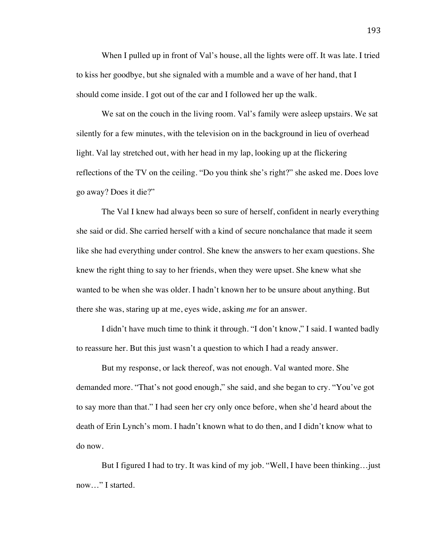When I pulled up in front of Val's house, all the lights were off. It was late. I tried to kiss her goodbye, but she signaled with a mumble and a wave of her hand, that I should come inside. I got out of the car and I followed her up the walk.

We sat on the couch in the living room. Val's family were asleep upstairs. We sat silently for a few minutes, with the television on in the background in lieu of overhead light. Val lay stretched out, with her head in my lap, looking up at the flickering reflections of the TV on the ceiling. "Do you think she's right?" she asked me. Does love go away? Does it die?"

The Val I knew had always been so sure of herself, confident in nearly everything she said or did. She carried herself with a kind of secure nonchalance that made it seem like she had everything under control. She knew the answers to her exam questions. She knew the right thing to say to her friends, when they were upset. She knew what she wanted to be when she was older. I hadn't known her to be unsure about anything. But there she was, staring up at me, eyes wide, asking *me* for an answer.

I didn't have much time to think it through. "I don't know," I said. I wanted badly to reassure her. But this just wasn't a question to which I had a ready answer.

But my response, or lack thereof, was not enough. Val wanted more. She demanded more. "That's not good enough," she said, and she began to cry. "You've got to say more than that." I had seen her cry only once before, when she'd heard about the death of Erin Lynch's mom. I hadn't known what to do then, and I didn't know what to do now.

But I figured I had to try. It was kind of my job. "Well, I have been thinking…just now…" I started.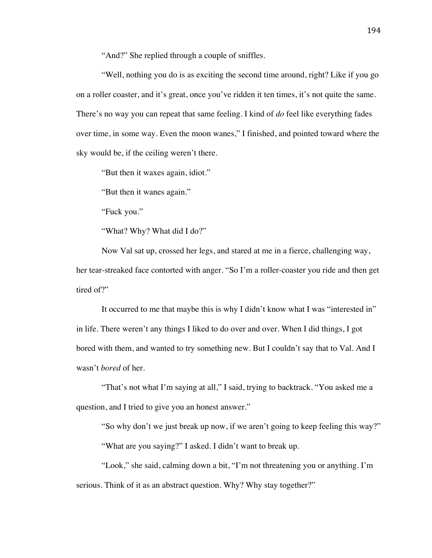"And?" She replied through a couple of sniffles.

"Well, nothing you do is as exciting the second time around, right? Like if you go on a roller coaster, and it's great, once you've ridden it ten times, it's not quite the same. There's no way you can repeat that same feeling. I kind of *do* feel like everything fades over time, in some way. Even the moon wanes," I finished, and pointed toward where the sky would be, if the ceiling weren't there.

"But then it waxes again, idiot."

"But then it wanes again."

"Fuck you."

"What? Why? What did I do?"

Now Val sat up, crossed her legs, and stared at me in a fierce, challenging way, her tear-streaked face contorted with anger. "So I'm a roller-coaster you ride and then get tired of?"

It occurred to me that maybe this is why I didn't know what I was "interested in" in life. There weren't any things I liked to do over and over. When I did things, I got bored with them, and wanted to try something new. But I couldn't say that to Val. And I wasn't *bored* of her.

"That's not what I'm saying at all," I said, trying to backtrack. "You asked me a question, and I tried to give you an honest answer."

"So why don't we just break up now, if we aren't going to keep feeling this way?"

"What are you saying?" I asked. I didn't want to break up.

"Look," she said, calming down a bit, "I'm not threatening you or anything. I'm serious. Think of it as an abstract question. Why? Why stay together?"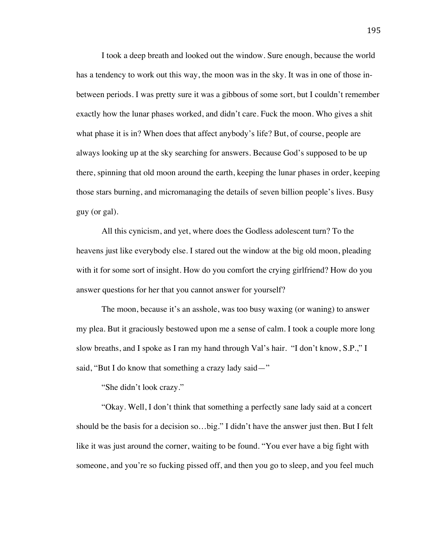I took a deep breath and looked out the window. Sure enough, because the world has a tendency to work out this way, the moon was in the sky. It was in one of those inbetween periods. I was pretty sure it was a gibbous of some sort, but I couldn't remember exactly how the lunar phases worked, and didn't care. Fuck the moon. Who gives a shit what phase it is in? When does that affect anybody's life? But, of course, people are always looking up at the sky searching for answers. Because God's supposed to be up there, spinning that old moon around the earth, keeping the lunar phases in order, keeping those stars burning, and micromanaging the details of seven billion people's lives. Busy guy (or gal).

All this cynicism, and yet, where does the Godless adolescent turn? To the heavens just like everybody else. I stared out the window at the big old moon, pleading with it for some sort of insight. How do you comfort the crying girlfriend? How do you answer questions for her that you cannot answer for yourself?

The moon, because it's an asshole, was too busy waxing (or waning) to answer my plea. But it graciously bestowed upon me a sense of calm. I took a couple more long slow breaths, and I spoke as I ran my hand through Val's hair. "I don't know, S.P.," I said, "But I do know that something a crazy lady said—"

"She didn't look crazy."

"Okay. Well, I don't think that something a perfectly sane lady said at a concert should be the basis for a decision so…big." I didn't have the answer just then. But I felt like it was just around the corner, waiting to be found. "You ever have a big fight with someone, and you're so fucking pissed off, and then you go to sleep, and you feel much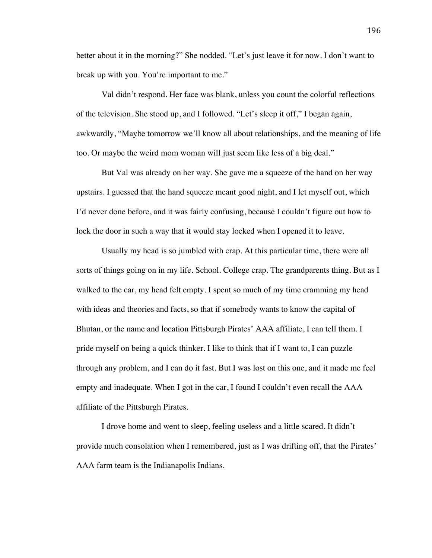better about it in the morning?" She nodded. "Let's just leave it for now. I don't want to break up with you. You're important to me."

Val didn't respond. Her face was blank, unless you count the colorful reflections of the television. She stood up, and I followed. "Let's sleep it off," I began again, awkwardly, "Maybe tomorrow we'll know all about relationships, and the meaning of life too. Or maybe the weird mom woman will just seem like less of a big deal."

But Val was already on her way. She gave me a squeeze of the hand on her way upstairs. I guessed that the hand squeeze meant good night, and I let myself out, which I'd never done before, and it was fairly confusing, because I couldn't figure out how to lock the door in such a way that it would stay locked when I opened it to leave.

Usually my head is so jumbled with crap. At this particular time, there were all sorts of things going on in my life. School. College crap. The grandparents thing. But as I walked to the car, my head felt empty. I spent so much of my time cramming my head with ideas and theories and facts, so that if somebody wants to know the capital of Bhutan, or the name and location Pittsburgh Pirates' AAA affiliate, I can tell them. I pride myself on being a quick thinker. I like to think that if I want to, I can puzzle through any problem, and I can do it fast. But I was lost on this one, and it made me feel empty and inadequate. When I got in the car, I found I couldn't even recall the AAA affiliate of the Pittsburgh Pirates.

I drove home and went to sleep, feeling useless and a little scared. It didn't provide much consolation when I remembered, just as I was drifting off, that the Pirates' AAA farm team is the Indianapolis Indians.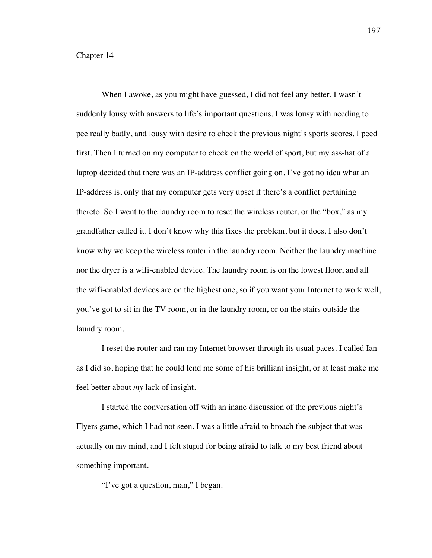When I awoke, as you might have guessed, I did not feel any better. I wasn't suddenly lousy with answers to life's important questions. I was lousy with needing to pee really badly, and lousy with desire to check the previous night's sports scores. I peed first. Then I turned on my computer to check on the world of sport, but my ass-hat of a laptop decided that there was an IP-address conflict going on. I've got no idea what an IP-address is, only that my computer gets very upset if there's a conflict pertaining thereto. So I went to the laundry room to reset the wireless router, or the "box," as my grandfather called it. I don't know why this fixes the problem, but it does. I also don't know why we keep the wireless router in the laundry room. Neither the laundry machine nor the dryer is a wifi-enabled device. The laundry room is on the lowest floor, and all the wifi-enabled devices are on the highest one, so if you want your Internet to work well, you've got to sit in the TV room, or in the laundry room, or on the stairs outside the laundry room.

I reset the router and ran my Internet browser through its usual paces. I called Ian as I did so, hoping that he could lend me some of his brilliant insight, or at least make me feel better about *my* lack of insight.

I started the conversation off with an inane discussion of the previous night's Flyers game, which I had not seen. I was a little afraid to broach the subject that was actually on my mind, and I felt stupid for being afraid to talk to my best friend about something important.

"I've got a question, man," I began.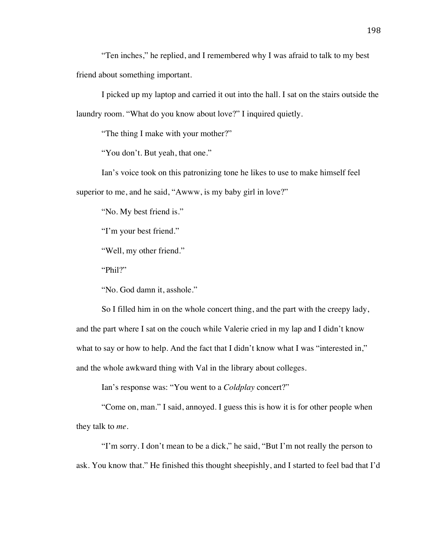"Ten inches," he replied, and I remembered why I was afraid to talk to my best friend about something important.

I picked up my laptop and carried it out into the hall. I sat on the stairs outside the laundry room. "What do you know about love?" I inquired quietly.

"The thing I make with your mother?"

"You don't. But yeah, that one."

Ian's voice took on this patronizing tone he likes to use to make himself feel

superior to me, and he said, "Awww, is my baby girl in love?"

"No. My best friend is."

"I'm your best friend."

"Well, my other friend."

"Phil?"

"No. God damn it, asshole."

So I filled him in on the whole concert thing, and the part with the creepy lady, and the part where I sat on the couch while Valerie cried in my lap and I didn't know what to say or how to help. And the fact that I didn't know what I was "interested in," and the whole awkward thing with Val in the library about colleges.

Ian's response was: "You went to a *Coldplay* concert?"

"Come on, man." I said, annoyed. I guess this is how it is for other people when they talk to *me*.

"I'm sorry. I don't mean to be a dick," he said, "But I'm not really the person to ask. You know that." He finished this thought sheepishly, and I started to feel bad that I'd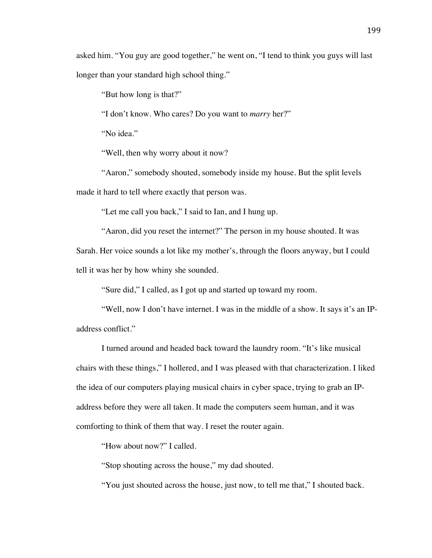asked him. "You guy are good together," he went on, "I tend to think you guys will last longer than your standard high school thing."

"But how long is that?"

"I don't know. Who cares? Do you want to *marry* her?"

"No idea."

"Well, then why worry about it now?

"Aaron," somebody shouted, somebody inside my house. But the split levels made it hard to tell where exactly that person was.

"Let me call you back," I said to Ian, and I hung up.

"Aaron, did you reset the internet?" The person in my house shouted. It was Sarah. Her voice sounds a lot like my mother's, through the floors anyway, but I could tell it was her by how whiny she sounded.

"Sure did," I called, as I got up and started up toward my room.

"Well, now I don't have internet. I was in the middle of a show. It says it's an IPaddress conflict."

I turned around and headed back toward the laundry room. "It's like musical chairs with these things," I hollered, and I was pleased with that characterization. I liked the idea of our computers playing musical chairs in cyber space, trying to grab an IPaddress before they were all taken. It made the computers seem human, and it was comforting to think of them that way. I reset the router again.

"How about now?" I called.

"Stop shouting across the house," my dad shouted.

"You just shouted across the house, just now, to tell me that," I shouted back.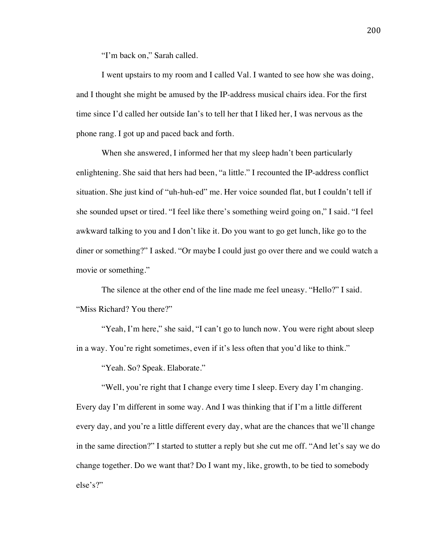"I'm back on," Sarah called.

I went upstairs to my room and I called Val. I wanted to see how she was doing, and I thought she might be amused by the IP-address musical chairs idea. For the first time since I'd called her outside Ian's to tell her that I liked her, I was nervous as the phone rang. I got up and paced back and forth.

When she answered, I informed her that my sleep hadn't been particularly enlightening. She said that hers had been, "a little." I recounted the IP-address conflict situation. She just kind of "uh-huh-ed" me. Her voice sounded flat, but I couldn't tell if she sounded upset or tired. "I feel like there's something weird going on," I said. "I feel awkward talking to you and I don't like it. Do you want to go get lunch, like go to the diner or something?" I asked. "Or maybe I could just go over there and we could watch a movie or something."

The silence at the other end of the line made me feel uneasy. "Hello?" I said. "Miss Richard? You there?"

"Yeah, I'm here," she said, "I can't go to lunch now. You were right about sleep in a way. You're right sometimes, even if it's less often that you'd like to think."

"Yeah. So? Speak. Elaborate."

"Well, you're right that I change every time I sleep. Every day I'm changing. Every day I'm different in some way. And I was thinking that if I'm a little different every day, and you're a little different every day, what are the chances that we'll change in the same direction?" I started to stutter a reply but she cut me off. "And let's say we do change together. Do we want that? Do I want my, like, growth, to be tied to somebody else's?"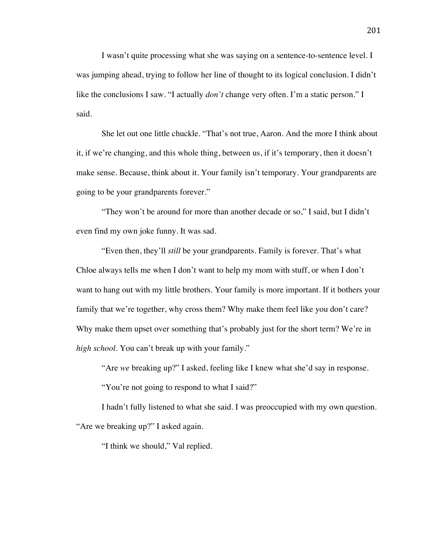I wasn't quite processing what she was saying on a sentence-to-sentence level. I was jumping ahead, trying to follow her line of thought to its logical conclusion. I didn't like the conclusions I saw. "I actually *don't* change very often. I'm a static person." I said.

She let out one little chuckle. "That's not true, Aaron. And the more I think about it, if we're changing, and this whole thing, between us, if it's temporary, then it doesn't make sense. Because, think about it. Your family isn't temporary. Your grandparents are going to be your grandparents forever."

"They won't be around for more than another decade or so," I said, but I didn't even find my own joke funny. It was sad.

"Even then, they'll *still* be your grandparents. Family is forever. That's what Chloe always tells me when I don't want to help my mom with stuff, or when I don't want to hang out with my little brothers. Your family is more important. If it bothers your family that we're together, why cross them? Why make them feel like you don't care? Why make them upset over something that's probably just for the short term? We're in *high school*. You can't break up with your family."

"Are *we* breaking up?" I asked, feeling like I knew what she'd say in response.

"You're not going to respond to what I said?"

I hadn't fully listened to what she said. I was preoccupied with my own question. "Are we breaking up?" I asked again.

"I think we should," Val replied.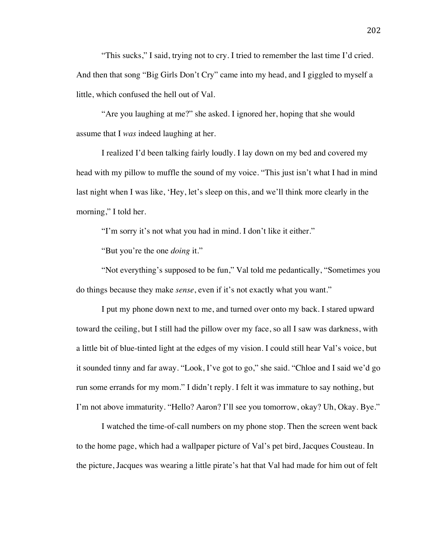"This sucks," I said, trying not to cry. I tried to remember the last time I'd cried. And then that song "Big Girls Don't Cry" came into my head, and I giggled to myself a little, which confused the hell out of Val.

"Are you laughing at me?" she asked. I ignored her, hoping that she would assume that I *was* indeed laughing at her.

I realized I'd been talking fairly loudly. I lay down on my bed and covered my head with my pillow to muffle the sound of my voice. "This just isn't what I had in mind last night when I was like, 'Hey, let's sleep on this, and we'll think more clearly in the morning," I told her.

"I'm sorry it's not what you had in mind. I don't like it either*.*"

"But you're the one *doing* it."

"Not everything's supposed to be fun," Val told me pedantically, "Sometimes you do things because they make *sense*, even if it's not exactly what you want."

I put my phone down next to me, and turned over onto my back. I stared upward toward the ceiling, but I still had the pillow over my face, so all I saw was darkness, with a little bit of blue-tinted light at the edges of my vision. I could still hear Val's voice, but it sounded tinny and far away. "Look, I've got to go," she said. "Chloe and I said we'd go run some errands for my mom." I didn't reply. I felt it was immature to say nothing, but I'm not above immaturity. "Hello? Aaron? I'll see you tomorrow, okay? Uh, Okay. Bye."

I watched the time-of-call numbers on my phone stop. Then the screen went back to the home page, which had a wallpaper picture of Val's pet bird, Jacques Cousteau. In the picture, Jacques was wearing a little pirate's hat that Val had made for him out of felt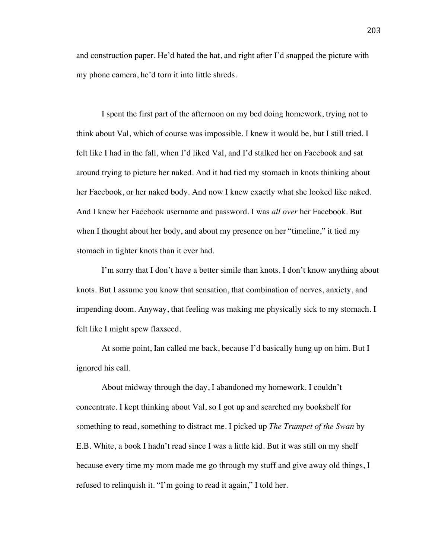and construction paper. He'd hated the hat, and right after I'd snapped the picture with my phone camera, he'd torn it into little shreds.

I spent the first part of the afternoon on my bed doing homework, trying not to think about Val, which of course was impossible. I knew it would be, but I still tried. I felt like I had in the fall, when I'd liked Val, and I'd stalked her on Facebook and sat around trying to picture her naked. And it had tied my stomach in knots thinking about her Facebook, or her naked body. And now I knew exactly what she looked like naked. And I knew her Facebook username and password. I was *all over* her Facebook. But when I thought about her body, and about my presence on her "timeline," it tied my stomach in tighter knots than it ever had.

I'm sorry that I don't have a better simile than knots. I don't know anything about knots. But I assume you know that sensation, that combination of nerves, anxiety, and impending doom. Anyway, that feeling was making me physically sick to my stomach. I felt like I might spew flaxseed.

At some point, Ian called me back, because I'd basically hung up on him. But I ignored his call.

About midway through the day, I abandoned my homework. I couldn't concentrate. I kept thinking about Val, so I got up and searched my bookshelf for something to read, something to distract me. I picked up *The Trumpet of the Swan* by E.B. White, a book I hadn't read since I was a little kid. But it was still on my shelf because every time my mom made me go through my stuff and give away old things, I refused to relinquish it. "I'm going to read it again," I told her.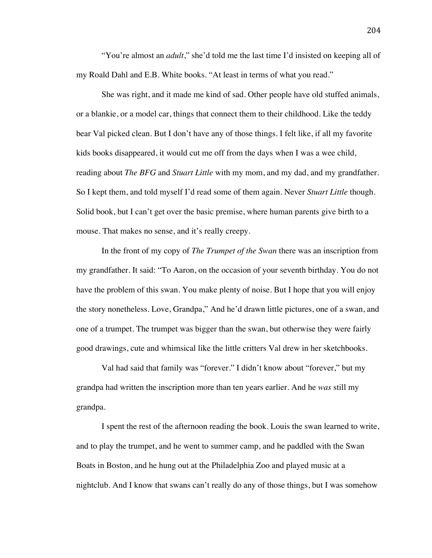"You're almost an *adult*," she'd told me the last time I'd insisted on keeping all of my Roald Dahl and E.B. White books. "At least in terms of what you read."

She was right, and it made me kind of sad. Other people have old stuffed animals, or a blankie, or a model car, things that connect them to their childhood. Like the teddy bear Val picked clean. But I don't have any of those things. I felt like, if all my favorite kids books disappeared, it would cut me off from the days when I was a wee child, reading about *The BFG* and *Stuart Little* with my mom, and my dad, and my grandfather. So I kept them, and told myself I'd read some of them again. Never *Stuart Little* though. Solid book, but I can't get over the basic premise, where human parents give birth to a mouse. That makes no sense, and it's really creepy.

In the front of my copy of *The Trumpet of the Swan* there was an inscription from my grandfather. It said: "To Aaron, on the occasion of your seventh birthday. You do not have the problem of this swan. You make plenty of noise. But I hope that you will enjoy the story nonetheless. Love, Grandpa," And he'd drawn little pictures, one of a swan, and one of a trumpet. The trumpet was bigger than the swan, but otherwise they were fairly good drawings, cute and whimsical like the little critters Val drew in her sketchbooks.

Val had said that family was "forever." I didn't know about "forever," but my grandpa had written the inscription more than ten years earlier. And he *was* still my grandpa.

I spent the rest of the afternoon reading the book. Louis the swan learned to write, and to play the trumpet, and he went to summer camp, and he paddled with the Swan Boats in Boston, and he hung out at the Philadelphia Zoo and played music at a nightclub. And I know that swans can't really do any of those things, but I was somehow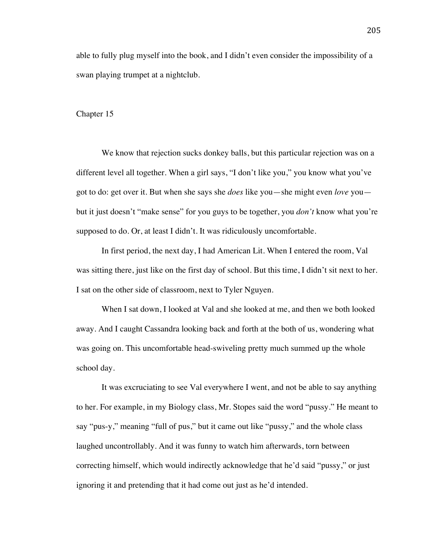able to fully plug myself into the book, and I didn't even consider the impossibility of a swan playing trumpet at a nightclub.

## Chapter 15

We know that rejection sucks donkey balls, but this particular rejection was on a different level all together. When a girl says, "I don't like you," you know what you've got to do: get over it. But when she says she *does* like you—she might even *love* you but it just doesn't "make sense" for you guys to be together, you *don't* know what you're supposed to do. Or, at least I didn't. It was ridiculously uncomfortable.

In first period, the next day, I had American Lit. When I entered the room, Val was sitting there, just like on the first day of school. But this time, I didn't sit next to her. I sat on the other side of classroom, next to Tyler Nguyen.

When I sat down, I looked at Val and she looked at me, and then we both looked away. And I caught Cassandra looking back and forth at the both of us, wondering what was going on. This uncomfortable head-swiveling pretty much summed up the whole school day.

It was excruciating to see Val everywhere I went, and not be able to say anything to her. For example, in my Biology class, Mr. Stopes said the word "pussy." He meant to say "pus-y," meaning "full of pus," but it came out like "pussy," and the whole class laughed uncontrollably. And it was funny to watch him afterwards, torn between correcting himself, which would indirectly acknowledge that he'd said "pussy," or just ignoring it and pretending that it had come out just as he'd intended.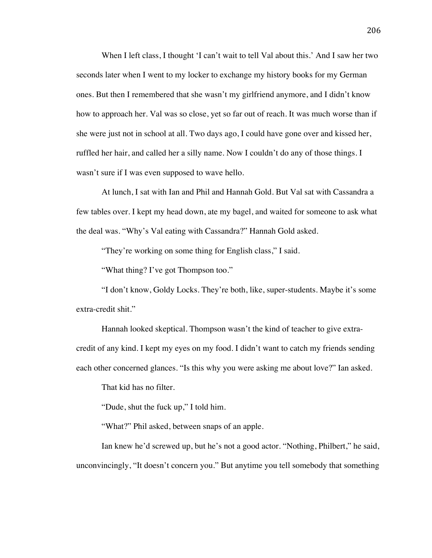When I left class, I thought 'I can't wait to tell Val about this.' And I saw her two seconds later when I went to my locker to exchange my history books for my German ones. But then I remembered that she wasn't my girlfriend anymore, and I didn't know how to approach her. Val was so close, yet so far out of reach. It was much worse than if she were just not in school at all. Two days ago, I could have gone over and kissed her, ruffled her hair, and called her a silly name. Now I couldn't do any of those things. I wasn't sure if I was even supposed to wave hello.

At lunch, I sat with Ian and Phil and Hannah Gold. But Val sat with Cassandra a few tables over. I kept my head down, ate my bagel, and waited for someone to ask what the deal was. "Why's Val eating with Cassandra?" Hannah Gold asked.

"They're working on some thing for English class," I said.

"What thing? I've got Thompson too."

"I don't know, Goldy Locks. They're both, like, super-students. Maybe it's some extra-credit shit."

Hannah looked skeptical. Thompson wasn't the kind of teacher to give extracredit of any kind. I kept my eyes on my food. I didn't want to catch my friends sending each other concerned glances. "Is this why you were asking me about love?" Ian asked.

That kid has no filter.

"Dude, shut the fuck up," I told him.

"What?" Phil asked, between snaps of an apple.

Ian knew he'd screwed up, but he's not a good actor. "Nothing, Philbert," he said, unconvincingly, "It doesn't concern you." But anytime you tell somebody that something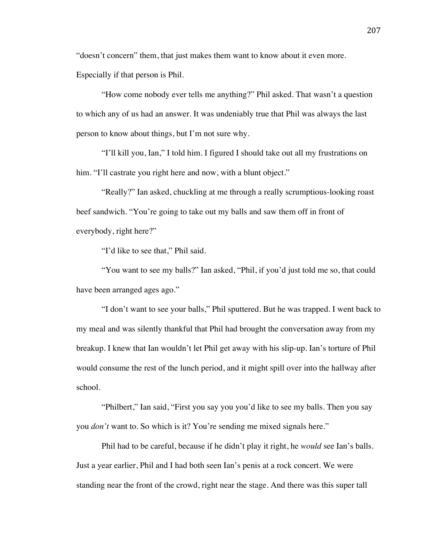"doesn't concern" them, that just makes them want to know about it even more. Especially if that person is Phil.

"How come nobody ever tells me anything?" Phil asked. That wasn't a question to which any of us had an answer. It was undeniably true that Phil was always the last person to know about things, but I'm not sure why.

"I'll kill you, Ian," I told him. I figured I should take out all my frustrations on him. "I'll castrate you right here and now, with a blunt object."

"Really?" Ian asked, chuckling at me through a really scrumptious-looking roast beef sandwich. "You're going to take out my balls and saw them off in front of everybody, right here?"

"I'd like to see that," Phil said.

"You want to see my balls?" Ian asked, "Phil, if you'd just told me so, that could have been arranged ages ago."

"I don't want to see your balls," Phil sputtered. But he was trapped. I went back to my meal and was silently thankful that Phil had brought the conversation away from my breakup. I knew that Ian wouldn't let Phil get away with his slip-up. Ian's torture of Phil would consume the rest of the lunch period, and it might spill over into the hallway after school.

"Philbert," Ian said, "First you say you you'd like to see my balls. Then you say you *don't* want to. So which is it? You're sending me mixed signals here."

Phil had to be careful, because if he didn't play it right, he *would* see Ian's balls. Just a year earlier, Phil and I had both seen Ian's penis at a rock concert. We were standing near the front of the crowd, right near the stage. And there was this super tall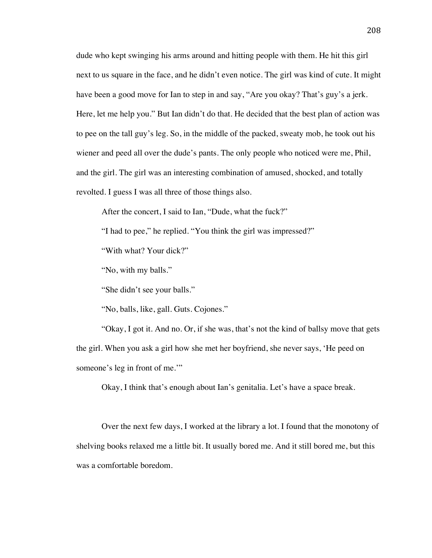dude who kept swinging his arms around and hitting people with them. He hit this girl next to us square in the face, and he didn't even notice. The girl was kind of cute. It might have been a good move for Ian to step in and say, "Are you okay? That's guy's a jerk. Here, let me help you." But Ian didn't do that. He decided that the best plan of action was to pee on the tall guy's leg. So, in the middle of the packed, sweaty mob, he took out his wiener and peed all over the dude's pants. The only people who noticed were me, Phil, and the girl. The girl was an interesting combination of amused, shocked, and totally revolted. I guess I was all three of those things also.

After the concert, I said to Ian, "Dude, what the fuck?"

"I had to pee," he replied. "You think the girl was impressed?"

"With what? Your dick?"

"No, with my balls."

"She didn't see your balls."

"No, balls, like, gall. Guts. Cojones."

"Okay, I got it. And no. Or, if she was, that's not the kind of ballsy move that gets the girl. When you ask a girl how she met her boyfriend, she never says, 'He peed on someone's leg in front of me."

Okay, I think that's enough about Ian's genitalia. Let's have a space break.

Over the next few days, I worked at the library a lot. I found that the monotony of shelving books relaxed me a little bit. It usually bored me. And it still bored me, but this was a comfortable boredom.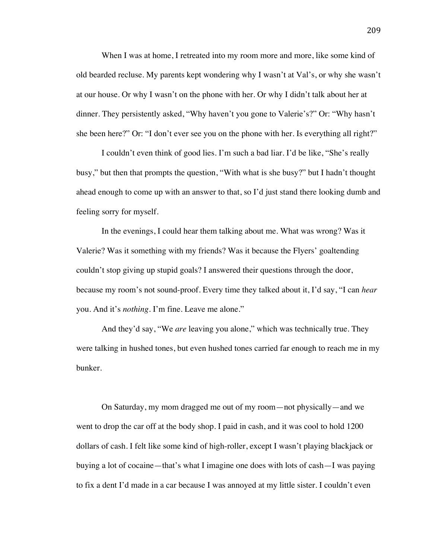When I was at home, I retreated into my room more and more, like some kind of old bearded recluse. My parents kept wondering why I wasn't at Val's, or why she wasn't at our house. Or why I wasn't on the phone with her. Or why I didn't talk about her at dinner. They persistently asked, "Why haven't you gone to Valerie's?" Or: "Why hasn't she been here?" Or: "I don't ever see you on the phone with her. Is everything all right?"

I couldn't even think of good lies. I'm such a bad liar. I'd be like, "She's really busy," but then that prompts the question, "With what is she busy?" but I hadn't thought ahead enough to come up with an answer to that, so I'd just stand there looking dumb and feeling sorry for myself.

In the evenings, I could hear them talking about me. What was wrong? Was it Valerie? Was it something with my friends? Was it because the Flyers' goaltending couldn't stop giving up stupid goals? I answered their questions through the door, because my room's not sound-proof. Every time they talked about it, I'd say, "I can *hear* you. And it's *nothing*. I'm fine. Leave me alone."

And they'd say, "We *are* leaving you alone," which was technically true. They were talking in hushed tones, but even hushed tones carried far enough to reach me in my bunker.

On Saturday, my mom dragged me out of my room—not physically—and we went to drop the car off at the body shop. I paid in cash, and it was cool to hold 1200 dollars of cash. I felt like some kind of high-roller, except I wasn't playing blackjack or buying a lot of cocaine—that's what I imagine one does with lots of cash—I was paying to fix a dent I'd made in a car because I was annoyed at my little sister. I couldn't even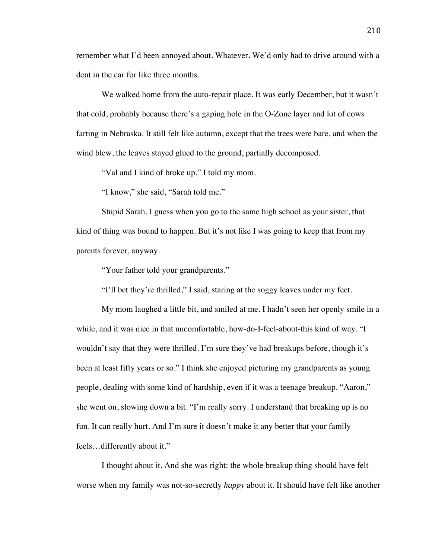remember what I'd been annoyed about. Whatever. We'd only had to drive around with a dent in the car for like three months.

We walked home from the auto-repair place. It was early December, but it wasn't that cold, probably because there's a gaping hole in the O-Zone layer and lot of cows farting in Nebraska. It still felt like autumn, except that the trees were bare, and when the wind blew, the leaves stayed glued to the ground, partially decomposed.

"Val and I kind of broke up," I told my mom.

"I know," she said, "Sarah told me."

Stupid Sarah. I guess when you go to the same high school as your sister, that kind of thing was bound to happen. But it's not like I was going to keep that from my parents forever, anyway.

"Your father told your grandparents."

"I'll bet they're thrilled," I said, staring at the soggy leaves under my feet.

My mom laughed a little bit, and smiled at me. I hadn't seen her openly smile in a while, and it was nice in that uncomfortable, how-do-I-feel-about-this kind of way. "I wouldn't say that they were thrilled. I'm sure they've had breakups before, though it's been at least fifty years or so." I think she enjoyed picturing my grandparents as young people, dealing with some kind of hardship, even if it was a teenage breakup. "Aaron," she went on, slowing down a bit. "I'm really sorry. I understand that breaking up is no fun. It can really hurt. And I'm sure it doesn't make it any better that your family feels…differently about it."

I thought about it. And she was right: the whole breakup thing should have felt worse when my family was not-so-secretly *happy* about it. It should have felt like another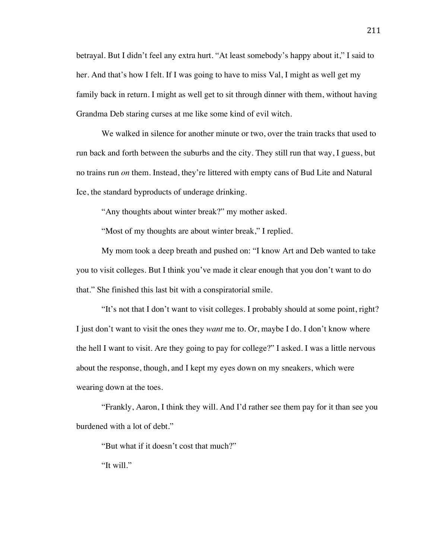betrayal. But I didn't feel any extra hurt. "At least somebody's happy about it," I said to her. And that's how I felt. If I was going to have to miss Val, I might as well get my family back in return. I might as well get to sit through dinner with them, without having Grandma Deb staring curses at me like some kind of evil witch.

We walked in silence for another minute or two, over the train tracks that used to run back and forth between the suburbs and the city. They still run that way, I guess, but no trains run *on* them. Instead, they're littered with empty cans of Bud Lite and Natural Ice, the standard byproducts of underage drinking.

"Any thoughts about winter break?" my mother asked.

"Most of my thoughts are about winter break," I replied.

My mom took a deep breath and pushed on: "I know Art and Deb wanted to take you to visit colleges. But I think you've made it clear enough that you don't want to do that." She finished this last bit with a conspiratorial smile.

"It's not that I don't want to visit colleges. I probably should at some point, right? I just don't want to visit the ones they *want* me to. Or, maybe I do. I don't know where the hell I want to visit. Are they going to pay for college?" I asked. I was a little nervous about the response, though, and I kept my eyes down on my sneakers, which were wearing down at the toes.

"Frankly, Aaron, I think they will. And I'd rather see them pay for it than see you burdened with a lot of debt."

"But what if it doesn't cost that much?"

"It will."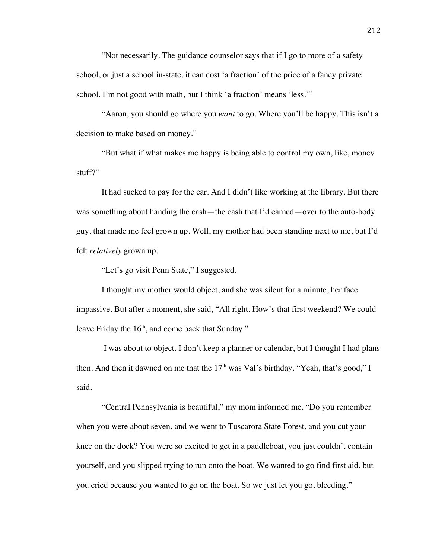"Not necessarily. The guidance counselor says that if I go to more of a safety school, or just a school in-state, it can cost 'a fraction' of the price of a fancy private school. I'm not good with math, but I think 'a fraction' means 'less.'"

"Aaron, you should go where you *want* to go. Where you'll be happy. This isn't a decision to make based on money."

"But what if what makes me happy is being able to control my own, like, money stuff?"

It had sucked to pay for the car. And I didn't like working at the library. But there was something about handing the cash—the cash that I'd earned—over to the auto-body guy, that made me feel grown up. Well, my mother had been standing next to me, but I'd felt *relatively* grown up.

"Let's go visit Penn State," I suggested.

I thought my mother would object, and she was silent for a minute, her face impassive. But after a moment, she said, "All right. How's that first weekend? We could leave Friday the  $16<sup>th</sup>$ , and come back that Sunday."

 I was about to object. I don't keep a planner or calendar, but I thought I had plans then. And then it dawned on me that the  $17<sup>th</sup>$  was Val's birthday. "Yeah, that's good," I said.

"Central Pennsylvania is beautiful," my mom informed me. "Do you remember when you were about seven, and we went to Tuscarora State Forest, and you cut your knee on the dock? You were so excited to get in a paddleboat, you just couldn't contain yourself, and you slipped trying to run onto the boat. We wanted to go find first aid, but you cried because you wanted to go on the boat. So we just let you go, bleeding."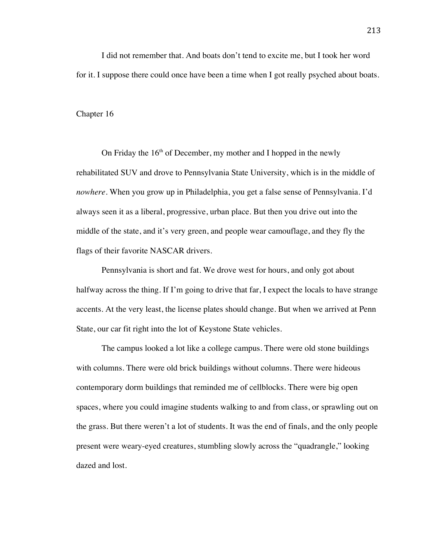I did not remember that. And boats don't tend to excite me, but I took her word for it. I suppose there could once have been a time when I got really psyched about boats.

Chapter 16

On Friday the  $16<sup>th</sup>$  of December, my mother and I hopped in the newly rehabilitated SUV and drove to Pennsylvania State University, which is in the middle of *nowhere*. When you grow up in Philadelphia, you get a false sense of Pennsylvania. I'd always seen it as a liberal, progressive, urban place. But then you drive out into the middle of the state, and it's very green, and people wear camouflage, and they fly the flags of their favorite NASCAR drivers.

Pennsylvania is short and fat. We drove west for hours, and only got about halfway across the thing. If I'm going to drive that far, I expect the locals to have strange accents. At the very least, the license plates should change. But when we arrived at Penn State, our car fit right into the lot of Keystone State vehicles.

The campus looked a lot like a college campus. There were old stone buildings with columns. There were old brick buildings without columns. There were hideous contemporary dorm buildings that reminded me of cellblocks. There were big open spaces, where you could imagine students walking to and from class, or sprawling out on the grass. But there weren't a lot of students. It was the end of finals, and the only people present were weary-eyed creatures, stumbling slowly across the "quadrangle," looking dazed and lost.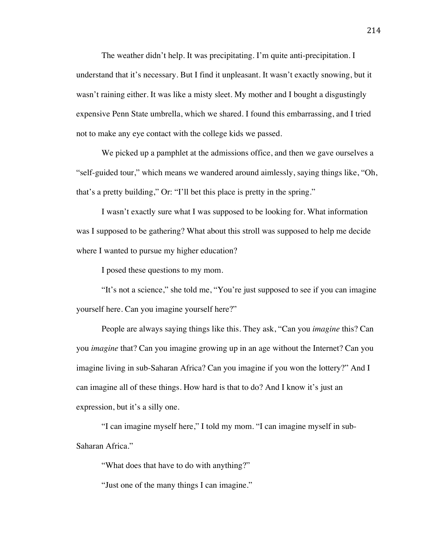The weather didn't help. It was precipitating. I'm quite anti-precipitation. I understand that it's necessary. But I find it unpleasant. It wasn't exactly snowing, but it wasn't raining either. It was like a misty sleet. My mother and I bought a disgustingly expensive Penn State umbrella, which we shared. I found this embarrassing, and I tried not to make any eye contact with the college kids we passed.

We picked up a pamphlet at the admissions office, and then we gave ourselves a "self-guided tour," which means we wandered around aimlessly, saying things like, "Oh, that's a pretty building," Or: "I'll bet this place is pretty in the spring."

I wasn't exactly sure what I was supposed to be looking for. What information was I supposed to be gathering? What about this stroll was supposed to help me decide where I wanted to pursue my higher education?

I posed these questions to my mom.

"It's not a science," she told me, "You're just supposed to see if you can imagine yourself here. Can you imagine yourself here?"

People are always saying things like this. They ask, "Can you *imagine* this? Can you *imagine* that? Can you imagine growing up in an age without the Internet? Can you imagine living in sub-Saharan Africa? Can you imagine if you won the lottery?" And I can imagine all of these things. How hard is that to do? And I know it's just an expression, but it's a silly one.

"I can imagine myself here," I told my mom. "I can imagine myself in sub-Saharan Africa."

"What does that have to do with anything?"

"Just one of the many things I can imagine."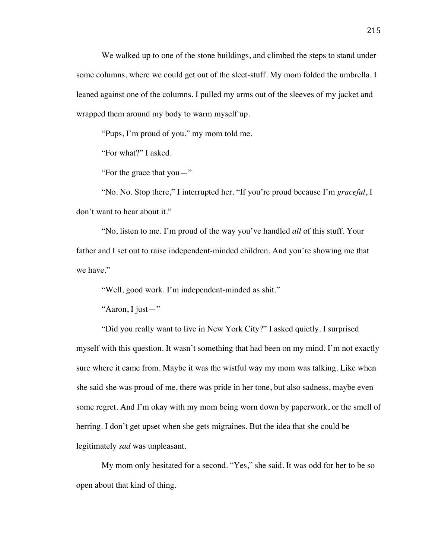We walked up to one of the stone buildings, and climbed the steps to stand under some columns, where we could get out of the sleet-stuff. My mom folded the umbrella. I leaned against one of the columns. I pulled my arms out of the sleeves of my jacket and wrapped them around my body to warm myself up.

"Pups, I'm proud of you," my mom told me.

"For what?" I asked.

"For the grace that you—"

"No. No. Stop there," I interrupted her. "If you're proud because I'm *graceful*, I don't want to hear about it."

"No, listen to me. I'm proud of the way you've handled *all* of this stuff. Your father and I set out to raise independent-minded children. And you're showing me that we have."

"Well, good work. I'm independent-minded as shit."

"Aaron, I just—"

"Did you really want to live in New York City?" I asked quietly. I surprised myself with this question. It wasn't something that had been on my mind. I'm not exactly sure where it came from. Maybe it was the wistful way my mom was talking. Like when she said she was proud of me, there was pride in her tone, but also sadness, maybe even some regret. And I'm okay with my mom being worn down by paperwork, or the smell of herring. I don't get upset when she gets migraines. But the idea that she could be legitimately *sad* was unpleasant.

My mom only hesitated for a second. "Yes," she said. It was odd for her to be so open about that kind of thing.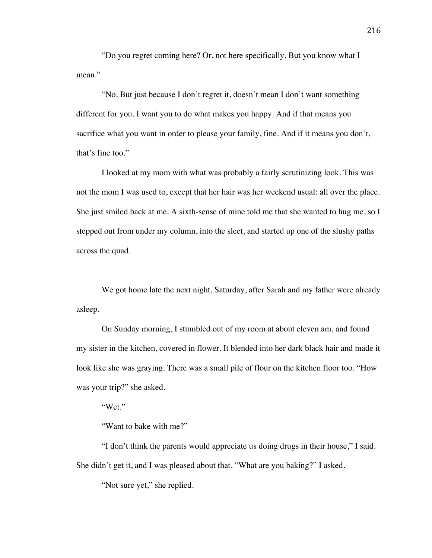"Do you regret coming here? Or, not here specifically. But you know what I mean."

"No. But just because I don't regret it, doesn't mean I don't want something different for you. I want you to do what makes you happy. And if that means you sacrifice what you want in order to please your family, fine. And if it means you don't, that's fine too."

I looked at my mom with what was probably a fairly scrutinizing look. This was not the mom I was used to, except that her hair was her weekend usual: all over the place. She just smiled back at me. A sixth-sense of mine told me that she wanted to hug me, so I stepped out from under my column, into the sleet, and started up one of the slushy paths across the quad.

We got home late the next night, Saturday, after Sarah and my father were already asleep.

On Sunday morning, I stumbled out of my room at about eleven am, and found my sister in the kitchen, covered in flower. It blended into her dark black hair and made it look like she was graying. There was a small pile of flour on the kitchen floor too. "How was your trip?" she asked.

"Wet."

"Want to bake with me?"

"I don't think the parents would appreciate us doing drugs in their house," I said. She didn't get it, and I was pleased about that. "What are you baking?" I asked.

"Not sure yet," she replied.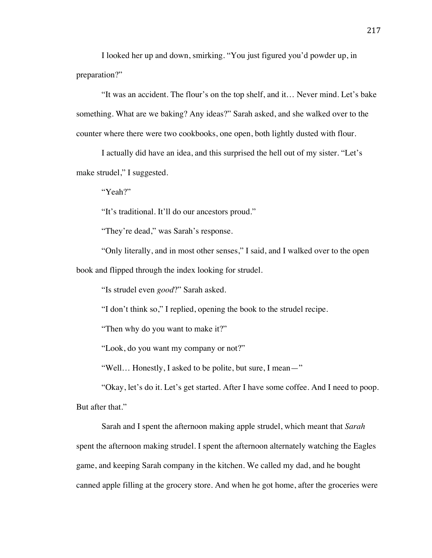I looked her up and down, smirking. "You just figured you'd powder up, in preparation?"

"It was an accident. The flour's on the top shelf, and it… Never mind. Let's bake something. What are we baking? Any ideas?" Sarah asked, and she walked over to the counter where there were two cookbooks, one open, both lightly dusted with flour.

I actually did have an idea, and this surprised the hell out of my sister. "Let's make strudel," I suggested.

"Yeah?"

"It's traditional. It'll do our ancestors proud."

"They're dead," was Sarah's response.

"Only literally, and in most other senses," I said, and I walked over to the open book and flipped through the index looking for strudel.

"Is strudel even *good*?" Sarah asked.

"I don't think so," I replied, opening the book to the strudel recipe.

"Then why do you want to make it?"

"Look, do you want my company or not?"

"Well… Honestly, I asked to be polite, but sure, I mean—"

"Okay, let's do it. Let's get started. After I have some coffee. And I need to poop. But after that."

Sarah and I spent the afternoon making apple strudel, which meant that *Sarah* spent the afternoon making strudel. I spent the afternoon alternately watching the Eagles game, and keeping Sarah company in the kitchen. We called my dad, and he bought canned apple filling at the grocery store. And when he got home, after the groceries were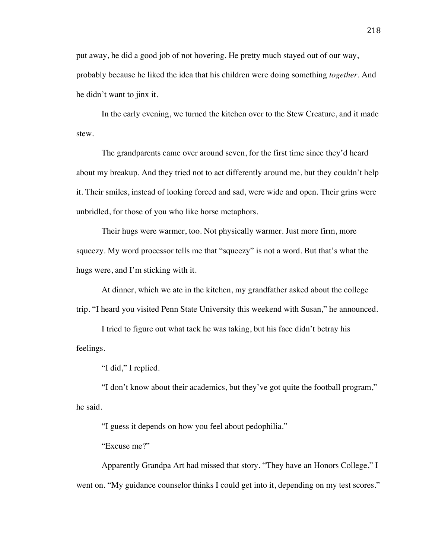put away, he did a good job of not hovering. He pretty much stayed out of our way, probably because he liked the idea that his children were doing something *together*. And he didn't want to jinx it.

In the early evening, we turned the kitchen over to the Stew Creature, and it made stew.

The grandparents came over around seven, for the first time since they'd heard about my breakup. And they tried not to act differently around me, but they couldn't help it. Their smiles, instead of looking forced and sad, were wide and open. Their grins were unbridled, for those of you who like horse metaphors.

Their hugs were warmer, too. Not physically warmer. Just more firm, more squeezy. My word processor tells me that "squeezy" is not a word. But that's what the hugs were, and I'm sticking with it.

At dinner, which we ate in the kitchen, my grandfather asked about the college trip. "I heard you visited Penn State University this weekend with Susan," he announced.

I tried to figure out what tack he was taking, but his face didn't betray his feelings.

"I did," I replied.

"I don't know about their academics, but they've got quite the football program," he said.

"I guess it depends on how you feel about pedophilia."

"Excuse me?"

Apparently Grandpa Art had missed that story. "They have an Honors College," I went on. "My guidance counselor thinks I could get into it, depending on my test scores."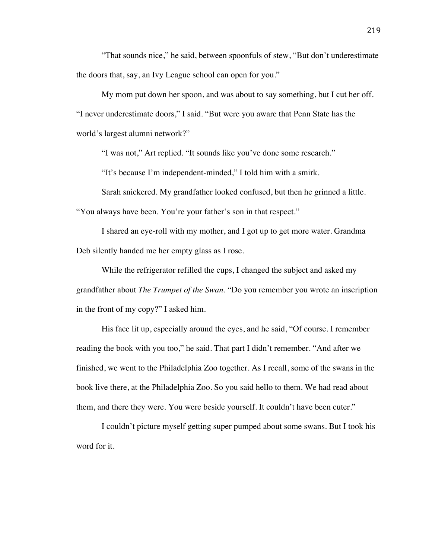"That sounds nice," he said, between spoonfuls of stew, "But don't underestimate the doors that, say, an Ivy League school can open for you."

My mom put down her spoon, and was about to say something, but I cut her off. "I never underestimate doors," I said. "But were you aware that Penn State has the world's largest alumni network?"

"I was not," Art replied. "It sounds like you've done some research."

"It's because I'm independent-minded," I told him with a smirk.

Sarah snickered. My grandfather looked confused, but then he grinned a little. "You always have been. You're your father's son in that respect."

I shared an eye-roll with my mother, and I got up to get more water. Grandma Deb silently handed me her empty glass as I rose.

While the refrigerator refilled the cups, I changed the subject and asked my grandfather about *The Trumpet of the Swan*. "Do you remember you wrote an inscription in the front of my copy?" I asked him.

His face lit up, especially around the eyes, and he said, "Of course. I remember reading the book with you too," he said. That part I didn't remember. "And after we finished, we went to the Philadelphia Zoo together. As I recall, some of the swans in the book live there, at the Philadelphia Zoo. So you said hello to them. We had read about them, and there they were. You were beside yourself. It couldn't have been cuter."

I couldn't picture myself getting super pumped about some swans. But I took his word for it.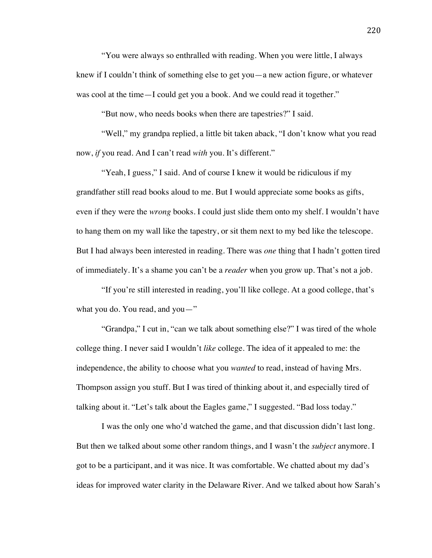"You were always so enthralled with reading. When you were little, I always knew if I couldn't think of something else to get you—a new action figure, or whatever was cool at the time—I could get you a book. And we could read it together."

"But now, who needs books when there are tapestries?" I said.

"Well," my grandpa replied, a little bit taken aback, "I don't know what you read now, *if* you read. And I can't read *with* you. It's different."

"Yeah, I guess," I said. And of course I knew it would be ridiculous if my grandfather still read books aloud to me. But I would appreciate some books as gifts, even if they were the *wrong* books. I could just slide them onto my shelf. I wouldn't have to hang them on my wall like the tapestry, or sit them next to my bed like the telescope. But I had always been interested in reading. There was *one* thing that I hadn't gotten tired of immediately. It's a shame you can't be a *reader* when you grow up. That's not a job.

"If you're still interested in reading, you'll like college. At a good college, that's what you do. You read, and you—"

"Grandpa," I cut in, "can we talk about something else?" I was tired of the whole college thing. I never said I wouldn't *like* college. The idea of it appealed to me: the independence, the ability to choose what you *wanted* to read, instead of having Mrs. Thompson assign you stuff. But I was tired of thinking about it, and especially tired of talking about it. "Let's talk about the Eagles game," I suggested. "Bad loss today."

I was the only one who'd watched the game, and that discussion didn't last long. But then we talked about some other random things, and I wasn't the *subject* anymore. I got to be a participant, and it was nice. It was comfortable. We chatted about my dad's ideas for improved water clarity in the Delaware River. And we talked about how Sarah's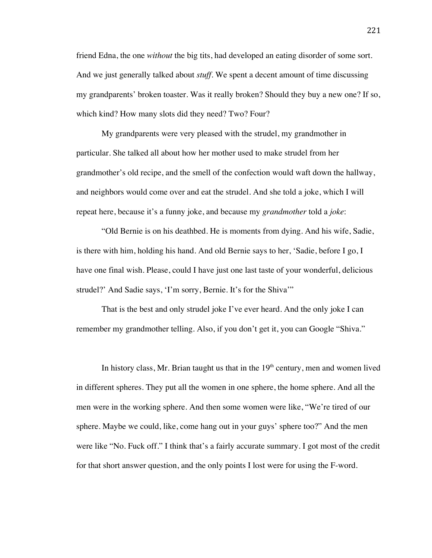friend Edna, the one *without* the big tits, had developed an eating disorder of some sort. And we just generally talked about *stuff*. We spent a decent amount of time discussing my grandparents' broken toaster. Was it really broken? Should they buy a new one? If so, which kind? How many slots did they need? Two? Four?

My grandparents were very pleased with the strudel, my grandmother in particular. She talked all about how her mother used to make strudel from her grandmother's old recipe, and the smell of the confection would waft down the hallway, and neighbors would come over and eat the strudel. And she told a joke, which I will repeat here, because it's a funny joke, and because my *grandmother* told a *joke*:

"Old Bernie is on his deathbed. He is moments from dying. And his wife, Sadie, is there with him, holding his hand. And old Bernie says to her, 'Sadie, before I go, I have one final wish. Please, could I have just one last taste of your wonderful, delicious strudel?' And Sadie says, 'I'm sorry, Bernie. It's for the Shiva'"

That is the best and only strudel joke I've ever heard. And the only joke I can remember my grandmother telling. Also, if you don't get it, you can Google "Shiva."

In history class, Mr. Brian taught us that in the  $19<sup>th</sup>$  century, men and women lived in different spheres. They put all the women in one sphere, the home sphere. And all the men were in the working sphere. And then some women were like, "We're tired of our sphere. Maybe we could, like, come hang out in your guys' sphere too?" And the men were like "No. Fuck off." I think that's a fairly accurate summary. I got most of the credit for that short answer question, and the only points I lost were for using the F-word.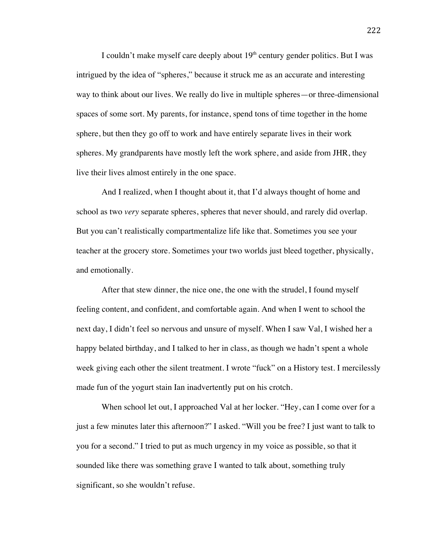I couldn't make myself care deeply about  $19<sup>th</sup>$  century gender politics. But I was intrigued by the idea of "spheres," because it struck me as an accurate and interesting way to think about our lives. We really do live in multiple spheres—or three-dimensional spaces of some sort. My parents, for instance, spend tons of time together in the home sphere, but then they go off to work and have entirely separate lives in their work spheres. My grandparents have mostly left the work sphere, and aside from JHR, they live their lives almost entirely in the one space.

And I realized, when I thought about it, that I'd always thought of home and school as two *very* separate spheres, spheres that never should, and rarely did overlap. But you can't realistically compartmentalize life like that. Sometimes you see your teacher at the grocery store. Sometimes your two worlds just bleed together, physically, and emotionally.

After that stew dinner, the nice one, the one with the strudel, I found myself feeling content, and confident, and comfortable again. And when I went to school the next day, I didn't feel so nervous and unsure of myself. When I saw Val, I wished her a happy belated birthday, and I talked to her in class, as though we hadn't spent a whole week giving each other the silent treatment. I wrote "fuck" on a History test. I mercilessly made fun of the yogurt stain Ian inadvertently put on his crotch.

When school let out, I approached Val at her locker. "Hey, can I come over for a just a few minutes later this afternoon?" I asked. "Will you be free? I just want to talk to you for a second." I tried to put as much urgency in my voice as possible, so that it sounded like there was something grave I wanted to talk about, something truly significant, so she wouldn't refuse.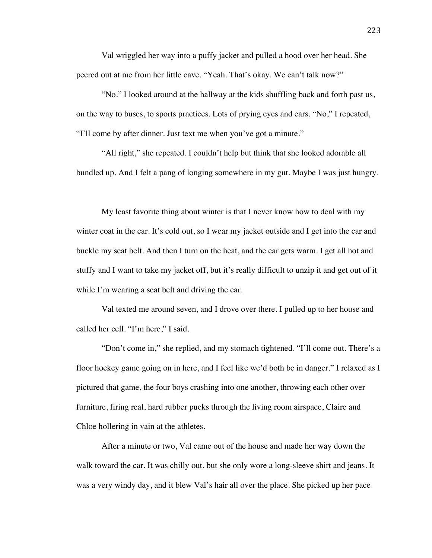Val wriggled her way into a puffy jacket and pulled a hood over her head. She peered out at me from her little cave. "Yeah. That's okay. We can't talk now?"

"No." I looked around at the hallway at the kids shuffling back and forth past us, on the way to buses, to sports practices. Lots of prying eyes and ears. "No," I repeated, "I'll come by after dinner. Just text me when you've got a minute."

"All right," she repeated. I couldn't help but think that she looked adorable all bundled up. And I felt a pang of longing somewhere in my gut. Maybe I was just hungry.

My least favorite thing about winter is that I never know how to deal with my winter coat in the car. It's cold out, so I wear my jacket outside and I get into the car and buckle my seat belt. And then I turn on the heat, and the car gets warm. I get all hot and stuffy and I want to take my jacket off, but it's really difficult to unzip it and get out of it while I'm wearing a seat belt and driving the car.

Val texted me around seven, and I drove over there. I pulled up to her house and called her cell. "I'm here," I said.

"Don't come in," she replied, and my stomach tightened. "I'll come out. There's a floor hockey game going on in here, and I feel like we'd both be in danger." I relaxed as I pictured that game, the four boys crashing into one another, throwing each other over furniture, firing real, hard rubber pucks through the living room airspace, Claire and Chloe hollering in vain at the athletes.

After a minute or two, Val came out of the house and made her way down the walk toward the car. It was chilly out, but she only wore a long-sleeve shirt and jeans. It was a very windy day, and it blew Val's hair all over the place. She picked up her pace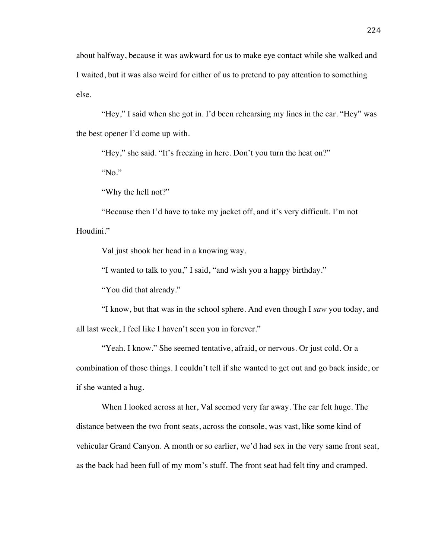about halfway, because it was awkward for us to make eye contact while she walked and I waited, but it was also weird for either of us to pretend to pay attention to something else.

"Hey," I said when she got in. I'd been rehearsing my lines in the car. "Hey" was the best opener I'd come up with.

"Hey," she said. "It's freezing in here. Don't you turn the heat on?"

"No."

"Why the hell not?"

"Because then I'd have to take my jacket off, and it's very difficult. I'm not Houdini."

Val just shook her head in a knowing way.

"I wanted to talk to you," I said, "and wish you a happy birthday."

"You did that already."

"I know, but that was in the school sphere. And even though I *saw* you today, and all last week, I feel like I haven't seen you in forever."

"Yeah. I know." She seemed tentative, afraid, or nervous. Or just cold. Or a combination of those things. I couldn't tell if she wanted to get out and go back inside, or if she wanted a hug.

When I looked across at her, Val seemed very far away. The car felt huge. The distance between the two front seats, across the console, was vast, like some kind of vehicular Grand Canyon. A month or so earlier, we'd had sex in the very same front seat, as the back had been full of my mom's stuff. The front seat had felt tiny and cramped.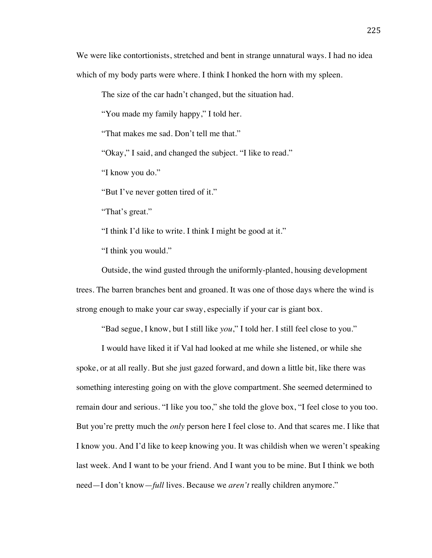We were like contortionists, stretched and bent in strange unnatural ways. I had no idea which of my body parts were where. I think I honked the horn with my spleen.

The size of the car hadn't changed, but the situation had.

"You made my family happy," I told her.

"That makes me sad. Don't tell me that."

"Okay," I said, and changed the subject. "I like to read."

"I know you do."

"But I've never gotten tired of it."

"That's great."

"I think I'd like to write. I think I might be good at it."

"I think you would."

Outside, the wind gusted through the uniformly-planted, housing development trees. The barren branches bent and groaned. It was one of those days where the wind is strong enough to make your car sway, especially if your car is giant box.

"Bad segue, I know, but I still like *you*," I told her. I still feel close to you."

I would have liked it if Val had looked at me while she listened, or while she spoke, or at all really. But she just gazed forward, and down a little bit, like there was something interesting going on with the glove compartment. She seemed determined to remain dour and serious. "I like you too," she told the glove box, "I feel close to you too. But you're pretty much the *only* person here I feel close to. And that scares me. I like that I know you. And I'd like to keep knowing you. It was childish when we weren't speaking last week. And I want to be your friend. And I want you to be mine. But I think we both need—I don't know—*full* lives. Because we *aren't* really children anymore."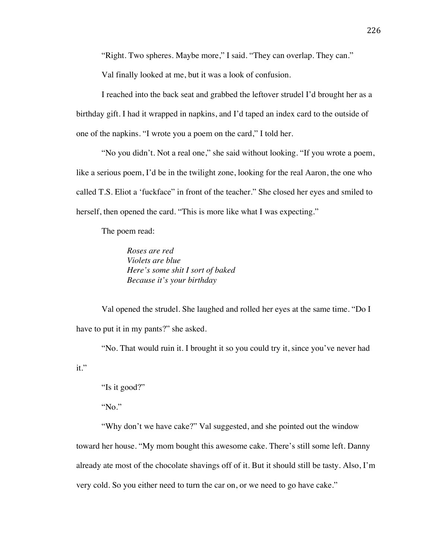"Right. Two spheres. Maybe more," I said. "They can overlap. They can."

Val finally looked at me, but it was a look of confusion.

I reached into the back seat and grabbed the leftover strudel I'd brought her as a birthday gift. I had it wrapped in napkins, and I'd taped an index card to the outside of one of the napkins. "I wrote you a poem on the card," I told her.

"No you didn't. Not a real one," she said without looking. "If you wrote a poem, like a serious poem, I'd be in the twilight zone, looking for the real Aaron, the one who called T.S. Eliot a 'fuckface" in front of the teacher." She closed her eyes and smiled to herself, then opened the card. "This is more like what I was expecting."

The poem read:

*Roses are red Violets are blue Here's some shit I sort of baked Because it's your birthday*

Val opened the strudel. She laughed and rolled her eyes at the same time. "Do I have to put it in my pants?" she asked.

"No. That would ruin it. I brought it so you could try it, since you've never had it."

"Is it good?"

"No."

"Why don't we have cake?" Val suggested, and she pointed out the window toward her house. "My mom bought this awesome cake. There's still some left. Danny already ate most of the chocolate shavings off of it. But it should still be tasty. Also, I'm very cold. So you either need to turn the car on, or we need to go have cake."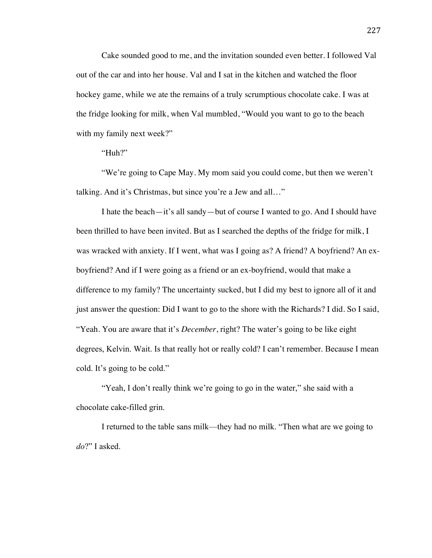Cake sounded good to me, and the invitation sounded even better. I followed Val out of the car and into her house. Val and I sat in the kitchen and watched the floor hockey game, while we ate the remains of a truly scrumptious chocolate cake. I was at the fridge looking for milk, when Val mumbled, "Would you want to go to the beach with my family next week?"

"Huh?"

"We're going to Cape May. My mom said you could come, but then we weren't talking. And it's Christmas, but since you're a Jew and all…"

I hate the beach—it's all sandy—but of course I wanted to go. And I should have been thrilled to have been invited. But as I searched the depths of the fridge for milk, I was wracked with anxiety. If I went, what was I going as? A friend? A boyfriend? An exboyfriend? And if I were going as a friend or an ex-boyfriend, would that make a difference to my family? The uncertainty sucked, but I did my best to ignore all of it and just answer the question: Did I want to go to the shore with the Richards? I did. So I said, "Yeah. You are aware that it's *December*, right? The water's going to be like eight degrees, Kelvin. Wait. Is that really hot or really cold? I can't remember. Because I mean cold. It's going to be cold."

"Yeah, I don't really think we're going to go in the water," she said with a chocolate cake-filled grin.

I returned to the table sans milk—they had no milk. "Then what are we going to *do*?" I asked.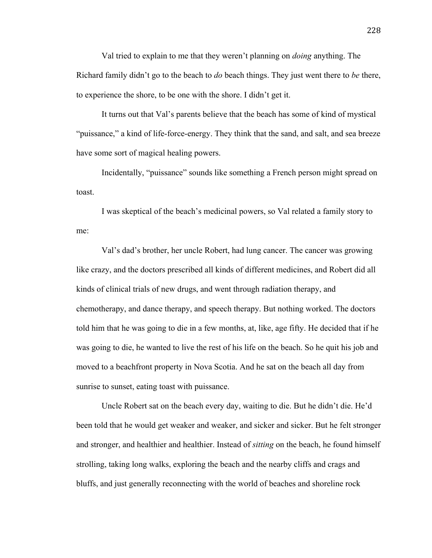Val tried to explain to me that they weren't planning on *doing* anything. The Richard family didn't go to the beach to *do* beach things. They just went there to *be* there, to experience the shore, to be one with the shore. I didn't get it.

It turns out that Val's parents believe that the beach has some of kind of mystical "puissance," a kind of life-force-energy. They think that the sand, and salt, and sea breeze have some sort of magical healing powers.

Incidentally, "puissance" sounds like something a French person might spread on toast.

I was skeptical of the beach's medicinal powers, so Val related a family story to me:

Val's dad's brother, her uncle Robert, had lung cancer. The cancer was growing like crazy, and the doctors prescribed all kinds of different medicines, and Robert did all kinds of clinical trials of new drugs, and went through radiation therapy, and chemotherapy, and dance therapy, and speech therapy. But nothing worked. The doctors told him that he was going to die in a few months, at, like, age fifty. He decided that if he was going to die, he wanted to live the rest of his life on the beach. So he quit his job and moved to a beachfront property in Nova Scotia. And he sat on the beach all day from sunrise to sunset, eating toast with puissance.

Uncle Robert sat on the beach every day, waiting to die. But he didn't die. He'd been told that he would get weaker and weaker, and sicker and sicker. But he felt stronger and stronger, and healthier and healthier. Instead of *sitting* on the beach, he found himself strolling, taking long walks, exploring the beach and the nearby cliffs and crags and bluffs, and just generally reconnecting with the world of beaches and shoreline rock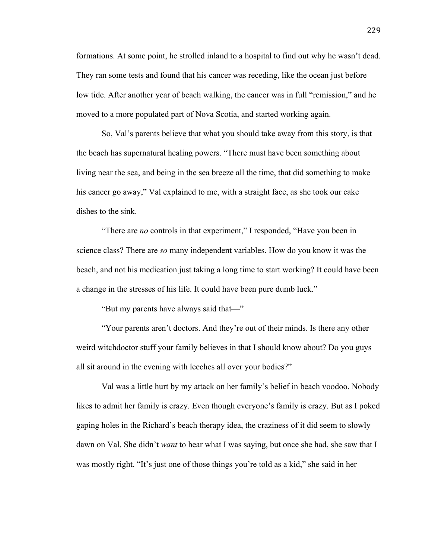formations. At some point, he strolled inland to a hospital to find out why he wasn't dead. They ran some tests and found that his cancer was receding, like the ocean just before low tide. After another year of beach walking, the cancer was in full "remission," and he moved to a more populated part of Nova Scotia, and started working again.

So, Val's parents believe that what you should take away from this story, is that the beach has supernatural healing powers. "There must have been something about living near the sea, and being in the sea breeze all the time, that did something to make his cancer go away," Val explained to me, with a straight face, as she took our cake dishes to the sink.

"There are *no* controls in that experiment," I responded, "Have you been in science class? There are *so* many independent variables. How do you know it was the beach, and not his medication just taking a long time to start working? It could have been a change in the stresses of his life. It could have been pure dumb luck."

"But my parents have always said that—"

"Your parents aren't doctors. And they're out of their minds. Is there any other weird witchdoctor stuff your family believes in that I should know about? Do you guys all sit around in the evening with leeches all over your bodies?"

Val was a little hurt by my attack on her family's belief in beach voodoo. Nobody likes to admit her family is crazy. Even though everyone's family is crazy. But as I poked gaping holes in the Richard's beach therapy idea, the craziness of it did seem to slowly dawn on Val. She didn't *want* to hear what I was saying, but once she had, she saw that I was mostly right. "It's just one of those things you're told as a kid," she said in her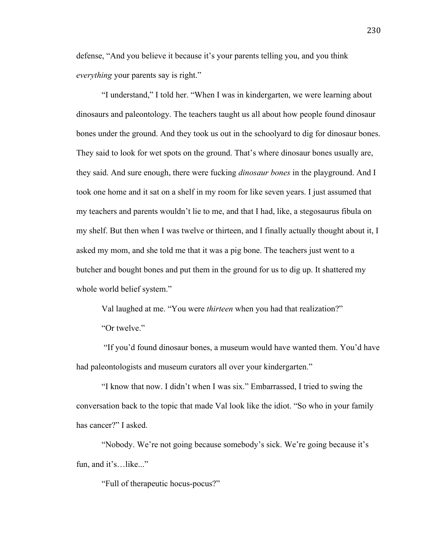defense, "And you believe it because it's your parents telling you, and you think *everything* your parents say is right."

"I understand," I told her. "When I was in kindergarten, we were learning about dinosaurs and paleontology. The teachers taught us all about how people found dinosaur bones under the ground. And they took us out in the schoolyard to dig for dinosaur bones. They said to look for wet spots on the ground. That's where dinosaur bones usually are, they said. And sure enough, there were fucking *dinosaur bones* in the playground. And I took one home and it sat on a shelf in my room for like seven years. I just assumed that my teachers and parents wouldn't lie to me, and that I had, like, a stegosaurus fibula on my shelf. But then when I was twelve or thirteen, and I finally actually thought about it, I asked my mom, and she told me that it was a pig bone. The teachers just went to a butcher and bought bones and put them in the ground for us to dig up. It shattered my whole world belief system."

Val laughed at me. "You were *thirteen* when you had that realization?"

"Or twelve."

 "If you'd found dinosaur bones, a museum would have wanted them. You'd have had paleontologists and museum curators all over your kindergarten."

"I know that now. I didn't when I was six." Embarrassed, I tried to swing the conversation back to the topic that made Val look like the idiot. "So who in your family has cancer?" I asked.

"Nobody. We're not going because somebody's sick. We're going because it's fun, and it's…like..."

"Full of therapeutic hocus-pocus?"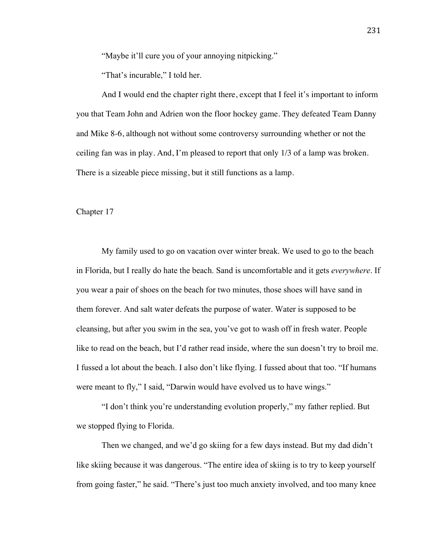"Maybe it'll cure you of your annoying nitpicking."

"That's incurable," I told her.

And I would end the chapter right there, except that I feel it's important to inform you that Team John and Adrien won the floor hockey game. They defeated Team Danny and Mike 8-6, although not without some controversy surrounding whether or not the ceiling fan was in play. And, I'm pleased to report that only 1/3 of a lamp was broken. There is a sizeable piece missing, but it still functions as a lamp.

Chapter 17

My family used to go on vacation over winter break. We used to go to the beach in Florida, but I really do hate the beach. Sand is uncomfortable and it gets *everywhere*. If you wear a pair of shoes on the beach for two minutes, those shoes will have sand in them forever. And salt water defeats the purpose of water. Water is supposed to be cleansing, but after you swim in the sea, you've got to wash off in fresh water. People like to read on the beach, but I'd rather read inside, where the sun doesn't try to broil me. I fussed a lot about the beach. I also don't like flying. I fussed about that too. "If humans were meant to fly," I said, "Darwin would have evolved us to have wings."

"I don't think you're understanding evolution properly," my father replied. But we stopped flying to Florida.

Then we changed, and we'd go skiing for a few days instead. But my dad didn't like skiing because it was dangerous. "The entire idea of skiing is to try to keep yourself from going faster," he said. "There's just too much anxiety involved, and too many knee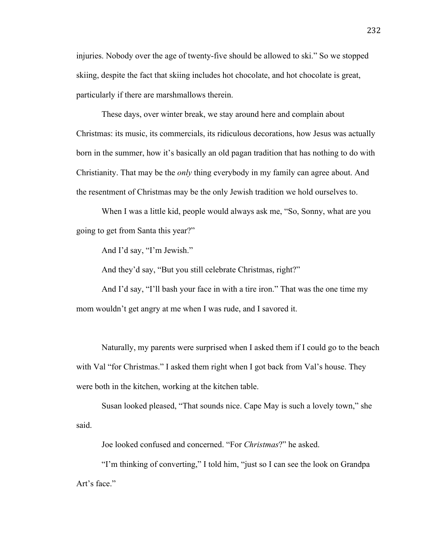injuries. Nobody over the age of twenty-five should be allowed to ski." So we stopped skiing, despite the fact that skiing includes hot chocolate, and hot chocolate is great, particularly if there are marshmallows therein.

These days, over winter break, we stay around here and complain about Christmas: its music, its commercials, its ridiculous decorations, how Jesus was actually born in the summer, how it's basically an old pagan tradition that has nothing to do with Christianity. That may be the *only* thing everybody in my family can agree about. And the resentment of Christmas may be the only Jewish tradition we hold ourselves to.

When I was a little kid, people would always ask me, "So, Sonny, what are you going to get from Santa this year?"

And I'd say, "I'm Jewish."

And they'd say, "But you still celebrate Christmas, right?"

And I'd say, "I'll bash your face in with a tire iron." That was the one time my mom wouldn't get angry at me when I was rude, and I savored it.

Naturally, my parents were surprised when I asked them if I could go to the beach with Val "for Christmas." I asked them right when I got back from Val's house. They were both in the kitchen, working at the kitchen table.

Susan looked pleased, "That sounds nice. Cape May is such a lovely town," she said.

Joe looked confused and concerned. "For *Christmas*?" he asked.

"I'm thinking of converting," I told him, "just so I can see the look on Grandpa Art's face."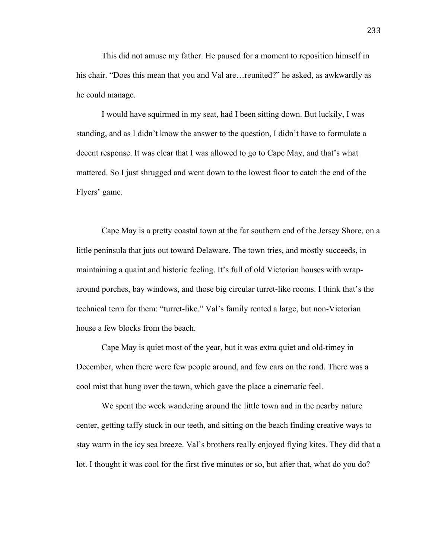This did not amuse my father. He paused for a moment to reposition himself in his chair. "Does this mean that you and Val are... reunited?" he asked, as awkwardly as he could manage.

I would have squirmed in my seat, had I been sitting down. But luckily, I was standing, and as I didn't know the answer to the question, I didn't have to formulate a decent response. It was clear that I was allowed to go to Cape May, and that's what mattered. So I just shrugged and went down to the lowest floor to catch the end of the Flyers' game.

Cape May is a pretty coastal town at the far southern end of the Jersey Shore, on a little peninsula that juts out toward Delaware. The town tries, and mostly succeeds, in maintaining a quaint and historic feeling. It's full of old Victorian houses with wraparound porches, bay windows, and those big circular turret-like rooms. I think that's the technical term for them: "turret-like." Val's family rented a large, but non-Victorian house a few blocks from the beach.

Cape May is quiet most of the year, but it was extra quiet and old-timey in December, when there were few people around, and few cars on the road. There was a cool mist that hung over the town, which gave the place a cinematic feel.

We spent the week wandering around the little town and in the nearby nature center, getting taffy stuck in our teeth, and sitting on the beach finding creative ways to stay warm in the icy sea breeze. Val's brothers really enjoyed flying kites. They did that a lot. I thought it was cool for the first five minutes or so, but after that, what do you do?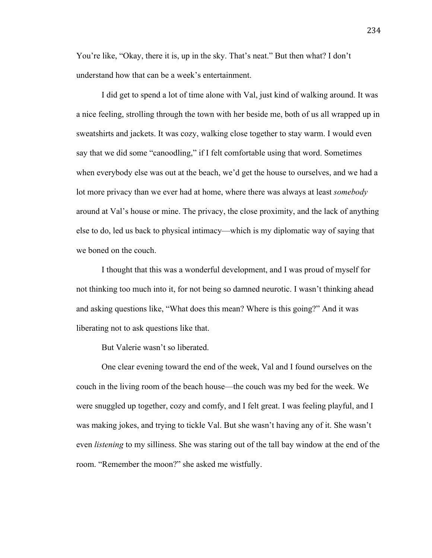You're like, "Okay, there it is, up in the sky. That's neat." But then what? I don't understand how that can be a week's entertainment.

I did get to spend a lot of time alone with Val, just kind of walking around. It was a nice feeling, strolling through the town with her beside me, both of us all wrapped up in sweatshirts and jackets. It was cozy, walking close together to stay warm. I would even say that we did some "canoodling," if I felt comfortable using that word. Sometimes when everybody else was out at the beach, we'd get the house to ourselves, and we had a lot more privacy than we ever had at home, where there was always at least *somebody* around at Val's house or mine. The privacy, the close proximity, and the lack of anything else to do, led us back to physical intimacy—which is my diplomatic way of saying that we boned on the couch.

I thought that this was a wonderful development, and I was proud of myself for not thinking too much into it, for not being so damned neurotic. I wasn't thinking ahead and asking questions like, "What does this mean? Where is this going?" And it was liberating not to ask questions like that.

But Valerie wasn't so liberated.

One clear evening toward the end of the week, Val and I found ourselves on the couch in the living room of the beach house—the couch was my bed for the week. We were snuggled up together, cozy and comfy, and I felt great. I was feeling playful, and I was making jokes, and trying to tickle Val. But she wasn't having any of it. She wasn't even *listening* to my silliness. She was staring out of the tall bay window at the end of the room. "Remember the moon?" she asked me wistfully.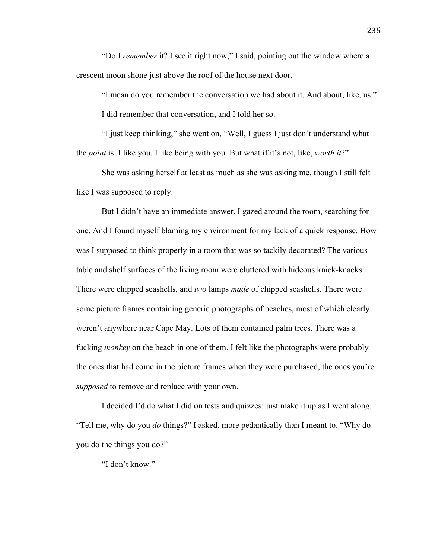"Do I *remember* it? I see it right now," I said, pointing out the window where a crescent moon shone just above the roof of the house next door.

"I mean do you remember the conversation we had about it. And about, like, us."

I did remember that conversation, and I told her so.

"I just keep thinking," she went on, "Well, I guess I just don't understand what the *point* is. I like you. I like being with you. But what if it's not, like, *worth it*?"

She was asking herself at least as much as she was asking me, though I still felt like I was supposed to reply.

But I didn't have an immediate answer. I gazed around the room, searching for one. And I found myself blaming my environment for my lack of a quick response. How was I supposed to think properly in a room that was so tackily decorated? The various table and shelf surfaces of the living room were cluttered with hideous knick-knacks. There were chipped seashells, and *two* lamps *made* of chipped seashells. There were some picture frames containing generic photographs of beaches, most of which clearly weren't anywhere near Cape May. Lots of them contained palm trees. There was a fucking *monkey* on the beach in one of them. I felt like the photographs were probably the ones that had come in the picture frames when they were purchased, the ones you're *supposed* to remove and replace with your own.

I decided I'd do what I did on tests and quizzes: just make it up as I went along. "Tell me, why do you *do* things?" I asked, more pedantically than I meant to. "Why do you do the things you do?"

"I don't know."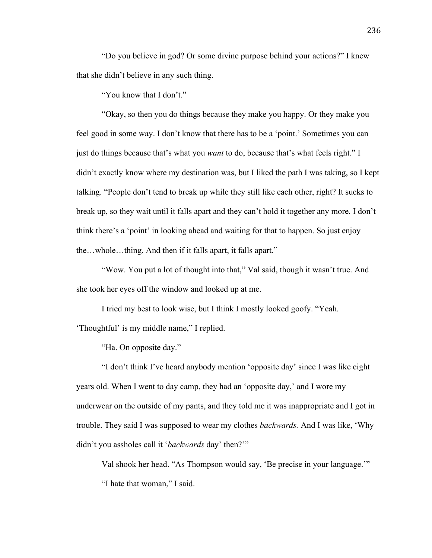"Do you believe in god? Or some divine purpose behind your actions?" I knew that she didn't believe in any such thing.

"You know that I don't."

"Okay, so then you do things because they make you happy. Or they make you feel good in some way. I don't know that there has to be a 'point.' Sometimes you can just do things because that's what you *want* to do, because that's what feels right." I didn't exactly know where my destination was, but I liked the path I was taking, so I kept talking. "People don't tend to break up while they still like each other, right? It sucks to break up, so they wait until it falls apart and they can't hold it together any more. I don't think there's a 'point' in looking ahead and waiting for that to happen. So just enjoy the…whole…thing. And then if it falls apart, it falls apart."

"Wow. You put a lot of thought into that," Val said, though it wasn't true. And she took her eyes off the window and looked up at me.

I tried my best to look wise, but I think I mostly looked goofy. "Yeah. 'Thoughtful' is my middle name," I replied.

"Ha. On opposite day."

"I don't think I've heard anybody mention 'opposite day' since I was like eight years old. When I went to day camp, they had an 'opposite day,' and I wore my underwear on the outside of my pants, and they told me it was inappropriate and I got in trouble. They said I was supposed to wear my clothes *backwards.* And I was like, 'Why didn't you assholes call it '*backwards* day' then?'"

Val shook her head. "As Thompson would say, 'Be precise in your language.'" "I hate that woman," I said.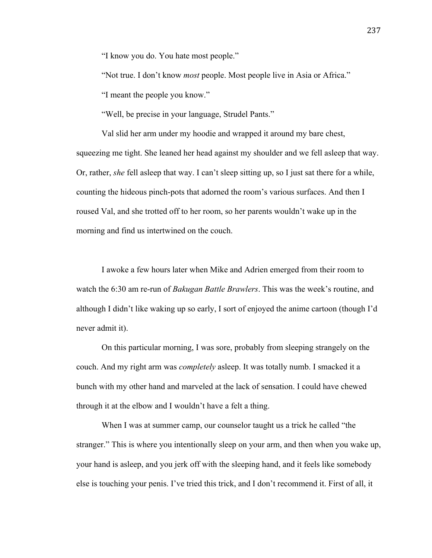"I know you do. You hate most people."

"Not true. I don't know *most* people. Most people live in Asia or Africa."

"I meant the people you know."

"Well, be precise in your language, Strudel Pants."

Val slid her arm under my hoodie and wrapped it around my bare chest, squeezing me tight. She leaned her head against my shoulder and we fell asleep that way. Or, rather, *she* fell asleep that way. I can't sleep sitting up, so I just sat there for a while, counting the hideous pinch-pots that adorned the room's various surfaces. And then I roused Val, and she trotted off to her room, so her parents wouldn't wake up in the morning and find us intertwined on the couch.

I awoke a few hours later when Mike and Adrien emerged from their room to watch the 6:30 am re-run of *Bakugan Battle Brawlers*. This was the week's routine, and although I didn't like waking up so early, I sort of enjoyed the anime cartoon (though I'd never admit it).

On this particular morning, I was sore, probably from sleeping strangely on the couch. And my right arm was *completely* asleep. It was totally numb. I smacked it a bunch with my other hand and marveled at the lack of sensation. I could have chewed through it at the elbow and I wouldn't have a felt a thing.

When I was at summer camp, our counselor taught us a trick he called "the stranger." This is where you intentionally sleep on your arm, and then when you wake up, your hand is asleep, and you jerk off with the sleeping hand, and it feels like somebody else is touching your penis. I've tried this trick, and I don't recommend it. First of all, it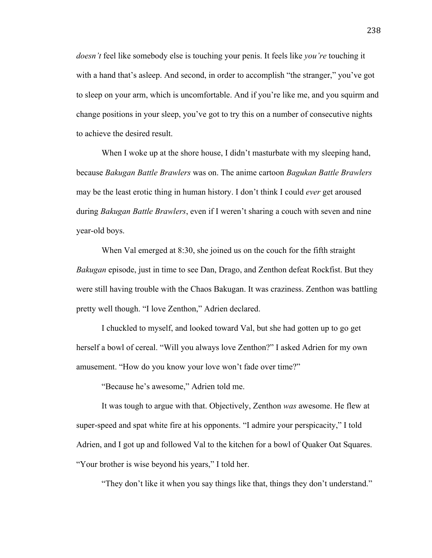*doesn't* feel like somebody else is touching your penis. It feels like *you're* touching it with a hand that's asleep. And second, in order to accomplish "the stranger," you've got to sleep on your arm, which is uncomfortable. And if you're like me, and you squirm and change positions in your sleep, you've got to try this on a number of consecutive nights to achieve the desired result.

When I woke up at the shore house, I didn't masturbate with my sleeping hand, because *Bakugan Battle Brawlers* was on. The anime cartoon *Bagukan Battle Brawlers* may be the least erotic thing in human history. I don't think I could *ever* get aroused during *Bakugan Battle Brawlers*, even if I weren't sharing a couch with seven and nine year-old boys.

When Val emerged at 8:30, she joined us on the couch for the fifth straight *Bakugan* episode, just in time to see Dan, Drago, and Zenthon defeat Rockfist. But they were still having trouble with the Chaos Bakugan. It was craziness. Zenthon was battling pretty well though. "I love Zenthon," Adrien declared.

I chuckled to myself, and looked toward Val, but she had gotten up to go get herself a bowl of cereal. "Will you always love Zenthon?" I asked Adrien for my own amusement. "How do you know your love won't fade over time?"

"Because he's awesome," Adrien told me.

It was tough to argue with that. Objectively, Zenthon *was* awesome. He flew at super-speed and spat white fire at his opponents. "I admire your perspicacity," I told Adrien, and I got up and followed Val to the kitchen for a bowl of Quaker Oat Squares. "Your brother is wise beyond his years," I told her.

"They don't like it when you say things like that, things they don't understand."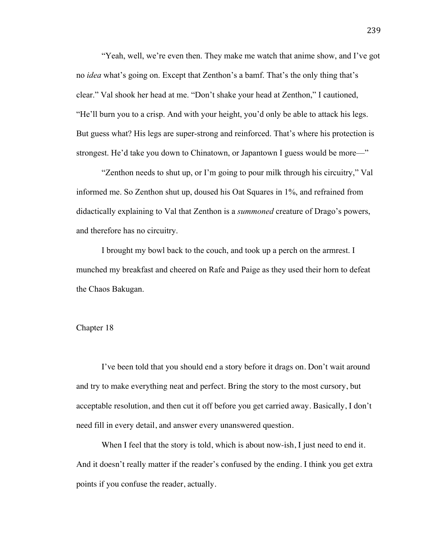"Yeah, well, we're even then. They make me watch that anime show, and I've got no *idea* what's going on. Except that Zenthon's a bamf. That's the only thing that's clear." Val shook her head at me. "Don't shake your head at Zenthon," I cautioned, "He'll burn you to a crisp. And with your height, you'd only be able to attack his legs. But guess what? His legs are super-strong and reinforced. That's where his protection is strongest. He'd take you down to Chinatown, or Japantown I guess would be more—"

"Zenthon needs to shut up, or I'm going to pour milk through his circuitry," Val informed me. So Zenthon shut up, doused his Oat Squares in 1%, and refrained from didactically explaining to Val that Zenthon is a *summoned* creature of Drago's powers, and therefore has no circuitry.

I brought my bowl back to the couch, and took up a perch on the armrest. I munched my breakfast and cheered on Rafe and Paige as they used their horn to defeat the Chaos Bakugan.

## Chapter 18

I've been told that you should end a story before it drags on. Don't wait around and try to make everything neat and perfect. Bring the story to the most cursory, but acceptable resolution, and then cut it off before you get carried away. Basically, I don't need fill in every detail, and answer every unanswered question.

When I feel that the story is told, which is about now-ish, I just need to end it. And it doesn't really matter if the reader's confused by the ending. I think you get extra points if you confuse the reader, actually.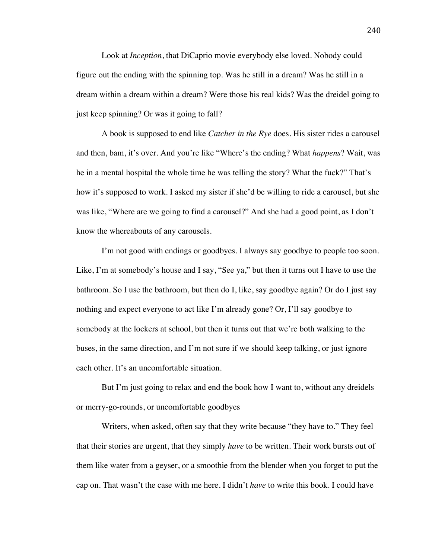Look at *Inception*, that DiCaprio movie everybody else loved. Nobody could figure out the ending with the spinning top. Was he still in a dream? Was he still in a dream within a dream within a dream? Were those his real kids? Was the dreidel going to just keep spinning? Or was it going to fall?

A book is supposed to end like *Catcher in the Rye* does. His sister rides a carousel and then, bam, it's over. And you're like "Where's the ending? What *happens*? Wait, was he in a mental hospital the whole time he was telling the story? What the fuck?" That's how it's supposed to work. I asked my sister if she'd be willing to ride a carousel, but she was like, "Where are we going to find a carousel?" And she had a good point, as I don't know the whereabouts of any carousels.

I'm not good with endings or goodbyes. I always say goodbye to people too soon. Like, I'm at somebody's house and I say, "See ya," but then it turns out I have to use the bathroom. So I use the bathroom, but then do I, like, say goodbye again? Or do I just say nothing and expect everyone to act like I'm already gone? Or, I'll say goodbye to somebody at the lockers at school, but then it turns out that we're both walking to the buses, in the same direction, and I'm not sure if we should keep talking, or just ignore each other. It's an uncomfortable situation.

But I'm just going to relax and end the book how I want to, without any dreidels or merry-go-rounds, or uncomfortable goodbyes

Writers, when asked, often say that they write because "they have to." They feel that their stories are urgent, that they simply *have* to be written. Their work bursts out of them like water from a geyser, or a smoothie from the blender when you forget to put the cap on. That wasn't the case with me here. I didn't *have* to write this book. I could have